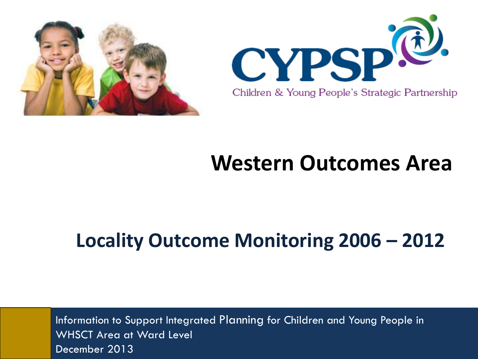



# **Western Outcomes Area**

# **Locality Outcome Monitoring 2006 – 2012**

Information to Support Integrated Planning for Children and Young People in WHSCT Area at Ward Level December 2013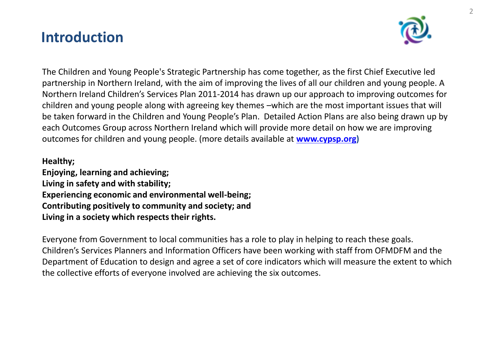# **Introduction**



The Children and Young People's Strategic Partnership has come together, as the first Chief Executive led partnership in Northern Ireland, with the aim of improving the lives of all our children and young people. A Northern Ireland Children's Services Plan 2011-2014 has drawn up our approach to improving outcomes for children and young people along with agreeing key themes –which are the most important issues that will be taken forward in the Children and Young People's Plan. Detailed Action Plans are also being drawn up by each Outcomes Group across Northern Ireland which will provide more detail on how we are improving outcomes for children and young people. (more details available at **[www.cypsp.org\)](http://www.cypsp.org/)**

### **Healthy;**

**Enjoying, learning and achieving; Living in safety and with stability; Experiencing economic and environmental well-being; Contributing positively to community and society; and Living in a society which respects their rights.**

Everyone from Government to local communities has a role to play in helping to reach these goals. Children's Services Planners and Information Officers have been working with staff from OFMDFM and the Department of Education to design and agree a set of core indicators which will measure the extent to which the collective efforts of everyone involved are achieving the six outcomes.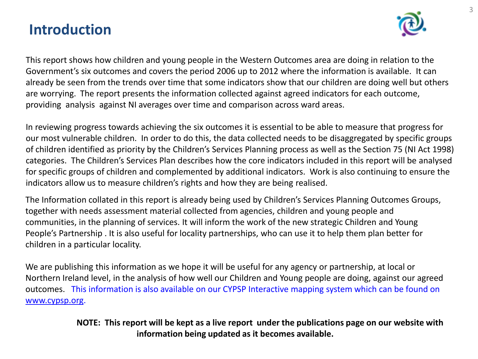# **Introduction**



This report shows how children and young people in the Western Outcomes area are doing in relation to the Government's six outcomes and covers the period 2006 up to 2012 where the information is available. It can already be seen from the trends over time that some indicators show that our children are doing well but others are worrying. The report presents the information collected against agreed indicators for each outcome, providing analysis against NI averages over time and comparison across ward areas.

In reviewing progress towards achieving the six outcomes it is essential to be able to measure that progress for our most vulnerable children. In order to do this, the data collected needs to be disaggregated by specific groups of children identified as priority by the Children's Services Planning process as well as the Section 75 (NI Act 1998) categories. The Children's Services Plan describes how the core indicators included in this report will be analysed for specific groups of children and complemented by additional indicators. Work is also continuing to ensure the indicators allow us to measure children's rights and how they are being realised.

The Information collated in this report is already being used by Children's Services Planning Outcomes Groups, together with needs assessment material collected from agencies, children and young people and communities, in the planning of services. It will inform the work of the new strategic Children and Young People's Partnership . It is also useful for locality partnerships, who can use it to help them plan better for children in a particular locality.

We are publishing this information as we hope it will be useful for any agency or partnership, at local or Northern Ireland level, in the analysis of how well our Children and Young people are doing, against our agreed outcomes. This information is also available on our CYPSP Interactive mapping system which can be found on [www.cypsp.org.](http://www.cypsp.org/)

> **NOTE: This report will be kept as a live report under the publications page on our website with information being updated as it becomes available.**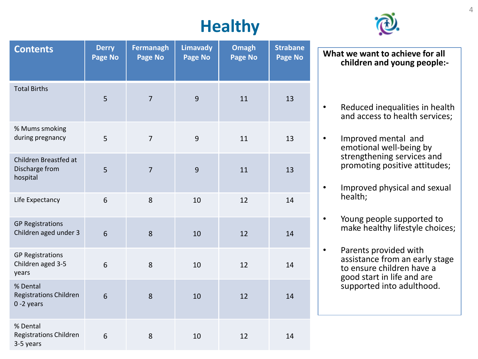# **Healthy**



| <b>Contents</b>                                        | <b>Derry</b><br>Page No | <b>Fermanagh</b><br>Page No | <b>Limavady</b><br>Page No | <b>Omagh</b><br>Page No | <b>Strabane</b><br>Page No |
|--------------------------------------------------------|-------------------------|-----------------------------|----------------------------|-------------------------|----------------------------|
| <b>Total Births</b>                                    | 5                       | $\overline{7}$              | 9                          | 11                      | 13                         |
| % Mums smoking<br>during pregnancy                     | 5                       | $\overline{7}$              | 9                          | 11                      | 13                         |
| Children Breastfed at<br>Discharge from<br>hospital    | 5                       | $\overline{7}$              | 9                          | 11                      | 13                         |
| Life Expectancy                                        | 6                       | 8                           | 10                         | 12                      | 14                         |
| <b>GP Registrations</b><br>Children aged under 3       | 6                       | 8                           | 10                         | 12                      | 14                         |
| <b>GP Registrations</b><br>Children aged 3-5<br>years  | 6                       | 8                           | 10                         | 12                      | 14                         |
| % Dental<br>Registrations Children<br>$0 - 2$ years    | 6                       | 8                           | 10                         | 12                      | 14                         |
| % Dental<br><b>Registrations Children</b><br>3-5 years | 6                       | 8                           | 10                         | 12                      | 14                         |

**What we want to achieve for all children and young people:-**

- Reduced inequalities in health and access to health services;
- Improved mental and emotional well-being by strengthening services and promoting positive attitudes;
- Improved physical and sexual health;
- Young people supported to make healthy lifestyle choices;
- Parents provided with assistance from an early stage to ensure children have a good start in life and are supported into adulthood.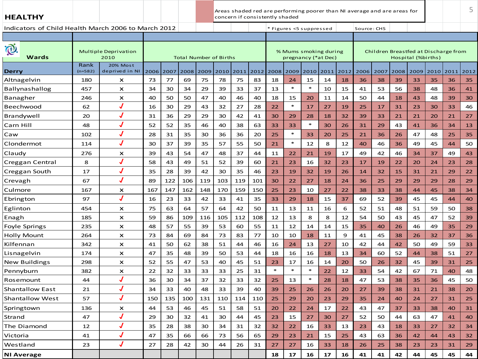**HEALTHY**

Areas shaded red are performing poorer than NI average and are areas for concern if consistently shaded

5

|                   | 2010                       |                             |     |                                                             |      |     |      |                               |        |        |        |      |                         |                                              |      |             |      |      |                    |                                      |
|-------------------|----------------------------|-----------------------------|-----|-------------------------------------------------------------|------|-----|------|-------------------------------|--------|--------|--------|------|-------------------------|----------------------------------------------|------|-------------|------|------|--------------------|--------------------------------------|
| Rank<br>$(n=582)$ | 20% Most<br>deprived in NI | 2006                        |     | 2008                                                        | 2009 |     | 2011 | 2012                          | 2008   | 2009   | 2010   | 2011 | 2012                    | 2006                                         | 2007 | 2008        | 2009 | 2010 | 2011               | 2012                                 |
| 180               | X                          | 73                          | 77  | 69                                                          | 75   | 78  | 75   | 83                            | 18     | 24     | 15     | 14   | 18                      | 36                                           | 38   | 39          | 33   | 35   | 36                 | 35                                   |
| 457               | $\boldsymbol{\mathsf{x}}$  | 34                          | 30  | 34                                                          | 29   | 39  | 33   | 37                            | 13     | $\ast$ | $\ast$ | 10   | 15                      | 41                                           | 53   | 56          | 38   | 48   | 36                 | 41                                   |
| 246               | $\boldsymbol{\mathsf{x}}$  | 40                          | 50  | 50                                                          | 47   | 40  | 46   | 40                            | 18     | 15     | 20     | 11   | 14                      | 50                                           | 44   | 18          | 43   | 48   | 39                 | 30                                   |
| 62                | J                          | 16                          | 30  | 29                                                          | 43   | 32  | 27   | 28                            | 22     | $\ast$ | 17     | 27   | 19                      | 25                                           | 17   | 31          | 23   | 30   | 33                 | 46                                   |
| 20                | J                          | 31                          | 36  | 29                                                          | 29   | 30  | 42   | 41                            | 30     | 29     | 28     | 18   | 32                      | 39                                           | 33   | 21          | 21   | 20   | 21                 | 27                                   |
| 48                |                            | 52                          | 52  | 35                                                          | 46   | 40  | 38   | 63                            | 33     | 33     | $\ast$ | 30   | 26                      | 31                                           | 29   | 43          | 41   | 36   | 34                 | 13                                   |
| 102               |                            | 28                          | 31  | 35                                                          | 30   | 36  | 36   | 20                            | 25     | $\ast$ | 33     | 20   | 25                      | 21                                           | 36   | 26          | 47   | 48   | 25                 | 35                                   |
| 114               | $\overline{\mathcal{J}}$   | 30                          | 37  | 39                                                          | 35   | 57  | 55   | 50                            | 21     | $\ast$ | 12     | 8    | 12                      | 40                                           | 46   | 36          | 49   | 45   | 44                 | 50                                   |
| 276               | x                          | 39                          | 43  | 54                                                          | 47   | 48  | 37   | 44                            | 11     | 22     | 21     | 19   | 17                      | 49                                           | 42   | 46          | 34   | 37   | 49                 | 43                                   |
| 8                 | J                          | 58                          | 43  | 49                                                          | 51   | 52  | 39   | 60                            | 21     | 23     | 16     | 32   | 23                      | 17                                           | 19   | 22          | 20   | 24   | 23                 | 28                                   |
| 17                | J                          | 35                          | 28  | 39                                                          | 42   | 30  | 35   | 46                            | 23     | 19     | 32     | 19   | 26                      | 14                                           | 32   | 15          | 31   | 21   | 29                 | 22                                   |
| 67                | J                          | 89                          | 122 | 106                                                         | 119  | 103 | 119  | 101                           | 30     | 22     | 27     | 18   | 24                      | 36                                           | 25   | 29          | 29   | 29   | 28                 | 29                                   |
| 167               | ×                          | 167                         | 147 | 162                                                         | 148  | 170 | 159  | 150                           | 25     | 23     | 10     | 27   | 22                      | 38                                           | 33   | 38          | 44   | 45   | 38                 | 34                                   |
| 97                |                            | 16                          | 23  | 33                                                          | 42   | 33  | 41   | 35                            | 33     | 29     | 18     | 15   | 37                      | 69                                           | 52   | 39          | 45   | 45   | 44                 | 40                                   |
| 454               | $\boldsymbol{\mathsf{x}}$  | 75                          | 63  | 64                                                          | 57   | 64  | 42   | 50                            | 11     | 13     | 11     | 16   | 6                       | 52                                           | 51   | 48          | 51   | 59   | 50                 | 38                                   |
| 185               | $\boldsymbol{\mathsf{x}}$  | 59                          | 86  | 109                                                         | 116  | 105 | 112  | 108                           | 12     | 13     | 8      | 8    | 12                      | 54                                           | 50   | 43          | 45   | 47   | 52                 | 39                                   |
| 235               | $\boldsymbol{\mathsf{x}}$  | 48                          | 57  | 55                                                          | 39   | 53  | 60   | 55                            | 11     | 12     | 14     | 14   | 15                      | 35                                           | 40   | 26          | 46   | 49   | 35                 | 29                                   |
| 264               | ×                          | 73                          | 84  | 69                                                          | 84   | 73  | 83   | 77                            | 10     | 10     | 18     | 11   | 9                       | 41                                           | 45   | 38          | 26   | 32   | 37                 | 36                                   |
| 342               | $\boldsymbol{\mathsf{x}}$  | 41                          | 50  | 62                                                          | 38   | 51  | 44   | 46                            | 16     | 24     | 13     | 27   | 10                      | 42                                           | 44   | 42          | 50   | 49   | 59                 | 33                                   |
| 174               | $\boldsymbol{\mathsf{x}}$  | 47                          | 35  | 48                                                          | 39   | 50  | 53   | 44                            | 18     | 16     | 16     | 18   | 13                      | 34                                           | 60   | 52          | 44   | 38   | 51                 | 27                                   |
| 298               | $\boldsymbol{\mathsf{x}}$  | 52                          | 55  | 47                                                          | 53   | 40  | 45   | 51                            | 23     | 17     | 16     | 14   | 20                      | 50                                           | 26   | 32          | 45   | 39   | 31                 | 25                                   |
| 382               | ×                          | 22                          | 32  | 33                                                          | 33   | 33  | 25   | 31                            | $\ast$ | $\ast$ | $\ast$ | 22   | 12                      | 33                                           | 54   | 42          | 67   | 71   | 40                 | 48                                   |
| 44                | J                          | 36                          | 30  | 34                                                          | 37   | 32  | 33   | 32                            | 25     | 13     | $\ast$ | 28   | 18                      | 47                                           | 53   | 38          | 35   | 36   | 45                 | 50                                   |
| 21                | J                          | 34                          | 33  | 40                                                          | 48   | 33  | 39   | 40                            | 39     | 25     | 26     | 26   | 20                      | 27                                           | 39   | 38          | 31   | 21   | 38                 | 20                                   |
| 57                | J                          | 150                         | 135 | 100                                                         | 131  | 110 | 114  | 110                           | 25     | 29     | 20     | 23   | 29                      | 35                                           | 24   | 40          | 24   | 27   | 31                 | 25                                   |
| 136               | ×                          | 44                          | 53  | 46                                                          | 45   | 51  | 58   | 51                            | 20     | 22     | 24     | 17   | 22                      | 43                                           | 47   | 37          | 33   | 38   | 40                 | 31                                   |
| 47                | J                          | 29                          | 30  | 32                                                          | 41   | 30  | 44   | 45                            | 23     | 15     | 27     | 30   | 27                      | 52                                           | 50   | 44          | 63   | 47   | 41                 | 40                                   |
| 12                | $\overline{\mathcal{J}}$   | 35                          | 28  | 38                                                          | 30   | 34  | 31   | 32                            | 32     | 22     | 16     | 33   | 13                      | 23                                           | 43   | 18          | 33   | 27   | 32                 | 34                                   |
| 41                |                            | 47                          | 35  | 66                                                          | 66   | 73  | 56   | 65                            | 29     | 23     | 21     | 15   | 25                      | 43                                           | 63   | 36          | 42   | 44   | 43                 | 32                                   |
| 23                | J                          | 27                          | 28  | 42                                                          | 30   | 44  | 26   | 31                            | 27     | 27     | 16     | 33   | 18                      | 26                                           | 25   | 38          | 23   | 23   | 31                 | 29                                   |
|                   |                            |                             |     |                                                             |      |     |      |                               | 18     | 17     | 16     | 17   | 16                      | 41                                           | 41   | 42          | 44   | 45   | 45                 | 44                                   |
|                   |                            | <b>Multiple Deprivation</b> |     | Indicators of Child Health March 2006 to March 2012<br>2007 |      |     | 2010 | <b>Total Number of Births</b> |        |        |        |      | * Figures <5 suppressed | % Mums smoking during<br>pregnancy (*at Dec) |      | Source: CHS |      |      | Hospital (%births) | Children Breastfed at Discharge from |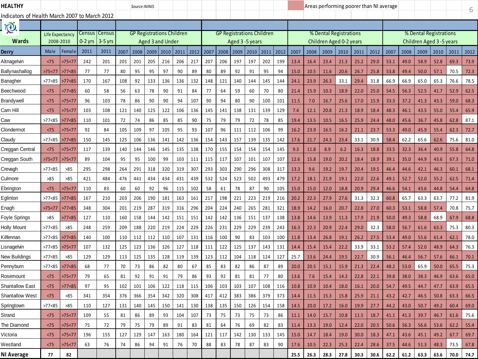| <b>HEALTHY</b>                                |                   |                 |             |                     |             | Source:NINIS                     |             |                         |             |             |             |             |             |                                  |             |             |              |              | Areas performing poorer than NI average |              |              |              |              |              |              |                           |              | 6            |
|-----------------------------------------------|-------------------|-----------------|-------------|---------------------|-------------|----------------------------------|-------------|-------------------------|-------------|-------------|-------------|-------------|-------------|----------------------------------|-------------|-------------|--------------|--------------|-----------------------------------------|--------------|--------------|--------------|--------------|--------------|--------------|---------------------------|--------------|--------------|
| Indicators of Health March 2007 to March 2012 |                   |                 |             |                     |             |                                  |             |                         |             |             |             |             |             |                                  |             |             |              |              |                                         |              |              |              |              |              |              |                           |              |              |
| <b>Q</b>                                      |                   |                 |             |                     |             |                                  |             |                         |             |             |             |             |             |                                  |             |             |              |              |                                         |              |              |              |              |              |              |                           |              |              |
| Wards                                         | Life Expectanc    |                 | Census      | Census<br>$3-5$ yrs |             | <b>GP Registrations Children</b> |             | <b>Aged 3 and Under</b> |             |             |             |             |             | <b>GP Registrations Children</b> |             |             |              |              | % Dental Registrations                  |              |              |              |              |              |              | % Dental Registrations    |              |              |
|                                               | 2008-2010         |                 | 0-2 yrs     |                     |             |                                  |             |                         |             |             |             |             |             | Aged 3-5 years                   |             |             |              |              | Children Aged 0-2 years                 |              |              |              |              |              |              | Children Aged 3 - 5 years |              |              |
| Derry<br>Altnagelvin                          | Male              | Femal           | 2011<br>242 | 2011<br>201         | 2007<br>201 | 2008<br>201                      | 2009<br>205 | 2010<br>216             | 2011<br>206 | 2012<br>217 | 2007<br>207 | 2008<br>206 | 2009<br>197 | 2010<br>197                      | 2011<br>202 | 2012<br>199 | 2007<br>13.4 | 2008<br>16.4 | 2009<br>23.4                            | 2010<br>21.3 | 2011         | 2012         | 2007<br>53.1 | 2008<br>49.0 | 2009         | 2010                      | 2011<br>69.3 | 2012<br>73.9 |
| Ballynashallog                                | <75<br>>75<77     | >75<7<br>>77<85 | 77          | 77                  | 80          | 95                               | 95          | 97                      | 90          | 89          | 80          | 89          | 92          | 91                               | 95          | 94          | 15.0         | 10.5         | 11.6                                    | 20.6         | 25.2<br>26.7 | 29.0<br>25.8 | 53.8         | 49.4         | 58.9<br>50.0 | 52.8<br>57.1              | 70.5         | 72.3         |
| Banagher                                      | >77 <sub>85</sub> | >77<85          | 170         | 167                 | 108         | 92                               | 133         | 136                     | 136         | 132         | 148         | 121         | 140         | 144                              | 145         | 144         | 24.1         | 23.9         | 26.3                                    | 33.1         | 29.4         | 31.8         | 66.9         | 66.9         | 65.0         | 65.3                      | 76.6         | 78.5         |
| Beechwood                                     | <75               | >77<85          | 60          | 58                  | 56          | 63                               | 78          | 90                      | 91          | 84          | 77          | 64          | 59          | 60                               | 70          | 80          | 21.4         | 15.9         | 10.3                                    | 18.9         | 22.0         | 25.0         | 54.5         | 56.3         | 52.5         | 41.7                      | 52.9         | 62.5         |
| Brandywell                                    | < 75              | >75<77          | 96          | 103                 | 78          | 86                               | 90          | 90                      | 94          | 107         | 90          | 94          | 80          | 90                               | 100         | 101         | 11.5         | 7.0          | 16.7                                    | 25.6         | 17.0         | 15.9         | 33.3         | 37.2         | 41.3         | 43.3                      | 59.0         | 68.3         |
| Carn Hill                                     | < 75              | >75 < 77        | 103         | 108                 | 121         | 140                              | 125         | 122                     | 106         | 136         | 145         | 141         | 138         | 131                              | 139         | 129         | 7.4          | 12.1         | 20.8                                    | 21.3         | 18.9         | 18.4         | 48.3         | 46.1         | 43.5         | 55.0                      | 55.4         | 65.9         |
| Caw                                           | >77 <sub>85</sub> | >77<85          | 110         | 101                 | 72          | 74                               | 86          | 85                      | 85          | 90          | 75          | 79          | 79          | 72                               | 78          | 85          | 19.4         | 13.5         | 10.5                                    | 16.5         | 25.9         | 24.4         | 48.0         | 45.6         | 36.7         | 45.8                      | 62.8         | 87.1         |
| Clondermot                                    | < 75              | >75<77          | 92          | 84                  | 105         | 109                              | 97          | 105                     | 95          | 93          | 107         | 96          | 111         | 112                              | 106         | 99          | 16.2         | 23.9         | 16.5                                    | 16.2         | 21.1         | 23.7         | 53.3         | 49.0         | 45.9         | 55.4                      | 62.3         | 72.7         |
| Claudy                                        | >77 <sub>85</sub> | >77<85          | 150         | 145                 | 125         | 106                              | 136         | 141                     | 142         | 136         | 154         | 143         | 157         | 139                              | 135         | 142         | 17.6         | 21.7         | 24.3                                    | 23.4         | 33.1         | 30.9         | 58.4         | 62.2         | 65.6         | 62.6                      | 75.6         | 81.0         |
| Creggan Central                               | < 75              | >75<77          | 117         | 139                 | 140         | 144                              | 146         | 145                     | 135         | 138         | 170         | 155         | 154         | 154                              | 154         | 145         | 9.3          | 11.8         | 8.9                                     | 6.2          | 16.3         | 18.8         | 33.5         | 32.3         | 36.4         | 40.9                      | 55.8         | 64.8         |
| Creggan South                                 | >75<77            | >75<71          | 89          | 104                 | 95          | 95                               | 100         | 99                      | 103         | 111         | 115         | 117         | 107         | 101                              | 107         | 107         | 12.6         | 15.8         | 19.0                                    | 20.2         | 18.4         | 18.9         | 39.1         | 35.0         | 44.9         | 43.6                      | 67.3         | 71.0         |
| Crevagh                                       | >77<85            | >85             | 295         | 298                 | 264         | 291                              | 318         | 320                     | 319         | 307         | 293         | 303         | 290         | 296                              | 308         | 317         | 13.3         | 9.6          | 19.2                                    | 19.7         | 20.4         | 19.5         | 46.4         | 44.6         | 42.1         | 46.3                      | 60.1         | 68.1         |
| Culmore                                       | >85               | >85             | 421         | 484                 | 476         | 441                              | 434         | 434                     | 431         | 439         | 532         | 524         | 523         | 502                              | 493         | 479         | 17.2         | 18.1         | 21.9                                    | 19.1         | 22.0         | 22.6         | 49.1         | 52.7         | 52.0         | 55.2                      | 62.5         | 71.4         |
| Ebringtor                                     | <75               | >75<7           | 110         | 83                  | 60          | 60                               | 92          | 96                      | 115         | 102         | 58          | 61          | 78          | 87                               | 90          | 105         | 15.0         | 15.0         | 12.0                                    | 18.8         | 20.9         | 29.4         | 46.6         | 54.1         | 43.6         | 44.8                      | 54.4         | 64.8         |
| Eglinton                                      | >77<85            | >77<85          | 167         | 210                 | 203         | 206                              | 190         | 181                     | 163         | 161         | 217         | 198         | 221         | 223                              | 219         | 216         | 20.2         | 22.3         | 27.9                                    | 27.6         | 31.3         | 32.3         | 60.8         | 65.7         | 63.3         | 63.7                      | 77.2         | 81.9         |
| Enagh                                         | >75<77            | >77<85          | 348         | 304                 | 201         | 219                              | 287         | 319                     | 316         | 296         | 204         | 224         | 240         | 265                              | 281         | 321         | 18.9         | 14.2         | 16.0                                    | 20.7         | 22.8         | 27.0         | 60.3         | 53.1         | 58.8         | 57.4                      | 70.8         | 75.7         |
| Foyle Springs                                 | >85               | >77<85          | 127         | 110                 | 160         | 158                              | 144         | 142                     | 151         | 151         | 142         | 142         | 136         | 151                              | 137         | 138         | 13.8         | 14.6         | 13.9                                    | 11.3         | 17.9         | 21.9         | 50.0         | 49.3         | 58.8         | 68.9                      | 67.9         | 68.8         |
| Holly Mount                                   | >77<85            | >85             | 248         | 259                 | 209         | 188                              | 220         | 219                     | 224         | 229         | 226         | 231         | 229         | 229                              | 239         | 243         | 16.3         | 22.3         | 20.9                                    | 22.4         | 29.0         | 32.3         | 58.0         | 56.7         | 61.6         | 63.3                      | 75.3         | 80.3         |
| Kilfennan                                     | >77 <sub>85</sub> | >77<85          | 140         | 100                 | 110         | 112                              | 112         | 110                     | 107         | 131         | 116         | 100         | 90          | 83                               | 103         | 100         | 11.8         | 13.4         | 26.8                                    | 19.1         | 26.2         | 27.5         | 53.4         | 49.0         | 55.6         | 61.4                      | 62.1         | 78.0         |
| Lisnagelvin                                   | >77 <sub>85</sub> | >75<77          | 107         | 132                 | 125         | 123                              | 136         | 126                     | 127         | 118         | 111         | 122         | 125         | 137                              | 143         | 131         | 14.4         | 15.4         | 15.4                                    | 22.2         | 33.9         | 33.1         | 53.2         | 57.4         | 52.0         | 48.9                      | 64.3         | 76.3         |
| New Buildings                                 | >77<85            | >85             | 129         | 129                 | 113         | 125                              | 135         | 128                     | 119         | 139         | 123         | 112         | 104         | 118                              | 124         | 127         | 25.7         | 13.6         | 24.4                                    | 19.5         | 22.7         | 30.9         | 56.1         | 46.4         | 56.7         | 57.6                      | 66.1         | 70.1         |
| Pennyburn                                     | >77 <sub>85</sub> | >77<85          | 68          | 77                  | 70          | 73                               | 86          | 82                      | 80          | 67          | 85          | 83          | 82          | 86                               | 87          | 89          | 20.0         | 20.5         | 15.1                                    | 15.9         | 21.3         | 22.4         | 48.2         | 53.0         | 65.9         | 50.0                      | 65.5         | 75.3         |
| Rosemount                                     | <75               | >75<77          | 79          | 65                  | 81          | 92                               | 91          | 91                      | 79          | 86          | 93          | 92          | 81          | 81                               | 77          | 80          | 13.6         | 7.6          | 15.4                                    | 14.3         | 22.8         | 22.1         | 39.8         | 38.0         | 38.3         | 46.9                      | 63.6         | 65.0         |
| Shantallow Eas <sup>-</sup>                   | <75               | >77<85          | 97          | 95                  | 102         | 101                              | 106         | 122                     | 118         | 115         | 106         | 103         | 103         | 107                              | 108         | 116         | 10.8         | 10.9         | 10.4                                    | 18.0         | 16.1         | 20.0         | 54.7         | 49.5         | 44.7         | 47.7                      | 63.9         | 65.5         |
| <b>Shantallow West</b>                        | < 75              | >85             | 341         | 354                 | 376         | 366                              | 354         | 342                     | 320         | 308         | 417         | 412         | 383         | 386                              | 379         | 373         | 14.4         | 11.5         | 15.3                                    | 15.8         | 25.9         | 21.1         | 43.2         | 42.7         | 46.5         | 50.8                      | 63.3         | 66.5         |
| Springtown                                    | >77 < 85          | >85             | 110         | 127                 | 131         | 140                              | 145         | 150                     | 141         | 130         | 138         | 135         | 150         | 126                              | 154         | 158         | 14.5         | 20.0         | 17.2                                    | 16.0         | 19.9         | 27.7         | 44.2         | 43.0         | 50.7         | 49.2                      | 60.4         | 69.0         |
| Strand                                        | < 75              | >75 < 77        | 109         | 55                  | 81          | 86                               | 89          | 93                      | 104         | 107         | 73          | 75          | 73          | 75                               | 73          | 86          | 11.1         | 14.0         | 15.7                                    | 10.8         | 11.5         | 18.7         | 41.1         | 41.3         | 39.7         | 46.7                      | 61.6         | 75.6         |
| The Diamond                                   | < 75              | >75 < 77        | 75          | 72                  | 79          | 75                               | 79          | 89                      | 91          | 83          | 81          | 64          | 76          | 69                               | 82          | 83          | 11.4         | 13.3         | 19.0                                    | 12.4         | 22.0         | 20.5         | 50.6         | 56.3         | 56.6         | 53.6                      | 62.2         | 55.4         |
| Victoria                                      | < 75              | >75<77          | 196         | 155                 | 127         | 129                              | 147         | 163                     | 180         | 164         | 121         | 117         | 142         | 130                              | 133         | 145         | 15.0         | 14.7         | 18.4                                    | 19.0         | 30.0         | 18.3         | 47.1         | 43.6         | 45.1         | 49.2                      | 67.7         | 69.7         |
| Westland                                      | < 75              | >75<77          | 63          | 76                  | 74          | 86                               | 94          | 91                      | 76          | 70          | 88          | 83          | 78          | 87                               | 83          | 90          | 17.6         | 10.5         | 22.3                                    | 25.3         | 22.4         | 28.6         | 37.5         | 44.6         | 51.3         | 48.3                      | 73.5         | 67.8         |
| <b>NI Average</b>                             | 77                | 82              |             |                     |             |                                  |             |                         |             |             |             |             |             |                                  |             |             | 25.5         | 26.3         | 28.3                                    | 27.8         | 30.3         | 30.6         | 62.2         | 61.2         | 63.3         | 63.6                      | 70.0         | 74.7         |
|                                               |                   |                 |             |                     |             |                                  |             |                         |             |             |             |             |             |                                  |             |             |              |              |                                         |              |              |              |              |              |              |                           |              |              |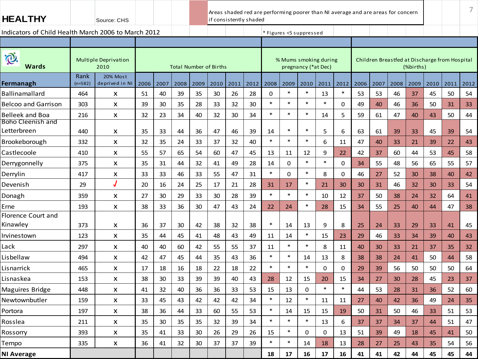| <b>HEALTHY</b>                                      |                   | Source: CHS                         |      |      |      |      | Areas shaded red are performing poorer than NI average and are areas for concern<br>if consistently shaded |      |      |        |                         |                     |             |        |      |      |                                               |           |      |      | 7    |
|-----------------------------------------------------|-------------------|-------------------------------------|------|------|------|------|------------------------------------------------------------------------------------------------------------|------|------|--------|-------------------------|---------------------|-------------|--------|------|------|-----------------------------------------------|-----------|------|------|------|
| Indicators of Child Health March 2006 to March 2012 |                   |                                     |      |      |      |      |                                                                                                            |      |      |        | * Figures <5 suppressed |                     |             |        |      |      |                                               |           |      |      |      |
|                                                     |                   |                                     |      |      |      |      |                                                                                                            |      |      |        |                         |                     |             |        |      |      |                                               |           |      |      |      |
| iQ.<br><b>Wards</b>                                 |                   | <b>Multiple Deprivation</b><br>2010 |      |      |      |      | <b>Total Number of Births</b>                                                                              |      |      |        | % Mums smoking during   | pregnancy (*at Dec) |             |        |      |      | Children Breastfed at Discharge from Hospital | (%births) |      |      |      |
| Fermanagh                                           | Rank<br>$(n=582)$ | 20% Most<br>deprived in NI          | 2006 | 2007 | 2008 | 2009 | 2010                                                                                                       | 2011 | 2012 | 2008   | 2009                    | 2010                | 2011        | 2012   | 2006 | 2007 | 2008                                          | 2009      | 2010 | 2011 | 2012 |
| <b>Ballinamallard</b>                               | 464               | X                                   | 51   | 40   | 39   | 35   | 30                                                                                                         | 26   | 28   | 0      | $\ast$                  | $\ast$              | 13          | $\ast$ | 53   | 53   | 46                                            | 37        | 45   | 50   | 54   |
| <b>Belcoo and Garrison</b>                          | 303               | X                                   | 39   | 30   | 35   | 28   | 33                                                                                                         | 32   | 30   | $\ast$ | $\ast$                  | $\ast$              | $\ast$      | 0      | 49   | 40   | 46                                            | 36        | 50   | 31   | 33   |
| Belleek and Boa                                     | 216               | X                                   | 32   | 23   | 34   | 40   | 32                                                                                                         | 30   | 34   | $\ast$ | $\ast$                  | $\ast$              | 14          | 5      | 59   | 61   | 47                                            | 40        | 43   | 50   | 44   |
| Boho Cleenish and<br>Letterbreen                    | 440               | X                                   | 35   | 33   | 44   | 36   | 47                                                                                                         | 46   | 39   | 14     | $\ast$                  | $\ast$              | 5           | 6      | 63   | 61   | 39                                            | 33        | 45   | 39   | 54   |
| Brookeborough                                       | 332               | X                                   | 32   | 35   | 24   | 33   | 37                                                                                                         | 32   | 40   | $\ast$ | $\ast$                  | $\ast$              | 6           | 11     | 47   | 40   | 33                                            | 21        | 39   | 22   | 43   |
| Castlecoole                                         | 410               | X                                   | 55   | 57   | 65   | 54   | 60                                                                                                         | 47   | 45   | 13     | 11                      | 12                  | 9           | 22     | 42   | 37   | 60                                            | 44        | 53   | 45   | 58   |
| Derrygonnelly                                       | 375               | X                                   | 35   | 31   | 44   | 32   | 41                                                                                                         | 49   | 28   | 14     | 0                       | $\ast$              | $\ast$      | 0      | 34   | 55   | 48                                            | 56        | 65   | 55   | 57   |
| Derrylin                                            | 417               | X                                   | 33   | 33   | 46   | 33   | 55                                                                                                         | 47   | 31   | $\ast$ | 0                       | $\ast$              | 8           | 0      | 46   | 27   | 52                                            | 30        | 38   | 40   | 42   |
| Devenish                                            | 29                |                                     | 20   | 16   | 24   | 25   | 17                                                                                                         | 21   | 28   | 31     | 17                      | $\ast$              | 21          | 30     | 30   | 31   | 46                                            | 32        | 30   | 33   | 54   |
| Donagh                                              | 359               | X                                   | 27   | 30   | 29   | 33   | 30                                                                                                         | 28   | 39   | $\ast$ | $\ast$                  | $\ast$              | 10          | 12     | 37   | 50   | 38                                            | 24        | 32   | 64   | 41   |
| Erne                                                | 193               | X                                   | 38   | 33   | 36   | 30   | 47                                                                                                         | 43   | 24   | 22     | 24                      | $\ast$              | 28          | 15     | 34   | 55   | 25                                            | 40        | 44   | 47   | 38   |
| Florence Court and<br>Kinawley                      | 373               | X                                   | 36   | 37   | 30   | 42   | 38                                                                                                         | 32   | 38   | $\ast$ | 14                      | 13                  | 9           | 8      | 25   | 24   | 33                                            | 29        | 33   | 41   | 45   |
| Irvinestown                                         | 123               | X                                   | 35   | 44   | 45   | 41   | 48                                                                                                         | 43   | 49   | 11     | 14                      | $\ast$              | 15          | 23     | 29   | 46   | 33                                            | 34        | 39   | 40   | 43   |
| Lack                                                | 297               | X                                   | 40   | 40   | 60   | 42   | 55                                                                                                         | 55   | 37   | 11     | $\ast$                  | $\ast$              | 8           | 11     | 40   | 30   | 33                                            | 21        | 37   | 35   | 32   |
| Lisbellaw                                           | 494               | X                                   | 42   | 47   | 45   | 44   | 35                                                                                                         | 43   | 36   | $\ast$ | $\ast$                  | 14                  | 13          | 8      | 38   | 38   | 24                                            | 41        | 50   | 44   | 58   |
| Lisnarrick                                          | 465               | X                                   | 17   | 18   | 16   | 18   | 22                                                                                                         | 18   | 22   | $\ast$ | $\ast$                  | $\ast$              | $\mathbf 0$ | 0      | 29   | 39   | 56                                            | 50        | 50   | 50   | 64   |
| Lisnaskea                                           | 153               | X                                   | 38   | 30   | 33   | 39   | 39                                                                                                         | 40   | 43   | 28     | 12                      | 15                  | 20          | 15     | 34   | 27   | 30                                            | 28        | 45   | 23   | 37   |
| Maguires Bridge                                     | 448               | X                                   | 41   | 32   | 40   | 36   | 36                                                                                                         | 33   | 53   | 15     | 13                      | 0                   | $\ast$      | $\ast$ | 44   | 53   | 28                                            | 31        | 36   | 52   | 60   |
| Newtownbutler                                       | 159               | X                                   | 33   | 45   | 43   | 42   | 42                                                                                                         | 42   | 34   | $\ast$ | 12                      | $\ast$              | 11          | 11     | 27   | 40   | 42                                            | 36        | 49   | 24   | 35   |
| Portora                                             | 197               | X                                   | 38   | 36   | 44   | 33   | 60                                                                                                         | 55   | 53   | $\ast$ | 14                      | 15                  | 15          | 19     | 50   | 31   | 50                                            | 46        | 33   | 51   | 53   |
| Rosslea                                             | 211               | X                                   | 35   | 30   | 35   | 35   | 32                                                                                                         | 39   | 34   | $\ast$ | $\ast$                  | $\ast$              | 13          | 6      | 37   | 37   | 34                                            | 37        | 44   | 51   | 47   |
| Rossorry                                            | 393               | $\pmb{\mathsf{X}}$                  | 35   | 41   | 33   | 30   | 26                                                                                                         | 29   | 26   | 15     | $\ast$                  | 0                   | 0           | 13     | 51   | 39   | 49                                            | 18        | 45   | 41   | 50   |
| Tempo                                               | 335               | $\pmb{\mathsf{x}}$                  | 36   | 41   | 32   | 30   | 37                                                                                                         | 37   | 39   | $\ast$ | $\ast$                  | 14                  | 18          | 13     | 28   | 27   | 25                                            | 43        | 35   | 54   | 56   |
| <b>NI Average</b>                                   |                   |                                     |      |      |      |      |                                                                                                            |      |      | 18     | 17                      | 16                  | 17          | 16     | 41   | 41   | 42                                            | 44        | 45   | 45   | 44   |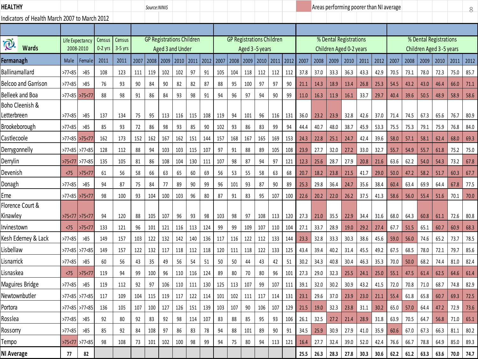| HEALTHY                                       |                   |                       |                     |                     |      | Source:NINIS                     |                  |      |      |      |      |      |                  |           |                                  |      |      |      |                                                   |      | Areas performing poorer than NI average |      |        |      |                                                   |      |      | 8    |
|-----------------------------------------------|-------------------|-----------------------|---------------------|---------------------|------|----------------------------------|------------------|------|------|------|------|------|------------------|-----------|----------------------------------|------|------|------|---------------------------------------------------|------|-----------------------------------------|------|--------|------|---------------------------------------------------|------|------|------|
| Indicators of Health March 2007 to March 2012 |                   |                       |                     |                     |      |                                  |                  |      |      |      |      |      |                  |           |                                  |      |      |      |                                                   |      |                                         |      |        |      |                                                   |      |      |      |
|                                               |                   |                       |                     |                     |      |                                  |                  |      |      |      |      |      |                  |           |                                  |      |      |      |                                                   |      |                                         |      |        |      |                                                   |      |      |      |
| P.<br><b>Wards</b>                            | Life Expectancy   | 2008-2010             | Census<br>$0-2$ yrs | Census<br>$3-5$ yrs |      | <b>GP Registrations Children</b> | Aged 3 and Under |      |      |      |      |      | Aged 3 - 5 years |           | <b>GP Registrations Children</b> |      |      |      | % Dental Registrations<br>Children Aged 0-2 years |      |                                         |      |        |      | % Dental Registrations<br>Children Aged 3-5 years |      |      |      |
| Fermanagh                                     | Male              | Female                | 2011                | 2011                | 2007 | 2008                             | 2009             | 2010 | 2011 | 2012 | 2007 | 2008 | 2009             | 2010 2011 |                                  | 2012 | 2007 | 2008 | 2009                                              | 2010 | 2011                                    | 2012 | 2007   | 2008 | 2009                                              | 2010 | 2011 | 2012 |
| Ballinamallard                                | >77<85            | >85                   | 108                 | 123                 | 111  | 119                              | 102              | 102  | 97   | 91   | 105  | 104  | 118              | 112       | 112                              | 112  | 37.8 | 37.0 | 33.3                                              | 36.3 | 43.3                                    | 42.9 | 70.5   | 73.1 | 78.0                                              | 72.3 | 75.0 | 85.7 |
| <b>Belcoo and Garrison</b>                    | >77 <sub>85</sub> | >85                   | 76                  | 93                  | 90   | 84                               | 90               | 82   | 82   | 87   | 88   | 95   | 100              | 97        | 97                               | 90   | 21.1 | 14.3 | 18.9                                              | 13.4 | 26.8                                    | 25.3 | 54.5   | 43.2 | 43.0                                              | 46.4 | 66.0 | 71.1 |
| <b>Belleek and Boa</b>                        | >77 <sub>85</sub> | >75<77                | 88                  | 98                  | 91   | 86                               | 84               | 93   | 98   | 91   | 94   | 96   | 97               | 94        | 90                               | 99   | 11.0 | 16.3 | 11.9                                              | 16.1 | 33.7                                    | 29.7 | 40.4   | 39.6 | 50.5                                              | 48.9 | 58.9 | 58.6 |
| Boho Cleenish &<br>Letterbreen                | >77 <sub>85</sub> | >85                   | 137                 | 134                 | 75   | 95                               | 113              | 116  | 115  | 108  | 119  | 94   | 101              | 96        | 116                              | 131  | 36.0 | 23.2 | 23.9                                              | 32.8 | 42.6                                    | 37.0 | 71.4   | 74.5 | 67.3                                              | 65.6 | 76.7 | 80.9 |
| Brookeborough                                 | >77 <sub>85</sub> | >85                   | 85                  | 93                  | 72   | 86                               | 98               | 93   | 85   | 90   | 102  | 93   | 86               | 83        | 99                               | 94   | 44.4 | 40.7 | 48.0                                              | 38.7 | 45.9                                    | 53.3 | 75.5   | 75.3 | 79.1                                              | 75.9 | 76.8 | 84.0 |
| Castlecoole                                   | >77 <sub>85</sub> | >75<77                | 162                 | 173                 | 152  | 162                              | 167              | 162  | 151  | 144  | 157  | 168  | 167              | 165       | 169                              | 153  | 24.3 | 22.8 | 25.1                                              | 24.7 | 42.4                                    | 39.6 | 58.0   | 57.1 | 58.1                                              | 62.4 | 68.0 | 69.3 |
| Derrygonnelly                                 |                   | >77<85 >77<85         | 128                 | 112                 | 88   | 94                               | 103              | 103  | 115  | 107  | 97   | 91   | 88               | 89        | 105                              | 108  | 23.9 | 27.7 | 32.0                                              | 27.2 | 33.0                                    | 32.7 | 55.7   | 54.9 | 55.7                                              | 61.8 | 75.2 | 75.0 |
| Derrylin                                      |                   | $>75 < 77$ $>77 < 85$ | 135                 | 105                 | 81   | 86                               | 108              | 104  | 130  | 111  | 107  | 98   | 87               | 94        | 97                               | 121  | 12.3 | 25.6 | 28.7                                              | 27.9 | 20.8                                    | 21.6 | 63.6   | 62.2 | 54.0                                              | 54.3 | 73.2 | 67.8 |
| Devenish                                      | < 75              | >75 < 77              | 61                  | 56                  | 58   | 66                               | 63               | 65   | 60   | 69   | 56   | 53   | 55               | 58        | 63                               | 68   | 20.7 | 18.2 | 23.8                                              | 21.5 | 41.7                                    | 29.0 | 50.0   | 47.2 | 58.2                                              | 51.7 | 60.3 | 67.7 |
| Donagh                                        | >77 <sub>85</sub> | >85                   | 94                  | 87                  | 75   | 84                               | 77               | 89   | 90   | 99   | 96   | 101  | 93               | 87        | 90                               | 89   | 25.3 | 29.8 | 36.4                                              | 24.7 | 35.6                                    | 38.4 | 60.4   | 63.4 | 69.9                                              | 64.4 | 67.8 | 77.5 |
| Erne                                          | >77<85 >75<77     |                       | 98                  | 100                 | 93   | 104                              | 100              | 103  | 96   | 80   | 87   | 91   | 83               | 95        | 107                              | 100  | 22.6 | 20.2 | 22.0                                              | 26.2 | 37.5                                    | 41.3 | 58.6   | 56.0 | 55.4                                              | 51.6 | 70.1 | 70.0 |
| Florence Court &                              |                   |                       |                     |                     |      |                                  |                  |      |      |      |      |      |                  |           |                                  |      |      |      |                                                   |      |                                         |      |        |      |                                                   |      |      |      |
| Kinawley                                      | >75 < 77          | >75<77                | 94                  | 120                 | 88   | 105                              | 107              | 96   | 93   | 98   | 103  | 98   | 97               | 108       | 113                              | 120  | 27.3 | 21.0 | 35.5                                              | 22.9 | 34.4                                    | 31.6 | 68.0   | 64.3 | 60.8                                              | 61.1 | 72.6 | 80.8 |
| Irvinestown                                   | <75               | >75 < 77              | 133                 | 121                 | 96   | 101                              | 121              | 116  | 113  | 124  | 99   | 99   | 109              | 107       | 110                              | 104  | 27.1 | 33.7 | 28.9                                              | 19.0 | 29.2                                    | 27.4 | 67.7   | 51.5 | 65.1                                              | 60.7 | 60.9 | 68.3 |
| Kesh Ederney & Lack                           | >77 <sub>85</sub> | >85                   | 149                 | 157                 | 103  | 122                              | 132              | 142  | 140  | 136  | 117  | 116  | 122              | 112       | 133                              | 144  | 23.3 | 32.8 | 33.3                                              | 30.3 | 38.6                                    | 45.6 | 59.0   | 56.0 | 74.6                                              | 65.2 | 73.7 | 78.5 |
| Lisbellaw                                     | $>77$ < 85        | $>77$ < 85            | 149                 | 157                 | 122  | 132                              | 117              | 118  | 112  | 118  | 120  | 111  | 118              | 122       | 133                              | 125  | 43.4 | 39.4 | 40.2                                              | 31.4 | 45.5                                    | 49.2 | 67.5   | 68.5 | 78.0                                              | 72.1 | 79.7 | 85.6 |
| Lisnarrick                                    | >77<85            | >85                   | 60                  | 56                  | 43   | 35                               | 49               | 56   | 54   | 51   | 50   | 50   | 44               | 43        | 42                               | 51   | 30.2 | 34.3 | 40.8                                              | 30.4 | 46.3                                    | 35.3 | $70.0$ | 50.0 | 68.2                                              | 74.4 | 81.0 | 82.4 |
| Lisnaskea                                     | < 75              | >75 < 77              | 119                 | 94                  | 99   | 100                              | 96               | 110  | 116  | 124  | 89   | 80   | 70               | 80        | 96                               | 101  | 27.3 | 29.0 | 32.3                                              | 25.5 | 24.1                                    | 25.0 | 55.1   | 47.5 | 61.4                                              | 62.5 | 64.6 | 61.4 |
| Maguires Bridge                               | >77<85            | >85                   | 119                 | 112                 | 92   | 97                               | 106              | 110  | 111  | 130  | 125  | 113  | 107              | 99        | 107                              | 111  | 39.1 | 32.0 | 30.2                                              | 30.9 | 43.2                                    | 41.5 | 72.0   | 70.8 | 71.0                                              | 68.7 | 74.8 | 82.9 |
| Newtownbutler                                 | $>77$ < 85        | >77 <sub>85</sub>     | 117                 | 109                 | 104  | 115                              | 119              | 117  | 122  | 114  | 101  | 102  | 111              | 117       | 114                              | 131  | 23.1 | 29.6 | 37.0                                              | 23.9 | 23.0                                    | 21.1 | 55.4   | 61.8 | 65.8                                              | 60.7 | 69.3 | 72.5 |
| Portora                                       |                   | >77<85 >77<85         | 136                 | 105                 | 107  | 100                              | 127              | 126  | 151  | 139  | 103  | 107  | 90               | 106       | 107                              | 129  | 21.5 | 19.0 | 32.3                                              | 23.8 | 31.1                                    | 30.2 | 65.0   | 57.0 | 64.4                                              | 47.2 | 72.9 | 73.6 |
| Rosslea                                       | >77 < 85          | >85                   | 92                  | 80                  | 92   | 83                               | 92               | 98   | 114  | 107  | 83   | 88   | 85               | 95        | 93                               | 106  | 26.1 | 32.5 | 27.2                                              | 21.4 | 28.9                                    | 31.8 | 63.9   | 70.5 | 64.7                                              | 56.8 | 71.0 | 65.1 |
| Rossorry                                      | >77 <sub>85</sub> | >85                   | 85                  | 92                  | 84   | 108                              | 97               | 86   | 83   | 78   | 94   | 88   | 101              | 89        | 90                               | 91   | 34.5 | 25.9 | 30.9                                              | 27.9 | 41.0                                    | 35.9 | 60.6   | 67.0 | 67.3                                              | 66.3 | 81.1 | 80.2 |
| Tempo                                         |                   | $>75 < 77$ $>77 < 85$ | 98                  | 108                 | 73   | 101                              | 102              | 100  | 98   | 99   | 94   | 75   | 80               | 94        | 113                              | 121  | 16.4 | 27.7 | 32.4                                              | 39.0 | 52.0                                    | 42.4 | 76.6   | 66.7 | 78.8                                              | 64.9 | 85.0 | 89.3 |
| NI Average                                    | 77                | 82                    |                     |                     |      |                                  |                  |      |      |      |      |      |                  |           |                                  |      | 25.5 | 26.3 | 28.3                                              | 27.8 | 30.3                                    | 30.6 | 62.2   | 61.2 | 63.3                                              | 63.6 | 70.0 | 74.7 |
|                                               |                   |                       |                     |                     |      |                                  |                  |      |      |      |      |      |                  |           |                                  |      |      |      |                                                   |      |                                         |      |        |      |                                                   |      |      |      |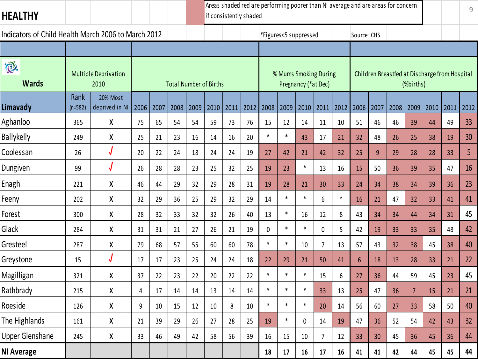| <b>HEALTHY</b>                                      |                   |                                     |      |      |      |      |                               |      | Areas shaded red are performing poorer than NI average and are areas for concern<br>if consistently shaded |        |        |                                              |                 |        |                 |      |      |           |      |                                               | $\mathcal G$ |
|-----------------------------------------------------|-------------------|-------------------------------------|------|------|------|------|-------------------------------|------|------------------------------------------------------------------------------------------------------------|--------|--------|----------------------------------------------|-----------------|--------|-----------------|------|------|-----------|------|-----------------------------------------------|--------------|
| Indicators of Child Health March 2006 to March 2012 |                   |                                     |      |      |      |      |                               |      |                                                                                                            |        |        | *Figures<5 suppressed                        |                 |        | Source: CHS     |      |      |           |      |                                               |              |
|                                                     |                   |                                     |      |      |      |      |                               |      |                                                                                                            |        |        |                                              |                 |        |                 |      |      |           |      |                                               |              |
| i®.<br><b>Wards</b>                                 |                   | <b>Multiple Deprivation</b><br>2010 |      |      |      |      | <b>Total Number of Births</b> |      |                                                                                                            |        |        | % Mums Smoking During<br>Pregnancy (*at Dec) |                 |        |                 |      |      | (%births) |      | Children Breastfed at Discharge from Hospital |              |
| Limavady                                            | Rank<br>$(n=582)$ | <b>20% Most</b><br>deprived in NI   | 2006 | 2007 | 2008 | 2009 | 2010                          | 2011 | 2012                                                                                                       | 2008   | 2009   | 2010                                         | 2011            | 2012   | 2006            | 2007 | 2008 | 2009      | 2010 | 2011                                          | 2012         |
| Aghanloo                                            | 365               | X                                   | 75   | 65   | 54   | 54   | 59                            | 73   | 76                                                                                                         | 15     | 12     | 14                                           | 11              | 10     | 51              | 46   | 46   | 39        | 44   | 49                                            | 33           |
| <b>Ballykelly</b>                                   | 249               | χ                                   | 25   | 21   | 23   | 16   | 14                            | 16   | 20                                                                                                         | $\ast$ | $\ast$ | 43                                           | 17              | 21     | 32              | 48   | 26   | 25        | 38   | 19                                            | 30           |
| Coolessan                                           | 26                | $\sqrt{ }$                          | 20   | 22   | 24   | 18   | 24                            | 24   | 19                                                                                                         | 27     | 42     | 21                                           | 42              | 32     | 25              | 9    | 29   | 28        | 28   | 33                                            | 5            |
| Dungiven                                            | 99                |                                     | 26   | 28   | 28   | 23   | 25                            | 32   | 25                                                                                                         | 19     | 23     | $\ast$                                       | 13              | 16     | 15              | 50   | 36   | 39        | 35   | 47                                            | 16           |
| Enagh                                               | 221               | χ                                   | 46   | 44   | 29   | 32   | 29                            | 28   | 31                                                                                                         | 19     | 28     | 21                                           | 30              | 33     | 24              | 34   | 38   | 34        | 39   | 36                                            | 23           |
| Feeny                                               | 202               | Χ                                   | 32   | 29   | 36   | 25   | 29                            | 32   | 29                                                                                                         | 14     | $\ast$ | $\ast$                                       | 6               | $\ast$ | 16              | 21   | 47   | 32        | 33   | 41                                            | 41           |
| Forest                                              | 300               | Χ                                   | 28   | 32   | 33   | 32   | 32                            | 26   | 40                                                                                                         | 13     | $\ast$ | 16                                           | 12              | 8      | 43              | 34   | 34   | 44        | 34   | 31                                            | 45           |
| Glack                                               | 284               | X                                   | 31   | 31   | 21   | 27   | 26                            | 21   | 19                                                                                                         | 0      | $\ast$ | $\ast$                                       | $\mathbf 0$     | 5      | 42              | 19   | 33   | 33        | 35   | 48                                            | 42           |
| Gresteel                                            | 287               | Χ                                   | 79   | 68   | 57   | 55   | 60                            | 60   | 78                                                                                                         | $\ast$ | $\ast$ | 10                                           | $7\overline{ }$ | 13     | 57              | 43   | 32   | 38        | 45   | 38                                            | 40           |
| Greystone                                           | 15                |                                     | 17   | 17   | 23   | 25   | 24                            | 24   | 18                                                                                                         | 22     | 29     | 21                                           | 50              | 41     | $6\overline{6}$ | 18   | 13   | 28        | 33   | 21                                            | 22           |
| Magilligan                                          | 321               | χ                                   | 37   | 22   | 23   | 22   | 20                            | 22   | 22                                                                                                         | $\ast$ | $\ast$ | $\ast$                                       | 15              | 6      | 27              | 36   | 44   | 59        | 45   | 23                                            | 45           |
| Rathbrady                                           | 215               | χ                                   | 4    | 17   | 14   | 14   | 13                            | 14   | 14                                                                                                         | $\ast$ | $\ast$ | $\ast$                                       | 33              | 13     | 25              | 47   | 36   | 7         | 15   | 21                                            | 21           |
| Roeside                                             | 126               | Χ                                   | 9    | 10   | 15   | 12   | 10                            | 8    | 10                                                                                                         | $\ast$ | $\ast$ | $\ast$                                       | 20              | 14     | 56              | 60   | 27   | 33        | 58   | 50                                            | 40           |
| The Highlands                                       | 161               | Χ                                   | 21   | 39   | 29   | 26   | 27                            | 28   | 25                                                                                                         | 19     | $\ast$ | 0                                            | 14              | 19     | 47              | 36   | 52   | 54        | 42   | 43                                            | 32           |
| <b>Upper Glenshane</b>                              | 245               | X                                   | 33   | 46   | 49   | 42   | 58                            | 56   | 39                                                                                                         | 16     | 15     | 10                                           | 7               | 12     | 33              | 30   | 45   | 36        | 45   | 36                                            | 44           |
| <b>NI Average</b>                                   |                   |                                     |      |      |      |      |                               |      |                                                                                                            | 18     | 17     | 16                                           | 17              | 16     | 41              | 41   | 42   | 44        | 45   | 45                                            | 44           |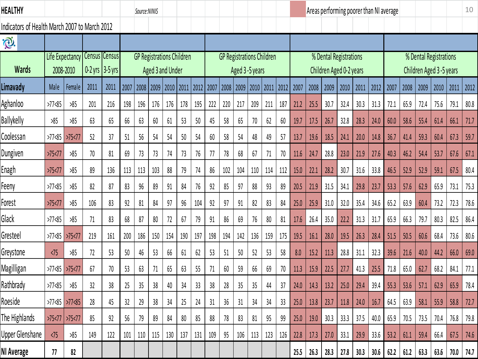| HEALTHY                                       |                   |                     |                               |      |      | Source:NINIS                     |                  |      |      |      |      |      |      |                |                                  |     | Areas performing poorer than NI average |      |                         |      |      |      |      |      |      |                         | 10   |      |
|-----------------------------------------------|-------------------|---------------------|-------------------------------|------|------|----------------------------------|------------------|------|------|------|------|------|------|----------------|----------------------------------|-----|-----------------------------------------|------|-------------------------|------|------|------|------|------|------|-------------------------|------|------|
| Indicators of Health March 2007 to March 2012 |                   |                     |                               |      |      |                                  |                  |      |      |      |      |      |      |                |                                  |     |                                         |      |                         |      |      |      |      |      |      |                         |      |      |
| i®.                                           |                   |                     |                               |      |      |                                  |                  |      |      |      |      |      |      |                |                                  |     |                                         |      |                         |      |      |      |      |      |      |                         |      |      |
| <b>Wards</b>                                  |                   |                     | Life Expectancy Census Census |      |      | <b>GP Registrations Children</b> |                  |      |      |      |      |      |      |                | <b>GP Registrations Children</b> |     |                                         |      | % Dental Registrations  |      |      |      |      |      |      | % Dental Registrations  |      |      |
|                                               |                   | 2008-2010           | $0-2$ yrs $3-5$ yrs           |      |      |                                  | Aged 3 and Under |      |      |      |      |      |      | Aged 3-5 years |                                  |     |                                         |      | Children Aged 0-2 years |      |      |      |      |      |      | Children Aged 3-5 years |      |      |
| Limavady                                      | Male              | Female              | 2011                          | 2011 | 2007 | 2008 2009                        |                  | 2010 | 2011 | 2012 | 2007 | 2008 | 2009 | 2010           | $\vert$ 2011 2012                |     | 2007                                    | 2008 | 2009                    | 2010 | 2011 | 2012 | 2007 | 2008 | 2009 | 2010                    | 2011 | 2012 |
| Aghanloo                                      | $>77$ < 85        | 585                 | 201                           | 216  | 198  | 196                              | 176              | 176  | 178  | 195  | 222  | 220  | 217  | 209            | 211                              | 187 | 21.2                                    | 25.5 | 30.7                    | 32.4 | 30.3 | 31.3 | 72.1 | 65.9 | 72.4 | 75.6                    | 79.1 | 80.8 |
| <b>Ballykelly</b>                             | 585               | 585                 | 63                            | 65   | 66   | 63                               | 60               | 61   | 53   | 50   | 45   | 58   | 65   | 70             | 62                               | 60  | 19.7                                    | 17.5 | 26.7                    | 32.8 | 28.3 | 24.0 | 60.0 | 58.6 | 55.4 | 61.4                    | 66.1 | 71.7 |
| Coolessan                                     | >77 <sub>85</sub> | $>75$ <77           | 52                            | 37   | 51   | 56                               | 54               | 54   | 50   | 54   | 60   | 58   | 54   | 48             | 49                               | 57  | 13.7                                    | 19.6 | 18.5                    | 24.1 | 20.0 | 14.8 | 36.7 | 41.4 | 59.3 | 60.4                    | 67.3 | 59.7 |
| Dungiven                                      | >75 < 77          | 585                 | 70                            | 81   | 69   | 73                               | 73               | 74   | 73   | 76   | 77   | 78   | 68   | 67             | 71                               | 70  | 11.6                                    | 24.7 | 28.8                    | 23.0 | 21.9 | 27.6 | 40.3 | 46.2 | 54.4 | 53.7                    | 67.6 | 67.1 |
| Enagh                                         | $>75$ <77         | 585                 | 89                            | 136  | 113  | 113                              | 103              | 88   | 79   | 74   | 86   | 102  | 104  | 110            | 114                              | 112 | 15.0                                    | 22.1 | 28.2                    | 30.7 | 31.6 | 33.8 | 46.5 | 52.9 | 52.9 | 59.1                    | 67.5 | 80.4 |
| Feeny                                         | $>77$ < 85        | 585                 | 82                            | 87   | 83   | 96                               | 89               | 91   | 84   | 76   | 92   | 85   | 97   | 88             | 93                               | 89  | 20.5                                    | 21.9 | 31.5                    | 34.1 | 29.8 | 23.7 | 53.3 | 57.6 | 62.9 | 65.9                    | 73.1 | 75.3 |
| Forest                                        | >75 < 77          | 585                 | 106                           | 83   | 92   | 81                               | 84               | 97   | 96   | 104  | 92   | 97   | 91   | 82             | 83                               | 84  | 25.0                                    | 25.9 | 31.0                    | 32.0 | 35.4 | 34.6 | 65.2 | 63.9 | 60.4 | 73.2                    | 72.3 | 78.6 |
| Glack                                         | $>77$ < 85        | 585                 | 71                            | 83   | 68   | 87                               | 80               | 72   | 67   | 79   | 91   | 86   | 69   | 76             | 80                               | 81  | 17.6                                    | 26.4 | 35.0                    | 22.2 | 31.3 | 31.7 | 65.9 | 66.3 | 79.7 | 80.3                    | 82.5 | 86.4 |
| Gresteel                                      | >77 <sub>85</sub> | $>75$ <77           | 219                           | 161  | 200  | 186                              | 150              | 154  | 190  | 197  | 198  | 194  | 142  | 136            | 159                              | 175 | 19.5                                    | 16.1 | 28.0                    | 19.5 | 26.3 | 28.4 | 51.5 | 50.5 | 60.6 | 68.4                    | 73.6 | 80.6 |
| Greystone                                     | $\sqrt{75}$       | 585                 | 72                            | 53   | 50   | 46                               | 53               | 66   | 61   | 62   | 53   | 51   | 50   | 52             | 53                               | 58  | 8.0                                     | 15.2 | 11.3                    | 28.8 | 31.1 | 32.3 | 39.6 | 21.6 | 40.0 | 44.2                    | 66.0 | 69.0 |
| Magilligan                                    | $>77$ <85         | >75 < 77            | 67                            | 70   | 53   | 63                               | 71               | 65   | 63   | 55   | 71   | 60   | 59   | 66             | 69                               | 70  | 11.3                                    | 15.9 | 22.5                    | 27.7 | 41.3 | 25.5 | 71.8 | 65.0 | 62.7 | 68.2                    | 84.1 | 77.1 |
| Rathbrady                                     | $>77$ < 85        | 585                 | 32                            | 38   | 25   | 35                               | 38               | 40   | 34   | 33   | 38   | 28   | 35   | 35             | 44                               | 37  | 24.0                                    | 14.3 | 13.2                    | 25.0 | 29.4 | 39.4 | 55.3 | 53.6 | 57.1 | 62.9                    | 65.9 | 78.4 |
| Roeside                                       |                   | $>77$ <85 $>77$ <85 | 28                            | 45   | 32   | 29                               | 38               | 34   | 25   | 24   | 31   | 36   | 31   | 34             | 34                               | 33  | 25.0                                    | 13.8 | 23.7                    | 11.8 | 24.0 | 16.7 | 64.5 | 63.9 | 58.1 | 55.9                    | 58.8 | 72.7 |
| The Highlands                                 | $>75$ <77         | >75 < 77            | 85                            | 92   | 56   | 79                               | 89               | 84   | 80   | 85   | 88   | 78   | 83   | 81             | 95                               | 99  | 25.0                                    | 19.0 | 30.3                    | 33.3 | 37.5 | 40.0 | 65.9 | 70.5 | 73.5 | 70.4                    | 76.8 | 79.8 |
| Upper Glenshane                               | $\sqrt{75}$       | 585                 | 149                           | 122  | 101  | 110                              | 115              | 130  | 137  | 131  | 109  | 95   | 106  | 113            | 123                              | 126 | 22.8                                    | 17.3 | 27.0                    | 33.1 | 29.9 | 33.6 | 53.2 | 61.1 | 59.4 | 66.4                    | 67.5 | 74.6 |
| NI Average                                    | 77                | 82                  |                               |      |      |                                  |                  |      |      |      |      |      |      |                |                                  |     | 25.5                                    | 26.3 | 28.3                    | 27.8 | 30.3 | 30.6 | 62.2 | 61.2 | 63.3 | 63.6                    | 70.0 | 74.7 |
|                                               |                   |                     |                               |      |      |                                  |                  |      |      |      |      |      |      |                |                                  |     |                                         |      |                         |      |      |      |      |      |      |                         |      |      |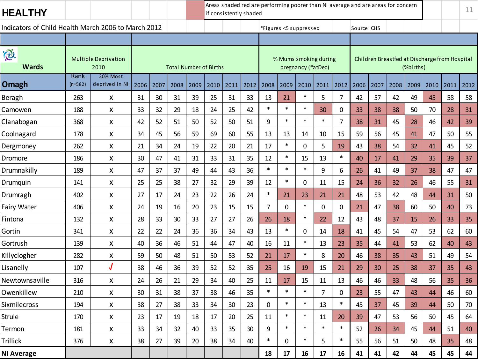| <b>HEALTHY</b>                                      |                 |                                     |      |      |                               |      |      | Areas shaded red are performing poorer than NI average and are areas for concern<br>if consistently shaded |      |                        |          |                    |                       |                |             |      |      | 11        |      |                                               |      |
|-----------------------------------------------------|-----------------|-------------------------------------|------|------|-------------------------------|------|------|------------------------------------------------------------------------------------------------------------|------|------------------------|----------|--------------------|-----------------------|----------------|-------------|------|------|-----------|------|-----------------------------------------------|------|
| Indicators of Child Health March 2006 to March 2012 |                 |                                     |      |      |                               |      |      |                                                                                                            |      | *Figures <5 suppressed |          |                    |                       |                | Source: CHS |      |      |           |      |                                               |      |
|                                                     |                 |                                     |      |      |                               |      |      |                                                                                                            |      |                        |          |                    |                       |                |             |      |      |           |      |                                               |      |
| $\widetilde{\mathcal{O}}$<br><b>Wards</b>           |                 | <b>Multiple Deprivation</b><br>2010 |      |      | <b>Total Number of Births</b> |      |      |                                                                                                            |      |                        |          | pregnancy (*atDec) | % Mums smoking during |                |             |      |      | (%births) |      | Children Breastfed at Discharge from Hospital |      |
| Omagh                                               | Rank<br>(n=582) | <b>20% Most</b><br>deprived in NI   | 2006 | 2007 | 2008                          | 2009 | 2010 | 2011                                                                                                       | 2012 | 2008                   | 2009     | 2010               | 2011                  | 2012           | 2006        | 2007 | 2008 | 2009      | 2010 | 2011                                          | 2012 |
| Beragh                                              | 263             | X                                   | 31   | 30   | 31                            | 39   | 25   | 31                                                                                                         | 33   | 13                     | 21       | $\ast$             | 5                     | $\overline{7}$ | 42          | 57   | 42   | 49        | 45   | 58                                            | 58   |
| Camowen                                             | 188             | X                                   | 33   | 32   | 29                            | 18   | 24   | 25                                                                                                         | 42   | $\ast$                 | $\ast$   | $\ast$             | 30                    | 0              | 33          | 38   | 38   | 50        | 70   | 28                                            | 31   |
| Clanabogan                                          | 368             | X                                   | 42   | 52   | 51                            | 50   | 52   | 50                                                                                                         | 51   | 9                      | $\ast$   | $\ast$             | $\ast$                | $\overline{7}$ | 38          | 31   | 45   | 28        | 46   | 42                                            | 39   |
| Coolnagard                                          | 178             | X                                   | 34   | 45   | 56                            | 59   | 69   | 60                                                                                                         | 55   | 13                     | 13       | 14                 | 10                    | 15             | 59          | 56   | 45   | 41        | 47   | 50                                            | 55   |
| Dergmoney                                           | 262             | X                                   | 21   | 34   | 24                            | 19   | 22   | 20                                                                                                         | 21   | 17                     | $\ast$   | 0                  | 5                     | 19             | 43          | 38   | 54   | 32        | 41   | 45                                            | 52   |
| Dromore                                             | 186             | X                                   | 30   | 47   | 41                            | 31   | 33   | 31                                                                                                         | 35   | 12                     | $\ast$   | 15                 | 13                    | $\ast$         | 40          | 17   | 41   | 29        | 35   | 39                                            | 37   |
| Drumnakilly                                         | 189             | X                                   | 47   | 37   | 37                            | 49   | 44   | 43                                                                                                         | 36   | $\ast$                 | $\ast$   | $\ast$             | 9                     | 6              | 26          | 41   | 49   | 37        | 38   | 47                                            | 47   |
| Drumquin                                            | 141             | X                                   | 25   | 25   | 38                            | 27   | 32   | 29                                                                                                         | 39   | 12                     | $\ast$   | 0                  | 11                    | 15             | 24          | 36   | 32   | 26        | 46   | 55                                            | 31   |
| Drumragh                                            | 402             | X                                   | 27   | 17   | 24                            | 23   | 22   | 26                                                                                                         | 24   | $\ast$                 | 21       | 23                 | 21                    | 21             | 48          | 53   | 42   | 48        | 44   | 31                                            | 50   |
| Fairy Water                                         | 406             | X                                   | 24   | 19   | 16                            | 20   | 23   | 15                                                                                                         | 15   | 7                      | 0        | $\ast$             | 0                     | 0              | 21          | 47   | 38   | 60        | 50   | 40                                            | 73   |
| Fintona                                             | 132             | X                                   | 28   | 33   | 30                            | 33   | 27   | 27                                                                                                         | 26   | 26                     | 18       | $\ast$             | 22                    | 12             | 43          | 48   | 37   | 15        | 26   | 33                                            | 35   |
| Gortin                                              | 341             | X                                   | 22   | 22   | 24                            | 36   | 36   | 34                                                                                                         | 43   | 13                     | $\ast$   | 0                  | 14                    | 18             | 41          | 45   | 54   | 47        | 53   | 62                                            | 60   |
| Gortrush                                            | 139             | X                                   | 40   | 36   | 46                            | 51   | 44   | 47                                                                                                         | 40   | 16                     | 11       | $\ast$             | 13                    | 23             | 35          | 44   | 41   | 53        | 62   | 40                                            | 43   |
| Killyclogher                                        | 282             | X                                   | 59   | 50   | 48                            | 51   | 50   | 53                                                                                                         | 52   | 21                     | 17       | $\ast$             | 8                     | 20             | 46          | 38   | 35   | 43        | 51   | 49                                            | 54   |
| Lisanelly                                           | 107             |                                     | 38   | 46   | 36                            | 39   | 52   | 52                                                                                                         | 35   | 25                     | 16       | 19                 | 15                    | 21             | 29          | 30   | 25   | 38        | 37   | 35                                            | 43   |
| Newtownsaville                                      | 316             | X                                   | 24   | 26   | 21                            | 29   | 34   | 40                                                                                                         | 25   | 11                     | 17       | 15                 | 11                    | 13             | 46          | 46   | 33   | 48        | 56   | 35                                            | 36   |
| Owenkillew                                          | 210             | X                                   | 30   | 31   | 38                            | 37   | 38   | 46                                                                                                         | 35   | $\ast$                 | $\ast$   | $\ast$             | $\overline{7}$        | 0              | 23          | 55   | 47   | 43        | 44   | 46                                            | 60   |
| Sixmilecross                                        | 194             | X                                   | 38   | 27   | 38                            | 33   | 34   | 30                                                                                                         | 23   | $\mathbf 0$            | $\ast$   | $\ast$             | 13                    | $\ast$         | 45          | 37   | 45   | 39        | 44   | 50                                            | 70   |
| Strule                                              | 170             | $\mathsf{X}$                        | 23   | 17   | 19                            | 18   | 17   | 20                                                                                                         | 25   | 11                     | $\ast$   | $\ast$             | 11                    | 20             | 39          | 47   | 53   | 56        | 50   | 45                                            | 64   |
| Termon                                              | 181             | X                                   | 33   | 34   | 32                            | 40   | 33   | 35                                                                                                         | 30   | 9                      | $\ast$   | $\ast$             | $\ast$                | $\ast$         | 52          | 26   | 34   | 45        | 44   | 51                                            | 40.  |
| Trillick                                            | 376             | $\mathsf{X}$                        | 38   | 27   | 39                            | 20   | 38   | 34                                                                                                         | 40   | $\ast$                 | $\Omega$ | $\ast$             | 5                     | $\ast$         | 55          | 56   | 51   | 50        | 48   | 35                                            | 48   |
| <b>NI Average</b>                                   |                 |                                     |      |      |                               |      |      |                                                                                                            |      | 18                     | 17       | 16                 | 17                    | 16             | 41          | 41   | 42   | 44        | 45   | 45                                            | 44   |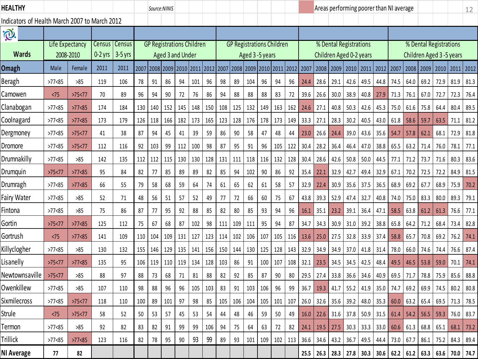| <b>HEALTHY</b>                                |                              |            |                     |                            |                 | Source:NINIS                     |     |                     |     |      |      |                     |     |                  |                                  |     |           |      |      | Areas performing poorer than NI average                                                                                    |      |      |      |      |      |                        |                         | 12   |
|-----------------------------------------------|------------------------------|------------|---------------------|----------------------------|-----------------|----------------------------------|-----|---------------------|-----|------|------|---------------------|-----|------------------|----------------------------------|-----|-----------|------|------|----------------------------------------------------------------------------------------------------------------------------|------|------|------|------|------|------------------------|-------------------------|------|
| Indicators of Health March 2007 to March 2012 |                              |            |                     |                            |                 |                                  |     |                     |     |      |      |                     |     |                  |                                  |     |           |      |      |                                                                                                                            |      |      |      |      |      |                        |                         |      |
| $\bigoplus$                                   |                              |            |                     |                            |                 |                                  |     |                     |     |      |      |                     |     |                  |                                  |     |           |      |      |                                                                                                                            |      |      |      |      |      |                        |                         |      |
| <b>Wards</b>                                  | Life Expectancy<br>2008-2010 |            | Census<br>$0-2$ yrs | <b>Census</b><br>$3-5$ yrs |                 | <b>GP Registrations Children</b> |     | Aged 3 and Under    |     |      |      |                     |     | Aged 3 - 5 years | <b>GP Registrations Children</b> |     |           |      |      | % Dental Registrations<br>Children Aged 0-2 years                                                                          |      |      |      |      |      | % Dental Registrations | Children Aged 3-5 years |      |
| Omagh                                         | Male                         | Female     | 2011                | 2011                       | 2007            |                                  |     | 2008 2009 2010 2011 |     | 2012 | 2007 | 2008 2009 2010 2011 |     |                  |                                  |     | 2012 2007 | 2008 | 2009 | 2010 2011                                                                                                                  |      | 2012 | 2007 | 2008 | 2009 | 2010 2011              |                         | 2012 |
| Beragh                                        | $>77$ < 85                   | >85        | 119                 | 106                        | 78              | 91                               | 86  | 94                  | 101 | 96   | 98   | 89                  | 104 | 96               | 94                               | 96  | 24.4      | 28.6 | 29.1 | 42.6                                                                                                                       | 49.5 | 44.8 | 74.5 | 64.0 | 69.2 | 72.9                   | 81.9                    | 81.3 |
| Camowen                                       | < 75                         | >75 < 77   | 70                  | 89                         | 96              | 94                               | 90  | 72                  | 76  | 86   | 94   | 88                  | 88  | 88               | 83                               | 72  | 39.6      | 26.6 | 30.0 | 38.9                                                                                                                       | 40.8 | 27.9 | 71.3 | 76.1 | 67.0 | 72.7                   | 72.3                    | 76.4 |
| Clanabogan                                    | >77 < 85                     | $>77$ < 85 | 174                 | 184                        | 130             | 140                              | 152 | 145                 | 148 | 150  | 108  | 125                 | 132 | 149              | 163                              | 162 | 24.6      | 27.1 | 40.8 | 50.3                                                                                                                       | 42.6 | 45.3 | 75.0 | 61.6 | 75.8 | 64.4                   | 80.4                    | 89.5 |
| Coolnagard                                    | >77 <sub>85</sub>            | >7725      | 173                 | 179                        | 126             | 118                              | 166 | 182                 | 173 | 165  | 123  | 128                 | 176 | 178              | 173                              | 149 | 33.3      | 27.1 | 28.3 | 30.2                                                                                                                       | 40.5 | 43.0 | 61.8 | 58.6 | 59.7 | 63.5                   | 71.1                    | 81.2 |
| Dergmoney                                     | >77 < 85                     | >75 < 77   | 41                  | 38                         | 87              | 94                               | 45  | 41                  | 39  | 59   | 86   | 90                  | 58  | 47               | 48                               | 44  | 23.0      | 26.6 | 24.4 | 39.0                                                                                                                       | 43.6 | 35.6 | 54.7 | 57.8 | 62.1 | 68.1                   | 72.9                    | 81.8 |
| Dromore                                       | >77 < 85                     | >75 < 77   | 112                 | 116                        | 92              | 103                              | 99  | 112                 | 100 | 98   | 87   | 95                  | 91  | 96               | 105                              | 122 | 30.4      | 28.2 | 36.4 | 46.4                                                                                                                       | 47.0 | 38.8 | 65.5 | 63.2 | 71.4 | 76.0                   | 78.1                    | 77.1 |
| Drumnakilly                                   | $>77$ < 85                   | >85        | 142                 | 135                        | 112             | 112                              | 115 | 130                 | 130 | 128  | 131  | 111                 | 118 | 116              | 132                              | 128 | 30.4      | 28.6 | 42.6 | 50.8                                                                                                                       | 50.0 | 44.5 | 77.1 | 71.2 | 73.7 | 71.6                   | 80.3                    | 83.6 |
| Drumquin                                      | >75 < 77                     | $>77$ < 85 | 95                  | 84                         | 82              | 77                               | 85  | 89                  | 89  | 82   | 85   | 94                  | 102 | 90               | 86                               | 92  | 35.4      | 22.1 | 32.9 | 42.7                                                                                                                       | 49.4 | 32.9 | 67.1 | 70.2 | 72.5 | 72.2                   | 84.9                    | 81.5 |
| Drumragh                                      | $>77$ < 85                   | $>77$ < 85 | 66                  | 55                         | 79              | 58                               | 68  | 59                  | 64  | 74   | 61   | 65                  | 62  | 61               | 58                               | 57  | 32.9      | 22.4 | 30.9 | 35.6                                                                                                                       | 37.5 | 36.5 | 68.9 | 69.2 | 67.7 | 68.9                   | 75.9                    | 70.2 |
| Fairy Water                                   | $>77$ < 85                   | >85        | 52                  | 71                         | 48              | 56                               | 51  | 57                  | 52  | 49   | 77   | 72                  | 66  | 60               | 75                               | 67  | 43.8      | 39.3 | 52.9 | 47.4                                                                                                                       | 32.7 | 40.8 | 74.0 | 75.0 | 83.3 | 80.0                   | 89.3                    | 79.1 |
| Fintona                                       | $>77$ < 85                   | $>85$      | 75                  | 86                         | 87              | 77                               | 95  | 92                  | 88  | 85   | 82   | 80                  | 85  | 93               | 94                               | 96  | 16.1      | 35.1 | 23.2 | 39.1                                                                                                                       | 36.4 | 47.1 | 58.5 | 63.8 | 61.2 | 61.3                   | 76.6                    | 77.1 |
| Gortin                                        | >75 < 77                     | $>77$ < 85 | 125                 | 112                        | 75              | 67                               | 68  | 87                  | 102 | 98   | 111  | 109                 | 111 | 95               | 94                               | 87  | 34.7      | 34.3 | 30.9 | 31.0                                                                                                                       | 39.2 | 38.8 | 65.8 | 64.2 | 71.2 | 68.4                   | 73.4                    | 82.8 |
| Gortrush                                      | < 75                         | >77 < 85   | 141                 | 109                        | 110             | 104                              | 109 | 131                 | 127 | 123  | 114  | 102                 | 106 | 107              | 105                              | 116 | 13.6      | 25.0 | 27.5 | 32.8                                                                                                                       | 33.9 | 37.4 | 58.8 | 65.7 | 70.8 | 69.2                   | 76.2                    | 74.1 |
| Killyclogher                                  | $>77$ < 85                   | >85        | 130                 | 132                        | 155             | 146                              | 129 | 135                 | 141 | 156  | 150  | 144                 | 130 | 125              | 128                              | 143 | 32.9      | 34.9 | 34.9 | 37.0                                                                                                                       | 41.8 | 31.4 | 78.0 | 66.0 | 74.6 | 74.4                   | 76.6                    | 87.4 |
| Lisanelly                                     | >75 < 77                     | >77 < 85   | 135                 | 95                         | 106             | 119                              | 110 | 119                 | 134 | 128  | 103  | 86                  | 91  | 100              | 107                              | 108 | 32.1      | 23.5 | 34.5 | 34.5                                                                                                                       | 42.5 | 48.4 | 49.5 | 46.5 | 53.8 | 59.0                   | 70.1                    | 74.1 |
| Newtownsaville                                | >75 < 77                     | >85        | 88                  | 97                         | 88              | 73                               | 68  | 71                  | 81  | 88   | 82   | 92                  | 85  | 87               | 90                               | 80  | 29.5      | 27.4 | 33.8 | 36.6                                                                                                                       | 34.6 | 40.9 | 69.5 | 71.7 | 78.8 | 75.9                   | 85.6                    | 88.8 |
| Owenkillew                                    | $>77$ < 85                   | >85        | 107                 | 110                        | 98              | 88                               | 96  | 96                  | 105 | 103  | 83   | 91                  | 103 | 106              | 96                               | 99  | 36.7      | 19.3 | 41.7 | 55.2                                                                                                                       | 41.9 | 35.0 | 74.7 | 69.2 | 69.9 | 74.5                   | 80.2                    | 80.8 |
| Sixmilecross                                  | >77 <sub>85</sub>            | >75 < 77   | 118                 | 110                        | $100$ 89 101 97 |                                  |     |                     | 98  |      |      |                     |     |                  |                                  |     |           |      |      | 85   105   106   104   105   101   107   26.0   32.6   35.6   39.2   48.0   35.3   60.0   63.2   65.4   69.5   71.3   78.5 |      |      |      |      |      |                        |                         |      |
| Strule                                        | < 75                         | >75 < 77   | 58                  | 52                         | 50              | 53                               | 57  | 45                  | 53  | 54   | 44   | 48                  | 46  | 59               | 50                               |     |           |      |      | 49 16.0 22.6 31.6 37.8 50.9 31.5 61.4 54.2 56.5 59.3 76.0 83.7                                                             |      |      |      |      |      |                        |                         |      |
| Termon                                        | >77 <sub>85</sub>            | >85        | 92                  | 82                         | 83              | 82                               | 91  | 99                  | 99  | 106  | 94   | 75                  | 64  | 63               | 72                               | 82  |           |      |      | 24.1   19.5   27.5   30.3   33.3   33.0   60.6   61.3   68.8   65.1   68.1                                                 |      |      |      |      |      |                        |                         | 73.2 |
| Trillick                                      | >77 <sub>85</sub>            | $>77$ < 85 | 123                 | 116                        | 82              | 78                               | 95  | 90                  | 93  | 99   | 89   | 93                  | 101 | 109              |                                  |     |           |      |      | 102   113   36.6   34.6   43.2   36.7   49.5   44.4   73.0   67.7   86.1                                                   |      |      |      |      |      |                        | 75.2 84.3 89.4          |      |
| NI Average                                    | 77                           | 82         |                     |                            |                 |                                  |     |                     |     |      |      |                     |     |                  |                                  |     |           |      |      | 25.5   26.3   28.3   27.8   30.3   30.6   62.2   61.2   63.3   63.6   70.0   74.7                                          |      |      |      |      |      |                        |                         |      |
|                                               |                              |            |                     |                            |                 |                                  |     |                     |     |      |      |                     |     |                  |                                  |     |           |      |      |                                                                                                                            |      |      |      |      |      |                        |                         |      |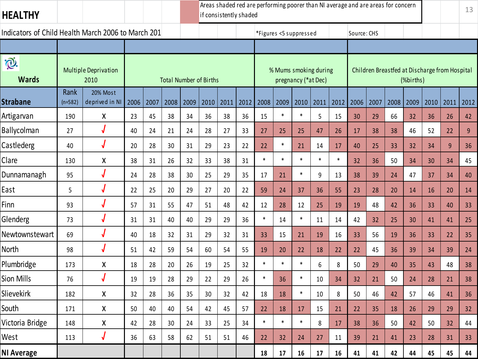|                                                    |                                     |      | Areas shaded red are performing poorer than NI average and are areas for concern<br>if consistently shaded |      |      |                               |      |      |        |                        |                     |        |        |             |      |      |           | 13   |                                               |                |
|----------------------------------------------------|-------------------------------------|------|------------------------------------------------------------------------------------------------------------|------|------|-------------------------------|------|------|--------|------------------------|---------------------|--------|--------|-------------|------|------|-----------|------|-----------------------------------------------|----------------|
| Indicators of Child Health March 2006 to March 201 |                                     |      |                                                                                                            |      |      |                               |      |      |        | *Figures <5 suppressed |                     |        |        | Source: CHS |      |      |           |      |                                               |                |
|                                                    |                                     |      |                                                                                                            |      |      |                               |      |      |        |                        |                     |        |        |             |      |      |           |      |                                               |                |
| iQ.<br><b>Wards</b>                                | <b>Multiple Deprivation</b><br>2010 |      |                                                                                                            |      |      | <b>Total Number of Births</b> |      |      |        | % Mums smoking during  | pregnancy (*at Dec) |        |        |             |      |      | (%births) |      | Children Breastfed at Discharge from Hospital |                |
| Rank<br><b>Strabane</b><br>$(n=582)$               | 20% Most<br>deprived in NI          | 2006 | 2007                                                                                                       | 2008 | 2009 | 2010                          | 2011 | 2012 | 2008   | 2009                   | 2010                | 2011   | 2012   | 2006        | 2007 | 2008 | 2009      | 2010 | 2011                                          | 2012           |
| Artigarvan<br>190                                  | X                                   | 23   | 45                                                                                                         | 38   | 34   | 36                            | 38   | 36   | 15     | $\ast$                 | $\ast$              | 5      | 15     | 30          | 29   | 66   | 32        | 36   | 26                                            | 42             |
| Ballycolman<br>27                                  | J                                   | 40   | 24                                                                                                         | 21   | 24   | 28                            | 27   | 33   | 27     | 25                     | 25                  | 47     | 26     | 17          | 38   | 38   | 46        | 52   | 22                                            | $\overline{9}$ |
| Castlederg<br>40                                   |                                     | 20   | 28                                                                                                         | 30   | 31   | 29                            | 23   | 22   | 22     | $\ast$                 | 21                  | 14     | 17     | 40          | 25   | 33   | 32        | 34   | 9                                             | 36             |
| Clare<br>130                                       | Χ                                   | 38   | 31                                                                                                         | 26   | 32   | 33                            | 38   | 31   | $\ast$ | $\ast$                 | $\ast$              | $\ast$ | $\ast$ | 32          | 36   | 50   | 34        | 30   | 34                                            | 45             |
| Dunnamanagh<br>95                                  |                                     | 24   | 28                                                                                                         | 38   | 30   | 25                            | 29   | 35   | 17     | 21                     | $\ast$              | 9      | 13     | 38          | 39   | 24   | 47        | 37   | 34                                            | 40             |
| East<br>5                                          |                                     | 22   | 25                                                                                                         | 20   | 29   | 27                            | 20   | 22   | 59     | 24                     | 37                  | 36     | 55     | 23          | 28   | 20   | 14        | 16   | 20                                            | 14             |
| Finn<br>93                                         |                                     | 57   | 31                                                                                                         | 55   | 47   | 51                            | 48   | 42   | 12     | 28                     | 12                  | 25     | 19     | 19          | 48   | 42   | 36        | 33   | 40                                            | 33             |
| Glenderg<br>73                                     |                                     | 31   | 31                                                                                                         | 40   | 40   | 29                            | 29   | 36   | $\ast$ | 14                     | $\ast$              | 11     | 14     | 42          | 32   | 25   | 30        | 41   | 41                                            | 25             |
| Newtownstewart<br>69                               |                                     | 40   | 18                                                                                                         | 32   | 31   | 29                            | 32   | 31   | 33     | 15                     | 21                  | 19     | 16     | 33          | 56   | 19   | 36        | 33   | 22                                            | 35             |
| North<br>98                                        | J                                   | 51   | 42                                                                                                         | 59   | 54   | 60                            | 54   | 55   | 19     | 20                     | 22                  | 18     | 22     | 22          | 45   | 36   | 39        | 34   | 39                                            | 24             |
| Plumbridge<br>173                                  | Χ                                   | 18   | 28                                                                                                         | 20   | 26   | 19                            | 25   | 32   | $\ast$ | $\ast$                 | $\ast$              | 6      | 8      | 50          | 29   | 40   | 35        | 43   | 48                                            | 38             |
| Sion Mills<br>76                                   | J                                   | 19   | 19                                                                                                         | 28   | 29   | 22                            | 29   | 26   | $\ast$ | 36                     | $\ast$              | 10     | 34     | 32          | 21   | 50   | 24        | 28   | 21                                            | 38             |
| Slievekirk<br>182                                  | χ                                   | 32   | 28                                                                                                         | 36   | 35   | 30                            | 32   | 42   | 18     | 18                     | $\ast$              | 10     | 8      | 50          | 46   | 42   | 57        | 46   | 41                                            | 36             |
| South<br>171                                       | Χ                                   | 50   | 40                                                                                                         | 40   | 54   | 42                            | 45   | 57   | 22     | 18                     | 17                  | 15     | 21     | 22          | 35   | 18   | 26        | 29   | 29                                            | 32             |
| Victoria Bridge<br>148                             | X                                   | 42   | 28                                                                                                         | 30   | 24   | 33                            | 25   | 34   | $\ast$ | $\ast$                 | $\ast$              | 8      | 17     | 38          | 36   | 50   | 42        | 50   | 32                                            | 44             |
| West<br>113                                        | J                                   | 36   | 63                                                                                                         | 58   | 62   | 51                            | 51   | 46   | 22     | 32                     | 24                  | 27     | 11     | 39          | 21   | 41   | 23        | 28   | 31                                            | 33             |
| <b>NI Average</b>                                  |                                     |      |                                                                                                            |      |      |                               |      |      | 18     | 17                     | 16                  | 17     | 16     | 41          | 41   | 42   | 44        | 45   | 45                                            | 44             |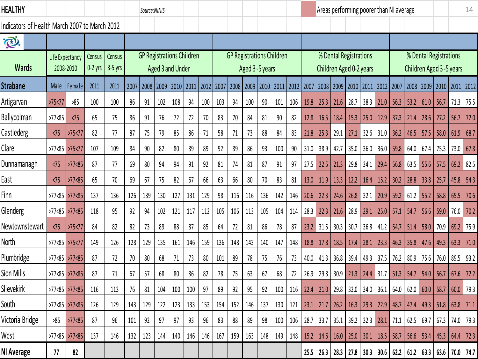| Healthy                                       |                              |             |                     |                     |      | Source:NINIS |                  |      |                                  |     |      |      |                |      |                                  |           |          |      |                                                   |      | Areas performing poorer than NI average |                |      |                                                       |                |                                                   |               | 14        |
|-----------------------------------------------|------------------------------|-------------|---------------------|---------------------|------|--------------|------------------|------|----------------------------------|-----|------|------|----------------|------|----------------------------------|-----------|----------|------|---------------------------------------------------|------|-----------------------------------------|----------------|------|-------------------------------------------------------|----------------|---------------------------------------------------|---------------|-----------|
| Indicators of Health March 2007 to March 2012 |                              |             |                     |                     |      |              |                  |      |                                  |     |      |      |                |      |                                  |           |          |      |                                                   |      |                                         |                |      |                                                       |                |                                                   |               |           |
| <b>D.</b>                                     |                              |             |                     |                     |      |              |                  |      |                                  |     |      |      |                |      |                                  |           |          |      |                                                   |      |                                         |                |      |                                                       |                |                                                   |               |           |
| <b>Wards</b>                                  | Life Expectancy<br>2008-2010 |             | Census<br>$0-2$ yrs | Census<br>$3-5$ yrs |      |              | Aged 3 and Under |      | <b>GP Registrations Children</b> |     |      |      | Aged 3-5 years |      | <b>GP Registrations Children</b> |           |          |      | % Dental Registrations<br>Children Aged 0-2 years |      |                                         |                |      |                                                       |                | % Dental Registrations<br>Children Aged 3-5 years |               |           |
| <b>Strabane</b>                               | Male                         | Female      | 2011                | 2011                | 2007 | 2008         | 2009             | 2010 | $2011$ 2012                      |     | 2007 | 2008 | 2009           | 2010 | 2011                             | 2012 2007 |          | 2008 | 2009 2010                                         |      |                                         | 2011 2012 2007 |      |                                                       | 2008 2009 2010 |                                                   | 2011          | 2012      |
| Artigarvan                                    | >75 < 77                     | >85         | 100                 | 100                 | 86   | 91           | 102              | 108  | 94                               | 100 | 103  | 94   | 100            | 90   | 101                              | 106       | 19.8     | 25.3 | 21.6                                              | 28.7 | 38.3                                    | 21.0           | 56.3 | 53.2                                                  | 61.0           | 56.7                                              | 71.3          | 75.5      |
| Ballycolman                                   | >77 <sub>85</sub>            | $\sqrt{75}$ | 65                  | 75                  | 86   | 91           | 76               | 72   | 72                               | 70  | 83   | 70   | 84             | 81   | 90                               | 82        | 12.8     | 16.5 | 18.4                                              | 15.3 | 25.0                                    | 12.9           | 37.3 | 21.4                                                  | 28.6           | 27.2                                              | 56.7          | 72.0      |
| Castlederg                                    | $\sqrt{75}$                  | >75 < 77    | 82                  | 77                  | 87   | 75           | 79               | 85   | 86                               | 71  | 58   | 71   | 73             | 88   | 84                               | 83        | 21.8     | 25.3 | 29.1                                              | 27.1 | 32.6                                    | 31.0           | 36.2 | 46.5                                                  | 57.5           | 58.0                                              | 61.9          | 68.7      |
| Clare                                         | >77<85 >75<77                |             | 107                 | 109                 | 84   | 90           | 82               | 80   | 89                               | 89  | 92   | 89   | 86             | 93   | 100                              | 90        | 31.0     | 38.9 | 42.7                                              | 35.0 | 36.0                                    | 36.0           | 59.8 | 64.0                                                  | 67.4           | 75.3                                              | 73.0          | 67.8      |
| Dunnamanagh                                   | $\langle 75$                 | >77 < 85    | 87                  | 77                  | 69   | 80           | 94               | 94   | 91                               | 92  | 81   | 74   | 81             | 87   | 91                               | 97        | 27.5     | 22.5 | 21.3                                              | 29.8 | 34.1                                    | 29.4           | 56.8 | 63.5                                                  | 55.6           | 57.5                                              | 69.2          | 82.5      |
| East                                          | $\langle 75$                 | >77 < 85    | 65                  | 70                  | 69   | 67           | 75               | 82   | 67                               | 66  | 63   | 66   | 80             | 70   | 83                               | 81        | 13.0     | 11.9 | 13.3                                              | 12.2 | 16.4                                    | 15.2           | 30.2 | 28.8                                                  | 33.8           | 25.7                                              | 45.8          | 54.3      |
| Finn                                          | >77<85 >77<85                |             | 137                 | 136                 | 126  | 139          | 130              | 127  | 131                              | 129 | 98   | 116  | 116            | 136  | 142                              | 146       | 20.6     | 22.3 | 24.6                                              | 26.8 | 32.1                                    | 20.9           | 59.2 | 61.2                                                  | 55.2           | 58.8                                              | 65.5          | 70.6      |
| Glenderg                                      | >77<85 >77<85                |             | 118                 | 95                  | 92   | 94           | 102              | 121  | 117                              | 112 | 105  | 106  | 113            | 105  | 104                              | 114       | 28.3     | 22.3 | 21.6                                              | 28.9 | 29.1                                    | 25.0           | 57.1 | 54.7                                                  | 56.6           | 59.0                                              | 76.0          | 70.2      |
| Newtownstewart                                | $\langle 75$                 | >75 < 77    | 84                  | 82                  | 82   | 73           | 89               | 88   | 87                               | 85  | 64   | 72   | 81             | 86   | 78                               | 87        | 23.2     | 31.5 | 30.3                                              | 30.7 | 36.8                                    | 41.2           | 54.7 | 51.4                                                  | 58.0           | 70.9                                              | 69.2          | 75.9      |
| North                                         | >77<85                       | >75<77      | 149                 | 126                 | 128  | 129          | 135              | 161  | 146                              | 159 | 136  | 148  | 143            | 140  | 147                              | 148       | 18.8     | 17.8 | 18.5                                              | 17.4 | 28.1                                    | 23.3           | 46.3 | 35.8                                                  | 47.6           | 49.3                                              | 63.3          | 71.0      |
| Plumbridge                                    | >77 <sub>85</sub>            | >77<85      | 87                  | 72                  | 70   | 80           | 68               | 71   | 73                               | 80  | 101  | 89   | 78             | 75   | 76                               | 73        | 40.0     | 41.3 | 36.8                                              | 39.4 | 49.3                                    | 37.5           | 76.2 | 80.9                                                  | 75.6           | 76.0                                              | 89.5          | 93.2      |
| Sion Mills                                    | >77<85 >77<85                |             | 87                  | 71                  | 67   | 57           | 68               | 80   | 86                               | 82  | 78   | 75   | 63             | 67   | 68                               | 72        | 26.9     | 29.8 | 30.9                                              | 21.3 | 24.4                                    | 31.7           | 51.3 | 54.7                                                  | 54.0           | 56.7                                              | 67.6          | 72.2      |
| Slievekirk                                    | >77<85 >77<85                |             | 116                 | 113                 | 76   | 81           | 104              | 100  | 100                              | 97  | 89   | 92   | 95             | 92   | 100                              | 116       | 22.4     | 21.0 | 29.8                                              | 32.0 | 34.0                                    | 36.1           | 64.0 | 62.0                                                  | 60.0           | 58.7                                              | 60.0          | 79.3      |
| South                                         | $>77$ <85 $>77$ <85          |             | 126                 | 129                 | 143  | 129          | 122              | 123  | 133                              | 153 | 154  | 152  | 146            | 137  | 130                              | 121       | 23.1     | 21.7 | 26.2                                              | 16.3 | 29.3                                    | 22.9           | 48.7 | 47.4                                                  |                | $49.3$ 51.8                                       | $63.8$ 71.1   |           |
| Victoria Bridge                               | >85                          | >77 < 85    | 87                  | 96                  | 101  | 92           | 97               | 97   | 93                               | 96  | 83   | 88   | 89             | 98   | 100                              | 106       | 28.7     | 33.7 | $35.1$ 39.2                                       |      | 32.3                                    | 28.1 71.1      |      | 62.5 69.7                                             |                | 67.3                                              |               | 74.0 79.3 |
| West                                          | $>77$ < 85 $>77$ < 85        |             | 137                 | 146                 | 132  | 123          | 144              | 140  | 146                              | 146 | 167  | 159  | 163            | 148  | 149                              |           | 148 15.2 | 14.6 | $16.0$   25.0   30.1                              |      |                                         | $18.5$ 58.7    |      |                                                       |                | $56.6$   53.4   45.3                              | $64.4$   72.3 |           |
| NI Average                                    | 77                           | 82          |                     |                     |      |              |                  |      |                                  |     |      |      |                |      |                                  |           | 25.5     | 26.3 |                                                   |      |                                         |                |      | 28.3   27.8   30.3   30.6   62.2   61.2   63.3   63.6 |                |                                                   | 70.0 74.7     |           |
|                                               |                              |             |                     |                     |      |              |                  |      |                                  |     |      |      |                |      |                                  |           |          |      |                                                   |      |                                         |                |      |                                                       |                |                                                   |               |           |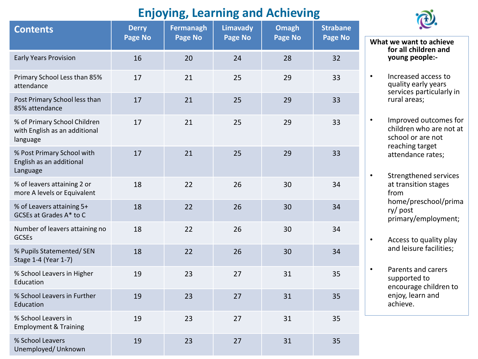# **Enjoying, Learning and Achieving**

| <b>Contents</b>                                                           | <b>Derry</b><br>Page No | Fermanagh<br>Page No | <b>Limavady</b><br>Page No | <b>Omagh</b><br>Page No | <b>Strabane</b><br>Page No |
|---------------------------------------------------------------------------|-------------------------|----------------------|----------------------------|-------------------------|----------------------------|
| <b>Early Years Provision</b>                                              | 16                      | 20                   | 24                         | 28                      | 32                         |
| Primary School Less than 85%<br>attendance                                | 17                      | 21                   | 25                         | 29                      | 33                         |
| Post Primary School less than<br>85% attendance                           | 17                      | 21                   | 25                         | 29                      | 33                         |
| % of Primary School Children<br>with English as an additional<br>language | 17                      | 21                   | 25                         | 29                      | 33                         |
| % Post Primary School with<br>English as an additional<br>Language        | 17                      | 21                   | 25                         | 29                      | 33                         |
| % of leavers attaining 2 or<br>more A levels or Equivalent                | 18                      | 22                   | 26                         | 30                      | 34                         |
| % of Leavers attaining 5+<br>GCSEs at Grades A* to C                      | 18                      | 22                   | 26                         | 30                      | 34                         |
| Number of leavers attaining no<br><b>GCSEs</b>                            | 18                      | 22                   | 26                         | 30                      | 34                         |
| % Pupils Statemented/ SEN<br>Stage 1-4 (Year 1-7)                         | 18                      | 22                   | 26                         | 30                      | 34                         |
| % School Leavers in Higher<br>Education                                   | 19                      | 23                   | 27                         | 31                      | 35                         |
| % School Leavers in Further<br>Education                                  | 19                      | 23                   | 27                         | 31                      | 35                         |
| % School Leavers in<br><b>Employment &amp; Training</b>                   | 19                      | 23                   | 27                         | 31                      | 35                         |
| % School Leavers<br>Unemployed/ Unknown                                   | 19                      | 23                   | 27                         | 31                      | 35                         |



**What we want to achieve for all children and young people:-** • Increased access to quality early years services particularly in rural areas; • Improved outcomes for children who are not at school or are not reaching target attendance rates; • Strengthened services at transition stages from

home/preschool/prima ry/ post primary/employment;

• Access to quality play and leisure facilities;

• Parents and carers supported to encourage children to enjoy, learn and achieve.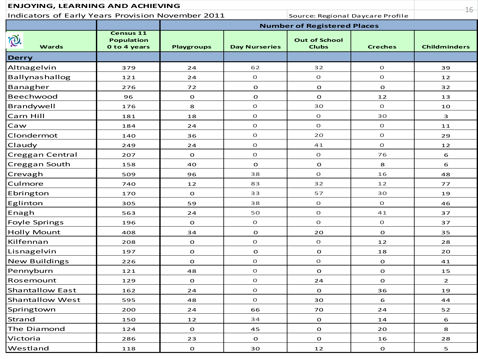| <b>ENJOYING, LEARNING AND ACHIEVING</b>           |                                                       |                   |                      |                                      |                | $16 -$              |
|---------------------------------------------------|-------------------------------------------------------|-------------------|----------------------|--------------------------------------|----------------|---------------------|
| Indicators of Early Years Provision November 2011 |                                                       |                   |                      | Source: Regional Daycare Profile     |                |                     |
|                                                   |                                                       |                   |                      | <b>Number of Registered Places</b>   |                |                     |
| P.<br><b>Wards</b>                                | <b>Census 11</b><br><b>Population</b><br>0 to 4 years | <b>Playgroups</b> | <b>Day Nurseries</b> | <b>Out of School</b><br><b>Clubs</b> | <b>Creches</b> | <b>Childminders</b> |
| <b>Derry</b>                                      |                                                       |                   |                      |                                      |                |                     |
| Altnagelvin                                       | 379                                                   | 24                | 62                   | 32                                   | $\Omega$       | 39                  |
| Ballynashallog                                    | 121                                                   | 24                | $\mathbf O$          | $\mathbf{O}$                         | $\mathbf O$    | 12                  |
| Banagher                                          | 276                                                   | 72                | $\mathbf{o}$         | $\mathbf{o}$                         | $\mathbf{o}$   | 32                  |
| Beechwood                                         | 96                                                    | $\mathbf{o}$      | $\mathbf{o}$         | $\mathbf{o}$                         | 12             | 13                  |
| Brandywell                                        | 176                                                   | 8                 | $\mathbf O$          | 30                                   | $\mathbf O$    | 10                  |
| Carn Hill                                         | 181                                                   | 18                | $\mathbf O$          | $\mathbf O$                          | 30             | 3                   |
| Caw                                               | 184                                                   | 24                | $\mathbf O$          | $\mathbf O$                          | $\mathbf{O}$   | 11                  |
| Clondermot                                        | 140                                                   | 36                | $\mathbf O$          | 20                                   | $\mathbf O$    | 29                  |
| Claudy                                            | 249                                                   | 24                | $\mathbf O$          | 41                                   | $\mathbf O$    | 12                  |
| Creggan Central                                   | 207                                                   | $\mathbf{o}$      | $\mathbf O$          | $\mathbf O$                          | 76             | 6                   |
| Creggan South                                     | 158                                                   | 40                | $\mathbf O$          | $\mathbf{o}$                         | 8              | 6                   |
| Crevagh                                           | 509                                                   | 96                | 38                   | $\mathbf{O}$                         | 16             | 48                  |
| Culmore                                           | 740                                                   | $12$              | 83                   | 32                                   | 12             | 77                  |
| Ebrington                                         | 170                                                   | $\mathbf{o}$      | 33                   | 57                                   | 30             | 19                  |
| Eglinton                                          | 305                                                   | 59                | 38                   | $\mathbf O$                          | $\Omega$       | 46                  |
| Enagh                                             | 563                                                   | 24                | 50                   | $\mathbf O$                          | 41             | 37                  |
| <b>Foyle Springs</b>                              | 196                                                   | $\mathbf{o}$      | $\mathbf O$          | $\mathbf O$                          | $\mathbf{O}$   | 37                  |
| <b>Holly Mount</b>                                | 408                                                   | 34                | $\mathbf{o}$         | 20                                   | $\mathbf O$    | 35                  |
| Kilfennan                                         | 208                                                   | $\mathbf{o}$      | $\mathbf O$          | $\mathbf O$                          | 12             | 28                  |
| Lisnagelvin                                       | 197                                                   | $\mathbf O$       | $\mathbf O$          | $\mathbf{o}$                         | 18             | 20                  |
| <b>New Buildings</b>                              | 226                                                   | $\mathbf{o}$      | $\mathbf O$          | $\mathbf{O}$                         | $\mathbf{o}$   | 41                  |
| Pennyburn                                         | 121                                                   | 48                | $\mathbf O$          | $\Omega$                             | $\mathbf{o}$   | 15                  |
| Rosemount                                         | 129                                                   | $\mathbf{o}$      | $\mathbf O$          | 24                                   | $\mathbf{o}$   | $\overline{2}$      |
| <b>Shantallow East</b>                            | 162                                                   | 24                | $\mathbf O$          | $\mathbf{o}$                         | 36             | 19                  |
| <b>Shantallow West</b>                            | 595                                                   | 48                | O                    | 30                                   | 6              | 44                  |
| Springtown                                        | 200                                                   | 24                | 66                   | 70                                   | 24             | 52                  |
| Strand                                            | 150                                                   | 12                | 34                   | $\mathbf{o}$                         | 14             | $\mathbf 6$         |
| The Diamond                                       | 124                                                   | $\mathbf{o}$      | 45                   | $\mathbf O$                          | 20             | 8                   |
| Victoria                                          | 286                                                   | 23                | $\mathbf{o}$         | $\mathbf O$                          | 16             | 28                  |
| Westland                                          | 118                                                   | $\mathbf{o}$      | 30                   | 12                                   | $\mathbf O$    | 5                   |
|                                                   |                                                       |                   |                      |                                      |                |                     |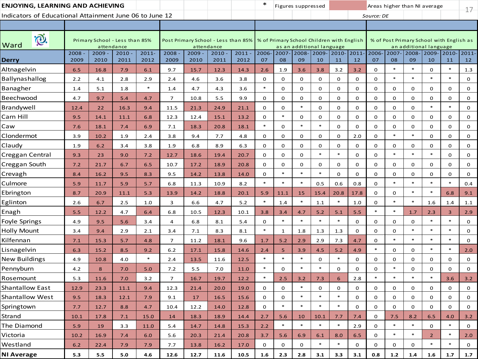| ENJOYING, LEARNING AND ACHIEVING                        |              |                  |                                              |                  |                |                                                                                               |                  |                  | $\ast$         |              | Figures suppressed |                           |             |                |              |                | Areas higher than NI average |                |                                          | $17 -$         |
|---------------------------------------------------------|--------------|------------------|----------------------------------------------|------------------|----------------|-----------------------------------------------------------------------------------------------|------------------|------------------|----------------|--------------|--------------------|---------------------------|-------------|----------------|--------------|----------------|------------------------------|----------------|------------------------------------------|----------------|
| Indicators of Educational Attainment June 06 to June 12 |              |                  |                                              |                  |                |                                                                                               |                  |                  |                |              |                    |                           |             |                | Source: DE   |                |                              |                |                                          |                |
|                                                         |              |                  |                                              |                  |                |                                                                                               |                  |                  |                |              |                    |                           |             |                |              |                |                              |                |                                          |                |
| i®.<br>Ward                                             |              |                  | Primary School - Less than 85%<br>attendance |                  |                | Post Primary School - Less than 85%   % of Primary School Children with English<br>attendance |                  |                  |                |              |                    | as an additional language |             |                |              |                | an additional language       |                | % of Post Primary School with English as |                |
| <b>Derry</b>                                            | 2008<br>2009 | $2009 -$<br>2010 | $2010 -$<br>2011                             | $2011 -$<br>2012 | 2008<br>2009   | $2009 -$<br>2010                                                                              | $2010 -$<br>2011 | $2011 -$<br>2012 | $2006 -$<br>07 | 2007-<br>08  | $2008 -$<br>09     | 2009-<br>10               | 2010-<br>11 | $2011 -$<br>12 | 2006-<br>07  | $2007 -$<br>08 | $2008 - 2009 -$<br>09        | 10             | $2010 -$<br>11                           | $2011 -$<br>12 |
| Altnagelvin                                             | 6.5          | 16.8             | 7.9                                          | 6.1              | 9.7            | 15.7                                                                                          | 12.3             | 14.3             | 2.6            | 1.9          | 3.6                | 3.8                       | 3.2         | 3.2            | $\mathbf 0$  | $\ast$         | $\ast$                       | 0              | $\ast$                                   | 1.3            |
| Ballynashallog                                          | 2.2          | 4.1              | 2.8                                          | 2.9              | 2.4            | 4.6                                                                                           | 3.6              | 3.8              | $\mathbf 0$    | 0            | $\mathbf{O}$       | 0                         | $\mathbf 0$ | 0              | $\mathbf 0$  | $\ast$         | $\ast$                       | $\ast$         | $\ast$                                   | 0              |
| Banagher                                                | 1.4          | 5.1              | 1.8                                          | $\ast$           | 1.4            | 4.7                                                                                           | 4.3              | 3.6              | $\ast$         | 0            | $\mathbf 0$        | 0                         | 0           | 0              | $\mathbf 0$  | 0              | 0                            | 0              | $\mathbf 0$                              | 0              |
| Beechwood                                               | 4.7          | 9.7              | 5.4                                          | 4.7              | $\overline{7}$ | 10.8                                                                                          | 5.5              | 9.9              | $\mathbf 0$    | 0            | $\mathbf 0$        | 0                         | 0           | 0              | $\mathbf 0$  | $\mathbf 0$    | $\mathbf 0$                  | 0              | $\mathbf 0$                              | 0              |
| Brandywell                                              | 12.4         | 22               | 16.3                                         | 9.4              | 11.5           | 21.3                                                                                          | 24.9             | 21.1             | 0              | 0            | $\ast$             | 0                         | 0           | 0              | 0            | $\mathbf 0$    | $\mathbf 0$                  | $\ast$         | $\ast$                                   | $\mathbf 0$    |
| Carn Hill                                               | 9.5          | 14.1             | 11.1                                         | 6.8              | 12.3           | 12.4                                                                                          | 15.1             | 13.2             | $\mathbf 0$    | $\ast$       | $\mathbf 0$        | 0                         | $\mathbf 0$ | $\mathbf 0$    | $\mathbf{0}$ | $\mathbf 0$    | $\mathbf 0$                  | $\mathbf 0$    | $\mathbf 0$                              | 0              |
| Caw                                                     | 7.6          | 18.1             | 7.4                                          | 6.9              | 7.1            | 18.3                                                                                          | 20.8             | 18.1             | $\ast$         | 0            | $\ast$             | $\ast$                    | $\mathbf 0$ | $\mathbf 0$    | $\mathbf 0$  | $\mathbf 0$    | $\mathbf 0$                  | 0              | $\mathbf 0$                              | 0              |
| Clondermot                                              | 3.9          | 10.2             | 1.9                                          | 2.4              | 3.8            | 9.4                                                                                           | 7.7              | 4.8              | $\mathbf 0$    | 0            | $\mathbf 0$        | 0                         | $\mathbf 0$ | 2.0            | $\mathbf 0$  | $\ast$         | $\ast$                       | 0              | $\mathbf 0$                              | 0              |
| Claudy                                                  | 1.9          | 6.2              | 3.4                                          | 3.8              | 1.9            | 6.8                                                                                           | 8.9              | 6.3              | 0              | 0            | 0                  | 0                         | 0           | 0              | $\mathbf 0$  | 0              | 0                            | 0              | 0                                        | 0              |
| Creggan Central                                         | 9.3          | 23               | 9.0                                          | 7.2              | 12.7           | 18.6                                                                                          | 19.4             | 20.7             | 0              | 0            | $\mathbf 0$        | $\ast$                    | $\ast$      | $\mathbf 0$    | $\mathbf 0$  | $\ast$         | $\ast$                       | $\ast$         | $\mathbf 0$                              | 0              |
| Creggan South                                           | 7.2          | 21.7             | 6.7                                          | 6.5              | 10.7           | 17.2                                                                                          | 18.9             | 20.8             | $\mathbf 0$    | 0            | 0                  | 0                         | 0           | 0              | $\mathbf 0$  | 0              | 0                            | 0              | 0                                        | 0              |
| Crevagh                                                 | 8.4          | 16.2             | 9.5                                          | 8.3              | 9.5            | 14.2                                                                                          | 13.8             | 14.0             | $\mathbf 0$    | $\ast$       | $\ast$             | $\ast$                    | $\mathbf 0$ | $\mathbf 0$    | $\mathbf 0$  | $\mathbf 0$    | $\mathbf 0$                  | 0              | $\mathbf 0$                              | 0              |
| Culmore                                                 | 5.9          | 11.7             | 5.9                                          | 5.7              | 6.8            | 11.3                                                                                          | 10.9             | 8.2              | $\ast$         | $\ast$       | $\ast$             | 0.5                       | 0.6         | 0.8            | $\mathbf 0$  | $\ast$         | $\ast$                       | $\ast$         | $\ast$                                   | 0.4            |
| Ebrington                                               | 8.7          | 20.9             | 11.1                                         | 5.3              | 13.9           | 14.2                                                                                          | 18.8             | 20.1             | 5.9            | 11.1         | 15                 | 15.4                      | 20.8        | 17.8           | $\mathbf 0$  | $\mathbf 0$    | $\ast$                       | $\ast$         | 6.8                                      | 9.1            |
| Eglinton                                                | 2.6          | 6.7              | 2.5                                          | 1.0              | 3              | 6.6                                                                                           | 4.7              | 5.2              | $\ast$         | 1.4          | $\ast$             | 1.1                       | $\ast$      | 1.0            | 0            | $\ast$         | $\ast$                       | 1.6            | 1.4                                      | 1.1            |
| Enagh                                                   | 5.5          | 12.2             | 4.7                                          | 6.4              | 6.8            | 10.5                                                                                          | 12.3             | 10.1             | 3.8            | 3.4          | 4.7                | 5.2                       | 5.1         | 5.5            | $\ast$       | $\ast$         | 1.7                          | 2.3            | 3                                        | 2.9            |
| Foyle Springs                                           | 4.9          | 9.5              | 5.6                                          | 3.4              | $\overline{4}$ | 6.8                                                                                           | 8.1              | 5.4              | 0              | $\ast$       | $\ast$             | $\ast$                    | $\ast$      | $\mathbf 0$    | $\mathbf 0$  | $\mathbf 0$    | $\mathbf 0$                  | $\ast$         | $\ast$                                   | 0              |
| <b>Holly Mount</b>                                      | 3.4          | 9.4              | 2.9                                          | 2.1              | 3.4            | 7.1                                                                                           | 8.3              | 8.1              | $\ast$         | $\mathbf{1}$ | 1.8                | 1.3                       | 1.3         | 0              | $\mathbf 0$  | $\mathbf 0$    | $\ast$                       | $\ast$         | $\ast$                                   | 0              |
| Kilfennan                                               | 7.1          | 15.3             | 5.7                                          | 4.8              | $\overline{7}$ | 11.2                                                                                          | 18.1             | 9.6              | 1.7            | 5.2          | 2.9                | 2.9                       | 7.3         | 4.7            | $\mathbf 0$  | $\ast$         | $\ast$                       | $\ast$         | $\ast$                                   | 0              |
| Lisnagelvin                                             | 6.3          | 15.2             | 8.5                                          | 9.2              | 6.2            | 17.1                                                                                          | 15.8             | 14.6             | 2.4            | 5            | 3.9                | 4.5                       | 5.2         | 4.9            | $\ast$       | $\mathbf 0$    | 0                            | $\ast$         | $\ast$                                   | 2.0            |
| <b>New Buildings</b>                                    | 4.9          | 10.8             | 4.0                                          | $\ast$           | 2.4            | 13.5                                                                                          | 11.6             | 12.5             | $\ast$         | $\ast$       | $\ast$             | 0                         | $\ast$      | 0              | 0            | 0              | 0                            | 0              | 0                                        | 0              |
| Pennyburn                                               | 4.2          | 8                | 7.0                                          | 5.0              | 7.2            | 5.5                                                                                           | 7.0              | 11.0             | $\ast$         | $\mathbf 0$  | $\ast$             | $\ast$                    | $\mathbf 0$ | $\mathbf 0$    | $\Omega$     | $\ast$         | $\mathbf 0$                  | $\mathbf 0$    | $\mathbf 0$                              | $\mathbf 0$    |
| Rosemount                                               | 5.3          | 11.6             | 7.0                                          | 3.2              | 7              | 16.7                                                                                          | 19.7             | 12.2             | $\ast$         | 2.5          | 3.2                | 7.3                       | 6           | 2.8            | $\ast$       | $\ast$         | $\ast$                       | $\ast$         | 3.6                                      | 3.2            |
| Shantallow East                                         | 12.9         | 23.3             | 11.1                                         | 9.4              | 12.3           | 21.4                                                                                          | 20.0             | 19.0             | 0              | 0            | $\ast$             | 0                         | 0           | 0              | 0            | $\mathbf 0$    | 0                            | 0              | 0                                        | 0              |
| <b>Shantallow West</b>                                  | 9.5          | 18.3             | 12.1                                         | 7.9              | 9.1            | 17                                                                                            | 16.5             | 15.6             | $\mathbf 0$    | $\mathbf 0$  | $\ast$             | $*$                       | $\ast$      | 0              | $\Omega$     | $\mathbf 0$    | $\mathbf 0$                  | 0              | $\mathbf 0$                              | $\Omega$       |
| Springtown                                              | 7.7          | 12.7             | 8.8                                          | 4.7              | 10.4           | 12.2                                                                                          | 14.0             | 12.8             | 0              | $\ast$       | $\ast$             | $\ast$                    | $\ast$      | 0              | 0            | 0              | 0                            | 0              | $\mathbf 0$                              | 0              |
| Strand                                                  | 10.1         | 17.8             | 7.1                                          | 15.0             | 14             | 18.3                                                                                          | 18.9             | 14.4             | 2.7            | 5.6          | 10                 | 10.1                      | 7.7         | 7.4            | 0            | 7.5            | 8.2                          | 6.5            | 4.0                                      | 3.2            |
| The Diamond                                             | 5.9          | 19               | 3.3                                          | 11.0             | 5.4            | 14.7                                                                                          | 14.8             | 15.3             | 2.2            | $\ast$       | $\ast$             | $\ast$                    | $\ast$      | 2.9            | 0            | $\ast$         | $\ast$                       | 0              | $\ast$                                   | 0              |
| Victoria                                                | 10.2         | 16.9             | 7.4                                          | 6.0              | 5.6            | 20.3                                                                                          | 21.4             | 20.8             | 3.7            | 5.6          | 6.9                | 6.1                       | 8.0         | 6.5            | 0            | $\ast$         | $\ast$                       | $\overline{2}$ | $\ast$                                   | 2.0            |
| Westland                                                | 6.2          | 22.4             | 7.9                                          | 7.9              | 7.7            | 13.8                                                                                          | 16.2             | 17.0             | 0              | 0            | 0                  | $\ast$                    | $\ast$      | 0              | 0            | 0              | 0                            | $\ast$         | $\ast$                                   | 0              |
| <b>NI Average</b>                                       | 5.3          | 5.5              | 5.0                                          | 4.6              | 12.6           | 12.7                                                                                          | 11.6             | 10.5             | 1.6            | 2.3          | 2.8                | 3.1                       | 3.3         | 3.1            | 0.8          | $1.2$          | 1.4                          | 1.6            | 1.7                                      | 1.7            |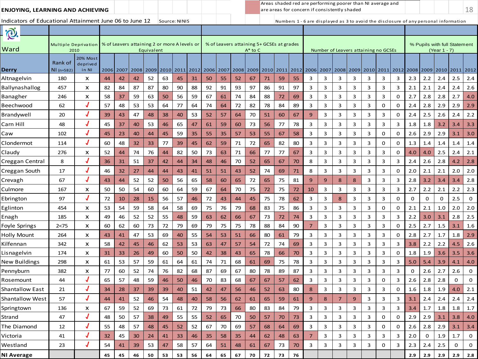| Indicators of Educational Attainment June 06 to June 12<br>Source: NINIS<br>Numbers 1 - 6 are displayed as 3 to avoid the disclosure of any personal information<br><b>Q</b><br>% of Leavers attaining 2 or more A levels or<br>% of Leavers attaining 5+ GCSEs at grades<br>% Pupils with full Statement<br>Multiple Deprivation<br>Ward<br>2010<br>Number of Leavers attaining no GCSEs<br>(Year 1 - 7)<br>Equivalent<br>A* to C<br>20% Most<br>Rank of<br>deprived<br>Derry<br>2009 2010 2011 2012<br>2006 2007 2008<br>2009 2010 2011 2012<br>2006 2007 2008 2009 2010 2011 2012<br>2008 2009 2010 2011 2012<br>NI (n=582)<br>in NI<br>2006 2007<br>2008<br>2.2<br>3<br>3<br>3<br>3<br>3<br>2.5<br>Altnagelvin<br>180<br>44<br>42<br>52<br>63<br>45<br>31<br>50<br>55<br>52<br>71<br>59<br>55<br>3<br>3<br>2.3<br>2.4<br>2.4<br>x<br>42<br>67<br>87<br>87<br>80<br>90<br>88<br>92<br>91<br>93<br>97<br>86<br>91<br>97<br>3<br>3<br>3<br>3<br>2.1<br>2.4<br>2.6<br>Ballynashallog<br>457<br>82<br>84<br>3<br>3<br>3<br>2.1<br>x<br>2.4<br>2.8<br>59<br>56<br>59<br>67<br>88<br>3<br>3<br>3<br>3<br>3<br>3<br>2.7<br>4.0<br>246<br>X<br>58<br>63<br>50<br>61<br>74<br>84<br>72<br>69<br>0<br>2.7<br>2.8<br>Banagher<br>37<br>J<br>57<br>48<br>53<br>53<br>64<br>82<br>78<br>84<br>89<br>3<br>3<br>3<br>3<br>2.8<br>2.9<br>2.9<br>2.9<br>Beechwood<br>62<br>77<br>64<br>74<br>64<br>72<br>3<br>0<br>0<br>2.4<br>J<br>2.5<br>3<br>3<br>$2.2$<br>20<br>39<br>47<br>48<br>38<br>53<br>52<br>57<br>70<br>51<br>67<br>9<br>3<br>3<br>3<br>0<br>2.4<br>2.4<br>Brandywell<br>43<br>40<br>64<br>60<br>2.6<br>48<br>56<br>78<br>3<br>3<br>3<br>3<br>3<br>3<br>3<br>1.8<br>3.3<br>45<br>37<br>40<br>53<br>46<br>65<br>47<br>61<br>59<br>60<br>73<br>77<br>1.8<br>3.4<br>Carn Hill<br>3.2<br>J<br>2.9<br>59<br>55<br>3<br>2.6<br>3.0<br>102<br>45<br>40<br>44<br>45<br>35<br>57<br>53<br>55<br>58<br>3<br>3<br>3<br>3<br>0<br>0<br>2.9<br>3.1<br>Caw<br>23<br>35<br>67<br>J<br>3<br>Clondermot<br>60<br>77<br>72<br>65<br>80<br>3<br>3<br>3<br>114<br>48<br>32<br>33<br>39<br>45<br>62<br>59<br>71<br>82<br>3<br>0<br>0<br>1.3<br>1.4<br>1.4<br>1.4<br>1.4<br>76<br>82<br>50<br>73<br>66<br>77<br>77<br>3<br>3<br>3<br>3<br>3<br>3<br>2.4<br>2.1<br>Claudy<br>276<br>X<br>52<br>74<br>44<br>63<br>71<br>67<br>0<br>4.0<br>4.0<br>2.5<br>44<br>J<br>37<br>48<br>52<br>65<br>8<br>3<br>3<br>3<br>3<br>2.6<br>2.8<br>2.8<br>Creggan Central<br>8<br>36<br>51<br>42<br>34<br>46<br>70<br>67<br>70<br>3<br>3<br>2.4<br>4.2<br>31<br>44<br>J<br>2.1<br>74<br>3<br>3<br>$2.0\,$<br>17<br>46<br>32<br>27<br>44<br>44<br>43<br>41<br>51<br>51<br>43<br>52<br>69<br>71<br>8<br>3<br>3<br>3<br>0<br>2.0<br>2.1<br>2.0<br>Creggan South<br>J<br>67<br>52<br>56<br>65<br>81<br>3<br>3<br>3.2<br>2.8<br>Crevagh<br>43<br>52<br>50<br>65<br>58<br>60<br>72<br>65<br>75<br>9<br>9<br>8<br>8<br>3<br>2.8<br>3.4<br>44<br>3.4<br>2.2<br>50<br>60<br>60<br>59<br>67<br>72<br>75<br>3<br>2.2<br>2.3<br>Culmore<br>167<br>50<br>54<br>64<br>64<br>70<br>75<br>10<br>3<br>3<br>3<br>3<br>3<br>2.7<br>2.1<br>x<br>72<br>J<br>56<br>3<br>2.5<br>$\mathbf 0$<br>Ebrington<br>97<br>72<br>46<br>72<br>45<br>75<br>78<br>62<br>3<br>3<br>8<br>3<br>3<br>0<br>0<br>0<br>0<br>10<br>28<br>15<br>57<br>43<br>44<br>2.0<br>59<br>58<br>64<br>58<br>75<br>79<br>68<br>83<br>3<br>3<br>3<br>3<br>0<br>2.1<br>2.0<br>454<br>X<br>53<br>54<br>69<br>76<br>75<br>86<br>3<br>0<br>2.1<br>1.0<br>Eglinton<br>52<br>52<br>55<br>73<br>3<br>3<br>3<br>2.8<br>2.5<br>185<br>49<br>46<br>48<br>59<br>63<br>62<br>66<br>67<br>72<br>74<br>3<br>3<br>3<br>3<br>2.2<br>3.0<br>x<br>3.1<br>Enagh<br>2.7<br>60<br>72<br>79<br>69<br>79<br>75<br>78<br>88<br>84<br>90<br>3<br>3<br>3<br>3<br>3<br>2.5<br>Foyle Springs<br>2 < 75<br>X<br>60<br>62<br>73<br>75<br>$\overline{7}$<br>0<br>1.5<br>3.1<br>1.6<br>47<br>53<br>80<br>79<br>3<br>3<br>3<br>3<br>3<br>3<br>2.8<br>2.7<br>1.8<br>2.9<br>264<br>X<br>69<br>40<br>55<br>54<br>53<br>51<br>66<br>61<br>0<br>1.7<br>Holly Mount<br>43<br>41<br>53<br>57<br>54<br>72<br>3<br>3<br>3<br>3<br>2.2<br>2.6<br>Kilfennan<br>342<br>X<br>58<br>42<br>45<br>46<br>62<br>53<br>63<br>74<br>69<br>3<br>3<br>3<br>3.8<br>2.2<br>4.5<br>47<br>50<br>78<br>3<br>3<br>3<br>3<br>1.8<br>1.9<br>174<br>31<br>26<br>49<br>60<br>50<br>42<br>38<br>43<br>65<br>66<br>70<br>3<br>3<br>0<br>3.6<br>3.5<br>3.6<br>Lisnagelvin<br>x<br>33<br>59<br>68<br>78<br>3<br>3<br>3<br>3<br>5.4<br>4.0<br>New Buildings<br>298<br>X<br>61<br>53<br>57<br>61<br>64<br>61<br>74<br>71<br>61<br>69<br>75<br>3<br>3<br>3<br>5.0<br>3.9<br>4.1<br>76<br>68<br>87<br>80<br>78<br>89<br>87<br>3<br>3<br>3<br>2.6<br>2.6<br>$\mathbf 0$<br>382<br>77<br>60<br>52<br>74<br>82<br>69<br>67<br>3<br>3<br>3<br>3<br>0<br>2.7<br>Pennyburn<br>x<br>J<br>65<br>48<br>59<br>83<br>68<br>3<br>3<br>3<br>3<br>2.8<br>0<br>$\mathbf 0$<br>57<br>46<br>50<br>46<br>70<br>67<br>62<br>3<br>0<br>3<br>2.6<br>2.8<br>44<br>67<br>57<br>Rosemount<br><b>Shantallow East</b><br>39<br>46<br>52<br>80<br>3<br>3<br>1.8<br>2.1<br>34<br>37<br>39<br>40<br>51<br>42<br>56<br>63<br>8<br>3<br>3<br>3<br>0<br>1.6<br>1.9<br>4.0<br>21<br>28<br>47<br>$2.4\,$<br>$2.4$<br>Shantallow West<br>44<br>52<br>46<br>54<br>48<br>40<br>58<br>56<br>62<br>65<br>61<br>$9\,$<br>$\bf 8$<br>$\overline{7}$<br>3<br>3<br>3<br>3.1<br>2.4<br>$2.4\,$<br>57<br>41<br>61<br>59<br>9<br>v<br>1.7<br>59<br>52<br>73<br>72<br>73<br>66<br>80<br>83<br>79<br>3<br>3<br>3<br>3<br>3<br>3<br>3<br>1.8<br>1.8<br>136<br>x<br>67<br>69<br>61<br>79<br>84<br>3.4<br>Springtown<br>J<br>3<br>2.9<br>Strand<br>47<br>48<br>50<br>57<br>38<br>49<br>55<br>55<br>70<br>57<br>3<br>3<br>3<br>3<br>0<br>0<br>2.9<br>3.1<br>3.8<br>4.0<br>52<br>65<br>50<br>70<br>73<br>J<br>The Diamond<br>57<br>52<br>67<br>69<br>3<br>3<br>3<br>3<br>2.8<br>2.9<br>3.1<br>3.4<br>12<br>55<br>48<br>48<br>45<br>52<br>70<br>69<br>57<br>68<br>64<br>3<br>0<br>0<br>2.6<br>J<br>33<br>46<br>$\overline{7}$<br>3<br>3<br>3<br>3<br>3<br>3<br>2.0<br>1.9<br>1.7<br>$\mathbf 0$<br>Victoria<br>32<br>45<br>30<br>41<br>35<br>58<br>35<br>62<br>48<br>63<br>$\mathbf 0$<br>41<br>24<br>44<br>J<br>58<br>57<br>3<br>3<br>0<br>3<br>2.4<br>0<br>Westland<br>23<br>54<br>39<br>53<br>47<br>64<br>48<br>61<br>67<br>73<br>70<br>3<br>3<br>3<br>2.3<br>2.5<br>$\mathbf 0$<br>41<br>51 | ENJOYING, LEARNING AND ACHIEVING |  |    |    |    |    |    |    |    |    |    |    |    |    |    |    |  | are areas for concern if consistently shaded |  | Areas shaded red are performing poorer than NI average and |     |     |     |     | 18      |
|--------------------------------------------------------------------------------------------------------------------------------------------------------------------------------------------------------------------------------------------------------------------------------------------------------------------------------------------------------------------------------------------------------------------------------------------------------------------------------------------------------------------------------------------------------------------------------------------------------------------------------------------------------------------------------------------------------------------------------------------------------------------------------------------------------------------------------------------------------------------------------------------------------------------------------------------------------------------------------------------------------------------------------------------------------------------------------------------------------------------------------------------------------------------------------------------------------------------------------------------------------------------------------------------------------------------------------------------------------------------------------------------------------------------------------------------------------------------------------------------------------------------------------------------------------------------------------------------------------------------------------------------------------------------------------------------------------------------------------------------------------------------------------------------------------------------------------------------------------------------------------------------------------------------------------------------------------------------------------------------------------------------------------------------------------------------------------------------------------------------------------------------------------------------------------------------------------------------------------------------------------------------------------------------------------------------------------------------------------------------------------------------------------------------------------------------------------------------------------------------------------------------------------------------------------------------------------------------------------------------------------------------------------------------------------------------------------------------------------------------------------------------------------------------------------------------------------------------------------------------------------------------------------------------------------------------------------------------------------------------------------------------------------------------------------------------------------------------------------------------------------------------------------------------------------------------------------------------------------------------------------------------------------------------------------------------------------------------------------------------------------------------------------------------------------------------------------------------------------------------------------------------------------------------------------------------------------------------------------------------------------------------------------------------------------------------------------------------------------------------------------------------------------------------------------------------------------------------------------------------------------------------------------------------------------------------------------------------------------------------------------------------------------------------------------------------------------------------------------------------------------------------------------------------------------------------------------------------------------------------------------------------------------------------------------------------------------------------------------------------------------------------------------------------------------------------------------------------------------------------------------------------------------------------------------------------------------------------------------------------------------------------------------------------------------------------------------------------------------------------------------------------------------------------------------------------------------------------------------------------------------------------------------------------------------------------------------------------------------------------------------------------------------------------------------------------------------------------------------------------------------------------------------------------------------------------------------------------------------------------------------------------------------------------------------------------------------------------------------------------------------------------------------------------------------------------------------------------------------------------------------------------------------------------------------------------------------------------------------------------------------------------------------------------------------------------------------------------------------------------------------------------------------------------------------------------------------------------------------------------------------------------------------------------------------------------------------------------------------------------------------------------------------------------------------------------------------------------------------------------------------------------------------------------------------------------------------------------------------------------------------------------------------------------------------------------------------------------------------------|----------------------------------|--|----|----|----|----|----|----|----|----|----|----|----|----|----|----|--|----------------------------------------------|--|------------------------------------------------------------|-----|-----|-----|-----|---------|
|                                                                                                                                                                                                                                                                                                                                                                                                                                                                                                                                                                                                                                                                                                                                                                                                                                                                                                                                                                                                                                                                                                                                                                                                                                                                                                                                                                                                                                                                                                                                                                                                                                                                                                                                                                                                                                                                                                                                                                                                                                                                                                                                                                                                                                                                                                                                                                                                                                                                                                                                                                                                                                                                                                                                                                                                                                                                                                                                                                                                                                                                                                                                                                                                                                                                                                                                                                                                                                                                                                                                                                                                                                                                                                                                                                                                                                                                                                                                                                                                                                                                                                                                                                                                                                                                                                                                                                                                                                                                                                                                                                                                                                                                                                                                                                                                                                                                                                                                                                                                                                                                                                                                                                                                                                                                                                                                                                                                                                                                                                                                                                                                                                                                                                                                                                                                                                                                                                                                                                                                                                                                                                                                                                                                                                                                                                                                                              |                                  |  |    |    |    |    |    |    |    |    |    |    |    |    |    |    |  |                                              |  |                                                            |     |     |     |     |         |
|                                                                                                                                                                                                                                                                                                                                                                                                                                                                                                                                                                                                                                                                                                                                                                                                                                                                                                                                                                                                                                                                                                                                                                                                                                                                                                                                                                                                                                                                                                                                                                                                                                                                                                                                                                                                                                                                                                                                                                                                                                                                                                                                                                                                                                                                                                                                                                                                                                                                                                                                                                                                                                                                                                                                                                                                                                                                                                                                                                                                                                                                                                                                                                                                                                                                                                                                                                                                                                                                                                                                                                                                                                                                                                                                                                                                                                                                                                                                                                                                                                                                                                                                                                                                                                                                                                                                                                                                                                                                                                                                                                                                                                                                                                                                                                                                                                                                                                                                                                                                                                                                                                                                                                                                                                                                                                                                                                                                                                                                                                                                                                                                                                                                                                                                                                                                                                                                                                                                                                                                                                                                                                                                                                                                                                                                                                                                                              |                                  |  |    |    |    |    |    |    |    |    |    |    |    |    |    |    |  |                                              |  |                                                            |     |     |     |     |         |
|                                                                                                                                                                                                                                                                                                                                                                                                                                                                                                                                                                                                                                                                                                                                                                                                                                                                                                                                                                                                                                                                                                                                                                                                                                                                                                                                                                                                                                                                                                                                                                                                                                                                                                                                                                                                                                                                                                                                                                                                                                                                                                                                                                                                                                                                                                                                                                                                                                                                                                                                                                                                                                                                                                                                                                                                                                                                                                                                                                                                                                                                                                                                                                                                                                                                                                                                                                                                                                                                                                                                                                                                                                                                                                                                                                                                                                                                                                                                                                                                                                                                                                                                                                                                                                                                                                                                                                                                                                                                                                                                                                                                                                                                                                                                                                                                                                                                                                                                                                                                                                                                                                                                                                                                                                                                                                                                                                                                                                                                                                                                                                                                                                                                                                                                                                                                                                                                                                                                                                                                                                                                                                                                                                                                                                                                                                                                                              |                                  |  |    |    |    |    |    |    |    |    |    |    |    |    |    |    |  |                                              |  |                                                            |     |     |     |     |         |
|                                                                                                                                                                                                                                                                                                                                                                                                                                                                                                                                                                                                                                                                                                                                                                                                                                                                                                                                                                                                                                                                                                                                                                                                                                                                                                                                                                                                                                                                                                                                                                                                                                                                                                                                                                                                                                                                                                                                                                                                                                                                                                                                                                                                                                                                                                                                                                                                                                                                                                                                                                                                                                                                                                                                                                                                                                                                                                                                                                                                                                                                                                                                                                                                                                                                                                                                                                                                                                                                                                                                                                                                                                                                                                                                                                                                                                                                                                                                                                                                                                                                                                                                                                                                                                                                                                                                                                                                                                                                                                                                                                                                                                                                                                                                                                                                                                                                                                                                                                                                                                                                                                                                                                                                                                                                                                                                                                                                                                                                                                                                                                                                                                                                                                                                                                                                                                                                                                                                                                                                                                                                                                                                                                                                                                                                                                                                                              |                                  |  |    |    |    |    |    |    |    |    |    |    |    |    |    |    |  |                                              |  |                                                            |     |     |     |     |         |
|                                                                                                                                                                                                                                                                                                                                                                                                                                                                                                                                                                                                                                                                                                                                                                                                                                                                                                                                                                                                                                                                                                                                                                                                                                                                                                                                                                                                                                                                                                                                                                                                                                                                                                                                                                                                                                                                                                                                                                                                                                                                                                                                                                                                                                                                                                                                                                                                                                                                                                                                                                                                                                                                                                                                                                                                                                                                                                                                                                                                                                                                                                                                                                                                                                                                                                                                                                                                                                                                                                                                                                                                                                                                                                                                                                                                                                                                                                                                                                                                                                                                                                                                                                                                                                                                                                                                                                                                                                                                                                                                                                                                                                                                                                                                                                                                                                                                                                                                                                                                                                                                                                                                                                                                                                                                                                                                                                                                                                                                                                                                                                                                                                                                                                                                                                                                                                                                                                                                                                                                                                                                                                                                                                                                                                                                                                                                                              |                                  |  |    |    |    |    |    |    |    |    |    |    |    |    |    |    |  |                                              |  |                                                            |     |     |     |     |         |
|                                                                                                                                                                                                                                                                                                                                                                                                                                                                                                                                                                                                                                                                                                                                                                                                                                                                                                                                                                                                                                                                                                                                                                                                                                                                                                                                                                                                                                                                                                                                                                                                                                                                                                                                                                                                                                                                                                                                                                                                                                                                                                                                                                                                                                                                                                                                                                                                                                                                                                                                                                                                                                                                                                                                                                                                                                                                                                                                                                                                                                                                                                                                                                                                                                                                                                                                                                                                                                                                                                                                                                                                                                                                                                                                                                                                                                                                                                                                                                                                                                                                                                                                                                                                                                                                                                                                                                                                                                                                                                                                                                                                                                                                                                                                                                                                                                                                                                                                                                                                                                                                                                                                                                                                                                                                                                                                                                                                                                                                                                                                                                                                                                                                                                                                                                                                                                                                                                                                                                                                                                                                                                                                                                                                                                                                                                                                                              |                                  |  |    |    |    |    |    |    |    |    |    |    |    |    |    |    |  |                                              |  |                                                            |     |     |     |     |         |
|                                                                                                                                                                                                                                                                                                                                                                                                                                                                                                                                                                                                                                                                                                                                                                                                                                                                                                                                                                                                                                                                                                                                                                                                                                                                                                                                                                                                                                                                                                                                                                                                                                                                                                                                                                                                                                                                                                                                                                                                                                                                                                                                                                                                                                                                                                                                                                                                                                                                                                                                                                                                                                                                                                                                                                                                                                                                                                                                                                                                                                                                                                                                                                                                                                                                                                                                                                                                                                                                                                                                                                                                                                                                                                                                                                                                                                                                                                                                                                                                                                                                                                                                                                                                                                                                                                                                                                                                                                                                                                                                                                                                                                                                                                                                                                                                                                                                                                                                                                                                                                                                                                                                                                                                                                                                                                                                                                                                                                                                                                                                                                                                                                                                                                                                                                                                                                                                                                                                                                                                                                                                                                                                                                                                                                                                                                                                                              |                                  |  |    |    |    |    |    |    |    |    |    |    |    |    |    |    |  |                                              |  |                                                            |     |     |     |     |         |
|                                                                                                                                                                                                                                                                                                                                                                                                                                                                                                                                                                                                                                                                                                                                                                                                                                                                                                                                                                                                                                                                                                                                                                                                                                                                                                                                                                                                                                                                                                                                                                                                                                                                                                                                                                                                                                                                                                                                                                                                                                                                                                                                                                                                                                                                                                                                                                                                                                                                                                                                                                                                                                                                                                                                                                                                                                                                                                                                                                                                                                                                                                                                                                                                                                                                                                                                                                                                                                                                                                                                                                                                                                                                                                                                                                                                                                                                                                                                                                                                                                                                                                                                                                                                                                                                                                                                                                                                                                                                                                                                                                                                                                                                                                                                                                                                                                                                                                                                                                                                                                                                                                                                                                                                                                                                                                                                                                                                                                                                                                                                                                                                                                                                                                                                                                                                                                                                                                                                                                                                                                                                                                                                                                                                                                                                                                                                                              |                                  |  |    |    |    |    |    |    |    |    |    |    |    |    |    |    |  |                                              |  |                                                            |     |     |     |     |         |
|                                                                                                                                                                                                                                                                                                                                                                                                                                                                                                                                                                                                                                                                                                                                                                                                                                                                                                                                                                                                                                                                                                                                                                                                                                                                                                                                                                                                                                                                                                                                                                                                                                                                                                                                                                                                                                                                                                                                                                                                                                                                                                                                                                                                                                                                                                                                                                                                                                                                                                                                                                                                                                                                                                                                                                                                                                                                                                                                                                                                                                                                                                                                                                                                                                                                                                                                                                                                                                                                                                                                                                                                                                                                                                                                                                                                                                                                                                                                                                                                                                                                                                                                                                                                                                                                                                                                                                                                                                                                                                                                                                                                                                                                                                                                                                                                                                                                                                                                                                                                                                                                                                                                                                                                                                                                                                                                                                                                                                                                                                                                                                                                                                                                                                                                                                                                                                                                                                                                                                                                                                                                                                                                                                                                                                                                                                                                                              |                                  |  |    |    |    |    |    |    |    |    |    |    |    |    |    |    |  |                                              |  |                                                            |     |     |     |     |         |
|                                                                                                                                                                                                                                                                                                                                                                                                                                                                                                                                                                                                                                                                                                                                                                                                                                                                                                                                                                                                                                                                                                                                                                                                                                                                                                                                                                                                                                                                                                                                                                                                                                                                                                                                                                                                                                                                                                                                                                                                                                                                                                                                                                                                                                                                                                                                                                                                                                                                                                                                                                                                                                                                                                                                                                                                                                                                                                                                                                                                                                                                                                                                                                                                                                                                                                                                                                                                                                                                                                                                                                                                                                                                                                                                                                                                                                                                                                                                                                                                                                                                                                                                                                                                                                                                                                                                                                                                                                                                                                                                                                                                                                                                                                                                                                                                                                                                                                                                                                                                                                                                                                                                                                                                                                                                                                                                                                                                                                                                                                                                                                                                                                                                                                                                                                                                                                                                                                                                                                                                                                                                                                                                                                                                                                                                                                                                                              |                                  |  |    |    |    |    |    |    |    |    |    |    |    |    |    |    |  |                                              |  |                                                            |     |     |     |     |         |
|                                                                                                                                                                                                                                                                                                                                                                                                                                                                                                                                                                                                                                                                                                                                                                                                                                                                                                                                                                                                                                                                                                                                                                                                                                                                                                                                                                                                                                                                                                                                                                                                                                                                                                                                                                                                                                                                                                                                                                                                                                                                                                                                                                                                                                                                                                                                                                                                                                                                                                                                                                                                                                                                                                                                                                                                                                                                                                                                                                                                                                                                                                                                                                                                                                                                                                                                                                                                                                                                                                                                                                                                                                                                                                                                                                                                                                                                                                                                                                                                                                                                                                                                                                                                                                                                                                                                                                                                                                                                                                                                                                                                                                                                                                                                                                                                                                                                                                                                                                                                                                                                                                                                                                                                                                                                                                                                                                                                                                                                                                                                                                                                                                                                                                                                                                                                                                                                                                                                                                                                                                                                                                                                                                                                                                                                                                                                                              |                                  |  |    |    |    |    |    |    |    |    |    |    |    |    |    |    |  |                                              |  |                                                            |     |     |     |     |         |
|                                                                                                                                                                                                                                                                                                                                                                                                                                                                                                                                                                                                                                                                                                                                                                                                                                                                                                                                                                                                                                                                                                                                                                                                                                                                                                                                                                                                                                                                                                                                                                                                                                                                                                                                                                                                                                                                                                                                                                                                                                                                                                                                                                                                                                                                                                                                                                                                                                                                                                                                                                                                                                                                                                                                                                                                                                                                                                                                                                                                                                                                                                                                                                                                                                                                                                                                                                                                                                                                                                                                                                                                                                                                                                                                                                                                                                                                                                                                                                                                                                                                                                                                                                                                                                                                                                                                                                                                                                                                                                                                                                                                                                                                                                                                                                                                                                                                                                                                                                                                                                                                                                                                                                                                                                                                                                                                                                                                                                                                                                                                                                                                                                                                                                                                                                                                                                                                                                                                                                                                                                                                                                                                                                                                                                                                                                                                                              |                                  |  |    |    |    |    |    |    |    |    |    |    |    |    |    |    |  |                                              |  |                                                            |     |     |     |     |         |
|                                                                                                                                                                                                                                                                                                                                                                                                                                                                                                                                                                                                                                                                                                                                                                                                                                                                                                                                                                                                                                                                                                                                                                                                                                                                                                                                                                                                                                                                                                                                                                                                                                                                                                                                                                                                                                                                                                                                                                                                                                                                                                                                                                                                                                                                                                                                                                                                                                                                                                                                                                                                                                                                                                                                                                                                                                                                                                                                                                                                                                                                                                                                                                                                                                                                                                                                                                                                                                                                                                                                                                                                                                                                                                                                                                                                                                                                                                                                                                                                                                                                                                                                                                                                                                                                                                                                                                                                                                                                                                                                                                                                                                                                                                                                                                                                                                                                                                                                                                                                                                                                                                                                                                                                                                                                                                                                                                                                                                                                                                                                                                                                                                                                                                                                                                                                                                                                                                                                                                                                                                                                                                                                                                                                                                                                                                                                                              |                                  |  |    |    |    |    |    |    |    |    |    |    |    |    |    |    |  |                                              |  |                                                            |     |     |     |     |         |
|                                                                                                                                                                                                                                                                                                                                                                                                                                                                                                                                                                                                                                                                                                                                                                                                                                                                                                                                                                                                                                                                                                                                                                                                                                                                                                                                                                                                                                                                                                                                                                                                                                                                                                                                                                                                                                                                                                                                                                                                                                                                                                                                                                                                                                                                                                                                                                                                                                                                                                                                                                                                                                                                                                                                                                                                                                                                                                                                                                                                                                                                                                                                                                                                                                                                                                                                                                                                                                                                                                                                                                                                                                                                                                                                                                                                                                                                                                                                                                                                                                                                                                                                                                                                                                                                                                                                                                                                                                                                                                                                                                                                                                                                                                                                                                                                                                                                                                                                                                                                                                                                                                                                                                                                                                                                                                                                                                                                                                                                                                                                                                                                                                                                                                                                                                                                                                                                                                                                                                                                                                                                                                                                                                                                                                                                                                                                                              |                                  |  |    |    |    |    |    |    |    |    |    |    |    |    |    |    |  |                                              |  |                                                            |     |     |     |     |         |
|                                                                                                                                                                                                                                                                                                                                                                                                                                                                                                                                                                                                                                                                                                                                                                                                                                                                                                                                                                                                                                                                                                                                                                                                                                                                                                                                                                                                                                                                                                                                                                                                                                                                                                                                                                                                                                                                                                                                                                                                                                                                                                                                                                                                                                                                                                                                                                                                                                                                                                                                                                                                                                                                                                                                                                                                                                                                                                                                                                                                                                                                                                                                                                                                                                                                                                                                                                                                                                                                                                                                                                                                                                                                                                                                                                                                                                                                                                                                                                                                                                                                                                                                                                                                                                                                                                                                                                                                                                                                                                                                                                                                                                                                                                                                                                                                                                                                                                                                                                                                                                                                                                                                                                                                                                                                                                                                                                                                                                                                                                                                                                                                                                                                                                                                                                                                                                                                                                                                                                                                                                                                                                                                                                                                                                                                                                                                                              |                                  |  |    |    |    |    |    |    |    |    |    |    |    |    |    |    |  |                                              |  |                                                            |     |     |     |     |         |
|                                                                                                                                                                                                                                                                                                                                                                                                                                                                                                                                                                                                                                                                                                                                                                                                                                                                                                                                                                                                                                                                                                                                                                                                                                                                                                                                                                                                                                                                                                                                                                                                                                                                                                                                                                                                                                                                                                                                                                                                                                                                                                                                                                                                                                                                                                                                                                                                                                                                                                                                                                                                                                                                                                                                                                                                                                                                                                                                                                                                                                                                                                                                                                                                                                                                                                                                                                                                                                                                                                                                                                                                                                                                                                                                                                                                                                                                                                                                                                                                                                                                                                                                                                                                                                                                                                                                                                                                                                                                                                                                                                                                                                                                                                                                                                                                                                                                                                                                                                                                                                                                                                                                                                                                                                                                                                                                                                                                                                                                                                                                                                                                                                                                                                                                                                                                                                                                                                                                                                                                                                                                                                                                                                                                                                                                                                                                                              |                                  |  |    |    |    |    |    |    |    |    |    |    |    |    |    |    |  |                                              |  |                                                            |     |     |     |     |         |
|                                                                                                                                                                                                                                                                                                                                                                                                                                                                                                                                                                                                                                                                                                                                                                                                                                                                                                                                                                                                                                                                                                                                                                                                                                                                                                                                                                                                                                                                                                                                                                                                                                                                                                                                                                                                                                                                                                                                                                                                                                                                                                                                                                                                                                                                                                                                                                                                                                                                                                                                                                                                                                                                                                                                                                                                                                                                                                                                                                                                                                                                                                                                                                                                                                                                                                                                                                                                                                                                                                                                                                                                                                                                                                                                                                                                                                                                                                                                                                                                                                                                                                                                                                                                                                                                                                                                                                                                                                                                                                                                                                                                                                                                                                                                                                                                                                                                                                                                                                                                                                                                                                                                                                                                                                                                                                                                                                                                                                                                                                                                                                                                                                                                                                                                                                                                                                                                                                                                                                                                                                                                                                                                                                                                                                                                                                                                                              |                                  |  |    |    |    |    |    |    |    |    |    |    |    |    |    |    |  |                                              |  |                                                            |     |     |     |     |         |
|                                                                                                                                                                                                                                                                                                                                                                                                                                                                                                                                                                                                                                                                                                                                                                                                                                                                                                                                                                                                                                                                                                                                                                                                                                                                                                                                                                                                                                                                                                                                                                                                                                                                                                                                                                                                                                                                                                                                                                                                                                                                                                                                                                                                                                                                                                                                                                                                                                                                                                                                                                                                                                                                                                                                                                                                                                                                                                                                                                                                                                                                                                                                                                                                                                                                                                                                                                                                                                                                                                                                                                                                                                                                                                                                                                                                                                                                                                                                                                                                                                                                                                                                                                                                                                                                                                                                                                                                                                                                                                                                                                                                                                                                                                                                                                                                                                                                                                                                                                                                                                                                                                                                                                                                                                                                                                                                                                                                                                                                                                                                                                                                                                                                                                                                                                                                                                                                                                                                                                                                                                                                                                                                                                                                                                                                                                                                                              |                                  |  |    |    |    |    |    |    |    |    |    |    |    |    |    |    |  |                                              |  |                                                            |     |     |     |     |         |
|                                                                                                                                                                                                                                                                                                                                                                                                                                                                                                                                                                                                                                                                                                                                                                                                                                                                                                                                                                                                                                                                                                                                                                                                                                                                                                                                                                                                                                                                                                                                                                                                                                                                                                                                                                                                                                                                                                                                                                                                                                                                                                                                                                                                                                                                                                                                                                                                                                                                                                                                                                                                                                                                                                                                                                                                                                                                                                                                                                                                                                                                                                                                                                                                                                                                                                                                                                                                                                                                                                                                                                                                                                                                                                                                                                                                                                                                                                                                                                                                                                                                                                                                                                                                                                                                                                                                                                                                                                                                                                                                                                                                                                                                                                                                                                                                                                                                                                                                                                                                                                                                                                                                                                                                                                                                                                                                                                                                                                                                                                                                                                                                                                                                                                                                                                                                                                                                                                                                                                                                                                                                                                                                                                                                                                                                                                                                                              |                                  |  |    |    |    |    |    |    |    |    |    |    |    |    |    |    |  |                                              |  |                                                            |     |     |     |     |         |
|                                                                                                                                                                                                                                                                                                                                                                                                                                                                                                                                                                                                                                                                                                                                                                                                                                                                                                                                                                                                                                                                                                                                                                                                                                                                                                                                                                                                                                                                                                                                                                                                                                                                                                                                                                                                                                                                                                                                                                                                                                                                                                                                                                                                                                                                                                                                                                                                                                                                                                                                                                                                                                                                                                                                                                                                                                                                                                                                                                                                                                                                                                                                                                                                                                                                                                                                                                                                                                                                                                                                                                                                                                                                                                                                                                                                                                                                                                                                                                                                                                                                                                                                                                                                                                                                                                                                                                                                                                                                                                                                                                                                                                                                                                                                                                                                                                                                                                                                                                                                                                                                                                                                                                                                                                                                                                                                                                                                                                                                                                                                                                                                                                                                                                                                                                                                                                                                                                                                                                                                                                                                                                                                                                                                                                                                                                                                                              |                                  |  |    |    |    |    |    |    |    |    |    |    |    |    |    |    |  |                                              |  |                                                            |     |     |     |     |         |
|                                                                                                                                                                                                                                                                                                                                                                                                                                                                                                                                                                                                                                                                                                                                                                                                                                                                                                                                                                                                                                                                                                                                                                                                                                                                                                                                                                                                                                                                                                                                                                                                                                                                                                                                                                                                                                                                                                                                                                                                                                                                                                                                                                                                                                                                                                                                                                                                                                                                                                                                                                                                                                                                                                                                                                                                                                                                                                                                                                                                                                                                                                                                                                                                                                                                                                                                                                                                                                                                                                                                                                                                                                                                                                                                                                                                                                                                                                                                                                                                                                                                                                                                                                                                                                                                                                                                                                                                                                                                                                                                                                                                                                                                                                                                                                                                                                                                                                                                                                                                                                                                                                                                                                                                                                                                                                                                                                                                                                                                                                                                                                                                                                                                                                                                                                                                                                                                                                                                                                                                                                                                                                                                                                                                                                                                                                                                                              |                                  |  |    |    |    |    |    |    |    |    |    |    |    |    |    |    |  |                                              |  |                                                            |     |     |     |     |         |
|                                                                                                                                                                                                                                                                                                                                                                                                                                                                                                                                                                                                                                                                                                                                                                                                                                                                                                                                                                                                                                                                                                                                                                                                                                                                                                                                                                                                                                                                                                                                                                                                                                                                                                                                                                                                                                                                                                                                                                                                                                                                                                                                                                                                                                                                                                                                                                                                                                                                                                                                                                                                                                                                                                                                                                                                                                                                                                                                                                                                                                                                                                                                                                                                                                                                                                                                                                                                                                                                                                                                                                                                                                                                                                                                                                                                                                                                                                                                                                                                                                                                                                                                                                                                                                                                                                                                                                                                                                                                                                                                                                                                                                                                                                                                                                                                                                                                                                                                                                                                                                                                                                                                                                                                                                                                                                                                                                                                                                                                                                                                                                                                                                                                                                                                                                                                                                                                                                                                                                                                                                                                                                                                                                                                                                                                                                                                                              |                                  |  |    |    |    |    |    |    |    |    |    |    |    |    |    |    |  |                                              |  |                                                            |     |     |     |     |         |
|                                                                                                                                                                                                                                                                                                                                                                                                                                                                                                                                                                                                                                                                                                                                                                                                                                                                                                                                                                                                                                                                                                                                                                                                                                                                                                                                                                                                                                                                                                                                                                                                                                                                                                                                                                                                                                                                                                                                                                                                                                                                                                                                                                                                                                                                                                                                                                                                                                                                                                                                                                                                                                                                                                                                                                                                                                                                                                                                                                                                                                                                                                                                                                                                                                                                                                                                                                                                                                                                                                                                                                                                                                                                                                                                                                                                                                                                                                                                                                                                                                                                                                                                                                                                                                                                                                                                                                                                                                                                                                                                                                                                                                                                                                                                                                                                                                                                                                                                                                                                                                                                                                                                                                                                                                                                                                                                                                                                                                                                                                                                                                                                                                                                                                                                                                                                                                                                                                                                                                                                                                                                                                                                                                                                                                                                                                                                                              |                                  |  |    |    |    |    |    |    |    |    |    |    |    |    |    |    |  |                                              |  |                                                            |     |     |     |     |         |
|                                                                                                                                                                                                                                                                                                                                                                                                                                                                                                                                                                                                                                                                                                                                                                                                                                                                                                                                                                                                                                                                                                                                                                                                                                                                                                                                                                                                                                                                                                                                                                                                                                                                                                                                                                                                                                                                                                                                                                                                                                                                                                                                                                                                                                                                                                                                                                                                                                                                                                                                                                                                                                                                                                                                                                                                                                                                                                                                                                                                                                                                                                                                                                                                                                                                                                                                                                                                                                                                                                                                                                                                                                                                                                                                                                                                                                                                                                                                                                                                                                                                                                                                                                                                                                                                                                                                                                                                                                                                                                                                                                                                                                                                                                                                                                                                                                                                                                                                                                                                                                                                                                                                                                                                                                                                                                                                                                                                                                                                                                                                                                                                                                                                                                                                                                                                                                                                                                                                                                                                                                                                                                                                                                                                                                                                                                                                                              |                                  |  |    |    |    |    |    |    |    |    |    |    |    |    |    |    |  |                                              |  |                                                            |     |     |     |     |         |
|                                                                                                                                                                                                                                                                                                                                                                                                                                                                                                                                                                                                                                                                                                                                                                                                                                                                                                                                                                                                                                                                                                                                                                                                                                                                                                                                                                                                                                                                                                                                                                                                                                                                                                                                                                                                                                                                                                                                                                                                                                                                                                                                                                                                                                                                                                                                                                                                                                                                                                                                                                                                                                                                                                                                                                                                                                                                                                                                                                                                                                                                                                                                                                                                                                                                                                                                                                                                                                                                                                                                                                                                                                                                                                                                                                                                                                                                                                                                                                                                                                                                                                                                                                                                                                                                                                                                                                                                                                                                                                                                                                                                                                                                                                                                                                                                                                                                                                                                                                                                                                                                                                                                                                                                                                                                                                                                                                                                                                                                                                                                                                                                                                                                                                                                                                                                                                                                                                                                                                                                                                                                                                                                                                                                                                                                                                                                                              |                                  |  |    |    |    |    |    |    |    |    |    |    |    |    |    |    |  |                                              |  |                                                            |     |     |     |     |         |
|                                                                                                                                                                                                                                                                                                                                                                                                                                                                                                                                                                                                                                                                                                                                                                                                                                                                                                                                                                                                                                                                                                                                                                                                                                                                                                                                                                                                                                                                                                                                                                                                                                                                                                                                                                                                                                                                                                                                                                                                                                                                                                                                                                                                                                                                                                                                                                                                                                                                                                                                                                                                                                                                                                                                                                                                                                                                                                                                                                                                                                                                                                                                                                                                                                                                                                                                                                                                                                                                                                                                                                                                                                                                                                                                                                                                                                                                                                                                                                                                                                                                                                                                                                                                                                                                                                                                                                                                                                                                                                                                                                                                                                                                                                                                                                                                                                                                                                                                                                                                                                                                                                                                                                                                                                                                                                                                                                                                                                                                                                                                                                                                                                                                                                                                                                                                                                                                                                                                                                                                                                                                                                                                                                                                                                                                                                                                                              |                                  |  |    |    |    |    |    |    |    |    |    |    |    |    |    |    |  |                                              |  |                                                            |     |     |     |     |         |
|                                                                                                                                                                                                                                                                                                                                                                                                                                                                                                                                                                                                                                                                                                                                                                                                                                                                                                                                                                                                                                                                                                                                                                                                                                                                                                                                                                                                                                                                                                                                                                                                                                                                                                                                                                                                                                                                                                                                                                                                                                                                                                                                                                                                                                                                                                                                                                                                                                                                                                                                                                                                                                                                                                                                                                                                                                                                                                                                                                                                                                                                                                                                                                                                                                                                                                                                                                                                                                                                                                                                                                                                                                                                                                                                                                                                                                                                                                                                                                                                                                                                                                                                                                                                                                                                                                                                                                                                                                                                                                                                                                                                                                                                                                                                                                                                                                                                                                                                                                                                                                                                                                                                                                                                                                                                                                                                                                                                                                                                                                                                                                                                                                                                                                                                                                                                                                                                                                                                                                                                                                                                                                                                                                                                                                                                                                                                                              |                                  |  |    |    |    |    |    |    |    |    |    |    |    |    |    |    |  |                                              |  |                                                            |     |     |     |     |         |
|                                                                                                                                                                                                                                                                                                                                                                                                                                                                                                                                                                                                                                                                                                                                                                                                                                                                                                                                                                                                                                                                                                                                                                                                                                                                                                                                                                                                                                                                                                                                                                                                                                                                                                                                                                                                                                                                                                                                                                                                                                                                                                                                                                                                                                                                                                                                                                                                                                                                                                                                                                                                                                                                                                                                                                                                                                                                                                                                                                                                                                                                                                                                                                                                                                                                                                                                                                                                                                                                                                                                                                                                                                                                                                                                                                                                                                                                                                                                                                                                                                                                                                                                                                                                                                                                                                                                                                                                                                                                                                                                                                                                                                                                                                                                                                                                                                                                                                                                                                                                                                                                                                                                                                                                                                                                                                                                                                                                                                                                                                                                                                                                                                                                                                                                                                                                                                                                                                                                                                                                                                                                                                                                                                                                                                                                                                                                                              |                                  |  |    |    |    |    |    |    |    |    |    |    |    |    |    |    |  |                                              |  |                                                            |     |     |     |     |         |
|                                                                                                                                                                                                                                                                                                                                                                                                                                                                                                                                                                                                                                                                                                                                                                                                                                                                                                                                                                                                                                                                                                                                                                                                                                                                                                                                                                                                                                                                                                                                                                                                                                                                                                                                                                                                                                                                                                                                                                                                                                                                                                                                                                                                                                                                                                                                                                                                                                                                                                                                                                                                                                                                                                                                                                                                                                                                                                                                                                                                                                                                                                                                                                                                                                                                                                                                                                                                                                                                                                                                                                                                                                                                                                                                                                                                                                                                                                                                                                                                                                                                                                                                                                                                                                                                                                                                                                                                                                                                                                                                                                                                                                                                                                                                                                                                                                                                                                                                                                                                                                                                                                                                                                                                                                                                                                                                                                                                                                                                                                                                                                                                                                                                                                                                                                                                                                                                                                                                                                                                                                                                                                                                                                                                                                                                                                                                                              |                                  |  |    |    |    |    |    |    |    |    |    |    |    |    |    |    |  |                                              |  |                                                            |     |     |     |     |         |
|                                                                                                                                                                                                                                                                                                                                                                                                                                                                                                                                                                                                                                                                                                                                                                                                                                                                                                                                                                                                                                                                                                                                                                                                                                                                                                                                                                                                                                                                                                                                                                                                                                                                                                                                                                                                                                                                                                                                                                                                                                                                                                                                                                                                                                                                                                                                                                                                                                                                                                                                                                                                                                                                                                                                                                                                                                                                                                                                                                                                                                                                                                                                                                                                                                                                                                                                                                                                                                                                                                                                                                                                                                                                                                                                                                                                                                                                                                                                                                                                                                                                                                                                                                                                                                                                                                                                                                                                                                                                                                                                                                                                                                                                                                                                                                                                                                                                                                                                                                                                                                                                                                                                                                                                                                                                                                                                                                                                                                                                                                                                                                                                                                                                                                                                                                                                                                                                                                                                                                                                                                                                                                                                                                                                                                                                                                                                                              |                                  |  |    |    |    |    |    |    |    |    |    |    |    |    |    |    |  |                                              |  |                                                            |     |     |     |     | 1.7     |
|                                                                                                                                                                                                                                                                                                                                                                                                                                                                                                                                                                                                                                                                                                                                                                                                                                                                                                                                                                                                                                                                                                                                                                                                                                                                                                                                                                                                                                                                                                                                                                                                                                                                                                                                                                                                                                                                                                                                                                                                                                                                                                                                                                                                                                                                                                                                                                                                                                                                                                                                                                                                                                                                                                                                                                                                                                                                                                                                                                                                                                                                                                                                                                                                                                                                                                                                                                                                                                                                                                                                                                                                                                                                                                                                                                                                                                                                                                                                                                                                                                                                                                                                                                                                                                                                                                                                                                                                                                                                                                                                                                                                                                                                                                                                                                                                                                                                                                                                                                                                                                                                                                                                                                                                                                                                                                                                                                                                                                                                                                                                                                                                                                                                                                                                                                                                                                                                                                                                                                                                                                                                                                                                                                                                                                                                                                                                                              |                                  |  |    |    |    |    |    |    |    |    |    |    |    |    |    |    |  |                                              |  |                                                            |     |     |     |     |         |
|                                                                                                                                                                                                                                                                                                                                                                                                                                                                                                                                                                                                                                                                                                                                                                                                                                                                                                                                                                                                                                                                                                                                                                                                                                                                                                                                                                                                                                                                                                                                                                                                                                                                                                                                                                                                                                                                                                                                                                                                                                                                                                                                                                                                                                                                                                                                                                                                                                                                                                                                                                                                                                                                                                                                                                                                                                                                                                                                                                                                                                                                                                                                                                                                                                                                                                                                                                                                                                                                                                                                                                                                                                                                                                                                                                                                                                                                                                                                                                                                                                                                                                                                                                                                                                                                                                                                                                                                                                                                                                                                                                                                                                                                                                                                                                                                                                                                                                                                                                                                                                                                                                                                                                                                                                                                                                                                                                                                                                                                                                                                                                                                                                                                                                                                                                                                                                                                                                                                                                                                                                                                                                                                                                                                                                                                                                                                                              |                                  |  |    |    |    |    |    |    |    |    |    |    |    |    |    |    |  |                                              |  |                                                            |     |     |     |     |         |
|                                                                                                                                                                                                                                                                                                                                                                                                                                                                                                                                                                                                                                                                                                                                                                                                                                                                                                                                                                                                                                                                                                                                                                                                                                                                                                                                                                                                                                                                                                                                                                                                                                                                                                                                                                                                                                                                                                                                                                                                                                                                                                                                                                                                                                                                                                                                                                                                                                                                                                                                                                                                                                                                                                                                                                                                                                                                                                                                                                                                                                                                                                                                                                                                                                                                                                                                                                                                                                                                                                                                                                                                                                                                                                                                                                                                                                                                                                                                                                                                                                                                                                                                                                                                                                                                                                                                                                                                                                                                                                                                                                                                                                                                                                                                                                                                                                                                                                                                                                                                                                                                                                                                                                                                                                                                                                                                                                                                                                                                                                                                                                                                                                                                                                                                                                                                                                                                                                                                                                                                                                                                                                                                                                                                                                                                                                                                                              |                                  |  |    |    |    |    |    |    |    |    |    |    |    |    |    |    |  |                                              |  |                                                            |     |     |     |     |         |
|                                                                                                                                                                                                                                                                                                                                                                                                                                                                                                                                                                                                                                                                                                                                                                                                                                                                                                                                                                                                                                                                                                                                                                                                                                                                                                                                                                                                                                                                                                                                                                                                                                                                                                                                                                                                                                                                                                                                                                                                                                                                                                                                                                                                                                                                                                                                                                                                                                                                                                                                                                                                                                                                                                                                                                                                                                                                                                                                                                                                                                                                                                                                                                                                                                                                                                                                                                                                                                                                                                                                                                                                                                                                                                                                                                                                                                                                                                                                                                                                                                                                                                                                                                                                                                                                                                                                                                                                                                                                                                                                                                                                                                                                                                                                                                                                                                                                                                                                                                                                                                                                                                                                                                                                                                                                                                                                                                                                                                                                                                                                                                                                                                                                                                                                                                                                                                                                                                                                                                                                                                                                                                                                                                                                                                                                                                                                                              |                                  |  |    |    |    |    |    |    |    |    |    |    |    |    |    |    |  |                                              |  |                                                            |     |     |     |     |         |
|                                                                                                                                                                                                                                                                                                                                                                                                                                                                                                                                                                                                                                                                                                                                                                                                                                                                                                                                                                                                                                                                                                                                                                                                                                                                                                                                                                                                                                                                                                                                                                                                                                                                                                                                                                                                                                                                                                                                                                                                                                                                                                                                                                                                                                                                                                                                                                                                                                                                                                                                                                                                                                                                                                                                                                                                                                                                                                                                                                                                                                                                                                                                                                                                                                                                                                                                                                                                                                                                                                                                                                                                                                                                                                                                                                                                                                                                                                                                                                                                                                                                                                                                                                                                                                                                                                                                                                                                                                                                                                                                                                                                                                                                                                                                                                                                                                                                                                                                                                                                                                                                                                                                                                                                                                                                                                                                                                                                                                                                                                                                                                                                                                                                                                                                                                                                                                                                                                                                                                                                                                                                                                                                                                                                                                                                                                                                                              | <b>NI Average</b>                |  | 45 | 45 | 46 | 50 | 53 | 53 | 56 | 64 | 65 | 67 | 70 | 72 | 73 | 76 |  |                                              |  |                                                            | 2.9 | 2.9 | 2.9 | 2.9 | $2.8\,$ |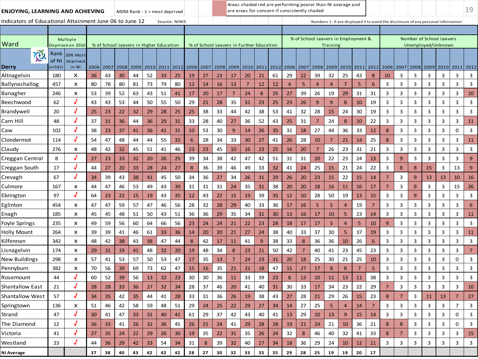| ENJOYING, LEARNING AND ACHIEVING                        |                    |                               |           |    |      |      |      | MDM Rank - $1 =$ most deprived          |      |           |        |      |                |                | are areas for concern if consistently shaded |      |      |                                     |                |                |                |                                                                                   |                |                |                |      |      |                                                |                | 19 |
|---------------------------------------------------------|--------------------|-------------------------------|-----------|----|------|------|------|-----------------------------------------|------|-----------|--------|------|----------------|----------------|----------------------------------------------|------|------|-------------------------------------|----------------|----------------|----------------|-----------------------------------------------------------------------------------|----------------|----------------|----------------|------|------|------------------------------------------------|----------------|----|
| Indicators of Educational Attainment June 06 to June 12 |                    |                               |           |    |      |      |      | Source: NINIS                           |      |           |        |      |                |                |                                              |      |      |                                     |                |                |                | Numbers 1 - 6 are displayed 3 to avoid the disclosure of any personal information |                |                |                |      |      |                                                |                |    |
|                                                         |                    |                               |           |    |      |      |      |                                         |      |           |        |      |                |                |                                              |      |      |                                     |                |                |                |                                                                                   |                |                |                |      |      |                                                |                |    |
| Ward                                                    |                    | Multiple<br>Deprivation 2010  |           |    |      |      |      | % of School Leavers in Higher Education |      |           |        |      |                |                | % of School Leavers in Further Education     |      |      | % of School Leavers in Employment & |                | Training       |                |                                                                                   |                |                |                |      |      | Number of School Leavers<br>Unemployed/Unknown |                |    |
|                                                         | Rank               |                               |           |    |      |      |      |                                         |      |           |        |      |                |                |                                              |      |      |                                     |                |                |                |                                                                                   |                |                |                |      |      |                                                |                |    |
| O.<br>Derry                                             | of NI<br>$n = 582$ | 20% Most<br>deprived<br>in NI | 2006 2007 |    | 2008 | 2009 | 2010 | 2011                                    | 2012 | 2006 2007 |        | 2008 | 2009           |                | 2010 2011                                    | 2012 | 2006 | 2007                                | 2008           | 2009 2010      |                | 2011                                                                              | 2012           |                | 2006 2007      | 2008 | 2009 | 2010                                           | 2011 2012      |    |
| Altnagelvin                                             | 180                | x                             | 36        | 43 | 30   | 44   | 52   | 33                                      | 25   | 19        | 27     | 23   | 17             | 20             | 21                                           | 61   | 29   | 22                                  | 39             | 32             | 25             | 43                                                                                | 8              | 10             | 3              | 3    | 3    | 3                                              | 3              | 3  |
| Ballynashallog                                          | 457                | x                             | 80        | 78 | 80   | 81   | 73   | 79                                      | 80   | 12        | 14     | 16   | 13             | $\overline{7}$ | 12                                           | 12   | 4    | 5                                   | 4              | $\overline{4}$ | $\overline{7}$ | 5                                                                                 | 6              | 3              | 3              | 3    | 3    | 3                                              | 3              | 3  |
| Banagher                                                | 246                | X                             | 53        | 39 | 52   | 63   | 43   | 51                                      | 41   | 17        | 20     | 17   | $\overline{7}$ | 24             | 8                                            | 25   | 27   | 39                                  | 26             | 19             | 29             | 31                                                                                | 31             | 3              | 3              | 3    | 3    | 3                                              | 3              | 10 |
| Beechwood                                               | 62                 |                               | 43        | 43 | 53   | 44   | 50   | 55                                      | 50   | 29        | 21     | 28   | 35             | 31             | 23                                           | 25   | 23   | 26                                  | 9              | 9              | 8              | 10                                                                                | 19             | 3              | 3              | 3    | 3    | 3                                              | 3              | 3  |
| Brandywell                                              | 20                 |                               | 25        | 23 | 22   | 32   | 29   | 28                                      | 25   | 25        | 38     | 33   | 44             | 42             | 38                                           | 53   | 41   | 32                                  | 28             | 15             | 24             | 30                                                                                | 19             | 3              | 3              | 3    | 3    | 3                                              | 3              | 3  |
| Carn Hill                                               | 48                 |                               | 37        | 31 | 36   | 44   | 36   | 29                                      | 31   | 33        | 28     | 40   | 27             | 36             | 52                                           | 43   | 25   | 31                                  | $\overline{7}$ | 24             | 8              | 10                                                                                | 22             | 3              | 3              | 3    | 3    | 3                                              | 3              | 11 |
| Caw                                                     | 102                |                               | 38        | 23 | 37   | 41   | 36   | 41                                      | 31   | 10        | 53     | 30   | 9              | 14             | 26                                           | 35   | 31   | 18                                  | 27             | 44             | 36             | 33                                                                                | 12             | 8              | 3              | 3    | 3    | 3                                              | 0              | 3  |
| Clondermot                                              | 114                |                               | 54        | 47 | 48   | 44   | 44   | 55                                      | 32   | 6         | 28     | 34   | 33             | 30             | 27                                           | 41   | 26   | 28                                  | 10             | 7              | 21             | 14                                                                                | 25             | 8              | 3              | 3    | 3    | 3                                              | 3              | 11 |
| Claudy                                                  | 276                | x                             | 48        | 42 | 32   | 45   | 51   | 41                                      | 46   | 23        | 23     | 45   | 10             | 16             | 23                                           | 25   | 16   | 20                                  | $\overline{7}$ | 26             | 23             | 31                                                                                | 21             | 3              | 3              | 3    | 3    | 3                                              | 3              | 3  |
| Creggan Central                                         | 8                  |                               | 27        | 23 | 33   | 32   | 20   | 26                                      | 25   | 39        | 34     | 38   | 42             | 47             | 42                                           | 51   | 31   | 31                                  | 20             | 22             | 23             | 24                                                                                | 13             | 3              | 9              | 3    | 3    | 3                                              | 3              | 9  |
| Creggan South                                           | 17                 |                               | 44        | 27 | 20   | 33   | 28   | 24                                      | 27   | 8         | 36     | 39   | 46             | 49             | 33                                           | 32   | 41   | 24                                  | 25             | 15             | 21             | 24                                                                                | 22             | 3              | $\bf 8$        | 8    | 15   | 3                                              | 13             | 9  |
| Crevagh                                                 | 67                 |                               | 34        | 39 | 43   | 38   | 41   | 45                                      | 50   | 34        | 36     | 27   | 34             | 26             | 31                                           | 29   | 26   | 20                                  | 23             | 15             | 22             | 15                                                                                | 14             | $\overline{7}$ | 3              | 9    | 13   | 13                                             | 10             | 16 |
| Culmore                                                 | 167                | x                             | 44        | 47 | 46   | 53   | 49   | 43                                      | 39   | 31        | 31     | 31   | 24             | 35             | 31                                           | 38   | 20   | 20                                  | 18             | 16             | 11             | 16                                                                                | 17             | $\overline{7}$ | 3              | 9    | 3    | 3                                              | 15             | 26 |
| Ebrington                                               | 97                 |                               | 64        | 23 | 22   | 15   | 19   | 43                                      | 35   | 12        | 43     | 22   | 15             | 19             | 39                                           | 35   | 12   | 10                                  | 28             | 50             | 19             | 13                                                                                | 15             | 3              | 3              | 9    | 3    | 3                                              | 3              | 3  |
| Eglinton                                                | 454                | X                             | 47        | 47 | 59   | 57   | 47   | 46                                      | 56   | 28        | 32     | 28   | 29             | 40             | 33                                           | 36   | 17   | 16                                  | 5              | 5              |                | 19                                                                                | $\overline{7}$ | 3              | 3              | 3    | 3    | 3                                              | 3              | 6  |
| Enagh                                                   | 185                | X                             | 45        | 45 | 48   | 51   | 50   | 43                                      | 51   | 36        | 36     | 29   | 35             | 34             | 31                                           | 30   | 13   | 16                                  | 17             | 10             | 5              | 23                                                                                | 14             | 3              | 3              | 3    | 3    | 3                                              | 3              | 11 |
| Foyle Springs                                           | 235                | X                             | 49        | 59 | 56   | 60   | 64   | 66                                      | 56   | 23        | 24     | 24   | 21             | 22             | 23                                           | 28   | 18   | 17                                  | 17             | 5              | $\overline{4}$ | 5                                                                                 | 10             | 9              | 3              | 3    | 3    | 3                                              | 3              | 3  |
| <b>Holly Mount</b>                                      | 264                | X                             | 39        | 39 | 41   | 46   | 61   | 33                                      | 36   | 14        | 20     | 20   | 21             | 27             | 24                                           | 38   | 40   | 33                                  | 37             | 30             | 5              | 37                                                                                | 19             | 3              | 3              | 3    | 3    | 3                                              | 3              | 11 |
| Kilfennan                                               | 342                | X                             | 48        | 42 | 38   | 43   | 38   | 47                                      | 44   | 8         | 42     | 17   | 11             | 41             | $\overline{9}$                               | 38   | 33   | 8                                   | 36             | 36             | 10             | 26                                                                                | 6              | 3              | 3              | 3    | 3    | 3                                              | 3              | 3  |
| Lisnagelvin                                             | 174                | X                             | 29        | 31 | 19   | 41   | 48   | 32                                      | 20   | 19        | 48     | 34   | 8              | 23             | 21                                           | 50   | 42   | $\overline{7}$                      | 40             | 41             | 23             | 45                                                                                | 23             | 3              | 3              | 3    | 3    | 3                                              | 3              | 7  |
| New Buildings                                           | 298                | x                             | 57        | 41 | 53   | 57   | 50   | 53                                      | 47   | 17        | 35     | 13   | $\overline{7}$ | 24             | 23                                           | 31   | 20   | 18                                  | 25             | 30             | 21             | 25                                                                                | 10             | 3              | 3              | 3    | 3    | 3                                              | 0              | 3  |
| Pennyburn                                               | 382                | x                             | 70        | 56 | 39   | 69   | 73   | 62                                      | 47   | 15        | 16     | 35   | 21             | 22             | 18                                           | 47   | 15   | 27                                  | 17             | 8              | 8              | $\overline{7}$                                                                    | 5              | 3              | 3              | 3    | 3    | 3                                              | 3              | 3  |
| Rosemount                                               | 44                 |                               | 60        | 52 | 39   | 56   | 13   | 32                                      | 23   | 30        | 30     | 36   | 11             | 33             | 39                                           | 23   | 8    | 13                                  | 10             | 11             | 13             | 11                                                                                | 38             | 3              | 3              | 3    | 3    | 3                                              | 3              | 3  |
| Shantallow East                                         | 21                 |                               | 28        | 28 | 33   | 36   | 27   | 32                                      | 34   | 28        | 37     | 46   | 20             | 41             | 40                                           | 31   | 30   | 33                                  | 17             | 34             | 23             | 22                                                                                | 29             | $\overline{7}$ | 3              | 3    | 3    | 3                                              | 3              | 10 |
| <b>Shantallow West</b>                                  | 57                 |                               | 34        | 35 | 42   | 35   | 44   | 41                                      | 28   | 33        | 31     | 36   | 26             | 19             | 38                                           | 43   | 27   | 28                                  | 21             | 29             | 26             | 15                                                                                | 23             | 8              | $\overline{7}$ | 3    | 11   | 13                                             | $\overline{7}$ | 27 |
| Springtown                                              | 136                | X                             | 51        | 46 | 42   | 58   | 59   | 48                                      | 51   | 29        | $24\,$ | 25   | 22             | 29             | 27                                           | 34   | -14  | 27                                  | 25             | 5              | $\overline{a}$ | 14                                                                                |                | 3              | 3              | 3    | 3    | 3                                              | $\overline{7}$ | 3  |
| Strand                                                  | 47                 | J                             | 30        | 41 | 47   | 33   | 31   | 40                                      | 41   | 61        | 29     | 37   | 42             | 43             | 40                                           | 41   | 13   | 29                                  | 10             | 13             | 9              | 15                                                                                | 14             | 3              | 3              | 3    | 3    | 3                                              | 0              | 3  |
| The Diamond                                             | 12                 |                               | 36        | 33 | 41   | 26   | 32   | 36                                      | 45   | 26        | 21     | 24   | 41             | 29             | 28                                           | 28   | 19   | 21                                  | 24             | 21             | 10             | 36                                                                                | 21             | 8              | 8              | 3    | 3    | 3                                              | 0              | 3  |
| Victoria                                                | 41                 | $\boldsymbol{J}$              | 27        | 35 | 24   | 22   | 29   | 26                                      | 30   | 19        | 35     | 22   | 31             | 35             | 26                                           | 24   | 32   | 8                                   | 46             | 40             | 32             | 41                                                                                | 33             | 8              | $\overline{7}$ | 3    | 3    | 3                                              | 3              | 15 |
| Westland                                                | 23                 |                               | 44        | 36 | 29   | 42   | 33   | 54                                      | 34   | 31        | 8      | 39   | 32             | 40             | 27                                           | 34   | 18   | 36                                  | 29             | 24             | 10             | 12                                                                                | 11             | 3              | 3              | 3    | 3    | 3                                              | 3              | 3  |
| NI Average                                              |                    |                               | 37        | 38 | 40   | 43   | 42   | 42                                      | 42   | 28        | 27     | 30   | 32             | 33             | 33                                           | 35   | 29   | 28                                  | 25             | 19             | 19             | 20                                                                                | 17             |                |                |      |      |                                                |                |    |
|                                                         |                    |                               |           |    |      |      |      |                                         |      |           |        |      |                |                |                                              |      |      |                                     |                |                |                |                                                                                   |                |                |                |      |      |                                                |                |    |

Areas shaded red are performing poorer than NI average and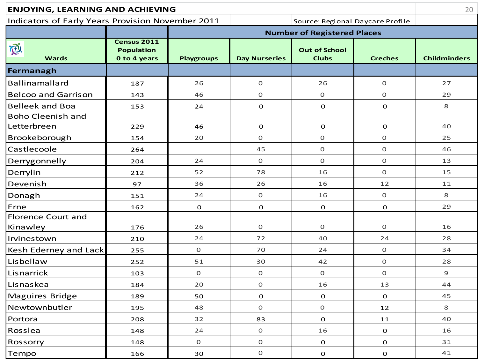| <b>ENJOYING, LEARNING AND ACHIEVING</b>           |                                                         |                   |                      |                                      |                | 20                  |
|---------------------------------------------------|---------------------------------------------------------|-------------------|----------------------|--------------------------------------|----------------|---------------------|
| Indicators of Early Years Provision November 2011 |                                                         |                   |                      | Source: Regional Daycare Profile     |                |                     |
|                                                   |                                                         |                   |                      | <b>Number of Registered Places</b>   |                |                     |
| i®.<br><b>Wards</b>                               | <b>Census 2011</b><br><b>Population</b><br>0 to 4 years | <b>Playgroups</b> | <b>Day Nurseries</b> | <b>Out of School</b><br><b>Clubs</b> | <b>Creches</b> | <b>Childminders</b> |
| Fermanagh                                         |                                                         |                   |                      |                                      |                |                     |
| <b>Ballinamallard</b>                             | 187                                                     | 26                | $\mathsf O$          | 26                                   | $\overline{0}$ | 27                  |
| <b>Belcoo and Garrison</b>                        | 143                                                     | 46                | $\mathsf O$          | $\mathbf 0$                          | $\mathsf O$    | 29                  |
| <b>Belleek and Boa</b>                            | 153                                                     | 24                | $\mathbf 0$          | 0                                    | 0              | 8                   |
| <b>Boho Cleenish and</b><br>Letterbreen           | 229                                                     | 46                | ${\bf O}$            | $\mathbf O$                          | 0              | 40                  |
| Brookeborough                                     | 154                                                     | 20                | $\mathsf O$          | $\mathbf 0$                          | $\mathbf{O}$   | 25                  |
| Castlecoole                                       | 264                                                     |                   | 45                   | $\mathbf 0$                          | $\mathbf 0$    | 46                  |
| Derrygonnelly                                     | 204                                                     | 24                | $\mathsf O$          | $\mathsf O$                          | $\mathsf O$    | 13                  |
| Derrylin                                          | 212                                                     | 52                | 78                   | 16                                   | $\mathbf 0$    | 15                  |
| Devenish                                          | 97                                                      | 36                | 26                   | 16                                   | 12             | 11                  |
| Donagh                                            | 151                                                     | 24                | $\mathsf O$          | 16                                   | $\mathsf O$    | 8                   |
| Erne                                              | 162                                                     | $\mathbf 0$       | $\mathbf 0$          | 0                                    | $\mathbf 0$    | 29                  |
| <b>Florence Court and</b>                         |                                                         |                   |                      |                                      |                |                     |
| Kinawley                                          | 176                                                     | 26                | $\mathbf O$          | 0                                    | $\mathbf 0$    | 16                  |
| Irvinestown                                       | 210                                                     | 24                | 72                   | 40                                   | 24             | 28                  |
| Kesh Ederney and Lack                             | 255                                                     | 0                 | 70                   | 24                                   | $\mathsf O$    | 34                  |
| Lisbellaw                                         | 252                                                     | 51                | 30                   | 42                                   | $\mathsf O$    | 28                  |
| Lisnarrick                                        | 103                                                     | $\mathbf 0$       | $\mathsf O$          | $\overline{O}$                       | $\overline{0}$ | 9                   |
| Lisnaskea                                         | 184                                                     | 20                | $\mathsf O$          | 16                                   | 13             | 44                  |
| Maguires Bridge                                   | 189                                                     | 50                | $\mathbf 0$          | 0                                    | 0              | 45                  |
| Newtownbutler                                     | 195                                                     | 48                | $\mathsf O$          | $\mathsf O$                          | 12             | 8                   |
| Portora                                           | 208                                                     | 32                | 83                   | $\mathbf 0$                          | ${\bf 11}$     | 40                  |
| Rosslea                                           | 148                                                     | 24                | $\mathsf O$          | 16                                   | $\mathbf O$    | 16                  |
| Rossorry                                          | 148                                                     | $\mathbf 0$       | $\mathsf O$          | $\mathbf O$                          | $\mathbf O$    | 31                  |
| Tempo                                             | 166                                                     | 30                | $\mathsf O$          | 0                                    | $\mathbf O$    | 41                  |
|                                                   |                                                         |                   |                      |                                      |                |                     |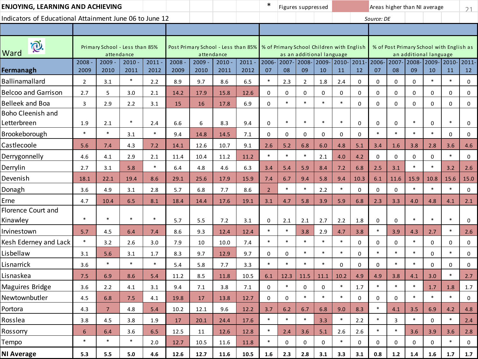| ENJOYING, LEARNING AND ACHIEVING                        |                |                  |                                              |              |                  |                                                                                 |              |                  | ∗              |              | Figures suppressed |                           |             |                |             |                |             | Areas higher than NI average                                       |                 | 21          |
|---------------------------------------------------------|----------------|------------------|----------------------------------------------|--------------|------------------|---------------------------------------------------------------------------------|--------------|------------------|----------------|--------------|--------------------|---------------------------|-------------|----------------|-------------|----------------|-------------|--------------------------------------------------------------------|-----------------|-------------|
| Indicators of Educational Attainment June 06 to June 12 |                |                  |                                              |              |                  |                                                                                 |              |                  |                |              |                    |                           |             |                | Source: DE  |                |             |                                                                    |                 |             |
|                                                         |                |                  |                                              |              |                  |                                                                                 |              |                  |                |              |                    |                           |             |                |             |                |             |                                                                    |                 |             |
| P.<br>Ward                                              |                |                  | Primary School - Less than 85%<br>attendance |              |                  | Post Primary School - Less than 85%   % of Primary School Children with English | attendance   |                  |                |              |                    | as an additional language |             |                |             |                |             | % of Post Primary School with English as<br>an additional language |                 |             |
| Fermanagh                                               | 2008<br>2009   | $2009 -$<br>2010 | 2010<br>2011                                 | 2011<br>2012 | $2008 -$<br>2009 | 2009<br>2010                                                                    | 2010<br>2011 | $2011 -$<br>2012 | 2006-<br>07    | 2007-<br>08  | 09                 | 2008-2009-<br>10          | 2010-<br>11 | $2011 -$<br>12 | 2006-<br>07 | $2007 -$<br>08 | 2008-<br>09 | 2009-<br>10                                                        | $ 2010- $<br>11 | 2011-<br>12 |
| <b>Ballinamallard</b>                                   | $\overline{2}$ | 3.1              | $\ast$                                       | 2.2          | 8.9              | 9.7                                                                             | 8.6          | 6.5              | $\ast$         | 2.3          | $\overline{2}$     | 1.8                       | 2.4         | $\mathbf 0$    | 0           | 0              | $\Omega$    | $\ast$                                                             | $\ast$          | 0           |
| <b>Belcoo and Garrison</b>                              | 2.7            | 5                | 3.0                                          | 2.1          | 14.2             | 17.9                                                                            | 15.8         | 12.6             | $\mathbf 0$    | $\mathbf{0}$ | 0                  | 0                         | 0           | $\mathbf{0}$   | 0           | 0              | $\mathbf 0$ | $\mathbf 0$                                                        | 0               | 0           |
| <b>Belleek and Boa</b>                                  | 3              | 2.9              | 2.2                                          | 3.1          | 15               | 16                                                                              | 17.8         | 6.9              | 0              | $\ast$       | $\ast$             | $\ast$                    | $\ast$      | 0              | 0           | 0              | $\mathbf 0$ | $\mathbf 0$                                                        | 0               | 0           |
| <b>Boho Cleenish and</b><br>Letterbreen                 | 1.9            | 2.1              | $\ast$                                       | 2.4          | 6.6              | 6                                                                               | 8.3          | 9.4              | $\mathbf 0$    | $\ast$       | $\ast$             | $\ast$                    | $\ast$      | 0              | 0           | 0              | $\ast$      | $\mathbf 0$                                                        | $\ast$          | 0           |
| Brookeborough                                           | $\ast$         | $\ast$           | 3.1                                          | $\ast$       | 9.4              | 14.8                                                                            | 14.5         | 7.1              | 0              | $\mathbf{0}$ | 0                  | 0                         | $\mathbf 0$ | $\mathbf 0$    | $\ast$      | $\ast$         | $\ast$      | $\ast$                                                             | $\mathbf 0$     | 0           |
| Castlecoole                                             | 5.6            | 7.4              | 4.3                                          | 7.2          | 14.1             | 12.6                                                                            | 10.7         | 9.1              | 2.6            | 5.2          | 6.8                | 6.0                       | 4.8         | 5.1            | 3.4         | 1.6            | 3.8         | 2.8                                                                | 3.6             | 4.6         |
| Derrygonnelly                                           | 4.6            | 4.1              | 2.9                                          | 2.1          | 11.4             | 10.4                                                                            | 11.2         | 11.2             | $\ast$         | $\ast$       | $\ast$             | 2.1                       | 4.0         | 4.2            | 0           | 0              | $\mathbf 0$ | $\mathbf 0$                                                        | $\ast$          | 0           |
| Derrylin                                                | 2.7            | 3.1              | 5.8                                          | $\ast$       | 6.4              | 4.8                                                                             | 4.6          | 6.3              | 3.4            | 5.4          | 5.9                | 8.4                       | 7.2         | 6.8            | 2.5         | 3.1            | $\ast$      | $\ast$                                                             | 3.2             | 2.6         |
| Devenish                                                | 18.1           | 22.1             | 19.4                                         | 8.6          | 29.1             | 25.6                                                                            | 17.9         | 15.9             | 7.4            | 6.7          | 9.4                | 5.8                       | 9.4         | 10.3           | 6.1         | 11.6           | 15.9        | 10.8                                                               | 15.6            | 15.0        |
| Donagh                                                  | 3.6            | 4.9              | 3.1                                          | 2.8          | 5.7              | 6.8                                                                             | 7.7          | 8.6              | $\overline{2}$ | $\ast$       | $\ast$             | 2.2                       | $\ast$      | $\mathbf 0$    | 0           | 0              | $\ast$      | $\ast$                                                             | $\ast$          | $\mathbf 0$ |
| Erne                                                    | 4.7            | 10.4             | 6.5                                          | 8.1          | 18.4             | 14.4                                                                            | 17.6         | 19.1             | 3.1            | 4.7          | 5.8                | 3.9                       | 5.9         | 6.8            | 2.3         | 3.3            | 4.0         | 4.8                                                                | 4.1             | 2.1         |
| <b>Florence Court and</b><br>Kinawley                   | $\ast$         | $\ast$           | $\ast$                                       | $\ast$       | 5.7              | 5.5                                                                             | 7.2          | 3.1              | 0              | 2.1          | 2.1                | 2.7                       | 2.2         | 1.8            | 0           | $\mathbf 0$    | $\ast$      | $\ast$                                                             | $\ast$          | 0           |
| Irvinestown                                             | 5.7            | 4.5              | 6.4                                          | 7.4          | 8.6              | 9.3                                                                             | 12.4         | 12.4             | $\ast$         | $\ast$       | 3.8                | 2.9                       | 4.7         | 3.8            | $\ast$      | 3.9            | 4.3         | 2.7                                                                | $\ast$          | 2.6         |
| Kesh Ederney and Lack                                   | $\ast$         | 3.2              | 2.6                                          | 3.0          | 7.9              | 10                                                                              | 10.0         | 7.4              | $\ast$         | $\ast$       | $\ast$             | $\ast$                    | $\ast$      | $\mathbf 0$    | 0           | 0              | $\ast$      | $\mathbf 0$                                                        | 0               | 0           |
| Lisbellaw                                               | 3.1            | 5.6              | 3.1                                          | 1.7          | 8.3              | 9.7                                                                             | 12.9         | 9.7              | 0              | $\mathbf 0$  | $\ast$             | $\ast$                    | $\ast$      | 0              | $\ast$      | $\ast$         | $\ast$      | $\Omega$                                                           | $\ast$          | 0           |
| Lisnarrick                                              | 3.6            | $\ast$           | $\ast$                                       | $\ast$       | 5.4              | 5.8                                                                             | 7.7          | 3.3              | $\ast$         | $\ast$       | $\ast$             | $\ast$                    | $\Omega$    | $\mathbf 0$    | 0           | $\ast$         | $\ast$      | $\Omega$                                                           | $\mathbf 0$     | 0           |
| Lisnaskea                                               | 7.5            | 6.9              | 8.6                                          | 5.4          | 11.2             | 8.5                                                                             | 11.8         | 10.5             | 6.1            | 12.3         | 11.5               | 11.1                      | 10.2        | 4.9            | 4.9         | 3.8            | 4.1         | 3.0                                                                | $\ast$          | 2.7         |
| Maguires Bridge                                         | 3.6            | 2.2              | 4.1                                          | 3.1          | 9.4              | 7.1                                                                             | 3.8          | 7.1              | 0              | $\ast$       | 0                  | 0                         | $\ast$      | 1.7            | $\ast$      | $\ast$         | $\ast$      | 1.7                                                                | 1.8             | 1.7         |
| Newtownbutler                                           | 4.5            | 6.8              | 7.5                                          | 4.1          | 19.8             | 17                                                                              | 13.8         | 12.7             | 0              | $\Omega$     | $\ast$             | $\ast$                    | $\ast$      | 0              | 0           | 0              |             | $\ast$                                                             | $\ast$          | $\Omega$    |
| Portora                                                 | 4.3            | $\overline{7}$   | 4.8                                          | 5.4          | 10.2             | 12.1                                                                            | 9.6          | 12.2             | 3.7            | 6.2          | 6.7                | 6.8                       | 9.0         | 8.3            | $\ast$      | 4.1            | 3.5         | 6.9                                                                | 4.2             | 4.8         |
| Rosslea                                                 | 3.8            | 4.5              | 3.8                                          | 1.9          | 17               | 20.1                                                                            | 24.4         | 17.6             | $\ast$         | $\ast$       | $\ast$             | 3.3                       | $\ast$      | 2.2            | $\ast$      | 3              | $\ast$      | $\mathbf 0$                                                        | $\ast$          | 2.4         |
| Rossorry                                                | 6              | 6.4              | 3.6                                          | 6.5          | 12.5             | 11                                                                              | 12.6         | 12.8             | $\ast$         | 2.4          | 3.6                | 5.1                       | 2.6         | 2.6            | $\ast$      | $\ast$         | 3.6         | 3.9                                                                | 3.6             | 2.8         |
| Tempo                                                   | $\ast$         | $\ast$           | $\ast$                                       | 2.0          | 12.7             | 10.5                                                                            | 11.6         | 11.8             | $\ast$         | 0            | 0                  | 0                         | $\ast$      | 0              | 0           | 0              | 0           | 0                                                                  | $\ast$          | 0           |
| <b>NI Average</b>                                       | 5.3            | 5.5              | 5.0                                          | 4.6          | 12.6             | 12.7                                                                            | 11.6         | 10.5             | 1.6            | 2.3          | 2.8                | 3.1                       | 3.3         | 3.1            | 0.8         | $1.2$          | 1.4         | $1.6\phantom{0}$                                                   | 1.7             | 1.7         |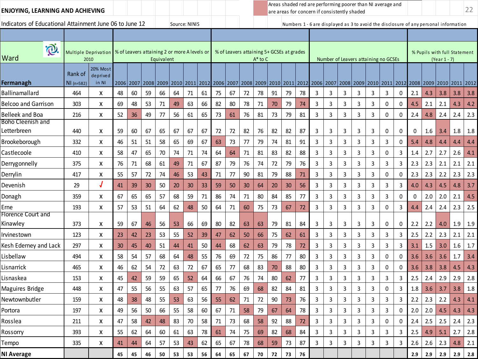| ENJOYING, LEARNING AND ACHIEVING                        |                                     |                               |    |                                              |    |            |    |               |    |    |    |                                                        |              |          |    |    | Areas shaded red are performing poorer than NI average and<br>are areas for concern if consistently shaded |              |                |                                      |      |              |                         |                     |         |                                                                                      |           | 22  |
|---------------------------------------------------------|-------------------------------------|-------------------------------|----|----------------------------------------------|----|------------|----|---------------|----|----|----|--------------------------------------------------------|--------------|----------|----|----|------------------------------------------------------------------------------------------------------------|--------------|----------------|--------------------------------------|------|--------------|-------------------------|---------------------|---------|--------------------------------------------------------------------------------------|-----------|-----|
| Indicators of Educational Attainment June 06 to June 12 |                                     |                               |    |                                              |    |            |    | Source: NINIS |    |    |    |                                                        |              |          |    |    |                                                                                                            |              |                |                                      |      |              |                         |                     |         | Numbers 1 - 6 are displayed as 3 to avoid the disclosure of any personal information |           |     |
|                                                         |                                     |                               |    |                                              |    |            |    |               |    |    |    |                                                        |              |          |    |    |                                                                                                            |              |                |                                      |      |              |                         |                     |         |                                                                                      |           |     |
| <b>D</b><br>Ward                                        | <b>Multiple Deprivation</b><br>2010 |                               |    | % of Leavers attaining 2 or more A levels or |    | Equivalent |    |               |    |    |    | % of Leavers attaining 5+ GCSEs at grades              | $A^*$ to $C$ |          |    |    |                                                                                                            |              |                | Number of Leavers attaining no GCSEs |      |              |                         |                     |         | % Pupils with full Statement<br>(Year 1 - 7)                                         |           |     |
| Fermanagh                                               | Rank of<br>NI (n=582)               | 20% Most<br>deprived<br>in NI |    | 2006 2007                                    |    |            |    |               |    |    |    | 2008 2009 2010 2011 2012 2006 2007 2008 2009 2010 2011 |              |          |    |    | 2012 2006 2007 2008 2009                                                                                   |              |                |                                      | 2010 |              |                         | 2011 2012 2008 2009 |         | 2010                                                                                 | 2011 2012 |     |
| <b>Ballinamallard</b>                                   | 464                                 | X                             | 48 | 60                                           | 59 | 66         | 64 | 71            | 61 | 75 | 67 | 72                                                     | 78           | 91       | 79 | 78 | 3                                                                                                          | 3            | 3              | 3                                    | 3    | $\mathbf{3}$ | 0                       | 2.1                 | 4.3     | 3.8                                                                                  | 3.8       | 3.8 |
| <b>Belcoo and Garrison</b>                              | 303                                 | x                             | 69 | 48                                           | 53 | 71         | 49 | 63            | 66 | 82 | 80 | 78                                                     | 71           | 70       | 79 | 74 | 3                                                                                                          | 3            | 3              | 3                                    | 3    | 0            | 0                       | 4.5                 | 2.1     | 2.1                                                                                  | 4.3       | 4.2 |
| Belleek and Boa                                         | 216                                 | X                             | 52 | 36                                           | 49 | 77         | 56 | 61            | 65 | 73 | 61 | 76                                                     | 81           | 73       | 79 | 81 | 3                                                                                                          | 3            | 3              | 3                                    | 3    | 0            | 0                       | 2.4                 | 4.8     | 2.4                                                                                  | 2.4       | 2.3 |
| Boho Cleenish and<br>Letterbreen                        | 440                                 | x                             | 59 | 60                                           | 67 | 65         | 67 | 67            | 67 | 72 | 72 | 82                                                     | 76           | 82       | 82 | 87 | 3                                                                                                          | 3            | 3              | 3                                    | 3    | 0            | 0                       | 0                   | 1.6     | 3.4                                                                                  | 1.8       | 1.8 |
| Brookeborough                                           | 332                                 | x                             | 46 | 51                                           | 51 | 58         | 65 | 69            | 67 | 63 | 73 | 77                                                     | 79           | 74       | 81 | 91 | 3                                                                                                          | 3            | 3              | 3                                    | 3    | 3            | 0                       | 5.4                 | 4.8     | 4.4                                                                                  | 4.4       | 4.4 |
| Castlecoole                                             | 410                                 | X                             | 58 | 47                                           | 65 | 70         | 74 | 71            | 74 | 64 | 64 | 71                                                     | 81           | 83       | 82 | 88 | 3                                                                                                          | 3            | 3              | 3                                    | 3    | 0            | 3                       | 1.4                 | 2.7     | 2.7                                                                                  | 2.6       | 4.1 |
| Derrygonnelly                                           | 375                                 | x                             | 76 | 71                                           | 68 | 61         | 49 | 71            | 67 | 87 | 79 | 76                                                     | 74           | 72       | 79 | 76 | 3                                                                                                          | 3            | 3              | 3                                    | 3    | 3            | 3                       | 2.3                 | 2.3     | 2.1                                                                                  | 2.1       | 2.1 |
| Derrylin                                                | 417                                 | x                             | 55 | 57                                           | 72 | 74         | 46 | 53            | 43 | 71 | 77 | 90                                                     | 81           | 79       | 88 | 71 | 3                                                                                                          | 3            | 3              | 3                                    | 3    | 0            | 0                       | 2.3                 | 2.3     | 2.2                                                                                  | 2.3       | 2.3 |
| Devenish                                                | 29                                  |                               | 41 | 39                                           | 30 | 50         | 20 | 30            | 33 | 59 | 50 | 30                                                     | 64           | 20       | 30 | 56 | 3                                                                                                          | 3            | 3              | 3                                    | 3    | 3            | 3                       | 4.0                 | 4.3     | 4.5                                                                                  | 4.8       | 3.7 |
| Donagh                                                  | 359                                 | X                             | 67 | 65                                           | 65 | 57         | 68 | 59            | 71 | 86 | 74 | 71                                                     | 80           | 84       | 85 | 77 | 3                                                                                                          | 3            | 3              | 3                                    | 3    | 3            | 0                       | 0                   | 2.0     | 2.0                                                                                  | 2.1       | 4.5 |
| Erne                                                    | 193                                 | x                             | 57 | 53                                           | 51 | 64         | 62 | 48            | 50 | 64 | 71 | 60                                                     | 75           | 73       | 67 | 72 | 3                                                                                                          | 3            | 3              | 3                                    | 3    | 0            | 3                       | 4.4                 | 2.4     | 2.4                                                                                  | 2.3       | 2.5 |
| Florence Court and<br>Kinawley                          | 373                                 | х                             | 59 | 67                                           | 46 | 56         | 53 | 66            | 69 | 80 | 82 | 63                                                     | 63           | 79       | 81 | 84 | 3                                                                                                          | 3            | 3              | 3                                    | 3    | 0            | 0                       | 2.2                 | 2.2     | 4.0                                                                                  | 1.9       | 1.9 |
| Irvinestown                                             | 123                                 | X                             | 23 | 42                                           | 23 | 53         | 55 | 52            | 39 | 47 | 62 | 50                                                     | 66           | 75       | 62 | 61 | 3                                                                                                          | 3            | 3              | 3                                    | 3    | 3            | 3                       | 2.5                 | 2.2     | 2.3                                                                                  | 2.1       | 2.1 |
| Kesh Ederney and Lack                                   | 297                                 | x                             | 30 | 45                                           | 40 | 51         | 44 | 41            | 50 | 44 | 68 | 62                                                     | 63           | 79       | 78 | 72 | 3                                                                                                          | 3            | 3              | 3                                    | 3    | 3            | 3                       | 3.1                 | 1.5     | 3.0                                                                                  | 1.6       | 1.7 |
| Lisbellaw                                               | 494                                 | X                             | 58 | 54                                           | 57 | 68         | 64 | 48            | 55 | 76 | 69 | 72                                                     | 75           | 86       | 77 | 80 | 3                                                                                                          | 3            | 3              | 3                                    | 3    | 0            | 0                       | 3.6                 | 3.6     | 3.6                                                                                  | 1.7       | 3.4 |
| Lisnarrick                                              | 465                                 | x                             | 46 | 62                                           | 54 | 72         | 63 | 72            | 67 | 65 | 77 | 68                                                     | 83           | 70       | 88 | 80 | $\mathsf 3$                                                                                                | 3            | 3              | 3                                    | 3    | 0            | 0                       | 3.6                 | 3.8     | 3.8                                                                                  | 4.5       | 4.3 |
| Lisnaskea                                               | 153                                 | x                             | 45 | 42                                           | 59 | 59         | 65 | 52            | 64 | 66 | 67 | 76                                                     | 74           | 80       | 62 | 77 | 3                                                                                                          | 3            | 3              | 3                                    | 3    | 3            | 3                       | 2.5                 | 2.4     | 2.9                                                                                  | 2.9       | 2.8 |
| Maguires Bridge                                         | 448                                 | x                             | 47 | 55                                           | 56 | 55         | 63 | 57            | 65 | 77 | 76 | 69                                                     | 68           | 82       | 84 | 81 | 3                                                                                                          | 3            | 3              | 3                                    | 3    | 0            | 3                       | 1.8                 | 3.6     | 3.7                                                                                  | 3.8       | 1.8 |
| Newtownbutler                                           | 159                                 | χ                             | 48 | 38                                           | 48 | 55         | 53 | 63            | 56 | 55 | 62 | 71                                                     | 72           | 90<br>~~ | 73 | 76 | ₹                                                                                                          | $\mathbf{a}$ | $\overline{3}$ | $\mathbf{a}$                         | ξ    | 3            | $\overline{\mathbf{a}}$ | 2.2                 | 2.3     | 2.2                                                                                  | 4.3       | 4.1 |
| Portora                                                 | 197                                 | X                             | 49 | 56                                           | 50 | 66         | 55 | 58            | 60 | 67 | 71 | 58                                                     | 79           | 67       | 64 | 78 | 3                                                                                                          | 3            | 3              | 3                                    | 3    | $\mathbf{3}$ | 0                       | 2.0                 | $2.0\,$ | 4.5                                                                                  | 4.3       | 4.3 |
| Rosslea                                                 | 211                                 | x                             | 47 | 58                                           | 42 | 48         | 83 | 70            | 58 | 71 | 73 | 68                                                     | 58           | 92       | 88 | 72 | 3                                                                                                          | 3            | 3              | 3                                    | 3    | 0            | 0                       | 2.4                 | 2.5     | 2.5                                                                                  | 2.4       | 2.3 |
| Rossorry                                                | 393                                 | X                             | 55 | 62                                           | 64 | 60         | 61 | 63            | 78 | 61 | 74 | 75                                                     | 69           | 82       | 68 | 84 | 3                                                                                                          | 3            | 3              | 3                                    | 3    | 3            | 3                       | 2.5                 | 4.9     | 5.1                                                                                  | 2.7       | 2.8 |
| Tempo                                                   | 335                                 | X                             | 41 | 44                                           | 64 | 57         | 53 | 43            | 62 | 65 | 67 | 78                                                     | 68           | 59       | 73 | 87 | 3                                                                                                          | 3            | 3              | 3                                    | 3    | 3            | $\mathbf{3}$            | 2.6                 | 2.6     | 2.3                                                                                  | 4.8       | 2.1 |
| <b>NI Average</b>                                       |                                     |                               | 45 | 45                                           | 46 | 50         | 53 | 53            | 56 | 64 | 65 | 67                                                     | 70           | 72       | 73 | 76 |                                                                                                            |              |                |                                      |      |              |                         | 2.9                 | 2.9     | 2.9                                                                                  | 2.9       | 2.8 |
|                                                         |                                     |                               |    |                                              |    |            |    |               |    |    |    |                                                        |              |          |    |    |                                                                                                            |              |                |                                      |      |              |                         |                     |         |                                                                                      |           |     |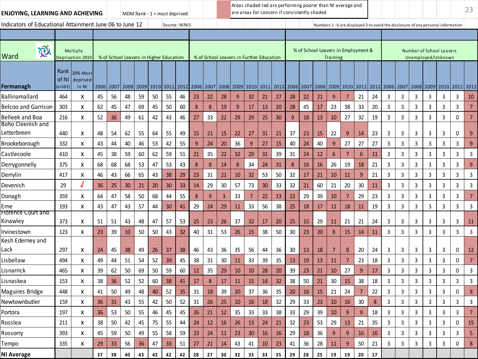| ENJOYING, LEARNING AND ACHIEVING                        |                            |                                      |      |                                         |    |    | MDM Rank - $1 =$ most deprived |    |               |    |    |    |                 |        |                                          |        |    | Areas shaded red are performing poorer than NI average and<br>are areas for concern if consistently shaded |    |          |                |                 |        |   |   |   |                                                                                   |   |                | 23             |
|---------------------------------------------------------|----------------------------|--------------------------------------|------|-----------------------------------------|----|----|--------------------------------|----|---------------|----|----|----|-----------------|--------|------------------------------------------|--------|----|------------------------------------------------------------------------------------------------------------|----|----------|----------------|-----------------|--------|---|---|---|-----------------------------------------------------------------------------------|---|----------------|----------------|
| Indicators of Educational Attainment June 06 to June 12 |                            |                                      |      |                                         |    |    |                                |    | Source: NINIS |    |    |    |                 |        |                                          |        |    |                                                                                                            |    |          |                |                 |        |   |   |   | Numbers 1 - 6 are displayed 3 to avoid the disclosure of any personal information |   |                |                |
|                                                         |                            |                                      |      |                                         |    |    |                                |    |               |    |    |    |                 |        |                                          |        |    |                                                                                                            |    |          |                |                 |        |   |   |   |                                                                                   |   |                |                |
| <b>D</b><br>Ward                                        |                            | Multiple<br>Deprivation 2010         |      | % of School Leavers in Higher Education |    |    |                                |    |               |    |    |    |                 |        | % of School Leavers in Further Education |        |    | % of School Leavers in Employment &                                                                        |    | Training |                |                 |        |   |   |   | Number of School Leavers<br>Unemployed/Unknown                                    |   |                |                |
| Fermanagh                                               | Rank<br>of NI<br>$(n=582)$ | <b>20% Most</b><br>deprived<br>in NI | 2006 | 2007                                    |    |    |                                |    |               |    |    |    |                 |        |                                          |        |    | 2008 2009 2010 2011 2012 2006 2007 2008 2009 2010 2011 2012 2006 2007 2008 2009 2010 2011 2012 2006 2007   |    |          |                |                 |        |   |   |   | 2008 2009 2010 2011 2012                                                          |   |                |                |
| Ballinamallard                                          | 464                        | x                                    | 45   | 56                                      | 48 | 59 | 50                             | 55 | 46            | 23 | 22 | 28 | 9               | 32     | 21                                       | 27     | 28 | 22                                                                                                         | 21 | 9        | 7              | 21              | 24     | 3 | 3 | 3 | 3                                                                                 | 3 | 3              | 10             |
| <b>Belcoo and Garrison</b>                              | 303                        | X                                    | 62   | 45                                      | 47 | 69 | 45                             | 50 | 60            | 8  | 8  | 19 | 9               | 17     | 13                                       | 20     | 28 | 45                                                                                                         | 17 | 23       | 38             | 33              | 20     | 3 | 3 | 3 | 3                                                                                 | 3 | 3              | 7              |
| <b>Belleek and Boa</b>                                  | 216                        | X                                    | 52   | 36                                      | 49 | 61 | 42                             | 43 | 46            | 27 | 33 | 22 | 29              | 29     | 25                                       | 30     | 9  | 18                                                                                                         | 13 | 10       | 27             | 32              | 19     | 3 | 3 | 3 | 3                                                                                 | 3 | 0              | 7              |
| Boho Cleenish and<br>Letterbreen                        | 440                        | x                                    | 48   | 54                                      | 62 | 55 | 64                             | 55 | 49            | 15 | 21 | 15 | 22              | 27     | 31                                       | 21     | 37 | 23                                                                                                         | 15 | 22       | 9              | 14              | 23     | 3 | 3 | 3 | 3                                                                                 | 3 | 0              | 9              |
| Brookeborough                                           | 332                        | x                                    | 43   | 44                                      | 40 | 46 | 53                             | 42 | 55            | 9  | 24 | 20 | 36              | 9      | 27                                       | 15     | 40 | 24                                                                                                         | 40 | 9        | 27             | 27              | 27     | 3 | 3 | 3 | 3                                                                                 | 3 | 3              | 9              |
| Castlecoole                                             | 410                        | x                                    | 45   | 38                                      | 59 | 60 | 62                             | 59 | 51            | 21 | 35 | 22 | 32              | 29     | 31                                       | 39     | 31 | 24                                                                                                         | 12 | 6        | 7              | $6\phantom{1}6$ | 11     | 3 | 3 | 3 | 3                                                                                 | 3 | 3              | 3              |
| Derrygonnelly                                           | 375                        | X                                    | 68   | 68                                      | 68 | 53 | 47                             | 53 | 43            | 8  | 8  | 14 | 8               | 34     | 24                                       | 31     | 8  | 16                                                                                                         | 16 | 26       | 19             | 18              | 21     | 3 | 3 | 3 | 3                                                                                 | 3 | 3              | 9              |
| Derrylin                                                | 417                        | x                                    | 46   | 43                                      | 66 | 65 | 43                             | 38 | 29            | 23 | 31 | 21 | 10              | 32     | 53                                       | 50     | 32 | 17                                                                                                         | 21 | 10       | 11             | 9               | 21     | 3 | 3 | 3 | 3                                                                                 | 3 | 3              | 3              |
| Devenish                                                | 29                         |                                      | 36   | 25                                      | 30 | 21 | 20                             | 30 | 33            | 14 | 29 | 30 | 57              | 73     | 30                                       | 33     | 32 | 21                                                                                                         | 60 | 21       | 20             | 30              | 11     | 3 | 3 | 3 | 3                                                                                 | 3 | 3              | 3              |
| Donagh                                                  | 359                        | x                                    | 64   | 47                                      | 58 | 50 | 68                             | 44 | 55            | 8  | 9  | 3  | 33              | 7      | 22                                       | 13     | 22 | 29                                                                                                         | 39 | 10       | 7              | 29              | 23     | 3 | 3 | 3 | 3                                                                                 | 3 | 3              | 7              |
| Erne                                                    | 193                        | x                                    | 43   | 47                                      | 43 | 57 | 44                             | 30 | 41            | 29 | 24 | 29 | 11              | 33     | 56                                       | 38     | 25 | 18                                                                                                         | 17 | 11       | 18             | 11              | 19     | 3 | 3 | 3 | 3                                                                                 | 3 | 3              | 3              |
| Florence Court and<br>Kinawley                          | 373                        | x                                    | 51   | 51                                      | 43 | 48 | 47                             | 57 | 53            | 25 | 23 | 26 | 37              | 32     | 17                                       | 20     | 25 | 15                                                                                                         | 29 | 11       | 21             | 21              | 24     | 3 | 3 | 3 | 3                                                                                 | 3 | 3              | 11             |
| Irvinestown                                             | 123                        | X                                    | 23   | 39                                      | 10 | 50 | 50                             | 43 | 32            | 40 | 31 | 53 | 26              | 15     | 38                                       | 50     | 30 | 23                                                                                                         | 20 | 8        | 15             | 14              | 11     | 3 | 3 | 3 | 3                                                                                 | 3 | 3              | 3              |
| Kesh Ederney and                                        |                            |                                      |      |                                         |    |    |                                |    |               |    |    |    |                 |        |                                          |        |    |                                                                                                            |    |          |                |                 |        |   |   |   |                                                                                   |   |                |                |
| Lack                                                    | 297                        | x                                    | 24   | 45                                      | 38 | 49 | 26                             | 37 | 38            | 46 | 43 | 36 | 35              | 56     | 44                                       | 36     | 30 | <b>13</b>                                                                                                  | 18 | 7        | 8              | 20              | 24     | 3 | 3 | 3 | 3                                                                                 | 3 | 0              | $12$           |
| Lisbellaw                                               | 494                        | x                                    | 49   | 44                                      | 51 | 54 | 52                             | 39 | 45            | 38 | 31 | 30 | 11              | 33     | 39                                       | 35     | 13 | 19                                                                                                         | 13 | 11       | 7              | 23              | 18     | 3 | 3 | 3 | 3                                                                                 | 3 | 0              | $\overline{7}$ |
| Lisnarrick                                              | 465                        | x                                    | 39   | 62                                      | 50 | 69 | 50                             | 59 | 60            | 12 | 35 | 29 | 10              | 10     | 28                                       | 20     | 39 | 23                                                                                                         | 21 | 10       | 27             | 9               | 17     | 3 | 3 | 3 | 3                                                                                 | 3 | 0              | 3              |
| Lisnaskea                                               | 153                        | X                                    | 38   | 36                                      | 52 | 52 | 60                             | 38 | 41            | 17 | 8  | 17 | 11              | 15     | 14                                       | 32     | 38 | 50                                                                                                         | 21 | 30       | 15             | 38              | 18     | 3 | 3 | 3 | 3                                                                                 | 3 | 3              | 3              |
| Maguires Bridge                                         | 448                        | x                                    | 41   | 50                                      | 49 | 48 | 40                             | 52 | 35            | 31 | 18 | 39 | 30              | 37     | 36                                       | 35     | 20 | <b>16</b>                                                                                                  | 15 | 21       | 24             | $\overline{7}$  | 22     | 3 | 3 | 3 | 3                                                                                 | 3 | 0              | 8              |
| Newtownbutler                                           | 159                        | X                                    | 36   | 31                                      | 43 | 55 | 42                             | 50 | 52            | 31 | 26 | 25 | 10              | 16     | 18                                       | 32     | 29 | 33                                                                                                         | 23 | 10       | 16             | 30              | 8      | 3 | 3 | 3 | 3                                                                                 | 3 | 3              | 3              |
| Portora                                                 | 197                        | X                                    | 36   | 53                                      | 50 | 55 | 46                             | 45 | 45            | 26 | 21 | 12 | 35 <sub>2</sub> | 33     | 33                                       | 38     | 33 | 29                                                                                                         | 39 | $10\,$   | 9 <sup>°</sup> | $\overline{9}$  | 18     | 3 | 3 | 3 | 3                                                                                 | 3 | $\overline{3}$ |                |
| Rosslea                                                 | 211                        | x                                    | 38   | $50\,$                                  | 42 | 45 | 75                             | 55 | 44            | 24 | 12 | 16 | 26              | $13\,$ | 24                                       | 21     | 32 | 23                                                                                                         | 53 | 29       | 13             | 21              | 35     | 3 | 3 | 3 | 3                                                                                 | 3 | 0              | 15             |
| Rossorry                                                | 393                        | x                                    | 45   | 59                                      | 50 | 49 | 55                             | 58 | 59            | 23 | 24 | 11 | 23              | $30\,$ | 16                                       | $16\,$ | 29 | 18                                                                                                         | 36 | 9        | 9              | 16              | $16\,$ | 3 | 3 | 3 | 3                                                                                 | 3 | 3              | 5              |
| Tempo                                                   | 335                        | X                                    | 29   | 33                                      | 56 | 36 | 47                             | 33 | 51            | 27 | 21 | 14 | 43              | 41     | 10                                       | 23     | 41 | 36                                                                                                         | 28 | 11       | 9              | $50\,$          | 21     | 3 | 3 | 3 | 3                                                                                 | 3 | 0              | $\bf 8$        |
| <b>NI Average</b>                                       |                            |                                      | 37   | 38                                      | 40 | 43 | 42                             | 42 | 42            | 28 | 27 | 30 | 32              | 33     | 33                                       | 35     | 29 | 28                                                                                                         | 25 | 19       | 19             | 20              | 17     |   |   |   |                                                                                   |   |                |                |
|                                                         |                            |                                      |      |                                         |    |    |                                |    |               |    |    |    |                 |        |                                          |        |    |                                                                                                            |    |          |                |                 |        |   |   |   |                                                                                   |   |                |                |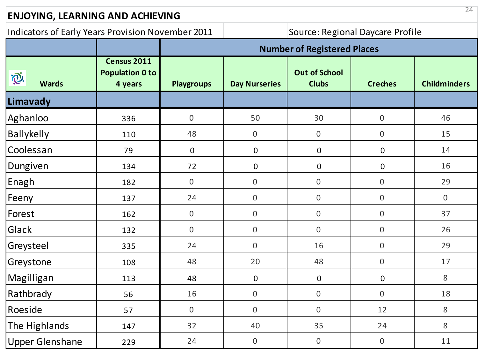## **ENJOYING, LEARNING AND ACHIEVING**

## Indicators of Early Years Provision November 2011 | Source: Regional Daycare Profile

|                                           |                                                  |                   |                      | <b>Number of Registered Places</b>   |                  |                     |
|-------------------------------------------|--------------------------------------------------|-------------------|----------------------|--------------------------------------|------------------|---------------------|
| $\widetilde{\mathbb{Q}}.$<br><b>Wards</b> | Census 2011<br><b>Population 0 to</b><br>4 years | <b>Playgroups</b> | <b>Day Nurseries</b> | <b>Out of School</b><br><b>Clubs</b> | <b>Creches</b>   | <b>Childminders</b> |
| Limavady                                  |                                                  |                   |                      |                                      |                  |                     |
| Aghanloo                                  | 336                                              | $\boldsymbol{0}$  | 50                   | 30                                   | $\boldsymbol{0}$ | 46                  |
| <b>Ballykelly</b>                         | 110                                              | 48                | $\boldsymbol{0}$     | $\boldsymbol{0}$                     | $\mathbf 0$      | 15                  |
| Coolessan                                 | 79                                               | $\mathbf 0$       | $\boldsymbol{0}$     | $\boldsymbol{0}$                     | $\mathbf 0$      | 14                  |
| Dungiven                                  | 134                                              | 72                | $\boldsymbol{0}$     | $\mathbf 0$                          | $\mathbf 0$      | 16                  |
| Enagh                                     | 182                                              | $\mathbf{0}$      | $\boldsymbol{0}$     | $\boldsymbol{0}$                     | $\mathbf 0$      | 29                  |
| Feeny                                     | 137                                              | 24                | $\boldsymbol{0}$     | $\mathbf 0$                          | $\overline{0}$   | $\mathbf 0$         |
| Forest                                    | 162                                              | $\overline{0}$    | $\overline{0}$       | $\mathbf 0$                          | $\mathbf{0}$     | 37                  |
| Glack                                     | 132                                              | $\boldsymbol{0}$  | $\boldsymbol{0}$     | $\overline{0}$                       | $\mathbf 0$      | 26                  |
| Greysteel                                 | 335                                              | 24                | $\boldsymbol{0}$     | 16                                   | $\boldsymbol{0}$ | 29                  |
| Greystone                                 | 108                                              | 48                | 20                   | 48                                   | $\mathbf{0}$     | 17                  |
| Magilligan                                | 113                                              | 48                | $\mathbf 0$          | $\mathbf 0$                          | $\mathbf 0$      | $\,8\,$             |
| Rathbrady                                 | 56                                               | 16                | $\boldsymbol{0}$     | $\boldsymbol{0}$                     | $\mathbf 0$      | 18                  |
| Roeside                                   | 57                                               | $\boldsymbol{0}$  | $\boldsymbol{0}$     | $\boldsymbol{0}$                     | 12               | 8                   |
| The Highlands                             | 147                                              | 32                | 40                   | 35                                   | 24               | 8                   |
| <b>Upper Glenshane</b>                    | 229                                              | 24                | $\boldsymbol{0}$     | $\overline{0}$                       | $\mathbf 0$      | 11                  |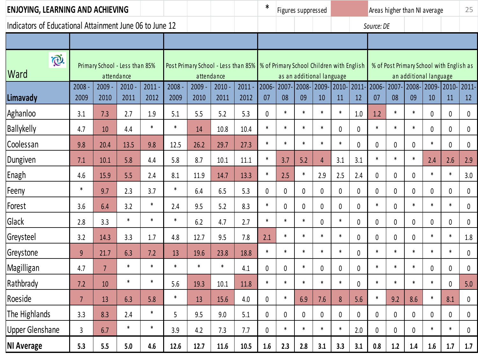| <b>ENJOYING, LEARNING AND ACHIEVING</b>                 |                |                                |                  |              |              |              |                  |                                                                                 | $\ast$      |              | Figures suppressed        |                |             |                 |             |              |             | Areas higher than NI average |                                          | 25           |
|---------------------------------------------------------|----------------|--------------------------------|------------------|--------------|--------------|--------------|------------------|---------------------------------------------------------------------------------|-------------|--------------|---------------------------|----------------|-------------|-----------------|-------------|--------------|-------------|------------------------------|------------------------------------------|--------------|
| Indicators of Educational Attainment June 06 to June 12 |                |                                |                  |              |              |              |                  |                                                                                 |             |              |                           |                |             |                 | Source: DE  |              |             |                              |                                          |              |
|                                                         |                |                                |                  |              |              |              |                  |                                                                                 |             |              |                           |                |             |                 |             |              |             |                              |                                          |              |
| $\widetilde{\mathbb{Q}}.$<br>Ward                       |                | Primary School - Less than 85% | attendance       |              |              |              | attendance       | Post Primary School - Less than 85%   % of Primary School Children with English |             |              | as an additional language |                |             |                 |             |              |             | an additional language       | % of Post Primary School with English as |              |
| Limavady                                                | 2008<br>2009   | 2009<br>2010                   | $2010 -$<br>2011 | 2011<br>2012 | 2008<br>2009 | 2009<br>2010 | $2010 -$<br>2011 | 2011<br>2012                                                                    | 2006-<br>07 | 2007-<br>08  | 2008-<br>09               | 2009-<br>10    | 2010-<br>11 | $ 2011 -$<br>12 | 2006-<br>07 | 2007-<br>08  | 2008-<br>09 | 2009-<br>10                  | 2010-2011-<br>11                         | 12           |
| Aghanloo                                                | 3.1            | 7.3                            | 2.7              | 1.9          | 5.1          | 5.5          | 5.2              | 5.3                                                                             | $\mathbf 0$ | $\ast$       | $\ast$                    | $\ast$         | $\ast$      | 1.0             | 1.2         | $\ast$       | $\ast$      | 0                            | $\mathbf{0}$                             | $\mathbf 0$  |
| <b>Ballykelly</b>                                       | 4.7            | 10                             | 4.4              | $\ast$       | $\ast$       | 14           | 10.8             | 10.4                                                                            | $\ast$      | $\ast$       | $\ast$                    | $\ast$         | 0           | 0               | $\ast$      | $\ast$       | $\ast$      | 0                            | $\mathbf 0$                              | $\pmb{0}$    |
| Coolessan                                               | 9.8            | 20.4                           | 13.5             | 9.8          | 12.5         | 26.2         | 29.7             | 27.3                                                                            | $\ast$      | $\ast$       | $\ast$                    | $\ast$         | $\ast$      | 0               | 0           | 0            | 0           | $\ast$                       | $\mathbf 0$                              | $\pmb{0}$    |
| Dungiven                                                | 7.1            | 10.1                           | 5.8              | 4.4          | 5.8          | 8.7          | 10.1             | 11.1                                                                            | $\ast$      | 3.7          | 5.2                       | $\overline{4}$ | 3.1         | 3.1             | $\ast$      | $\ast$       | $\ast$      | 2.4                          | 2.6                                      | 2.9          |
| Enagh                                                   | 4.6            | 15.9                           | 5.5              | 2.4          | 8.1          | 11.9         | 14.7             | 13.3                                                                            | $\ast$      | 2.5          | $\ast$                    | 2.9            | 2.5         | 2.4             | 0           | 0            | 0           | $\ast$                       | $\ast$                                   | 3.0          |
| Feeny                                                   | $\ast$         | 9.7                            | 2.3              | 3.7          | $\ast$       | 6.4          | 6.5              | 5.3                                                                             | 0           | 0            | 0                         | 0              | 0           | 0               | 0           | 0            | 0           | 0                            | 0                                        | 0            |
| Forest                                                  | 3.6            | 6.4                            | 3.2              | $\ast$       | 2.4          | 9.5          | 5.2              | 8.3                                                                             | $\ast$      | $\mathbf 0$  | 0                         | 0              | 0           | 0               | $\ast$      | $\mathbf{0}$ | $\ast$      | $\ast$                       | $\ast$                                   | $\mathbf 0$  |
| Glack                                                   | 2.8            | 3.3                            | $\ast$           | $\ast$       | $\ast$       | 6.2          | 4.7              | 2.7                                                                             | $\ast$      | $\ast$       | $\ast$                    | 0              | $\ast$      | 0               | 0           | 0            | 0           | $\mathbf{0}$                 | $\mathbf{0}$                             | $\mathbf 0$  |
| Greysteel                                               | 3.2            | 14.3                           | 3.3              | 1.7          | 4.8          | 12.7         | 9.5              | 7.8                                                                             | 2.1         | $\ast$       | $\ast$                    | $\ast$         | $\ast$      | 0               | 0           | 0            | 0           | $\ast$                       | $\ast$                                   | 1.8          |
| Greystone                                               | 9              | 21.7                           | 6.3              | 7.2          | 13           | 19.6         | 23.8             | 18.8                                                                            | $\ast$      | $\ast$       | $\ast$                    | $\ast$         | $\ast$      | 0               | $\ast$      | $\ast$       | $\ast$      | $\ast$                       | $\ast$                                   | $\mathbf 0$  |
| Magilligan                                              | 4.7            | $\overline{7}$                 | $\ast$           | $\ast$       | $\ast$       | $\ast$       | $\ast$           | 4.1                                                                             | 0           | 0            | $\ast$                    | 0              | 0           | 0               | $\ast$      | $\ast$       | $\ast$      | 0                            | $\mathbf{0}$                             | $\mathbf{0}$ |
| Rathbrady                                               | 7.2            | 10                             | $\ast$           | $\ast$       | 5.6          | 19.3         | 10.1             | 11.8                                                                            | $\ast$      | $\ast$       | $\ast$                    | $\ast$         | $\ast$      | 0               | $\ast$      | $\ast$       | $\ast$      | $\ast$                       | $\theta$                                 | 5.0          |
| Roeside                                                 | $\overline{7}$ | 13                             | 6.3              | 5.8          | $\ast$       | 13           | 15.6             | $4.0\,$                                                                         | 0           | $\ast$       | 6.9                       | 7.6            | 8           | 5.6             | $\ast$      | 9.2          | 8.6         | $\ast$                       | 8.1                                      | 0            |
| The Highlands                                           | 3.3            | 8.3                            | 2.4              | $\ast$       | 5            | 9.5          | 9.0              | 5.1                                                                             | 0           | $\pmb{0}$    | 0                         | 0              | 0           | 0               | 0           | 0            | 0           | 0                            | 0                                        | 0            |
| <b>Upper Glenshane</b>                                  | 3              | 6.7                            | $\ast$           | $\ast$       | 3.9          | 4.2          | 7.3              | 7.7                                                                             | 0           | $\pmb{\ast}$ | $\ast$                    | $\ast$         | $\ast$      | 2.0             | 0           | 0            | 0           | *                            | $\ast$                                   | 0            |
| <b>NI Average</b>                                       | 5.3            | 5.5                            | 5.0              | 4.6          | 12.6         | 12.7         | 11.6             | 10.5                                                                            | 1.6         | 2.3          | 2.8                       | 3.1            | 3.3         | 3.1             | 0.8         | 1.2          | 1.4         | 1.6                          | 1.7                                      | 1.7          |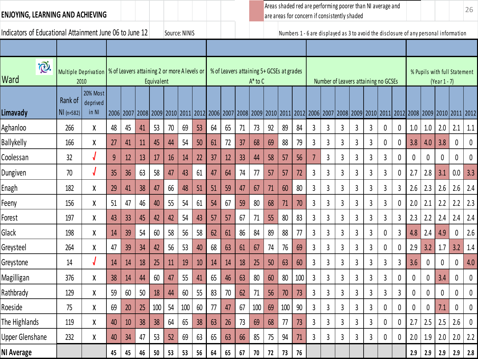| ENJOYING, LEARNING AND ACHIEVING                        |                        |                                                                             |    |    |                |            |    |               |    |    |    |    |              |    | are areas for concern if consistently shaded |     |   |                |              |                | Areas shaded red are performing poorer than NI average and |              |                |     |     |                                                                                                                                                                                     |                  | 26       |
|---------------------------------------------------------|------------------------|-----------------------------------------------------------------------------|----|----|----------------|------------|----|---------------|----|----|----|----|--------------|----|----------------------------------------------|-----|---|----------------|--------------|----------------|------------------------------------------------------------|--------------|----------------|-----|-----|-------------------------------------------------------------------------------------------------------------------------------------------------------------------------------------|------------------|----------|
| Indicators of Educational Attainment June 06 to June 12 |                        |                                                                             |    |    |                |            |    | Source: NINIS |    |    |    |    |              |    |                                              |     |   |                |              |                |                                                            |              |                |     |     | Numbers 1 - 6 are displayed as 3 to avoid the disclosure of any personal information                                                                                                |                  |          |
|                                                         |                        |                                                                             |    |    |                |            |    |               |    |    |    |    |              |    |                                              |     |   |                |              |                |                                                            |              |                |     |     |                                                                                                                                                                                     |                  |          |
| i®.<br>Ward                                             |                        | Multiple Deprivation   % of Leavers attaining 2 or more A levels or<br>2010 |    |    |                | Equivalent |    |               |    |    |    |    | $A^*$ to $C$ |    | % of Leavers attaining 5+ GCSEs at grades    |     |   |                |              |                | Number of Leavers attaining no GCSEs                       |              |                |     |     | % Pupils with full Statement<br>$(Year 1 - 7)$                                                                                                                                      |                  |          |
| Limavady                                                | Rank of<br>$NI(n=582)$ | 20% Most<br>deprived<br>in NI                                               |    |    | 2006 2007 2008 |            |    |               |    |    |    |    |              |    |                                              |     |   |                |              |                |                                                            |              |                |     |     | 2009   2010   2011   2012   2006   2007   2008   2009   2010   2011   2012   2006   2007   2008   2009   2010   2011   2012   2008   2009   2010   2011   2012   2010   2011   2012 |                  |          |
| Aghanloo                                                | 266                    | χ                                                                           | 48 | 45 | 41             | 53         | 70 | 69            | 53 | 64 | 65 | 71 | 73           | 92 | 89                                           | 84  | 3 | 3              | 3            | 3              | 3                                                          | 0            | 0              | 1.0 | 1.0 | 2.0                                                                                                                                                                                 | 2.1              | 1.1      |
| <b>Ballykelly</b>                                       | 166                    | χ                                                                           | 27 | 41 | 11             | 45         | 44 | 54            | 50 | 61 | 72 | 37 | 68           | 69 | 88                                           | 79  | 3 | 3              | 3            | 3              | 3                                                          | 0            | 0              | 3.8 | 4.0 | 3.8                                                                                                                                                                                 | $\boldsymbol{0}$ | 0        |
| Coolessan                                               | 32                     | J                                                                           | 9  | 12 | 13             | 17         | 16 | 14            | 22 | 37 | 12 | 33 | 44           | 58 | 57                                           | 56  | 7 | 3              | 3            | 3              | 3                                                          | 3            | 0              | 0   | 0   | 0                                                                                                                                                                                   | 0                | $\bf{0}$ |
| Dungiven                                                | 70                     | $\sqrt{ }$                                                                  | 35 | 36 | 63             | 58         | 47 | 43            | 61 | 47 | 64 | 74 | 77           | 57 | 57                                           | 72  | 3 | 3              | 3            | 3              | 3                                                          | 3            | $\mathbf 0$    | 2.7 | 2.8 | 3.1                                                                                                                                                                                 | 0.0              | 3.3      |
| Enagh                                                   | 182                    | χ                                                                           | 29 | 41 | 38             | 47         | 66 | 48            | 51 | 51 | 59 | 47 | 67           | 71 | 60                                           | 80  | 3 | 3              | 3            | 3              | 3                                                          | 3            | $\overline{3}$ | 2.6 | 2.3 | 2.6                                                                                                                                                                                 | 2.6              | 2.4      |
| Feeny                                                   | 156                    | χ                                                                           | 51 | 47 | 46             | 40         | 55 | 54            | 61 | 54 | 67 | 59 | 80           | 68 | 71                                           | 70  | 3 | 3              | 3            | 3              | 3                                                          | 3            | 0              | 2.0 | 2.1 | 2.2                                                                                                                                                                                 | 2.2              | 2.3      |
| Forest                                                  | 197                    | χ                                                                           | 43 | 33 | 45             | 42         | 42 | 54            | 43 | 57 | 57 | 67 | 71           | 55 | 80                                           | 83  | 3 | 3              | 3            | 3              | 3                                                          | $\mathbf{3}$ | $\overline{3}$ | 2.3 | 2.2 | 2.4                                                                                                                                                                                 | 2.4              | 2.4      |
| Glack                                                   | 198                    | χ                                                                           | 14 | 39 | 54             | 60         | 58 | 56            | 58 | 62 | 61 | 86 | 84           | 89 | 88                                           | 77  | 3 | 3              | 3            | 3              | 3                                                          | 0            | $\overline{3}$ | 4.8 | 2.4 | 4.9                                                                                                                                                                                 | 0                | 2.6      |
| Greysteel                                               | 264                    | χ                                                                           | 47 | 39 | 34             | 42         | 56 | 53            | 40 | 68 | 63 | 61 | 67           | 74 | 76                                           | 69  | 3 | 3              | 3            | 3              | 3                                                          | 0            | 0              | 2.9 | 3.2 | 1.7                                                                                                                                                                                 | 3.2              | 1.4      |
| Greystone                                               | 14                     | $\sqrt{ }$                                                                  | 14 | 14 | 18             | 25         | 11 | 19            | 10 | 14 | 14 | 18 | 25           | 50 | 63                                           | 60  | 3 | $\overline{3}$ | 3            | $\overline{3}$ | 3                                                          | 3            | $\overline{3}$ | 3.6 | 0   | 0                                                                                                                                                                                   | $\boldsymbol{0}$ | 4.0      |
| Magilligan                                              | 376                    | χ                                                                           | 38 | 14 | 44             | 60         | 47 | 55            | 41 | 65 | 46 | 63 | 80           | 60 | 80                                           | 100 | 3 | 3              | 3            | 3              | 3                                                          | 3            | 0              | 0   | 0   | 3.4                                                                                                                                                                                 | 0                | 0        |
| Rathbrady                                               | 129                    | χ                                                                           | 59 | 60 | 50             | 18         | 44 | 60            | 55 | 83 | 70 | 62 | 71           | 56 | 70                                           | 73  | 3 | 3              | 3            | 3              | 3                                                          | 3            | 3              | 0   | 0   | 0                                                                                                                                                                                   | 0                | 0        |
| Roeside                                                 | 75                     | Χ                                                                           | 69 | 20 | 25             | 100        | 54 | 100           | 60 | 77 | 47 | 67 | 100          | 69 | 100                                          | 90  | 3 | 3              | $\mathbf{3}$ | $\mathbf{3}$   | 3                                                          | $\pmb{0}$    | 0              | 0   | 0   | 7.1                                                                                                                                                                                 | 0                | 0        |
| The Highlands                                           | 119                    | Χ                                                                           | 40 | 10 | 38             | 38         | 64 | 65            | 38 | 63 | 26 | 73 | 69           | 68 | 77                                           | 73  | 3 | 3              | 3            | 3              | 3                                                          | 0            | 0              | 2.7 | 2.5 | 2.5                                                                                                                                                                                 | 2.6              | 0        |
| <b>Upper Glenshane</b>                                  | 232                    | Χ                                                                           | 40 | 34 | 47             | 53         | 52 | 69            | 63 | 65 | 63 | 66 | 85           | 75 | 94                                           | 71  | 3 | 3              | 3            | 3              | 3                                                          | 0            | 0              | 2.0 | 1.9 | 2.0                                                                                                                                                                                 | 2.0              | 2.2      |
| NI Average                                              |                        |                                                                             | 45 | 45 | 46             | 50         | 53 | 53            | 56 | 64 | 65 | 67 | 70           | 72 | 73                                           | 76  |   |                |              |                |                                                            |              |                | 2.9 | 2.9 | 2.9                                                                                                                                                                                 | 2.9              | 2.8      |
|                                                         |                        |                                                                             |    |    |                |            |    |               |    |    |    |    |              |    |                                              |     |   |                |              |                |                                                            |              |                |     |     |                                                                                                                                                                                     |                  |          |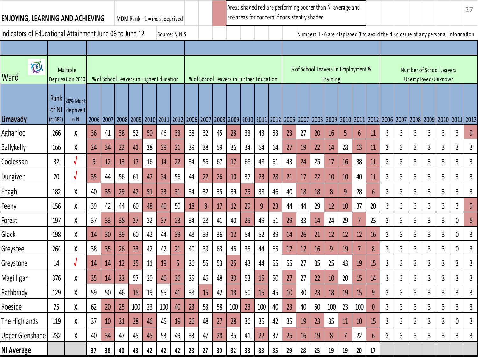| ENJOYING, LEARNING AND ACHIEVING                        |           |                                          |    |                                                                                                                                                                 |    |    |    | MDM Rank - $1 =$ most deprived |    |    |    |    |    |    | Areas shaded red are performing poorer than NI average and<br>are areas for concern if consistently shaded |    |    |    |    |                                                        |                |                |    |   |   |                                                                                   |                |                |   | 27 |
|---------------------------------------------------------|-----------|------------------------------------------|----|-----------------------------------------------------------------------------------------------------------------------------------------------------------------|----|----|----|--------------------------------|----|----|----|----|----|----|------------------------------------------------------------------------------------------------------------|----|----|----|----|--------------------------------------------------------|----------------|----------------|----|---|---|-----------------------------------------------------------------------------------|----------------|----------------|---|----|
| Indicators of Educational Attainment June 06 to June 12 |           |                                          |    |                                                                                                                                                                 |    |    |    | Source: NINIS                  |    |    |    |    |    |    |                                                                                                            |    |    |    |    |                                                        |                |                |    |   |   | Numbers 1 - 6 are displayed 3 to avoid the disclosure of any personal information |                |                |   |    |
|                                                         |           |                                          |    |                                                                                                                                                                 |    |    |    |                                |    |    |    |    |    |    |                                                                                                            |    |    |    |    |                                                        |                |                |    |   |   |                                                                                   |                |                |   |    |
| $\widehat{\mathbb{C}}.$<br>Ward                         |           | Multiple<br>Deprivation 2010             |    | % of School Leavers in Higher Education                                                                                                                         |    |    |    |                                |    |    |    |    |    |    | % of School Leavers in Further Education                                                                   |    |    |    |    | % of School Leavers in Employment &<br><b>Training</b> |                |                |    |   |   | Number of School Leavers<br>Unemployed/Unknown                                    |                |                |   |    |
| Limavady                                                | $(n=582)$ | Rank 20% Most<br>of NI deprived<br>in NI |    | 2006 2007 2008 2009 2010 2011 2012 2006 2007 2008 2009 2010 2011 2012 2006 2007 2008 2009 2010 2011 2012 2009 2010 2011 2012 2006 2007 2008 2009 2010 2011 2012 |    |    |    |                                |    |    |    |    |    |    |                                                                                                            |    |    |    |    |                                                        |                |                |    |   |   |                                                                                   |                |                |   |    |
| Aghanloo                                                | 266       | χ                                        | 36 | 41                                                                                                                                                              | 38 | 52 | 50 | 46                             | 33 | 38 | 32 | 45 | 28 | 33 | 43                                                                                                         | 53 | 23 | 27 | 20 | 16                                                     | 5              | $6\phantom{1}$ | 11 | 3 | 3 | 3                                                                                 | $\overline{3}$ | 3              | 3 | 9  |
| <b>Ballykelly</b>                                       | 166       | χ                                        | 24 | 34                                                                                                                                                              | 22 | 41 | 38 | 29                             | 21 | 39 | 38 | 59 | 36 | 34 | 54                                                                                                         | 64 | 27 | 19 | 22 | 14                                                     | 28             | 13             | 11 | 3 | 3 | 3                                                                                 | $\overline{3}$ | 3              | 3 | 3  |
| Coolessan                                               | 32        |                                          | 9  | 12                                                                                                                                                              | 13 | 17 | 16 | 14                             | 22 | 34 | 56 | 67 | 17 | 68 | 48                                                                                                         | 61 | 43 | 24 | 25 | 17                                                     | 16             | 38             | 11 | 3 | 3 | 3                                                                                 | $\overline{3}$ | $\overline{3}$ | 3 | 3  |
| Dungiven                                                | 70        |                                          | 35 | 44                                                                                                                                                              | 56 | 61 | 47 | 34                             | 56 | 44 | 22 | 26 | 10 | 37 | 23                                                                                                         | 28 | 21 | 17 | 22 | 10                                                     | 10             | 40             | 11 | 3 | 3 | $\overline{3}$                                                                    | $\overline{3}$ | 3              | 3 | 3  |
| Enagh                                                   | 182       | χ                                        | 40 | 35                                                                                                                                                              | 29 | 42 | 51 | 33                             | 31 | 34 | 32 | 35 | 39 | 29 | 38                                                                                                         | 46 | 40 | 18 | 18 | 8                                                      | $\overline{9}$ | 28             | 6  | 3 | 3 | 3                                                                                 | $\overline{3}$ | 3              | 3 | 3  |
| Feeny                                                   | 156       | χ                                        | 39 | 42                                                                                                                                                              | 44 | 60 | 48 | 40                             | 50 | 18 | 8  | 17 | 12 | 29 | $\overline{9}$                                                                                             | 23 | 44 | 44 | 29 | 12                                                     | 10             | 37             | 20 | 3 | 3 | 3                                                                                 | 3              | $\overline{3}$ | 3 | 9  |
| Forest                                                  | 197       | X                                        | 37 | 33                                                                                                                                                              | 38 | 37 | 32 | 37                             | 23 | 34 | 28 | 41 | 40 | 29 | 49                                                                                                         | 51 | 29 | 33 | 14 | 24                                                     | 29             |                | 23 | 3 | 3 | 3                                                                                 | 3              | 3              |   | 8  |

| NI Average             |     |   | 37 | 38 | 40 | 43               | 42 | 42  | 42 | 28 | 27 | 30 | 32  | 33 | 33  | 35 | 29 | 28 | 25 | 19  | 19 | 20  | 17             |   |   |   |   |   |                  |   |
|------------------------|-----|---|----|----|----|------------------|----|-----|----|----|----|----|-----|----|-----|----|----|----|----|-----|----|-----|----------------|---|---|---|---|---|------------------|---|
| <b>Upper Glenshane</b> | 232 | χ | 40 | 34 | 47 | 45               | 45 | 53  | 49 | 33 | 47 | 28 | 35  | 41 | 22  | 37 | 25 | 16 | 19 | 8   |    | 22  | 6              | 3 | 3 | 3 | 3 | 3 | 3                | 3 |
| The Highlands          | 119 | χ | 37 | 10 | 31 | 28               | 46 | 45  | 19 | 26 | 48 | 27 | 28  | 36 | 35  | 42 | 35 | 19 | 23 | 35  | 11 | 10  | 15             | 3 | 3 | 3 | 3 | 3 | $\boldsymbol{0}$ | 3 |
| Roeside                | 75  | χ | 62 | 20 | 25 | 100              | 23 | 100 | 40 | 23 | 53 | 58 | 100 | 23 | 100 | 40 | 23 | 40 | 50 | 100 | 23 | 100 | $\theta$       | 3 | 3 | 3 | 3 | 3 | $\overline{3}$   | 3 |
| Rathbrady              | 129 | χ | 59 | 50 | 46 | 18               | 19 | 55  | 41 | 38 | 15 | 42 | 18  | 50 | 15  | 45 | 10 | 30 | 23 | 18  | 19 | 15  | 9              | 3 | 3 | 3 | 3 | 3 | 3                | 3 |
| Magilligan             | 376 | χ | 35 | 14 | 33 | 57               | 20 | 40  | 36 | 35 | 46 | 48 | 30  | 53 | 15  | 50 | 27 | 27 | 22 | 10  | 20 | 15  | 14             | 3 | 3 | 3 | 3 | 3 | 3                | 3 |
| Greystone              | 14  |   | 14 | 14 | 12 | $25\overline{)}$ | 11 | 19  | 5  | 36 | 55 | 53 | 25  | 43 | 44  | 55 | 55 | 27 | 35 | 25  | 43 | 19  | 15             | 3 | 3 | 3 | 3 | 3 | 3                | 3 |
| Greysteel              | 264 | χ | 38 | 35 | 26 | 33               | 42 | 42  | 21 | 40 | 39 | 63 | 46  | 35 | 44  | 65 | 17 | 12 | 16 | 9   | 19 | 7   | 8              | 3 | 3 | 3 | 3 | 3 | $\boldsymbol{0}$ | 3 |
| Glack                  | 198 | χ | 14 | 30 | 39 | 60               | 42 | 44  | 39 | 48 | 39 | 36 | 12  | 54 | 52  | 39 | 14 | 26 | 21 | 12  | 12 | 12  | 16             | 3 | 3 | 3 | 3 | 3 | $\mathbf 0$      | 3 |
| Forest                 | 197 | χ | 37 | 33 | 38 | 37               | 32 | 37  | 23 | 34 | 28 | 41 | 40  | 29 | 49  | 51 | 29 | 33 | 14 | 24  | 29 |     | 23             | 3 | 3 | 3 | 3 | 3 | 0                | 8 |
| Feeny                  | 156 | χ | 39 | 42 | 44 | 60               | 48 | 40  | 50 | 18 | 8  | 17 | 12  | 29 | 9   | 23 | 44 | 44 | 29 | 12  | 10 | 37  | 20             | 3 | 3 | 3 | 3 | 3 | 3                | 9 |
| Enagh                  | 182 | χ | 40 | 35 | 29 | 42               | 51 | 33  | 31 | 34 | 32 | 35 | 39  | 29 | 38  | 46 | 40 | 18 | 18 | 8   | 9  | 28  | $6\phantom{1}$ | 3 | 3 | 3 | 3 | 3 | $\mathbf{3}$     | 3 |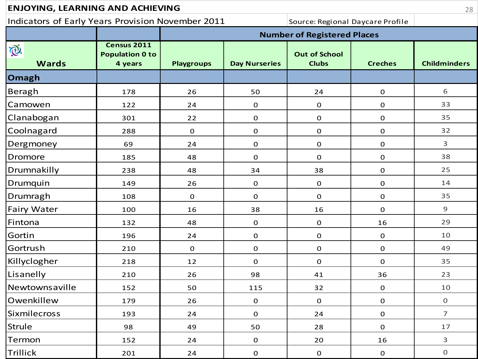| <b>ENJOYING, LEARNING AND ACHIEVING</b>           |                                                  |                   |                      |                                      |                | 28                  |
|---------------------------------------------------|--------------------------------------------------|-------------------|----------------------|--------------------------------------|----------------|---------------------|
| Indicators of Early Years Provision November 2011 |                                                  |                   |                      | Source: Regional Daycare Profile     |                |                     |
|                                                   |                                                  |                   |                      | <b>Number of Registered Places</b>   |                |                     |
| È.<br><b>Wards</b>                                | Census 2011<br><b>Population 0 to</b><br>4 years | <b>Playgroups</b> | <b>Day Nurseries</b> | <b>Out of School</b><br><b>Clubs</b> | <b>Creches</b> | <b>Childminders</b> |
| Omagh                                             |                                                  |                   |                      |                                      |                |                     |
| Beragh                                            | 178                                              | 26                | 50                   | 24                                   | $\mathbf 0$    | 6                   |
| Camowen                                           | 122                                              | 24                | $\mathbf 0$          | $\mathbf 0$                          | $\mathbf 0$    | 33                  |
| Clanabogan                                        | 301                                              | 22                | $\mathbf 0$          | $\mathbf 0$                          | $\mathbf 0$    | 35                  |
| Coolnagard                                        | 288                                              | $\mathbf 0$       | $\mathbf 0$          | $\mathbf 0$                          | $\mathbf 0$    | 32                  |
| Dergmoney                                         | 69                                               | 24                | 0                    | $\mathbf 0$                          | $\mathbf 0$    | 3                   |
| <b>Dromore</b>                                    | 185                                              | 48                | $\overline{0}$       | $\mathbf 0$                          | $\mathbf 0$    | 38                  |
| Drumnakilly                                       | 238                                              | 48                | 34                   | 38                                   | $\mathbf 0$    | 25                  |
| Drumquin                                          | 149                                              | 26                | $\mathbf 0$          | $\mathbf 0$                          | $\mathbf 0$    | 14                  |
| Drumragh                                          | 108                                              | $\mathbf 0$       | 0                    | 0                                    | $\mathbf 0$    | 35                  |
| Fairy Water                                       | 100                                              | 16                | 38                   | 16                                   | $\mathbf 0$    | 9                   |
| Fintona                                           | 132                                              | 48                | $\mathbf 0$          | $\mathbf 0$                          | 16             | 29                  |
| Gortin                                            | 196                                              | 24                | $\mathbf 0$          | $\mathbf 0$                          | $\mathbf 0$    | 10                  |
| Gortrush                                          | 210                                              | $\mathbf 0$       | 0                    | $\mathbf 0$                          | $\mathbf 0$    | 49                  |
| Killyclogher                                      | 218                                              | 12                | $\mathbf 0$          | $\mathbf 0$                          | $\mathbf 0$    | 35                  |
| Lisanelly                                         | 210                                              | 26                | 98                   | 41                                   | 36             | 23                  |
| Newtownsaville                                    | 152                                              | 50                | 115                  | 32                                   | $\mathbf 0$    | 10                  |
| Owenkillew                                        | 179                                              | 26                | $\mathbf 0$          | $\mathbf 0$                          | $\mathbf 0$    | $\boldsymbol{0}$    |
| Sixmilecross                                      | 193                                              | 24                | $\mathbf 0$          | 24                                   | $\mathbf 0$    | $\overline{7}$      |
| <b>Strule</b>                                     | 98                                               | 49                | 50                   | 28                                   | $\mathbf 0$    | 17                  |
| Termon                                            | 152                                              | 24                | $\mathbf 0$          | 20                                   | 16             | 3                   |
| Trillick                                          | 201                                              | $24$              | $\mathbf 0$          | $\mathbf 0$                          | $\mathbf 0$    | $\boldsymbol{0}$    |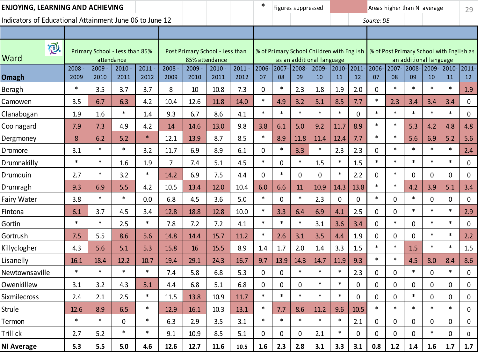| ENJOYING, LEARNING AND ACHIEVING                        |              |              |                                              |              |                  |                |                                 |                  | ∗           |             | Figures suppressed |                                                                        |                |             | Areas higher than NI average |             |             |                                                                    |                  | 29           |
|---------------------------------------------------------|--------------|--------------|----------------------------------------------|--------------|------------------|----------------|---------------------------------|------------------|-------------|-------------|--------------------|------------------------------------------------------------------------|----------------|-------------|------------------------------|-------------|-------------|--------------------------------------------------------------------|------------------|--------------|
| Indicators of Educational Attainment June 06 to June 12 |              |              |                                              |              |                  |                |                                 |                  |             |             |                    |                                                                        |                |             | Source: DE                   |             |             |                                                                    |                  |              |
|                                                         |              |              |                                              |              |                  |                |                                 |                  |             |             |                    |                                                                        |                |             |                              |             |             |                                                                    |                  |              |
| $\mathbf{\widehat{C}}$<br>Ward                          |              |              | Primary School - Less than 85%<br>attendance |              |                  | 85% attendance | Post Primary School - Less than |                  |             |             |                    | % of Primary School Children with English<br>as an additional language |                |             |                              |             |             | % of Post Primary School with English as<br>an additional language |                  |              |
| Omagh                                                   | 2008<br>2009 | 2009<br>2010 | 2010<br>2011                                 | 2011<br>2012 | $2008 -$<br>2009 | 2009<br>2010   | 2010<br>2011                    | $2011 -$<br>2012 | 2006-<br>07 | 2007-<br>08 | 2008-<br>09        | 2009-<br>10                                                            | $2010 -$<br>11 | 2011-<br>12 | 2006-<br>07                  | 2007-<br>08 | 2008-<br>09 | 2009-<br>10                                                        | 2010-2011-<br>11 | 12           |
| Beragh                                                  | $\ast$       | 3.5          | 3.7                                          | 3.7          | 8                | 10             | 10.8                            | 7.3              | 0           | $\ast$      | 2.3                | 1.8                                                                    | 1.9            | 2.0         | 0                            | $\ast$      | $\ast$      | $\ast$                                                             | $\ast$           | 1.9          |
| Camowen                                                 | 3.5          | 6.7          | 6.3                                          | 4.2          | 10.4             | 12.6           | 11.8                            | 14.0             | $\ast$      | 4.9         | 3.2                | 5.1                                                                    | 8.5            | 7.7         | $\ast$                       | 2.3         | 3.4         | 3.4                                                                | 3.4              | 0            |
| Clanabogan                                              | 1.9          | 1.6          | $\ast$                                       | 1.4          | 9.3              | 6.7            | 8.6                             | 4.1              | $\ast$      | $\ast$      | $\ast$             | $\ast$                                                                 | $\ast$         | 0           | $\ast$                       | $\ast$      | $\ast$      | $\ast$                                                             | $\ast$           | 0            |
| Coolnagard                                              | 7.9          | 7.3          | 4.9                                          | 4.2          | 14               | 14.6           | 13.0                            | 9.8              | 3.8         | 6.1         | 5.0                | 9.2                                                                    | 11.7           | 8.9         | $\ast$                       | $\ast$      | 5.3         | 4.2                                                                | 4.8              | 4.8          |
| Dergmoney                                               | 8            | 6.2          | 5.2                                          | $\ast$       | 12.1             | 13.9           | 8.7                             | 8.5              | $\ast$      | 8.9         | 11.8               | 11.4                                                                   | 12.4           | 7.7         | $\ast$                       | $\ast$      | 5.6         | 6.9                                                                | 5.2              | 5.6          |
| Dromore                                                 | 3.1          | $\ast$       | $\ast$                                       | 3.2          | 11.7             | 6.9            | 8.9                             | 6.1              | 0           | $\ast$      | 3.3                | $\ast$                                                                 | 2.3            | 2.3         | 0                            | *           | $\ast$      | $\ast$                                                             | $\ast$           | 2.4          |
| Drumnakilly                                             | $\ast$       | $\ast$       | 1.6                                          | 1.9          | $\overline{7}$   | 7.4            | 5.1                             | 4.5              | $\ast$      | 0           | $\ast$             | 1.5                                                                    | $\ast$         | 1.5         | $\ast$                       | $\ast$      | $\ast$      | $\ast$                                                             | $\ast$           | 0            |
| Drumquin                                                | 2.7          | $\ast$       | 3.2                                          | $\ast$       | 14.2             | 6.9            | 7.5                             | 4.4              | 0           | $\ast$      | 0                  | 0                                                                      | $\ast$         | 2.2         | 0                            | $\ast$      | 0           | 0                                                                  | 0                | 0            |
| Drumragh                                                | 9.3          | 6.9          | 5.5                                          | 4.2          | 10.5             | 13.4           | 12.0                            | 10.4             | 6.0         | 6.6         | 11                 | 10.9                                                                   | 14.3           | 13.8        | $\ast$                       | $\ast$      | 4.2         | 3.9                                                                | 5.1              | 3.4          |
| Fairy Water                                             | 3.8          | $\ast$       | $\ast$                                       | 0.0          | 6.8              | 4.5            | 3.6                             | 5.0              | $\ast$      | 0           | $\ast$             | 2.3                                                                    | $\mathbf 0$    | 0           | $\ast$                       | 0           | $\ast$      | 0                                                                  | $\mathbf 0$      | 0            |
| Fintona                                                 | 6.1          | 3.7          | 4.5                                          | 3.4          | 12.8             | 18.8           | 12.8                            | 10.0             | $\ast$      | 3.3         | 6.4                | 6.9                                                                    | 4.1            | 2.5         | 0                            | 0           | $\ast$      | $\ast$                                                             | $\ast$           | 2.9          |
| Gortin                                                  | $\ast$       | $\ast$       | 2.5                                          | $\ast$       | 7.8              | 7.2            | 7.2                             | 4.1              | $\ast$      | $\ast$      | $\ast$             | 3.1                                                                    | 3.6            | 3.4         | 0                            | $\ast$      | $\mathbf 0$ | $\ast$                                                             | $\ast$           | 0            |
| Gortrush                                                | 7.5          | 5.5          | 8.6                                          | 5.6          | 14.8             | 14.4           | 15.7                            | 11.2             | $\ast$      | 2.6         | 3.1                | 3.5                                                                    | 4.4            | 1.9         | 0                            | 0           | 0           | $\ast$                                                             | $\ast$           | 2.2          |
| Killyclogher                                            | 4.3          | 5.6          | 5.1                                          | 5.3          | 15.8             | 16             | 15.5                            | 8.9              | 1.4         | 1.7         | 2.0                | 1.4                                                                    | 3.3            | 1.5         | $\ast$                       | $\ast$      | 1.5         | $\ast$                                                             | $\ast$           | 1.5          |
| Lisanelly                                               | 16.1         | 18.4         | 12.2                                         | 10.7         | 19.4             | 29.1           | 24.3                            | 16.7             | 9.7         | 13.9        | 14.3               | 14.7                                                                   | 11.9           | 9.3         | $\ast$                       | $\ast$      | 4.5         | 8.0                                                                | 8.4              | 8.6          |
| Newtownsaville                                          | $\ast$       | $\ast$       | $\ast$                                       | $\ast$       | 7.4              | 5.8            | 6.8                             | 5.3              | 0           | 0           | $\ast$             | $\ast$                                                                 | $\ast$         | 2.3         | 0                            | 0           | $\ast$      | 0                                                                  | $\ast$           | 0            |
| Owenkillew                                              | 3.1          | 3.2          | 4.3                                          | 5.1          | 4.4              | 6.8            | 5.1                             | 6.8              | 0           | 0           | 0                  | $\ast$                                                                 | $\ast$         | 0           | 0                            | 0           | 0           | 0                                                                  | 0                | 0            |
| <b>Sixmilecross</b>                                     | 2.4          | 2.1          | 2.5                                          | $\ast$       | 11.5             | 13.8           | 10.9                            | 11.7             | $\ast$      | $\ast$      | $\ast$             | *                                                                      | $\ast$         | U           | U                            | U           | $\ast$      | O                                                                  | U                | <sup>0</sup> |
| <b>Strule</b>                                           | 12.6         | 8.9          | 6.5                                          | $\ast$       | 12.9             | 16.1           | 10.3                            | 13.1             | $\ast$      | 7.7         | 8.6                | 11.2                                                                   | 9.6            | 10.5        | $\ast$                       | $\ast$      | $\ast$      | $\ast$                                                             | $\ast$           | 0            |
| Termon                                                  | $\ast$       | $\ast$       | 0                                            | $\ast$       | 6.3              | 2.9            | 3.5                             | 3.1              | $\ast$      | $\ast$      | $\ast$             | $\ast$                                                                 | $\ast$         | 2.1         | 0                            | 0           | 0           | 0                                                                  | 0                | 0            |
| Trillick                                                | 2.7          | 5.2          | $\ast$                                       | $\ast$       | 9.1              | 10.9           | 8.5                             | 5.1              | 0           | 0           | 0                  | 2.1                                                                    | $\ast$         | $\mathbf 0$ | 0                            | 0           | 0           | $\ast$                                                             | 0                | 0            |
| <b>NI Average</b>                                       | 5.3          | 5.5          | 5.0                                          | 4.6          | 12.6             | 12.7           | 11.6                            | 10.5             | 1.6         | 2.3         | 2.8                | 3.1                                                                    | 3.3            | 3.1         | 0.8                          | 1.2         | 1.4         | 1.6                                                                | 1.7              | 1.7          |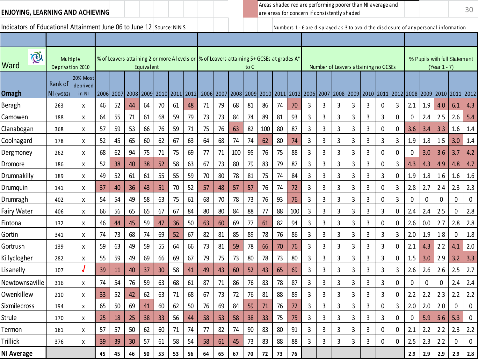Indicators of Educational Attainment June 06 to June 12 Source: NINIS Numbers 1 - 6 are displayed as 3 to avoid the disclosure of any personal information

ENJOYING, LEARNING AND ACHIEVING<br>are areas for concern if consistently shaded Areas shaded red are performing poorer than NI average and are areas for concern if consistently shaded

| $\bigcirc$<br>Ward  | Multiple<br>Deprivation 2010  |                               |    |           |      | Equivalent |                |    |      | % of Leavers attaining 2 or more A levels or  % of Leavers attaining 5+ GCSEs at grades A* |    |     | to C |     |    |     |                                                       |   |      | Number of Leavers attaining no GCSEs |   |   |           |                |              | % Pupils with full Statement<br>(Year 1 - 7) |                  |           |
|---------------------|-------------------------------|-------------------------------|----|-----------|------|------------|----------------|----|------|--------------------------------------------------------------------------------------------|----|-----|------|-----|----|-----|-------------------------------------------------------|---|------|--------------------------------------|---|---|-----------|----------------|--------------|----------------------------------------------|------------------|-----------|
| <b>Omagh</b>        | Rank of<br>$\vert$ NI (n=582) | 20% Most<br>deprived<br>in NI |    | 2006 2007 | 2008 |            | 2009 2010 2011 |    | 2012 | 2006                                                                                       |    |     |      |     |    |     | 2007   2008   2009   2010   2011   2012   2006   2007 |   | 2008 | 2009 2010 2011                       |   |   |           | 2012 2008 2009 |              | 2010 2011 2012                               |                  |           |
| Beragh              | 263                           | X                             | 46 | 52        | 44   | 64         | 70             | 61 | 48   | 71                                                                                         | 79 | 68  | 81   | 86  | 74 | 70  | 3                                                     | 3 | 3    | 3                                    | 3 | 0 | 3         | 2.1            | 1.9          | 4.0                                          | 6.1              | 4.3       |
| Camowen             | 188                           | X                             | 64 | 55        | 71   | 61         | 68             | 59 | 79   | 73                                                                                         | 73 | 84  | 74   | 89  | 81 | 93  | 3                                                     | 3 | 3    | 3                                    | 3 | 3 | 0         | 0              | 2.4          | 2.5                                          | 2.6              | 5.4       |
| Clanabogan          | 368                           | x                             | 57 | 59        | 53   | 66         | 76             | 59 | 71   | 75                                                                                         | 76 | 63  | 82   | 100 | 80 | 87  | 3                                                     | 3 | 3    | 3                                    | 3 | 0 | 0         | 3.6            | 3.4          | 3.3                                          | 1.6              | 1.4       |
| Coolnagard          | 178                           | X                             | 52 | 45        | 65   | 60         | 62             | 67 | 63   | 64                                                                                         | 68 | 74  | 74   | 62  | 80 | 74  | 3                                                     | 3 | 3    | 3                                    | 3 | 3 | 3         | 1.9            | 1.8          | 1.5                                          | 3.0              | 1.4       |
| Dergmoney           | 262                           | X                             | 68 | 62        | 94   | 75         | 71             | 75 | 69   | 77                                                                                         | 71 | 100 | 95   | 76  | 75 | 88  | 3                                                     | 3 | 3    | 3                                    | 3 | 0 | 0         | 0              | 3.0          | 3.6                                          | 3.7              | 4.2       |
| Dromore             | 186                           | X                             | 52 | 38        | 40   | 38         | 52             | 58 | 63   | 67                                                                                         | 73 | 80  | 79   | 83  | 79 | 87  | 3                                                     | 3 | 3    | 3                                    | 3 | 0 | 3         | 4.3            | 4.3          | 4.9                                          | 4.8              | 4.7       |
| Drumnakilly         | 189                           | X                             | 49 | 52        | 61   | 61         | 55             | 55 | 59   | 70                                                                                         | 80 | 78  | 81   | 75  | 74 | 84  | 3                                                     | 3 | 3    | 3                                    | 3 | 3 | 0         | 1.9            | 1.8          | 1.6                                          | 1.6              | 1.6       |
| Drumquin            | 141                           | X                             | 37 | 40        | 36   | 43         | 51             | 70 | 52   | 57                                                                                         | 48 | 57  | 57   | 76  | 74 | 72  | 3                                                     | 3 | 3    | 3                                    | 3 | 0 | 3         | 2.8            | 2.7          | 2.4                                          | 2.3              | 2.3       |
| Drumragh            | 402                           | x                             | 54 | 54        | 49   | 58         | 63             | 75 | 61   | 68                                                                                         | 70 | 78  | 73   | 76  | 93 | 76  | $\overline{3}$                                        | 3 | 3    | 3                                    | 3 | 0 | 3         | 0              | 0            | $\mathbf 0$                                  | $\mathbf{0}$     | $\pmb{0}$ |
| <b>Fairy Water</b>  | 406                           | X                             | 66 | 56        | 65   | 65         | 67             | 67 | 84   | 80                                                                                         | 80 | 84  | 88   | 77  | 88 | 100 | 3                                                     | 3 | 3    | 3                                    | 3 | 3 | 0         | 2.4            | 2.4          | 2.5                                          | $\mathbf 0$      | 2.8       |
| Fintona             | 132                           | X                             | 46 | 44        | 45   | 59         | 47             | 36 | 50   | 63                                                                                         | 60 | 69  | 77   | 61  | 82 | 94  | 3                                                     | 3 | 3    | 3                                    | 3 | 0 | 0         | 2.6            | 0.0          | 2.7                                          | 2.8              | 2.8       |
| Gortin              | 341                           | X                             | 74 | 73        | 68   | 74         | 69             | 52 | 67   | 82                                                                                         | 81 | 85  | 89   | 78  | 76 | 86  | 3                                                     | 3 | 3    | 3                                    | 3 | 3 | 3         | 2.0            | 1.9          | 1.8                                          | $\mathbf 0$      | 1.8       |
| Gortrush            | 139                           | X                             | 59 | 63        | 49   | 59         | 55             | 64 | 66   | 73                                                                                         | 81 | 59  | 78   | 66  | 70 | 76  | 3                                                     | 3 | 3    | 3                                    | 3 | 3 | 0         | 2.1            | 4.3          | 2.2                                          | 4.1              | 2.0       |
| Killyclogher        | 282                           | Χ                             | 55 | 59        | 49   | 69         | 66             | 69 | 67   | 79                                                                                         | 75 | 73  | 80   | 78  | 73 | 80  | 3                                                     | 3 | 3    | 3                                    | 3 | 3 | 0         | 1.5            | 3.0          | 2.9                                          | 3.2              | 3.3       |
| Lisanelly           | 107                           | J                             | 39 | 11        | 40   | 37         | 30             | 58 | 41   | 49                                                                                         | 43 | 60  | 52   | 43  | 65 | 69  | 3                                                     | 3 | 3    | 3                                    | 3 | 3 | 3         | 2.6            | 2.6          | 2.6                                          | 2.5              | 2.7       |
| Newtownsaville      | 316                           | X                             | 74 | 54        | 76   | 59         | 63             | 68 | 61   | 87                                                                                         | 71 | 86  | 76   | 83  | 78 | 87  | 3                                                     | 3 | 3    | 3                                    | 3 | 3 | 0         | $\mathbf{0}$   | $\mathbf{0}$ | $\mathbf{0}$                                 | 2.4              | 2.4       |
| Owenkillew          | 210                           | X                             | 33 | 52        | 42   | 62         | 63             | 71 | 68   | 67                                                                                         | 73 | 72  | 76   | 81  | 88 | 89  | 3                                                     | 3 | 3    | 3                                    | 3 | 3 | 0         | 2.2            | 2.2          | 2.3                                          | 2.2              | 2.2       |
| <b>Sixmilecross</b> | 194                           | X                             | 65 | 50        | 69   | 41         | 60             | 62 | 50   | 76                                                                                         | 69 | 84  | 59   | 71  | 76 | 72  | 3                                                     | 3 | 3    | 3                                    | 3 | 0 | 3         | 2.0            | 2.0          | 2.0                                          | $\mathbf 0$      | $\pmb{0}$ |
| Strule              | 170                           | X                             | 25 | 18        | 25   | 38         | 33             | 56 | 44   | 58                                                                                         | 53 | 58  | 38   | 33  | 75 | 75  | 3                                                     | 3 | 3    | 3                                    | 3 | 3 | 0         | $\Omega$       | 5.9          | 5.6                                          | 5.3              | $\pmb{0}$ |
| Termon              | 181                           | X                             | 57 | 57        | 50   | 62         | 60             | 71 | 74   | 77                                                                                         | 82 | 74  | 90   | 83  | 80 | 91  | 3                                                     | 3 | 3    | 3                                    | 3 | 0 | 0         | 2.1            | 2.2          | 2.2                                          | 2.3              | 2.2       |
| Trillick            | 376                           | X                             | 39 | 39        | 30   | 57         | 61             | 58 | 54   | 58                                                                                         | 61 | 45  | 73   | 83  | 88 | 88  | 3                                                     | 3 | 3    | 3                                    | 3 | 0 | $\pmb{0}$ | 2.5            | 2.3          | 2.2                                          | $\boldsymbol{0}$ | $\pmb{0}$ |
| <b>NI Average</b>   |                               |                               | 45 | 45        | 46   | 50         | 53             | 53 | 56   | 64                                                                                         | 65 | 67  | 70   | 72  | 73 | 76  |                                                       |   |      |                                      |   |   |           | 2.9            | 2.9          | 2.9                                          | 2.9              | 2.8       |
|                     |                               |                               |    |           |      |            |                |    |      |                                                                                            |    |     |      |     |    |     |                                                       |   |      |                                      |   |   |           |                |              |                                              |                  |           |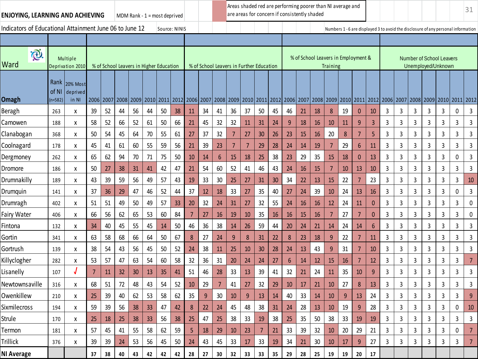| <b>ENJOYING, LEARNING AND ACHIEVING</b>                 |                          |                               |           |                                         |    | MDM Rank - $1 =$ most deprived |      |               |    | Areas shaded red are performing poorer than NI average and<br>are areas for concern if consistently shaded |                                          |      |    |    |    |                          |    |      |                                     |                 |    |                |                |   |                     |   |                                                                                   | 31 |                |                |
|---------------------------------------------------------|--------------------------|-------------------------------|-----------|-----------------------------------------|----|--------------------------------|------|---------------|----|------------------------------------------------------------------------------------------------------------|------------------------------------------|------|----|----|----|--------------------------|----|------|-------------------------------------|-----------------|----|----------------|----------------|---|---------------------|---|-----------------------------------------------------------------------------------|----|----------------|----------------|
| Indicators of Educational Attainment June 06 to June 12 |                          |                               |           |                                         |    |                                |      | Source: NINIS |    |                                                                                                            |                                          |      |    |    |    |                          |    |      |                                     |                 |    |                |                |   |                     |   | Numbers 1 - 6 are displayed 3 to avoid the disclosure of any personal information |    |                |                |
|                                                         |                          |                               |           |                                         |    |                                |      |               |    |                                                                                                            |                                          |      |    |    |    |                          |    |      |                                     |                 |    |                |                |   |                     |   |                                                                                   |    |                |                |
| $\widetilde{C}$<br>Ward                                 |                          | Multiple<br>Deprivation 2010  |           | % of School Leavers in Higher Education |    |                                |      |               |    |                                                                                                            | % of School Leavers in Further Education |      |    |    |    |                          |    |      | % of School Leavers in Employment & | <b>Training</b> |    |                |                |   |                     |   | <b>Number of School Leavers</b><br>Unemployed/Unknown                             |    |                |                |
| Omagh                                                   | Rank<br>of NI<br>(n=582) | 20% Most<br>deprived<br>in NI | 2006 2007 |                                         |    | 2008 2009                      | 2010 | 2011          |    |                                                                                                            | 2012 2006 2007                           | 2008 |    |    |    | 2009 2010 2011 2012 2006 |    | 2007 | 2008 2009 2010                      |                 |    | 2011           |                |   | 2012 2006 2007 2008 |   | 2009                                                                              |    | 2010 2011 2012 |                |
| Beragh                                                  | 263                      | Χ                             | 39        | 52                                      | 44 | 56                             | 44   | 50            | 38 | 11                                                                                                         | 34                                       | 41   | 36 | 37 | 50 | 45                       | 46 | 21   | 18                                  | 8               | 19 | $\mathbf{0}$   | 10             | 3 | 3                   | 3 | 3                                                                                 | 3  | 0              | $\mathbf{3}$   |
| Camowen                                                 | 188                      | Χ                             | 58        | 52                                      | 66 | 52                             | 61   | 50            | 66 | 21                                                                                                         | 45                                       | 32   | 32 | 11 | 31 | 24                       | 9  | 18   | <b>16</b>                           | 10              | 11 | 9              | $\overline{3}$ | 3 | 3                   | 3 | 3                                                                                 | 3  | 3              | 3              |
| Clanabogan                                              | 368                      | Χ                             | 50        | 54                                      | 45 | 64                             | $70$ | 55            | 61 | 27                                                                                                         | 37                                       | 32   | 7  | 27 | 30 | 26                       | 23 | 15   | 16                                  | 20              | 8  | 7              | 5              | 3 | 3                   | 3 | 3                                                                                 | 3  | 3              | 3              |
| Coolnagard                                              | 178                      | Χ                             | 45        | 41                                      | 61 | 60                             | 55   | 59            | 56 | 21                                                                                                         | 39                                       | 23   | 7  |    | 29 | 28                       | 24 | 14   | 19                                  | 7               | 29 | 6              | 11             | 3 | 3                   | 3 | 3                                                                                 | 3  | 3              | 3              |
| Dergmoney                                               | 262                      | Χ                             | 65        | 62                                      | 94 | 70                             | 71   | 75            | 50 | 10                                                                                                         | 14                                       | 6    | 15 | 18 | 25 | 38                       | 23 | 29   | 35                                  | 15              | 18 | $\mathbf{0}$   | 13             | 3 | 3                   | 3 | 3                                                                                 | 3  | 0              | $\mathbf{3}$   |
| Dromore                                                 | 186                      | Χ                             | 50        | 27                                      | 38 | 31                             | 41   | 42            | 47 | 21                                                                                                         | 54                                       | 60   | 52 | 41 | 46 | 43                       | 24 | 16   | 15                                  | 7               | 10 | 13             | 10             | 3 | 3                   | 3 | 3                                                                                 | 3  | 3              | 3              |
| Drumnakilly                                             | 189                      | Χ                             | 43        | 39                                      | 59 | 56                             | 49   | 57            | 43 | 19                                                                                                         | 33                                       | 30   | 25 | 27 | 31 | 30                       | 34 | 22   | 13                                  | 15              | 22 | $\overline{7}$ | 23             | 3 | 3                   | 3 | 3                                                                                 | 3  | 3              | 10             |
| Drumquin                                                | 141                      | Χ                             | 37        | 36                                      | 29 | 47                             | 46   | 52            | 44 | 37                                                                                                         | 12                                       | 18   | 33 | 27 | 35 | 40                       | 27 | 24   | 39                                  | 10              | 24 | 13             | 16             | 3 | 3                   | 3 | 3                                                                                 | 3  | 0              | 3              |
| Drumragh                                                | 402                      | Χ                             | 51        | 51                                      | 49 | 50                             | 49   | 57            | 33 | 20                                                                                                         | 32                                       | 24   | 31 | 27 | 32 | 55                       | 24 | 16   | 16                                  | 12              | 24 | 11             | $\mathbf{0}$   | 3 | 3                   | 3 | $\overline{3}$                                                                    | 3  | 3              | $\mathbf 0$    |
| Fairy Water                                             | 406                      | χ                             | 66        | 56                                      | 62 | 65                             | 53   | 60            | 84 | 7                                                                                                          | 27                                       | 16   | 19 | 10 | 35 | 16                       | 16 | 15   | 16                                  | 7               | 27 | 7              | $\mathbf{0}$   | 3 | 3                   | 3 | 3                                                                                 | 3  | 3              | 0              |
| Fintona                                                 | 132                      | Χ                             | 34        | 40                                      | 45 | 55                             | 45   | 14            | 50 | 46                                                                                                         | 36                                       | 38   | 14 | 26 | 59 | 44                       | 20 | 24   | 21                                  | 14              | 24 | 14             | 6              | 3 | 3                   | 3 | 3                                                                                 | 3  | 3              | 3              |
| Gortin                                                  | 341                      | Χ                             | 63        | 58                                      | 68 | 66                             | 64   | 50            | 67 | 8                                                                                                          | 27                                       | 24   | 9  | 8  | 31 | 22                       | 8  | 23   | 18                                  | 9               | 22 | 7              | 11             | 3 | 3                   | 3 | 3                                                                                 | 3  | 3              | 3              |
| Gortrush                                                | 139                      | Χ                             | 38        | 54                                      | 43 | 56                             | 45   | 50            | 52 | 24                                                                                                         | 38                                       | 11   | 25 | 10 | 30 | 28                       | 24 | 13   | 43                                  | 9               | 31 | $\overline{7}$ | 10             | 3 | 3                   | 3 | 3                                                                                 | 3  | 3              | $\mathbf{3}$   |
| Killyclogher                                            | 282                      | χ                             | 53        | 57                                      | 47 | 63                             | 54   | 60            | 58 | 32                                                                                                         | 36                                       | 31   | 20 | 24 | 24 | 27                       | 6  | 14   | 12                                  | 15              | 16 | 7              | 12             | 3 | 3                   | 3 | 3                                                                                 | 3  | 3              | $\overline{7}$ |
| Lisanelly                                               | 107                      |                               | 7         | 11                                      | 32 | 30                             | 13   | 35            | 41 | 51                                                                                                         | 46                                       | 28   | 33 | 13 | 39 | 41                       | 32 | 21   | 24                                  | 11              | 35 | 10             | $\overline{9}$ | 3 | 3                   | 3 | 3                                                                                 | 3  | 3              | 3              |
| Newtownsaville                                          | 316                      | х                             | 68        | 51                                      | 72 | 48                             | 43   | 54            | 52 | 10                                                                                                         | 29                                       | 7    | 41 | 27 | 32 | 29                       | 10 | 17   | 21                                  | 10              | 27 | 8              | 13             | 3 | 3                   | 3 | 3                                                                                 | 3  | 3              | 3              |
| Owenkillew                                              | 210                      | X                             | 25        | 39                                      | 40 | 62                             | 53   | 58            | 62 | 35                                                                                                         | 9                                        | 30   | 10 | 9  | 13 | 14                       | 40 | 33   | 14                                  | 10              | 9  | 13             | 24             | 3 | 3                   | 3 | 3                                                                                 | 3  | 3              | 9              |
| Sixmilecross                                            | 194                      | χ                             | 59        | 39                                      | 56 | 38                             | 33   | 47            | 42 | 8                                                                                                          | 22                                       | 24   | 45 | 48 | 38 | 31                       | 24 | 28   | 13                                  | $10$            | 19 | 9              | 28             | 3 | $\mathbf{3}$        | 3 | 3                                                                                 | 3  | 0              | 10             |
| Strule                                                  | 170                      | х                             | 25        | 18                                      | 25 | 38                             | 33   | 56            | 38 | 25                                                                                                         | 47                                       | 25   | 38 | 33 | 19 | 38                       | 25 | 35   | 50                                  | 38              | 33 | 19             | 19             | 3 | $\mathbf{3}$        | 3 | 3                                                                                 | 3  | 3              | 3              |
| Termon                                                  | 181                      | χ                             | 57        | 45                                      | 41 | 55                             | 58   | 62            | 59 | 5                                                                                                          | 18                                       | 29   | 10 | 23 | 7  | 21                       | 33 | 39   | 32                                  | 10              | 20 | 29             | 21             | 3 | 3                   | 3 | 3                                                                                 | 3  | 0              | $\overline{7}$ |
| Trillick                                                | 376                      | Χ                             | 39        | 39                                      | 24 | 53                             | 56   | 45            | 50 | 24                                                                                                         | 43                                       | 45   | 33 | 17 | 33 | 19                       | 34 | 21   | 30                                  | 10              | 17 | 9              | 27             | 3 | 3                   | 3 | 3                                                                                 | 3  | 3              | $\overline{7}$ |
| <b>NI Average</b>                                       |                          |                               | 37        | 38                                      | 40 | 43                             | 42   | 42            | 42 | 28                                                                                                         | 27                                       | 30   | 32 | 33 | 33 | 35                       | 29 | 28   | 25                                  | 19              | 19 | 20             | 17             |   |                     |   |                                                                                   |    |                |                |
|                                                         |                          |                               |           |                                         |    |                                |      |               |    |                                                                                                            |                                          |      |    |    |    |                          |    |      |                                     |                 |    |                |                |   |                     |   |                                                                                   |    |                |                |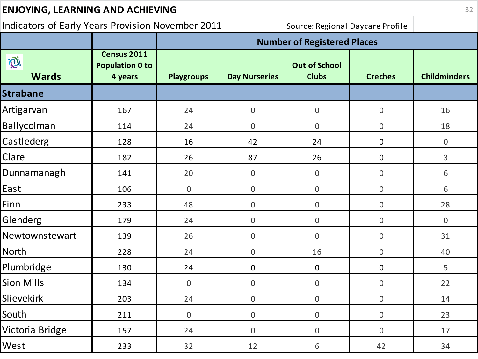| <b>ENJOYING, LEARNING AND ACHIEVING</b>           |                                                  |                   |                      |                                      |                  |                     |  |  |  |  |  |  |  |
|---------------------------------------------------|--------------------------------------------------|-------------------|----------------------|--------------------------------------|------------------|---------------------|--|--|--|--|--|--|--|
| Indicators of Early Years Provision November 2011 |                                                  |                   |                      | Source: Regional Daycare Profile     |                  |                     |  |  |  |  |  |  |  |
|                                                   |                                                  |                   |                      | <b>Number of Registered Places</b>   |                  |                     |  |  |  |  |  |  |  |
| iQ.<br><b>Wards</b>                               | Census 2011<br><b>Population 0 to</b><br>4 years | <b>Playgroups</b> | <b>Day Nurseries</b> | <b>Out of School</b><br><b>Clubs</b> | <b>Creches</b>   | <b>Childminders</b> |  |  |  |  |  |  |  |
| <b>Strabane</b>                                   |                                                  |                   |                      |                                      |                  |                     |  |  |  |  |  |  |  |
| Artigarvan                                        | 167                                              | 24                | $\overline{0}$       | $\boldsymbol{0}$                     | $\boldsymbol{0}$ | 16                  |  |  |  |  |  |  |  |
| Ballycolman                                       | 114                                              | 24                | $\overline{0}$       | $\boldsymbol{0}$                     | $\overline{0}$   | 18                  |  |  |  |  |  |  |  |
| Castlederg                                        | 128                                              | 16                | 42                   | 24                                   | 0                | $\overline{0}$      |  |  |  |  |  |  |  |
| Clare                                             | 182                                              | 26                | 87                   | 26                                   | 0                | 3                   |  |  |  |  |  |  |  |
| Dunnamanagh                                       | 141                                              | 20                | $\overline{0}$       | 0                                    | $\mathbf 0$      | 6                   |  |  |  |  |  |  |  |
| East                                              | 106                                              | $\overline{0}$    | $\overline{0}$       | $\overline{0}$                       | $\overline{0}$   | 6                   |  |  |  |  |  |  |  |
| Finn                                              | 233                                              | 48                | $\mathbf 0$          | $\overline{0}$                       | $\boldsymbol{0}$ | 28                  |  |  |  |  |  |  |  |
| Glenderg                                          | 179                                              | 24                | $\overline{0}$       | $\boldsymbol{0}$                     | $\boldsymbol{0}$ | $\overline{0}$      |  |  |  |  |  |  |  |
| Newtownstewart                                    | 139                                              | 26                | $\overline{0}$       | $\overline{0}$                       | $\boldsymbol{0}$ | 31                  |  |  |  |  |  |  |  |
| North                                             | 228                                              | 24                | $\overline{0}$       | 16                                   | $\overline{0}$   | 40                  |  |  |  |  |  |  |  |
| Plumbridge                                        | 130                                              | 24                | $\mathbf 0$          | 0                                    | 0                | 5                   |  |  |  |  |  |  |  |
| <b>Sion Mills</b>                                 | 134                                              | $\overline{0}$    | $\overline{0}$       | $\boldsymbol{0}$                     | $\mathbf 0$      | 22                  |  |  |  |  |  |  |  |
| Slievekirk                                        | 203                                              | 24                | $\overline{0}$       | $\overline{0}$                       | $\overline{0}$   | 14                  |  |  |  |  |  |  |  |
| South                                             | 211                                              | $\boldsymbol{0}$  | $\boldsymbol{0}$     | $\boldsymbol{0}$                     | $\boldsymbol{0}$ | 23                  |  |  |  |  |  |  |  |
| Victoria Bridge                                   | 157                                              | 24                | $\boldsymbol{0}$     | $\boldsymbol{0}$                     | $\boldsymbol{0}$ | 17                  |  |  |  |  |  |  |  |
| West                                              | 233                                              | 32                | 12                   | $6\,$                                | 42               | 34                  |  |  |  |  |  |  |  |
|                                                   |                                                  |                   |                      |                                      |                  |                     |  |  |  |  |  |  |  |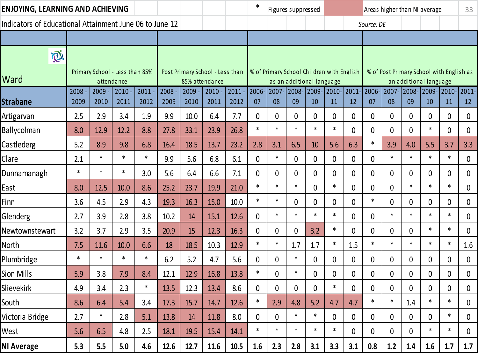| ENJOYING, LEARNING AND ACHIEVING                        |              |                                              |              |              |              |                |                                 |                  | ∗                |             | Figures suppressed                                                     |              |              |              |             |              |              | Areas higher than NI average |                                          | 33              |
|---------------------------------------------------------|--------------|----------------------------------------------|--------------|--------------|--------------|----------------|---------------------------------|------------------|------------------|-------------|------------------------------------------------------------------------|--------------|--------------|--------------|-------------|--------------|--------------|------------------------------|------------------------------------------|-----------------|
| Indicators of Educational Attainment June 06 to June 12 |              |                                              |              |              |              |                |                                 |                  |                  |             |                                                                        |              |              |              | Source: DE  |              |              |                              |                                          |                 |
|                                                         |              |                                              |              |              |              |                |                                 |                  |                  |             |                                                                        |              |              |              |             |              |              |                              |                                          |                 |
| Ò.                                                      |              |                                              |              |              |              |                |                                 |                  |                  |             |                                                                        |              |              |              |             |              |              |                              |                                          |                 |
| Ward                                                    |              | Primary School - Less than 85%<br>attendance |              |              |              | 85% attendance | Post Primary School - Less than |                  |                  |             | % of Primary School Children with English<br>as an additional language |              |              |              |             |              |              | an additional language       | % of Post Primary School with English as |                 |
| Strabane                                                | 2008<br>2009 | 2009<br>2010                                 | 2010<br>2011 | 2011<br>2012 | 2008<br>2009 | 2009<br>2010   | 2010<br>2011                    | $2011 -$<br>2012 | 2006<br>07       | 2007<br>08  | 2008-<br>09                                                            | 2009<br>10   | 2010-<br>11  | 2011<br>12   | 2006<br>07  | 2007<br>08   | 2008-<br>09  | $ 2009 -$<br>10              | 2010-<br>11                              | $ 2011 -$<br>12 |
| Artigarvan                                              | 2.5          | 2.9                                          | 3.4          | 1.9          | 9.9          | 10.0           | 6.4                             | 7.7              | 0                | 0           | 0                                                                      | 0            | 0            | $\mathbf 0$  | $\mathbf 0$ | $\mathbf{0}$ | $\mathbf{0}$ | $\mathbf 0$                  | $\mathbf{0}$                             | 0               |
| <b>Ballycolman</b>                                      | 8.0          | 12.9                                         | 12.2         | 8.8          | 27.8         | 33.1           | 23.9                            | 26.8             | $\ast$           | $\ast$      | $\ast$                                                                 | $\ast$       | $\ast$       | $\mathbf{0}$ | $\mathbf 0$ | $\mathbf{0}$ | 0            | $\ast$                       | 0                                        | $\mathbf 0$     |
| Castlederg                                              | 5.2          | 8.9                                          | 9.8          | 6.8          | 16.4         | 18.5           | 13.7                            | 23.2             | 2.8              | 3.1         | 6.5                                                                    | 10           | 5.6          | 6.3          | $\ast$      | 3.9          | 4.0          | 5.5                          | 3.7                                      | 3.3             |
| Clare                                                   | 2.1          | $\ast$                                       | $\ast$       | $\ast$       | 9.9          | 5.6            | 6.8                             | 6.1              | 0                | $\ast$      | 0                                                                      | 0            | $\mathbf{0}$ | $\mathbf{0}$ | 0           | $\ast$       | $\ast$       | $\ast$                       | $\ast$                                   | 0               |
| Dunnamanagh                                             | $\ast$       | $\ast$                                       | $\ast$       | 3.0          | 5.6          | 6.4            | 6.6                             | 7.1              | 0                | 0           | 0                                                                      | 0            | 0            | $\mathbf 0$  | 0           | 0            | 0            | 0                            | $\mathbf 0$                              | 0               |
| East                                                    | 8.0          | 12.5                                         | 10.0         | 8.6          | 25.2         | 23.7           | 19.9                            | 21.0             | $\ast$           | $\ast$      | $\ast$                                                                 | $\mathbf{0}$ | $\ast$       | $\mathbf 0$  | $\mathbf 0$ | $\mathbf{0}$ | $\ast$       | $\ast$                       | $\ast$                                   | 0               |
| Finn                                                    | 3.6          | 4.5                                          | 2.9          | 4.3          | 19.3         | 16.3           | 15.0                            | 10.0             | $\ast$           | $\ast$      | 0                                                                      | $\mathbf 0$  | 0            | 0            | $\ast$      | $\mathbf 0$  | 0            | $\mathbf 0$                  | $\mathbf 0$                              | 0               |
| Glenderg                                                | 2.7          | 3.9                                          | 2.8          | 3.8          | 10.2         | 14             | 15.1                            | 12.6             | $\boldsymbol{0}$ | $\ast$      | $\ast$                                                                 | $\ast$       | $\ast$       | $\mathbf{0}$ | $\mathbf 0$ | $\ast$       | $\ast$       | $\ast$                       | $\ast$                                   | 0               |
| Newtownstewart                                          | 3.2          | 3.7                                          | 2.9          | 3.5          | 20.9         | 15             | 12.3                            | 16.3             | 0                | 0           | 0                                                                      | 3.2          | $\ast$       | $\mathbf 0$  | 0           | 0            | 0            | $\ast$                       | $\ast$                                   | 0               |
| North                                                   | 7.5          | 11.6                                         | 10.0         | 6.6          | 18           | 18.5           | 10.3                            | 12.9             | $\ast$           | $\ast$      | 1.7                                                                    | 1.7          | $\ast$       | 1.5          | $\ast$      | $\ast$       | $\ast$       | $\ast$                       | $\ast$                                   | 1.6             |
| Plumbridge                                              | $\ast$       | $\ast$                                       | $\ast$       | $\ast$       | 6.2          | 5.2            | 4.7                             | 5.6              | 0                | 0           | $\ast$                                                                 | $\mathbf 0$  | 0            | $\mathbf 0$  | $\mathbf 0$ | $\mathbf{0}$ | $\mathbf 0$  | $\mathbf 0$                  | 0                                        | 0               |
| Sion Mills                                              | 5.9          | 3.8                                          | 7.9          | 8.4          | 12.1         | 12.9           | 16.8                            | 13.8             | $\ast$           | 0           | $\ast$                                                                 | $\mathbf 0$  | 0            | 0            | $\mathbf 0$ | $\mathbf{0}$ | 0            | $\mathbf 0$                  | 0                                        | 0               |
| Slievekirk                                              | 4.9          | 3.4                                          | 2.3          | $\ast$       | 13.5         | 12.3           | 13.4                            | 8.6              | 0                | 0           | 0                                                                      | 0            | $\ast$       | 0            | 0           | 0            | 0            | 0                            | 0                                        | 0               |
| South                                                   | 8.6          | 6.4                                          | 5.4          | 3.4          | 17.3         | 15.7           | 14.7                            | 12.6             | ∗                | 2.9         | 4.8                                                                    | 5.2          | 4.7          | 4.7          | ∗           |              | 1.4          | ∗                            |                                          | 0               |
| Victoria Bridge                                         | 2.7          | $\ast$                                       | 2.8          | 5.1          | 13.8         | 14             | 11.8                            | 8.0              | $\mathbf 0$      | $\mathbf 0$ | $\ast$                                                                 | $\ast$       | 0            | $\mathbf 0$  | $\mathbf 0$ | 0            | 0            | 0                            | $\ast$                                   | 0               |
| West                                                    | 5.6          | 6.5                                          | 4.8          | 2.5          | 18.1         | 19.5           | 15.4                            | 14.1             | $\ast$           | $\ast$      | $\ast$                                                                 | $\ast$       | $\ast$       | $\mathbf{0}$ | $\mathbf 0$ | 0            | $\mathbf{0}$ | $\ast$                       | $\ast$                                   | 0               |
| <b>NI Average</b>                                       | 5.3          | 5.5                                          | 5.0          | 4.6          | 12.6         | 12.7           | 11.6                            | 10.5             | 1.6              | 2.3         | 2.8                                                                    | 3.1          | 3.3          | 3.1          | 0.8         | 1.2          | 1.4          | 1.6                          | 1.7                                      | 1.7             |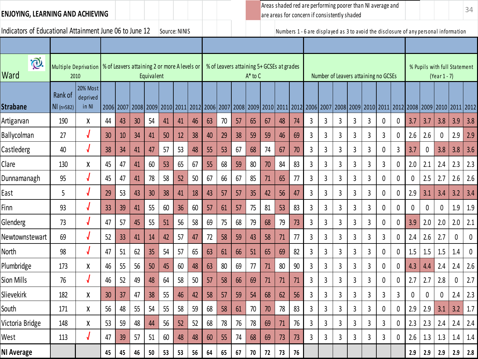## **ENJOYING, LEARNING AND ACHIEVING**

Indicators of Educational Attainment June 06 to June 12 Source: NINIS Numbers 1 - 6 are displayed as 3 to avoid the disclosure of any personal information

Areas shaded red are performing poorer than NI average and are areas for concern if consistently shaded

| marcators or Educational Attainment sanc objects same 12 |                                     |                               |                                              |           |      |            |    |    |    |    |    |    |              |    |                                                                                                                                                                                     |    |   |                |                | <b>NUMBER 2</b> OUTCRISPINGER US STO AVOID THE UISCRISBILE OF ANY PERSONAL IMPORTANCE |   |   |                |             |     |              |                              |     |
|----------------------------------------------------------|-------------------------------------|-------------------------------|----------------------------------------------|-----------|------|------------|----|----|----|----|----|----|--------------|----|-------------------------------------------------------------------------------------------------------------------------------------------------------------------------------------|----|---|----------------|----------------|---------------------------------------------------------------------------------------|---|---|----------------|-------------|-----|--------------|------------------------------|-----|
|                                                          |                                     |                               |                                              |           |      |            |    |    |    |    |    |    |              |    |                                                                                                                                                                                     |    |   |                |                |                                                                                       |   |   |                |             |     |              |                              |     |
| $\widetilde{\mathcal{O}}$<br>Ward                        | <b>Multiple Deprivation</b><br>2010 |                               | % of Leavers attaining 2 or more A levels or |           |      | Equivalent |    |    |    |    |    |    | $A^*$ to $C$ |    | % of Leavers attaining 5+ GCSEs at grades                                                                                                                                           |    |   |                |                | Number of Leavers attaining no GCSEs                                                  |   |   |                |             |     | (Year 1 - 7) | % Pupils with full Statement |     |
| <b>Strabane</b>                                          | Rank of<br>$NI(n=582)$              | 20% Most<br>deprived<br>in NI |                                              | 2006 2007 | 2008 |            |    |    |    |    |    |    |              |    | 2009   2010   2011   2012   2006   2007   2008   2009   2010   2011   2012   2006   2007   2008   2009   2010   2011   2012   2008   2009   2010   2011   2012   2010   2011   2012 |    |   |                |                |                                                                                       |   |   |                |             |     |              |                              |     |
| Artigarvan                                               | 190                                 | χ                             | 44                                           | 43        | 30   | 54         | 41 | 41 | 46 | 63 | 70 | 57 | 65           | 67 | 48                                                                                                                                                                                  | 74 | 3 | 3              | 3              | 3                                                                                     | 3 | 0 | $\mathbf 0$    | 3.7         | 3.7 | 3.8          | 3.9                          | 3.8 |
| Ballycolman                                              | 27                                  |                               | 30                                           | 10        | 34   | 41         | 50 | 12 | 38 | 40 | 29 | 38 | 59           | 59 | 46                                                                                                                                                                                  | 69 | 3 | 3              | 3              | 3                                                                                     | 3 | 3 | 0              | 2.6         | 2.6 | $\mathbf 0$  | 2.9                          | 2.9 |
| Castlederg                                               | 40                                  |                               | 38                                           | 34        | 41   | 47         | 57 | 53 | 48 | 55 | 53 | 67 | 68           | 74 | 67                                                                                                                                                                                  | 70 | 3 | 3              | 3              | 3                                                                                     | 3 | 0 | 3              | 3.7         | 0   | 3.8          | 3.8                          | 3.6 |
| Clare                                                    | 130                                 | χ                             | 45                                           | 47        | 41   | 60         | 53 | 65 | 67 | 55 | 68 | 59 | 80           | 70 | 84                                                                                                                                                                                  | 83 | 3 | 3              | $\overline{3}$ | 3                                                                                     | 3 | 3 | $\mathbf 0$    | 2.0         | 2.1 | 2.4          | 2.3                          | 2.3 |
| Dunnamanagh                                              | 95                                  |                               | 45                                           | 47        | 41   | 78         | 58 | 52 | 50 | 67 | 66 | 67 | 85           | 71 | 65                                                                                                                                                                                  | 77 | 3 | 3              | 3              | 3                                                                                     | 3 | 0 | $\mathbf{0}$   | 0           | 2.5 | 2.7          | 2.6                          | 2.6 |
| East                                                     | 5                                   |                               | 29                                           | 53        | 43   | 30         | 38 | 41 | 18 | 43 | 57 | 57 | 35           | 42 | 56                                                                                                                                                                                  | 47 | 3 | 3              | 3              | 3                                                                                     | 3 | 0 | 0              | 2.9         | 3.1 | 3.4          | 3.2                          | 3.4 |
| Finn                                                     | 93                                  |                               | 33                                           | 39        | 41   | 55         | 60 | 36 | 60 | 57 | 61 | 57 | 75           | 81 | 53                                                                                                                                                                                  | 83 | 3 | $\overline{3}$ | 3              | 3                                                                                     | 3 | 0 | $\mathbf 0$    | $\mathbf 0$ | 0   | $\mathbf 0$  | 1.9                          | 1.9 |
| Glenderg                                                 | 73                                  |                               | 47                                           | 57        | 45   | 55         | 51 | 56 | 58 | 69 | 75 | 68 | 79           | 68 | 79                                                                                                                                                                                  | 73 | 3 | 3              | 3              | 3                                                                                     | 3 | 0 | $\mathbf 0$    | 3.9         | 2.0 | 2.0          | 2.0                          | 2.1 |
| Newtownstewart                                           | 69                                  |                               | 52                                           | 33        | 41   | 14         | 42 | 57 | 47 | 72 | 58 | 59 | 43           | 58 | 71                                                                                                                                                                                  | 77 | 3 | 3              | 3              | 3                                                                                     | 3 | 3 | $\mathbf 0$    | 2.4         | 2.6 | 2.7          | 0                            | 0   |
| North                                                    | 98                                  |                               | 47                                           | 51        | 62   | 35         | 54 | 57 | 65 | 63 | 61 | 66 | 51           | 65 | 69                                                                                                                                                                                  | 82 | 3 | 3              | 3              | 3                                                                                     | 3 | 0 | 0              | 1.5         | 1.5 | 1.5          | 1.4                          | 0   |
| Plumbridge                                               | 173                                 | χ                             | 46                                           | 55        | 56   | 50         | 45 | 60 | 48 | 63 | 80 | 69 | 77           | 71 | 80                                                                                                                                                                                  | 90 | 3 | 3              | $\overline{3}$ | 3                                                                                     | 3 | 0 | 0              | 4.3         | 4.4 | 2.4          | 2.4                          | 2.6 |
| Sion Mills                                               | 76                                  |                               | 46                                           | 52        | 49   | 48         | 64 | 58 | 50 | 57 | 58 | 66 | 69           | 71 | 71                                                                                                                                                                                  | 71 | 3 | $\overline{3}$ | $\overline{3}$ | 3                                                                                     | 3 | 0 | $\mathbf 0$    | 2.7         | 2.7 | 2.8          | 0                            | 2.7 |
| Slievekirk                                               | 182                                 | χ                             | 30                                           | 37        | 47   | 38         | 55 | 46 | 42 | 58 | 57 | 59 | 54           | 68 | 62                                                                                                                                                                                  | 56 | 3 | 3              | $\overline{3}$ | 3                                                                                     | 3 | 3 | $\overline{3}$ | 0           | 0   | 0            | 2.4                          | 2.3 |
| South                                                    | 171                                 | χ                             | 56                                           | 48        | 55   | 54         | 55 | 58 | 59 | 68 | 58 | 61 | 70           | 70 | 78                                                                                                                                                                                  | 83 | 3 | 3              | 3              | 3                                                                                     | 3 | 0 | $\mathbf{0}$   | 2.9         | 2.9 | 3.1          | 3.2                          | 1.7 |
| Victoria Bridge                                          | 148                                 | χ                             | 53                                           | 59        | 48   | 44         | 56 | 52 | 52 | 68 | 78 | 76 | 78           | 69 | 71                                                                                                                                                                                  | 76 | 3 | 3              | 3              | 3                                                                                     | 3 | 3 | $\mathbf 0$    | 2.3         | 2.3 | 2.4          | 2.4                          | 2.4 |
| West                                                     | 113                                 |                               | 47                                           | 39        | 57   | 51         | 60 | 48 | 48 | 60 | 55 | 74 | 68           | 69 | 73                                                                                                                                                                                  | 73 | 3 | 3              | 3              | 3                                                                                     | 3 | 3 | $\mathbf 0$    | 2.6         | 1.3 | 1.3          | 1.4                          | 1.4 |
| NI Average                                               |                                     |                               | 45                                           | 45        | 46   | 50         | 53 | 53 | 56 | 64 | 65 | 67 | 70           | 72 | 73                                                                                                                                                                                  | 76 |   |                |                |                                                                                       |   |   |                | 2.9         | 2.9 | 2.9          | 2.9                          | 2.8 |
|                                                          |                                     |                               |                                              |           |      |            |    |    |    |    |    |    |              |    |                                                                                                                                                                                     |    |   |                |                |                                                                                       |   |   |                |             |     |              |                              |     |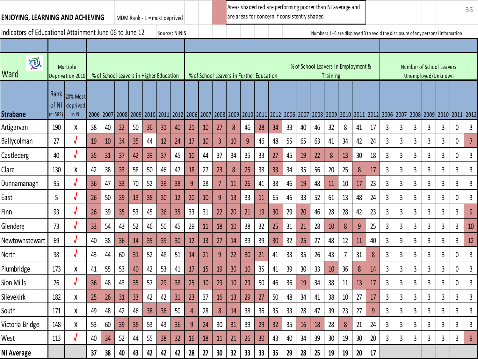| <b>ENJOYING, LEARNING AND ACHIEVING</b>                 |                    |                                    |    |    |                                         |    |    | MDM Rank - $1 = \text{most}$ deprived |    |    |    |                 | are areas for concern if consistently shaded                                                                  |    |                 |    | Areas shaded red are performing poorer than NI average and |    |                                     |                 |        |                 |                                                                                   |    |                |   |                                                |                         |    | 35             |
|---------------------------------------------------------|--------------------|------------------------------------|----|----|-----------------------------------------|----|----|---------------------------------------|----|----|----|-----------------|---------------------------------------------------------------------------------------------------------------|----|-----------------|----|------------------------------------------------------------|----|-------------------------------------|-----------------|--------|-----------------|-----------------------------------------------------------------------------------|----|----------------|---|------------------------------------------------|-------------------------|----|----------------|
| Indicators of Educational Attainment June 06 to June 12 |                    |                                    |    |    |                                         |    |    | Source: NINIS                         |    |    |    |                 |                                                                                                               |    |                 |    |                                                            |    |                                     |                 |        |                 | Numbers 1 - 6 are displayed 3 to avoid the disclosure of any personal information |    |                |   |                                                |                         |    |                |
|                                                         |                    |                                    |    |    |                                         |    |    |                                       |    |    |    |                 |                                                                                                               |    |                 |    |                                                            |    |                                     |                 |        |                 |                                                                                   |    |                |   |                                                |                         |    |                |
| $\widetilde{\mathbb{C}}.$<br>Ward                       |                    | Multiple<br>Deprivation 2010       |    |    | % of School Leavers in Higher Education |    |    |                                       |    |    |    |                 | % of School Leavers in Further Education                                                                      |    |                 |    |                                                            |    | % of School Leavers in Employment & | <b>Training</b> |        |                 |                                                                                   |    |                |   | Number of School Leavers<br>Unemployed/Unknown |                         |    |                |
| <b>Strabane</b>                                         | of NI<br>$(n=582)$ | Rank 20% Most<br>deprived<br>in NI |    |    | 2006 2007 2008 2009 2010                |    |    |                                       |    |    |    |                 | 2012 2006 2007 2008 2009 2010 2011 2012 2006 2007 2008 2009 2010 2011 2012 2006 2007 2008 2009 2010 2011 2012 |    |                 |    |                                                            |    |                                     |                 |        |                 |                                                                                   |    |                |   |                                                |                         |    |                |
| Artigarvan                                              | 190                | Χ                                  | 38 | 40 | 22                                      | 50 | 36 | 31                                    | 40 | 21 | 10 | 27              | 8                                                                                                             | 46 | 28              | 34 | 33                                                         | 40 | 46                                  | 32              | 8      | 41              | 17                                                                                | 3  | 3              | 3 | 3                                              | 3                       | 0  | $\mathbf{3}$   |
| Ballycolman                                             | 27                 |                                    | 19 | 10 | 34                                      | 35 | 44 | 12                                    | 24 | 17 | 10 | $\overline{3}$  | 10                                                                                                            | q  | 46              | 48 | 55                                                         | 65 | 63                                  | 41              | 34     | 42              | 24                                                                                | 3  | 3              | 3 | 3                                              | 3                       | 0  | $\overline{7}$ |
| Castlederg                                              | 40                 |                                    | 35 | 31 | 37                                      | 42 | 39 | 37                                    | 45 | 10 | 44 | 37              | 34                                                                                                            | 35 | 33              | 27 | 45                                                         | 19 | 22                                  | 8               | 13     | 30              | 18                                                                                | 3  | 3              | 3 | $\mathsf{3}$                                   | $\mathbf{3}$            | 0  | 3              |
| Clare                                                   | 130                | χ                                  | 42 | 38 | 33                                      | 58 | 50 | 46                                    | 47 | 18 | 27 | 23              | 8                                                                                                             | 25 | 38              | 33 | 34                                                         | 35 | 56                                  | 20              | 25     | 8               | 17                                                                                | 3  | 3              | 3 | 3                                              | 3                       | 3  | 3              |
| Dunnamanagh                                             | 95                 |                                    | 36 | 47 | 33                                      | 70 | 52 | 39                                    | 38 | 9  | 28 | 7               | 11                                                                                                            | 26 | 41              | 38 | 46                                                         | 19 | 48                                  | 11              | 10     | 17              | 23                                                                                | 3  | 3              | 3 | $\mathsf{3}$                                   | 3                       | 3  | $\mathsf{3}$   |
| East                                                    | 5                  |                                    | 26 | 50 | 39                                      | 13 | 38 | 30                                    | 12 | 20 | 10 | 9               | 13                                                                                                            | 33 | 11              | 65 | 46                                                         | 33 | 52                                  | 61              | 13     | 48              | 24                                                                                | 3  | 3              | 3 | 3                                              | 3                       | 0  | 3              |
| Finn                                                    | 93                 |                                    | 26 | 39 | 35                                      | 53 | 45 | 36                                    | 35 | 33 | 31 | 22              | 20                                                                                                            | 21 | 19              | 30 | 29                                                         | 20 | 46                                  | 28              | 28     | 42              | 23                                                                                | 3  | 3              | 3 | 3                                              | 3                       | 3  | $\overline{9}$ |
| Glenderg                                                | 73                 |                                    | 33 | 54 | 43                                      | 52 | 46 | 50                                    | 45 | 29 | 11 | 18              | 10                                                                                                            | 38 | 32              | 25 | 31                                                         | 21 | 28                                  | 10              | 8      | 9               | 25                                                                                | 3  | 3              | 3 | 3                                              | 3                       | 3  | 10             |
| Newtownstewart                                          | 69                 |                                    | 40 | 38 | 36                                      | 14 | 35 | 39                                    | 30 | 12 | 13 | 27              | 14                                                                                                            | 39 | 39              | 30 | 32                                                         | 25 | 27                                  | 48              | 12     | 11              | 40                                                                                | 3  | 3              | 3 | 3                                              | 3                       | 3  | 12             |
| North                                                   | 98                 |                                    | 43 | 44 | 60                                      | 31 | 52 | 48                                    | 51 | 14 | 21 | 9               | 22                                                                                                            | 30 | 21              | 41 | 33                                                         | 35 | 26                                  | 43              | 7      | 31              | 8                                                                                 | 3  | $\overline{3}$ | 3 | $\overline{3}$                                 | $\overline{3}$          | 0  | $\mathbf{3}$   |
| Plumbridge                                              | 173                | χ                                  | 41 | 55 | 53                                      | 40 | 42 | 53                                    | 41 | 17 | 15 | 19              | 30                                                                                                            | 10 | 35              | 41 | 39                                                         | 30 | 33                                  | 10              | 36     | 8               | 14                                                                                | 3  | 3              | 3 | 3                                              | 3                       | 0  | 3              |
| Sion Mills                                              | 76                 |                                    | 36 | 48 | 43                                      | 35 | 57 | 29                                    | 38 | 25 | 10 | 29              | 10                                                                                                            | 29 | 50              | 46 | 36                                                         | 19 | 34                                  | 38              | 11     | 13              | 17                                                                                | 3  | 3              | 3 | 3                                              | 3                       | 0  | 3              |
| Slievekirk                                              | 182                |                                    | 25 | 26 | 31                                      | 33 | 42 | 42                                    | 31 | 23 | 37 | 16              | 13                                                                                                            | 29 | 27              | 50 | 48                                                         | 34 | 41                                  | 38              | $10\,$ | $27$            | 17                                                                                | ્ર | 2              | ς | 3                                              | $\overline{\mathbf{a}}$ | ્ર | ξ              |
| South                                                   | 171                | χ                                  | 49 | 48 | 42                                      | 46 | 38 | 36                                    | 50 | 4  | 28 | 8               | 14                                                                                                            | 38 | 36              | 35 | 33                                                         | 28 | 47                                  | 39              | 23     | 27              | 9                                                                                 | 3  | 3              | 3 | 3                                              | 3                       | 3  | $\mathbf{3}$   |
| Victoria Bridge                                         | 148                | χ                                  | 53 | 60 | 39 <sup>°</sup>                         | 38 | 53 | 43                                    | 36 | 9  | 24 | 30              | 31                                                                                                            | 39 | 29              | 32 | 35                                                         | 16 | 18                                  | 28              | 8      | 21              | 24                                                                                | 3  | 3              | 3 | 3                                              | 3                       | 3  | 3              |
| West                                                    | 113                |                                    | 40 | 34 | 52                                      | 44 | 55 | 38                                    | 32 | 16 | 18 | 11              | 21                                                                                                            | 26 | 30 <sup>°</sup> | 43 | 40                                                         | 34 | 39                                  | 30 <sup>°</sup> | 19     | 30 <sup>°</sup> | 20                                                                                | 3  | 3              | 3 | 3                                              | 3                       | 3  | $\overline{9}$ |
| <b>NI Average</b>                                       |                    |                                    | 37 | 38 | 40                                      | 43 | 42 | 42                                    | 42 | 28 | 27 | 30 <sub>2</sub> | 32                                                                                                            | 33 | 33 <sup>2</sup> | 35 | 29                                                         | 28 | 25                                  | 19              | 19     | 20              | 17                                                                                |    |                |   |                                                |                         |    |                |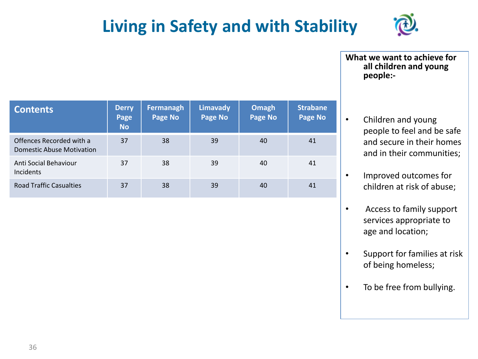# **Living in Safety and with Stability**



**What we want to achieve for all children and young people:-**

- Children and young people to feel and be safe and secure in their homes and in their communities;
- Improved outcomes for children at risk of abuse;
- Access to family support services appropriate to age and location;
- Support for families at risk of being homeless;
- To be free from bullying.

| <b>Contents</b>                                              | <b>Derry</b><br>Page<br><b>No</b> | Fermanagh<br>Page No | Limavady<br><b>Page No</b> | Omagh<br>Page No | <b>Strabane</b><br><b>Page No</b> |
|--------------------------------------------------------------|-----------------------------------|----------------------|----------------------------|------------------|-----------------------------------|
| Offences Recorded with a<br><b>Domestic Abuse Motivation</b> | 37                                | 38                   | 39                         | 40               | 41                                |
| Anti Social Behaviour<br>Incidents                           | 37                                | 38                   | 39                         | 40               | 41                                |
| <b>Road Traffic Casualties</b>                               | 37                                | 38                   | 39                         | 40               | 41                                |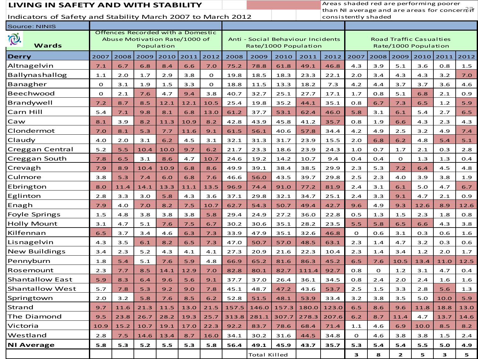### **LIVING IN SAFETY AND WITH STABILITY**

than NI average and are areas for concern  $\vec{v}$  f Areas shaded red are performing poorer consistently shaded

| <b>Source: NINIS</b>  |              |      |                                                                    |            |      |              |       |                     |                                                           |       |       |              |             |              |                                                        |      |      |
|-----------------------|--------------|------|--------------------------------------------------------------------|------------|------|--------------|-------|---------------------|-----------------------------------------------------------|-------|-------|--------------|-------------|--------------|--------------------------------------------------------|------|------|
| P.<br>Wards           |              |      | Offences Recorded with a Domestic<br>Abuse Motivation Rate/1000 of | Population |      |              |       |                     | Anti - Social Behaviour Incidents<br>Rate/1000 Population |       |       |              |             |              | <b>Road Traffic Casualties</b><br>Rate/1000 Population |      |      |
| <b>Derry</b>          | 2007         | 2008 | 2009                                                               | 2010       | 2011 | 2012         | 2008  | 2009                | 2010                                                      | 2011  | 2012  | 2007         | 2008        | 2009         | 2010                                                   | 2011 | 2012 |
| Altnagelvin           | 7.1          | 6.7  | 6.8                                                                | 8.4        | 6.6  | 7.0          | 75.2  | 78.8                | 61.8                                                      | 49.1  | 46.8  | 4.3          | 3.9         | 5.1          | 3.6                                                    | 0.8  | 1.5  |
| <b>Ballynashallog</b> | 1.1          | 2.0  | 1.7                                                                | 2.9        | 3.8  | $\mathbf{o}$ | 19.8  | 18.5                | 18.3                                                      | 23.3  | 22.1  | 2.0          | 3.4         | 4.3          | 4.3                                                    | 3.2  | 7.0  |
| Banagher              | $\mathbf O$  | 3.1  | 1.9                                                                | 1.5        | 3.3  | $\mathbf{o}$ | 18.8  | 11.5                | 13.3                                                      | 18.2  | 7.3   | 4.2          | 4.4         | 3.7          | 3.7                                                    | 3.6  | 4.6  |
| Beechwood             | $\mathbf{o}$ | 2.1  | 7.6                                                                | 4.7        | 9.4  | 3.8          | 40.7  | 32.7                | 25.1                                                      | 27.7  | 17.1  | 1.7          | 0.8         | 5.1          | 6.8                                                    | 2.1  | 0.9  |
| Brandywell            | 7.2          | 8.7  | 8.5                                                                | 12.1       | 12.1 | 10.5         | 25.4  | 19.8                | 35.2                                                      | 44.1  | 35.1  | 0.8          | 6.7         | 7.3          | 6.5                                                    | 1.2  | 5.9  |
| Carn Hill             | 5.4          | 7.1  | 9.8                                                                | 8.1        | 6.8  | 13.0         | 61.2  | 37.7                | 53.1                                                      | 62.4  | 46.0  | 5.8          | 3.1         | 6.1          | 5.4                                                    | 2.7  | 6.5  |
| Caw                   | 8.1          | 3.9  | 8.2                                                                | 11.3       | 10.9 | 8.2          | 42.8  | 43.9                | 45.8                                                      | 41.2  | 35.7  | 0.8          | 1.9         | 6.6          | 4.3                                                    | 2.3  | 4.3  |
| Clondermot            | 7.0          | 8.1  | 5.3                                                                | 7.7        | 11.6 | 9.1          | 61.5  | 56.1                | 40.6                                                      | 57.8  | 34.4  | 4.2          | 4.9         | 2.5          | 3.2                                                    | 4.9  | 7.4  |
| Claudy                | 4.0          | 2.0  | 3.1                                                                | 6.2        | 4.5  | 3.1          | 32.1  | 31.3                | 31.7                                                      | 23.9  | 15.5  | 2.0          | 6.8         | 6.2          | 4.8                                                    | 5.4  | 5.1  |
| Creggan Central       | 5.2          | 5.5  | 10.4                                                               | 10.0       | 9.7  | 6.2          | 21.7  | 23.3                | 18.6                                                      | 23.9  | 24.3  | 1.0          | 0.7         | 1.7          | 2.1                                                    | 0.3  | 2.8  |
| Creggan South         | 7.8          | 6.5  | 3.1                                                                | 8.6        | 4.7  | 10.7         | 24.6  | 19.2                | 14.2                                                      | 10.7  | 9.4   | O.4          | O.4         | $\Omega$     | 1.3                                                    | 1.3  | O.4  |
| Crevagh               | 7.9          | 8.9  | 10.4                                                               | 10.9       | 6.8  | 8.6          | 49.9  | 39.1                | 38.4                                                      | 38.5  | 29.9  | 2.3          | 5.3         | 7.2          | 6.4                                                    | 4.5  | 4.8  |
| Culmore               | 3.8          | 5.3  | 7.4                                                                | 6.0        | 6.8  | 7.6          | 46.6  | 56.0                | 43.5                                                      | 39.7  | 29.8  | 2.5          | 2.3         | 4.0          | 3.9                                                    | 3.8  | 1.9  |
| Ebrington             | 8.0          | 11.4 | 14.1                                                               | 13.3       | 11.1 | 13.5         | 96.9  | 74.4                | 91.0                                                      | 77.2  | 81.9  | 2.4          | 3.1         | 6.1          | 5.0                                                    | 4.7  | 6.7  |
| Eglinton              | 2.8          | 3.3  | 3.0                                                                | 5.8        | 4.3  | 3.6          | 37.1  | 29.8                | 32.1                                                      | 34.7  | 25.1  | 2.4          | 3.3         | 9.1          | 4.7                                                    | 2.1  | 0.9  |
| Enagh                 | 7.9          | 4.0  | 7.0                                                                | 8.2        | 7.5  | 10.7         | 62.7  | 54.3                | 50.7                                                      | 49.4  | 42.7  | 9.6          | 4.9         | 9.3          | 12.6                                                   | 8.9  | 12.6 |
| <b>Foyle Springs</b>  | 1.5          | 4.8  | 3.8                                                                | 3.8        | 3.8  | 5.8          | 29.4  | 24.9                | 27.2                                                      | 36.0  | 22.8  | 0.5          | 1.3         | 1.5          | 2.3                                                    | 1.8  | 0.8  |
| <b>Holly Mount</b>    | 3.1          | 4.7  | 5.1                                                                | 7.6        | 7.5  | 6.7          | 30.2  | 30.6                | 35.1                                                      | 28.2  | 23.5  | 5.5          | 5.8         | 6.5          | 6.6                                                    | 4.3  | 3.8  |
| Kilfennan             | 6.5          | 3.7  | 3.4                                                                | 4.6        | 6.3  | 7.3          | 33.9  | 47.9                | 35.1                                                      | 32.6  | 46.8  | $\mathbf{o}$ | 0.6         | 3.1          | 0.3                                                    | 0.6  | 1.6  |
| Lisnagelvin           | 4.3          | 3.5  | 6.1                                                                | 8.2        | 6.5  | 7.3          | 47.0  | 50.7                | 57.0                                                      | 48.5  | 63.1  | 2.3          | 1.4         | 4.7          | 3.2                                                    | 0.3  | 0.6  |
| <b>New Buildings</b>  | 3.4          | 2.3  | 5.2                                                                | 4.3        | 4.1  | 4.1          | 27.3  | 20.9                | 21.6                                                      | 22.3  | 10.4  | 2.3          | 1.4         | 3.4          | 1.2                                                    | 2.0  | 1.7  |
| Pennyburn             | 1.8          | 5.4  | 5.1                                                                | 7.6        | 5.9  | 4.8          | 66.9  | 65.2                | 81.6                                                      | 86.3  | 45.2  | 6.5          | 7.6         | 10.5         | 13.4                                                   | 11.0 | 12.5 |
| Rosemount             | 2.3          | 7.7  | 8.5                                                                | 14.1       | 12.9 | 7.0          | 82.8  | 80.1                | 82.7                                                      | 111.4 | 92.7  | 0.8          | $\mathbf O$ | 1.2          | 3.1                                                    | 4.7  | 0.4  |
| Shantallow East       | 5.9          | 8.3  | 6.4                                                                | 9.6        | 5.6  | 9.1          | 37.7  | 37.0                | 26.4                                                      | 36.1  | 34.5  | 0.8          | 2.4         | 2.0          | 2.4                                                    | 1.6  | 1.6  |
| Shantallow West       | 5.7          | 7.8  | 5.3                                                                | 9.2        | 9.0  | 7.8          | 45.1  | 48.7                | 47.2                                                      | 43.6  | 53.7  | 2.5          | 1.5         | 3.3          | 2.8                                                    | 5.6  | 1.3  |
| Springtown            | 2.0          | 3.2  | 5.8                                                                | 7.6        | 8.5  | 6.2          | 52.8  | 51.5                | 48.1                                                      | 53.9  | 33.4  | 3.2          | 3.8         | 3.5          | 5.0                                                    | 10.0 | 5.9  |
| Strand                | 9.7          | 11.6 | 21.3                                                               | 11.5       | 13.0 | 21.5         | 157.5 | 146.0               | 157.3                                                     | 180.0 | 123.0 | 6.5          | 8.6         | 9.6          | 11.8                                                   | 18.8 | 13.0 |
| The Diamond           | 9.5          | 23.8 | 26.7                                                               | 28.2       | 19.3 | 25.7         | 313.8 | 281.1               | 307.7                                                     | 278.3 | 207.6 | 6.2          | 8.7         | 11.4         | 4.7                                                    | 13.7 | 14.6 |
| Victoria              | 10.9         | 15.2 | 10.7                                                               | 19.1       | 17.0 | 22.3         | 92.2  | 83.7                | 78.6                                                      | 68.4  | 71.4  | 1.1          | 4.6         | 6.9          | 10.0                                                   | 8.5  | 8.2  |
| Westland              | 2.8          | 7.5  | 14.6                                                               | 13.4       | 8.7  | 16.0         | 34.1  | 30.2                | 31.6                                                      | 44.5  | 34.8  | $\mathbf O$  | 4.6         | 3.8          | 3.8                                                    | 1.5  | 2.4  |
| <b>NI Average</b>     | 5.8          | 5.3  | 5.2                                                                | 5.5        | 5.3  | 5.8          | 56.4  | 49.1                | 45.9                                                      | 43.7  | 35.7  | 5.3          | 5.4         | 5.4          | 5.5                                                    | 5.0  | 4.9  |
|                       |              |      |                                                                    |            |      |              |       | <b>Total Killed</b> |                                                           |       |       | 3            | 8           | $\mathbf{z}$ | 5                                                      | 3    | 5    |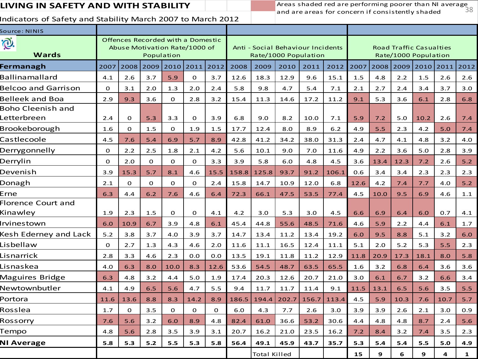### **LIVING IN SAFETY AND WITH STABILITY**

38 Areas shaded red are performing poorer than NI average and are areas for concern if consistently shaded

| Source: NINIS                           |          |              |          |                                                                                  |          |          |       |              |       |                                                           |       |      |      |                                                        |      |      |              |
|-----------------------------------------|----------|--------------|----------|----------------------------------------------------------------------------------|----------|----------|-------|--------------|-------|-----------------------------------------------------------|-------|------|------|--------------------------------------------------------|------|------|--------------|
| Õ.<br><b>Wards</b>                      |          |              |          | Offences Recorded with a Domestic<br>Abuse Motivation Rate/1000 of<br>Population |          |          |       |              |       | Anti - Social Behaviour Incidents<br>Rate/1000 Population |       |      |      | <b>Road Traffic Casualties</b><br>Rate/1000 Population |      |      |              |
| Fermanagh                               | 2007     | 2008         | 2009     | 2010                                                                             | 2011     | 2012     | 2008  | 2009         | 2010  | 2011                                                      | 2012  | 2007 | 2008 | 2009                                                   | 2010 | 2011 | 2012         |
| Ballinamallard                          | 4.1      | 2.6          | 3.7      | 5.9                                                                              | $\Omega$ | 3.7      | 12.6  | 18.3         | 12.9  | 9.6                                                       | 15.1  | 1.5  | 4.8  | 2.2                                                    | 1.5  | 2.6  | 2.6          |
| <b>Belcoo and Garrison</b>              | $\Omega$ | 3.1          | 2.0      | 1.3                                                                              | 2.0      | 2.4      | 5.8   | 9.8          | 4.7   | 5.4                                                       | 7.1   | 2.1  | 2.7  | 2.4                                                    | 3.4  | 3.7  | 3.0          |
| Belleek and Boa                         | 2.9      | 9.3          | 3.6      | $\mathbf{O}$                                                                     | 2.8      | 3.2      | 15.4  | 11.3         | 14.6  | 17.2                                                      | 11.2  | 9.1  | 5.3  | 3.6                                                    | 6.1  | 2.8  | 6.8          |
| <b>Boho Cleenish and</b><br>Letterbreen | 2.4      | $\mathbf{O}$ | 5.3      | 3.3                                                                              | $\Omega$ | 3.9      | 6.8   | 9.0          | 8.2   | 10.0                                                      | 7.1   | 5.9  | 7.2  | 5.0                                                    | 10.2 | 2.6  | 7.4          |
| Brookeborough                           | 1.6      | $\Omega$     | 1.5      | $\mathbf{O}$                                                                     | 1.9      | 1.5      | 17.7  | 12.4         | 8.0   | 8.9                                                       | 6.2   | 4.9  | 5.5  | 2.3                                                    | 4.2  | 5.0  | 7.4          |
| Castlecoole                             | 4.5      | 7.6          | 5.4      | 6.9                                                                              | 5.7      | 8.9      | 42.8  | 41.2         | 34.2  | 38.0                                                      | 31.3  | 2.4  | 4.7  | 4.1                                                    | 4.8  | 3.2  | 4.0          |
| Derrygonnelly                           | 0        | 2.2          | 2.5      | 1.8                                                                              | 2.1      | 4.2      | 5.6   | 10.1         | 9.0   | 7.0                                                       | 11.6  | 4.9  | 2.2  | 3.6                                                    | 5.0  | 2.8  | 3.9          |
| Derrylin                                | $\Omega$ | 2.0          | $\Omega$ | $\Omega$                                                                         | $\Omega$ | 3.3      | 3.9   | 5.8          | 6.0   | 4.8                                                       | 4.5   | 3.6  | 13.4 | 12.3                                                   | 7.2  | 2.6  | $5.2$        |
| Devenish                                | 3.9      | 15.3         | 5.7      | 8.1                                                                              | 4.6      | 15.5     | 158.8 | 125.8        | 93.7  | 91.2                                                      | 106.1 | 0.6  | 3.4  | 3.4                                                    | 2.3  | 2.3  | 2.3          |
| Donagh                                  | 2.1      | $\mathbf 0$  | $\Omega$ | $\mathbf{O}$                                                                     | $\Omega$ | 2.4      | 15.8  | 14.7         | 10.9  | 12.0                                                      | 6.8   | 12.6 | 4.2  | 7.4                                                    | 7.7  | 4.0  | $5.2$        |
| Erne                                    | 6.3      | 4.4          | 6.2      | 7.6                                                                              | 4.6      | 6.4      | 72.3  | 66.1         | 47.5  | 53.5                                                      | 77.4  | 4.5  | 10.0 | 9.5                                                    | 6.9  | 4.6  | 1.1          |
| Florence Court and<br>Kinawley          | 1.9      | 2.3          | 1.5      | $\Omega$                                                                         | $\Omega$ | 4.1      | 4.2   | 3.0          | 5.3   | 3.0                                                       | 4.5   | 6.6  | 6.9  | 6.4                                                    | 6.0  | 0.7  | 4.1          |
| Irvinestown                             | 6.0      | 10.9         | 6.7      | 3.9                                                                              | 4.8      | 6.1      | 45.4  | 44.8         | 55.6  | 48.5                                                      | 71.6  | 4.6  | 5.9  | 2.2                                                    | 4.4  | 6.1  | 1.7          |
| Kesh Ederney and Lack                   | $5.2$    | 3.8          | 3.7      | 4.0                                                                              | 3.9      | 3.7      | 14.7  | 13.4         | 11.2  | 13.4                                                      | 19.2  | 6.0  | 9.5  | 8.8                                                    | 5.1  | 3.2  | 6.0          |
| Lisbellaw                               | 0        | 2.7          | 1.3      | 4.3                                                                              | 4.6      | 2.0      | 11.6  | 11.1         | 16.5  | 12.4                                                      | 11.1  | 5.1  | 2.0  | 5.2                                                    | 5.3  | 5.5  | 2.3          |
| Lisnarrick                              | 2.8      | 3.3          | 4.6      | 2.3                                                                              | 0.0      | 0.0      | 13.5  | 19.1         | 11.8  | 11.2                                                      | 12.9  | 11.8 | 20.9 | 17.3                                                   | 18.1 | 8.0  | 5.8          |
| Lisnaskea                               | 4.0      | 6.3          | 8.0      | 10.0                                                                             | 8.3      | 12.6     | 53.6  | 54.5         | 48.7  | 63.5                                                      | 65.5  | 1.6  | 3.2  | 6.8                                                    | 6.4  | 3.6  | 3.6          |
| Maguires Bridge                         | 6.3      | 4.8          | 3.2      | 4.4                                                                              | 5.0      | 1.9      | 17.4  | 20.3         | 12.6  | 20.7                                                      | 21.0  | 3.0  | 6.1  | 6.7                                                    | 3.2  | 6.6  | 3.4          |
| Newtownbutler                           | 4.1      | 4.9          | 6.5      | 5.6                                                                              | 4.7      | 5.5      | 9.4   | 11.7         | 11.7  | 11.4                                                      | 9.1   | 11.5 | 13.1 | 6.5                                                    | 5.6  | 3.5  | 5.5          |
| Portora                                 | 11.6     | 13.6         | 8.8      | 8.3                                                                              | 14.2     | 8.9      | 186.5 | 194.4        | 202.7 | 156.7                                                     | 113.4 | 4.5  | 5.9  | 10.3                                                   | 7.6  | 10.7 | 5.7          |
| Rosslea                                 | 1.7      | $\mathbf 0$  | 3.5      | $\mathbf{O}$                                                                     | $\Omega$ | $\Omega$ | 6.0   | 4.3          | 7.7   | 2.6                                                       | 3.0   | 3.9  | 3.9  | 2.6                                                    | 2.1  | 3.0  | 0.9          |
| Rossorry                                | 7.6      | 5.6          | 3.2      | 6.0                                                                              | 8.9      | 4.8      | 82.4  | 61.0         | 36.6  | 53.2                                                      | 30.6  | 4.4  | 4.8  | 4.8                                                    | 8.7  | 2.4  | 5.6          |
| Tempo                                   | 4.8      | 5.6          | 2.8      | 3.5                                                                              | 3.9      | 3.1      | 20.7  | 16.2         | 21.0  | 23.5                                                      | 16.2  | 7.2  | 8.4  | 3.2                                                    | 7.4  | 3.5  | 2.3          |
| <b>NI Average</b>                       | 5.8      | 5.3          | 5.2      | 5.5                                                                              | 5.3      | 5.8      | 56.4  | 49.1         | 45.9  | 43.7                                                      | 35.7  | 5.3  | 5.4  | 5.4                                                    | 5.5  | 5.0  | 4.9          |
|                                         |          |              |          |                                                                                  |          |          |       | Total Killed |       |                                                           |       | 15   | 9    | 6                                                      | 9    | 4    | $\mathbf{1}$ |
|                                         |          |              |          |                                                                                  |          |          |       |              |       |                                                           |       |      |      |                                                        |      |      |              |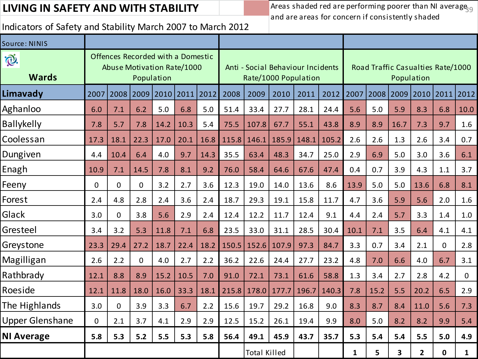## **LIVING IN SAFETY AND WITH STABILITY**

Areas shaded red are performing poorer than NI average  $_{99}$ and are areas for concern if consistently shaded

| Source: NINIS               |             |             |                |                                                                                      |      |      |       |                     |                                                           |       |       |              |      |                         |                                                 |              |      |
|-----------------------------|-------------|-------------|----------------|--------------------------------------------------------------------------------------|------|------|-------|---------------------|-----------------------------------------------------------|-------|-------|--------------|------|-------------------------|-------------------------------------------------|--------------|------|
| $\bigoplus$<br><b>Wards</b> |             |             |                | Offences Recorded with a Domestic<br><b>Abuse Motivation Rate/1000</b><br>Population |      |      |       |                     | Anti - Social Behaviour Incidents<br>Rate/1000 Population |       |       |              |      |                         | Road Traffic Casualties Rate/1000<br>Population |              |      |
| Limavady                    | 2007        | 2008        |                | 2009 2010                                                                            | 2011 | 2012 | 2008  | 2009                | 2010                                                      | 2011  | 2012  | 2007         | 2008 | 2009                    | 2010                                            | 2011         | 2012 |
| Aghanloo                    | 6.0         | 7.1         | 6.2            | 5.0                                                                                  | 6.8  | 5.0  | 51.4  | 33.4                | 27.7                                                      | 28.1  | 24.4  | 5.6          | 5.0  | 5.9                     | 8.3                                             | 6.8          | 10.0 |
| <b>Ballykelly</b>           | 7.8         | 5.7         | 7.8            | 14.2                                                                                 | 10.3 | 5.4  | 75.5  | 107.8               | 67.7                                                      | 55.1  | 43.8  | 8.9          | 8.9  | 16.7                    | 7.3                                             | 9.7          | 1.6  |
| Coolessan                   | 17.3        | 18.1        | 22.3           | 17.0                                                                                 | 20.1 | 16.8 | 115.8 | 146.1               | 185.9                                                     | 148.1 | 105.2 | 2.6          | 2.6  | 1.3                     | 2.6                                             | 3.4          | 0.7  |
| Dungiven                    | 4.4         | 10.4        | 6.4            | 4.0                                                                                  | 9.7  | 14.3 | 35.5  | 63.4                | 48.3                                                      | 34.7  | 25.0  | 2.9          | 6.9  | 5.0                     | 3.0                                             | 3.6          | 6.1  |
| Enagh                       | 10.9        | 7.1         | 14.5           | 7.8                                                                                  | 8.1  | 9.2  | 76.0  | 58.4                | 64.6                                                      | 67.6  | 47.4  | 0.4          | 0.7  | 3.9                     | 4.3                                             | 1.1          | 3.7  |
| Feeny                       | $\Omega$    | $\mathbf 0$ | $\overline{0}$ | 3.2                                                                                  | 2.7  | 3.6  | 12.3  | 19.0                | 14.0                                                      | 13.6  | 8.6   | 13.9         | 5.0  | 5.0                     | 13.6                                            | 6.8          | 8.1  |
| Forest                      | 2.4         | 4.8         | 2.8            | 2.4                                                                                  | 3.6  | 2.4  | 18.7  | 29.3                | 19.1                                                      | 15.8  | 11.7  | 4.7          | 3.6  | 5.9                     | 5.6                                             | 2.0          | 1.6  |
| Glack                       | 3.0         | $\mathbf 0$ | 3.8            | 5.6                                                                                  | 2.9  | 2.4  | 12.4  | 12.2                | 11.7                                                      | 12.4  | 9.1   | 4.4          | 2.4  | 5.7                     | 3.3                                             | 1.4          | 1.0  |
| Gresteel                    | 3.4         | 3.2         | 5.3            | 11.8                                                                                 | 7.1  | 6.8  | 23.5  | 33.0                | 31.1                                                      | 28.5  | 30.4  | 10.1         | 7.1  | 3.5                     | 6.4                                             | 4.1          | 4.1  |
| Greystone                   | 23.3        | 29.4        | 27.2           | 18.7                                                                                 | 22.4 | 18.2 | 150.5 | 152.6               | 107.9                                                     | 97.3  | 84.7  | 3.3          | 0.7  | 3.4                     | 2.1                                             | $\mathbf{0}$ | 2.8  |
| Magilligan                  | 2.6         | 2.2         | $\overline{0}$ | 4.0                                                                                  | 2.7  | 2.2  | 36.2  | 22.6                | 24.4                                                      | 27.7  | 23.2  | 4.8          | 7.0  | 6.6                     | 4.0                                             | 6.7          | 3.1  |
| Rathbrady                   | 12.1        | 8.8         | 8.9            | 15.2                                                                                 | 10.5 | 7.0  | 91.0  | 72.1                | 73.1                                                      | 61.6  | 58.8  | 1.3          | 3.4  | 2.7                     | 2.8                                             | 4.2          | 0    |
| Roeside                     | 12.1        | 11.8        | 18.0           | 16.0                                                                                 | 33.3 | 18.1 | 215.8 | 178.0               | 177.7                                                     | 196.7 | 140.3 | 7.8          | 15.2 | 5.5                     | 20.2                                            | 6.5          | 2.9  |
| The Highlands               | 3.0         | $\mathbf 0$ | 3.9            | 3.3                                                                                  | 6.7  | 2.2  | 15.6  | 19.7                | 29.2                                                      | 16.8  | 9.0   | 8.3          | 8.7  | 8.4                     | 11.0                                            | 5.6          | 7.3  |
| <b>Upper Glenshane</b>      | $\mathbf 0$ | 2.1         | 3.7            | 4.1                                                                                  | 2.9  | 2.9  | 12.5  | 15.2                | 26.1                                                      | 19.4  | 9.9   | 8.0          | 5.0  | 8.2                     | 8.2                                             | 9.9          | 5.4  |
| <b>NI Average</b>           | 5.8         | 5.3         | 5.2            | 5.5                                                                                  | 5.3  | 5.8  | 56.4  | 49.1                | 45.9                                                      | 43.7  | 35.7  | 5.3          | 5.4  | 5.4                     | 5.5                                             | 5.0          | 4.9  |
|                             |             |             |                |                                                                                      |      |      |       | <b>Total Killed</b> |                                                           |       |       | $\mathbf{1}$ | 5    | $\overline{\mathbf{3}}$ | $\overline{2}$                                  | $\mathbf 0$  | 1    |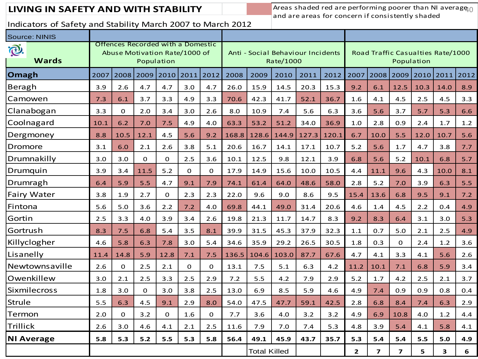**LIVING IN SAFETY AND WITH STABILITY** Areas shaded red are performing poorer than NI average<sub>10</sub> and are areas for concern if consistently shaded

| 2007 | 2008        | 2009     | 2010     | 2011       | 2012        | 2008                                                               | 2009  | 2010  | 2011                | 2012      | 2007                              | 2008           | 2009                    | 2010 | 2011                    | 2012                              |
|------|-------------|----------|----------|------------|-------------|--------------------------------------------------------------------|-------|-------|---------------------|-----------|-----------------------------------|----------------|-------------------------|------|-------------------------|-----------------------------------|
| 3.9  | 2.6         | 4.7      | 4.7      | 3.0        | 4.7         | 26.0                                                               | 15.9  | 14.5  | 20.3                | 15.3      | 9.2                               | 6.1            | 12.5                    | 10.3 | 14.0                    | 8.9                               |
| 7.3  | 6.1         | 3.7      | 3.3      | 4.9        | 3.3         | 70.6                                                               | 42.3  | 41.7  | 52.1                | 36.7      | 1.6                               | 4.1            | 4.5                     | 2.5  | 4.5                     | 3.3                               |
| 3.3  | $\mathbf 0$ | 2.0      | 3.4      | 3.0        | 2.6         | 8.0                                                                | 10.9  | 7.4   | 5.6                 | 6.3       | 3.6                               | 5.6            | 3.7                     | 5.7  | 5.3                     | 6.6                               |
| 10.1 | 6.2         | 7.0      | 7.5      | 4.9        | 4.0         | 63.3                                                               | 53.2  | 51.2  | 34.0                | 36.9      | 1.0                               | 2.8            | 0.9                     | 2.4  | 1.7                     | 1.2                               |
| 8.8  | 10.5        | 12.1     | 4.5      | 5.6        | 9.2         | 168.8                                                              | 128.6 | 144.9 | 127.3               | 120.1     | 6.7                               | 10.0           | 5.5                     | 12.0 | 10.7                    | 5.6                               |
| 3.1  | 6.0         | 2.1      | 2.6      | 3.8        | 5.1         | 20.6                                                               | 16.7  | 14.1  | 17.1                | 10.7      | 5.2                               | 5.6            | 1.7                     | 4.7  | 3.8                     | 7.7                               |
| 3.0  | 3.0         | $\Omega$ | $\Omega$ | 2.5        | 3.6         | 10.1                                                               | 12.5  | 9.8   | 12.1                | 3.9       | 6.8                               | 5.6            | 5.2                     | 10.1 | 6.8                     | 5.7                               |
| 3.9  | 3.4         | 11.5     | 5.2      | $\Omega$   | $\mathbf 0$ | 17.9                                                               | 14.9  | 15.6  | 10.0                | 10.5      | 4.4                               | 11.1           | 9.6                     | 4.3  | 10.0                    | 8.1                               |
| 6.4  | 5.9         | 5.5      | 4.7      | 9.1        | 7.9         | 74.1                                                               | 61.4  | 64.0  | 48.6                | 58.0      | 2.8                               | 5.2            | 7.0                     | 3.9  | 6.3                     | 5.5                               |
| 3.8  | 1.9         | 2.7      | $\Omega$ | 2.3        | 2.3         | 22.0                                                               | 9.6   | 9.0   | 8.6                 | 9.5       | 15.4                              | 13.6           | 6.8                     | 9.5  | 9.1                     | 7.2                               |
| 5.6  | 5.0         | 3.6      | 2.2      | 7.2        | 4.0         | 69.8                                                               | 44.1  | 49.0  | 31.4                | 20.6      | 4.6                               | 1.4            | 4.5                     | 2.2  | 0.4                     | 4.9                               |
| 2.5  | 3.3         | 4.0      | 3.9      | 3.4        | 2.6         | 19.8                                                               | 21.3  | 11.7  | 14.7                | 8.3       | 9.2                               | 8.3            | 6.4                     | 3.1  | 3.0                     | 5.3                               |
| 8.3  | 7.5         | 6.8      | 5.4      | 3.5        | 8.1         | 39.9                                                               | 31.5  | 45.3  | 37.9                | 32.3      | 1.1                               | 0.7            | 5.0                     | 2.1  | 2.5                     | 4.9                               |
| 4.6  | 5.8         | 6.3      | 7.8      | 3.0        | 5.4         | 34.6                                                               | 35.9  | 29.2  | 26.5                | 30.5      | 1.8                               | 0.3            | $\mathbf 0$             | 2.4  | 1.2                     | 3.6                               |
| 11.4 | 14.8        | 5.9      | 12.8     | 7.1        | 7.5         | 136.5                                                              | 104.6 | 103.0 | 87.7                | 67.6      | 4.7                               | 4.1            | 3.3                     | 4.1  | 5.6                     | 2.6                               |
| 2.6  | $\mathbf 0$ | 2.5      | 2.1      | 0          | $\mathbf 0$ | 13.1                                                               | 7.5   | 5.1   | 6.3                 | 4.2       | 11.2                              | 10.1           | 7.1                     | 6.8  | 5.9                     | 3.4                               |
| 3.0  | 2.1         | 2.5      | 3.3      | 2.5        | 2.9         | 7.2                                                                | 5.5   | 4.2   | 7.9                 | 2.9       | 5.2                               | 1.7            | 4.2                     | 2.5  | 2.1                     | 3.7                               |
| 1.8  | 3.0         | $\Omega$ | 3.0      | 3.8        | 2.5         | 13.0                                                               | 6.9   | 8.5   | 5.9                 | 4.6       | 4.9                               | 7.4            | 0.9                     | 0.9  | 0.8                     | 0.4                               |
| 5.5  | 6.3         | 4.5      | 9.1      | 2.9        | 8.0         | 54.0                                                               | 47.5  | 47.7  | 59.1                | 42.5      | 2.8                               | 6.8            | 8.4                     | 7.4  | 6.3                     | 2.9                               |
| 2.0  | $\Omega$    | 3.2      | $\Omega$ | 1.6        | $\mathbf 0$ | 7.7                                                                | 3.6   | 4.0   | 3.2                 | 3.2       | 4.9                               | 6.9            | 10.8                    | 4.0  | 1.2                     | 4.4                               |
| 2.6  | 3.0         | 4.6      | 4.1      | 2.1        | 2.5         | 11.6                                                               | 7.9   | 7.0   | 7.4                 | 5.3       | 4.8                               | 3.9            | 5.4                     | 4.1  | 5.8                     | 4.1                               |
| 5.8  | 5.3         | 5.2      | 5.5      | 5.3        | 5.8         | 56.4                                                               | 49.1  | 45.9  | 43.7                | 35.7      | 5.3                               | 5.4            | 5.4                     | 5.5  | 5.0                     | 4.9                               |
|      |             |          |          |            |             |                                                                    |       |       |                     |           | $\overline{2}$                    | $\overline{ }$ | $\overline{\mathbf{z}}$ | 5    | $\overline{\mathbf{3}}$ | 6                                 |
|      |             |          |          | Population |             | Offences Recorded with a Domestic<br>Abuse Motivation Rate/1000 of |       |       | <b>Total Killed</b> | Rate/1000 | Anti - Social Behaviour Incidents |                |                         |      | Population              | Road Traffic Casualties Rate/1000 |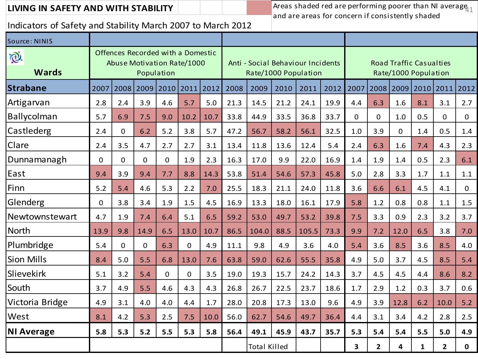Indicators of Safety and Stability March 2007 to March 2012

**LIVING IN SAFETY AND WITH STABILITY**  $\parallel$   $\parallel$   $\parallel$  areas shaded red are performing poorer than NI average<sub>11</sub> and are areas for concern if consistently shaded

| Source: NINIS      |                |                |                |                                                                               |                |      |      |                                                           |      |       |      |          |                |          |                                                        |                |                |
|--------------------|----------------|----------------|----------------|-------------------------------------------------------------------------------|----------------|------|------|-----------------------------------------------------------|------|-------|------|----------|----------------|----------|--------------------------------------------------------|----------------|----------------|
| I.<br><b>Wards</b> |                |                |                | Offences Recorded with a Domestic<br>Abuse Motivation Rate/1000<br>Population |                |      |      | Anti - Social Behaviour Incidents<br>Rate/1000 Population |      |       |      |          |                |          | <b>Road Traffic Casualties</b><br>Rate/1000 Population |                |                |
| <b>Strabane</b>    | 2007           | 2008           | 2009           | 2010                                                                          | 2011           | 2012 | 2008 | 2009                                                      | 2010 | 2011  | 2012 | 2007     | 2008           | 2009     | 2010                                                   | 2011           | 2012           |
| Artigarvan         | 2.8            | 2.4            | 3.9            | 4.6                                                                           | 5.7            | 5.0  | 21.3 | 14.5                                                      | 21.2 | 24.1  | 19.9 | 4.4      | 6.3            | 1.6      | 8.1                                                    | 3.1            | 2.7            |
| Ballycolman        | 5.7            | 6.9            | 7.5            | 9.0                                                                           | 10.2           | 10.7 | 33.8 | 44.9                                                      | 33.5 | 36.8  | 33.7 | $\Omega$ | $\Omega$       | 1.0      | 0.5                                                    | $\Omega$       | $\overline{0}$ |
| Castlederg         | 2.4            | $\mathbf 0$    | 6.2            | 5.2                                                                           | 3.8            | 5.7  | 47.2 | 56.7                                                      | 58.2 | 56.1  | 32.5 | 1.0      | 3.9            | $\Omega$ | 1.4                                                    | 0.5            | 1.4            |
| Clare              | 2.4            | 3.5            | 4.7            | 2.7                                                                           | 2.7            | 3.1  | 13.4 | 11.8                                                      | 13.6 | 12.4  | 5.4  | 2.4      | 6.3            | 1.6      | 7.4                                                    | 4.3            | 2.3            |
| Dunnamanagh        | $\overline{0}$ | $\overline{0}$ | $\overline{0}$ | $\overline{0}$                                                                | 1.9            | 2.3  | 16.3 | 17.0                                                      | 9.9  | 22.0  | 16.9 | 1.4      | 1.9            | 1.4      | 0.5                                                    | 2.3            | 6.1            |
| East               | 9.4            | 3.9            | 9.4            | 7.7                                                                           | 8.8            | 14.3 | 53.8 | 51.4                                                      | 54.6 | 57.3  | 45.8 | 5.0      | 2.8            | 3.3      | 1.7                                                    | 1.1            | 1.1            |
| Finn               | 5.2            | 5.4            | 4.6            | 5.3                                                                           | 2.2            | 7.0  | 25.5 | 18.3                                                      | 21.1 | 24.0  | 11.8 | 3.6      | 6.6            | 6.1      | 4.5                                                    | 4.1            | $\overline{0}$ |
| Glenderg           | $\overline{0}$ | 3.8            | 3.4            | 1.9                                                                           | 1.5            | 4.5  | 16.9 | 13.3                                                      | 18.0 | 16.1  | 17.9 | 5.8      | 1.2            | 0.8      | 0.8                                                    | 1.1            | 1.5            |
| Newtownstewart     | 4.7            | 1.9            | 7.4            | 6.4                                                                           | 5.1            | 6.5  | 59.2 | 53.0                                                      | 49.7 | 53.2  | 39.8 | 7.5      | 3.3            | 0.9      | 2.3                                                    | 3.2            | 3.7            |
| <b>North</b>       | 13.9           | 9.8            | 14.9           | 6.5                                                                           | 13.0           | 10.7 | 86.5 | 104.0                                                     | 88.5 | 105.5 | 73.3 | 9.9      | 7.2            | 12.0     | 6.5                                                    | 3.8            | 7.0            |
| Plumbridge         | 5.4            | $\mathbf 0$    | 0              | 6.3                                                                           | $\overline{0}$ | 4.9  | 11.1 | 9.8                                                       | 4.9  | 3.6   | 4.0  | 5.4      | 3.6            | 8.5      | 3.6                                                    | 8.5            | 4.0            |
| <b>Sion Mills</b>  | 8.4            | 5.0            | 5.5            | 6.8                                                                           | 13.0           | 7.6  | 63.8 | 59.0                                                      | 62.6 | 55.5  | 35.8 | 4.9      | 5.0            | 3.7      | 4.5                                                    | 8.5            | 5.4            |
| Slievekirk         | 5.1            | 3.2            | 5.4            | $\Omega$                                                                      | $\overline{0}$ | 3.5  | 19.0 | 19.3                                                      | 15.7 | 24.2  | 14.3 | 3.7      | 4.5            | 4.5      | 4.4                                                    | 8.6            | 8.2            |
| South              | 3.7            | 4.9            | 5.5            | 4.6                                                                           | 4.3            | 4.3  | 26.8 | 26.7                                                      | 22.5 | 23.7  | 18.6 | 1.7      | 2.9            | 1.2      | 0.3                                                    | 3.7            | 0.6            |
| Victoria Bridge    | 4.9            | 3.1            | 4.0            | 4.0                                                                           | 4.4            | 1.7  | 28.0 | 20.8                                                      | 17.3 | 13.0  | 9.6  | 4.9      | 3.9            | 12.8     | 6.2                                                    | 10.0           | 5.2            |
| West               | 8.1            | 4.2            | 5.3            | 2.5                                                                           | 7.5            | 10.0 | 56.0 | 62.7                                                      | 54.6 | 49.7  | 36.4 | 4.4      | 3.1            | 3.4      | 4.2                                                    | 2.8            | 2.5            |
| <b>NI Average</b>  | 5.8            | 5.3            | 5.2            | 5.5                                                                           | 5.3            | 5.8  | 56.4 | 49.1                                                      | 45.9 | 43.7  | 35.7 | 5.3      | 5.4            | 5.4      | 5.5                                                    | 5.0            | 4.9            |
|                    |                |                |                |                                                                               |                |      |      | <b>Total Killed</b>                                       |      |       |      | 3        | $\overline{2}$ | 4        | $\mathbf{1}$                                           | $\overline{2}$ | 0              |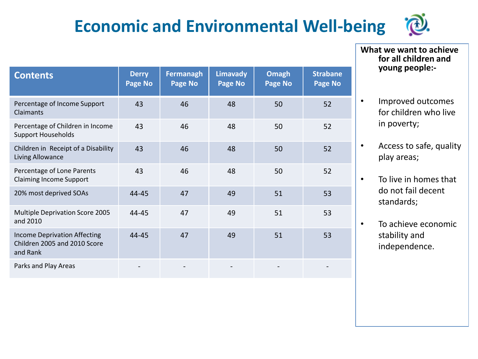# **Economic and Environmental Well-being**



**Contents Derry Page No Fermanagh Page No Limavady Page No Omagh Page No Strabane Page No** Percentage of Income Support Claimants 43 46 48 50 52 Percentage of Children in Income Support Households 43 46 48 50 52 Children in Receipt of a Disability Living Allowance 43 46 48 50 52 Percentage of Lone Parents Claiming Income Support 43 46 48 50 52 20% most deprived SOAs 144-45 47 49 51 53 Multiple Deprivation Score 2005 and 2010 44-45 47 49 51 53 Income Deprivation Affecting Children 2005 and 2010 Score and Rank 44-45 47 49 51 53 Parks and Play Areas - - - - -

**What we want to achieve for all children and young people:-**

- Improved outcomes for children who live in poverty;
- Access to safe, quality play areas;
- To live in homes that do not fail decent standards;
- To achieve economic stability and independence.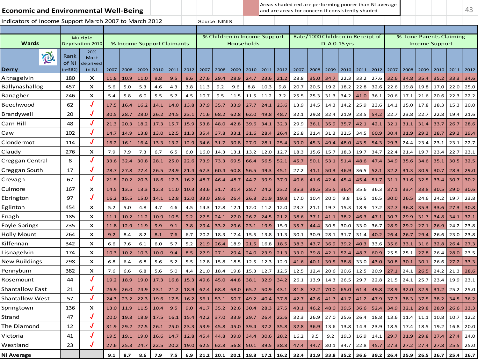| <b>Economic and Environmental Well-Being</b>          |                            |                                  |      |                      |      |      |                            |      |      |               |                                            |      |      |      | Areas shaded red are performing poorer than NI average<br>and are areas for concern if consistently shaded |                                  |                     |      |      |             |                  |           |      |                       |                         | 43   |
|-------------------------------------------------------|----------------------------|----------------------------------|------|----------------------|------|------|----------------------------|------|------|---------------|--------------------------------------------|------|------|------|------------------------------------------------------------------------------------------------------------|----------------------------------|---------------------|------|------|-------------|------------------|-----------|------|-----------------------|-------------------------|------|
| Indicators of Income Support March 2007 to March 2012 |                            |                                  |      |                      |      |      |                            |      |      | Source: NINIS |                                            |      |      |      |                                                                                                            |                                  |                     |      |      |             |                  |           |      |                       |                         |      |
|                                                       |                            |                                  |      |                      |      |      |                            |      |      |               |                                            |      |      |      |                                                                                                            |                                  |                     |      |      |             |                  |           |      |                       |                         |      |
| Wards                                                 |                            | Multiple<br>Deprivation 2010     |      |                      |      |      | % Income Support Claimants |      |      |               | % Children in Income Support<br>Households |      |      |      |                                                                                                            | Rate/1000 Children in Receipt of | <b>DLA 0-15 yrs</b> |      |      |             |                  |           |      | <b>Income Support</b> | % Lone Parents Claiming |      |
| <b>Q</b><br>Derry                                     | Rank<br>of NI<br>$(n=582)$ | 20%<br>Most<br>deprived<br>in NI | 2007 | 2008                 | 2009 | 2010 | 2011                       | 2012 | 2007 | 2008          | 2009                                       | 2010 | 2011 | 2012 | 2007                                                                                                       | 2008                             | 2009                | 2010 | 2011 | 2012        | 2007             | 2008      | 2009 | 2010                  | 2011                    | 2012 |
| Altnagelvin                                           | 180                        | x                                | 11.8 | 10.9                 | 11.0 | 9.8  | 9.5                        | 8.6  | 27.6 | 29.4          | 28.9                                       | 24.7 | 23.6 | 21.2 | 28.8                                                                                                       | 35.0                             | 34.7                | 22.3 | 33.2 | 27.6        | 32.6             | 34.8      | 35.4 | 35.2                  | 33.3                    | 34.6 |
| Ballynashallog                                        | 457                        | x                                | 5.6  | 5.0                  | 5.3  | 4.6  | 4.3                        | 3.8  | 11.3 | 9.2           | 9.6                                        | 8.8  | 10.3 | 9.8  | 20.7                                                                                                       | 20.5                             | 19.2                | 18.2 | 22.8 | 32.6        | 22.6             | 19.8      | 19.8 | 17.0                  | 22.0                    | 25.0 |
| Banagher                                              | 246                        | X                                | 5.4  | 5.8                  | 6.0  | 5.5  | 5.7                        | 4.5  | 10.7 | 9.5           | 11.5                                       | 11.5 | 11.2 | 7.2  | 25.5                                                                                                       | 25.3                             | 31.3                | 34.2 | 41.0 | 36.1        | 20.6             | 17.1      | 21.6 | 20.6                  | 22.3                    | 22.2 |
| Beechwood                                             | 62                         | J                                | 17.5 | 16.4                 | 16.2 | 14.1 | 14.0                       | 13.8 | 37.9 | 35.7          | 33.9                                       | 27.7 | 24.1 | 23.6 | 13.9                                                                                                       | 14.5                             | 14.3                | 14.2 | 25.9 | 23.6        | 14.1             | 15.0      | 17.8 | 18.3                  | 15.3                    | 20.0 |
| Brandywell                                            | 20                         |                                  | 30.5 | 28.7                 | 28.0 | 26.2 | 24.5                       | 23.1 | 71.6 | 68.2          | 62.8                                       | 62.0 | 49.8 | 48.7 | 32.1                                                                                                       | 29.8                             | 32.4                | 21.9 | 23.5 | 54.2        | 22.7             | 23.8      | 22.7 | 22.8                  | 19.4                    | 21.6 |
| Carn Hill                                             | 48                         |                                  | 21.3 | 20.3                 | 18.2 | 17.3 | 15.7                       | 15.9 | 53.8 | 48.0          | 42.8                                       | 39.6 | 34.1 | 32.3 | 29.9                                                                                                       | 36.1                             | 35.9                | 35.7 | 42.1 | 42.1        | 32.1             | 31.1      | 31.4 | 33.7                  | 26.7                    | 28.6 |
| Caw                                                   | 102                        |                                  | 14.7 | 14.9                 | 13.8 | 13.0 | 12.5                       | 11.3 | 35.4 | 37.8          | 33.1                                       | 31.6 | 28.4 | 26.4 | 26.8                                                                                                       | 31.4                             | 31.3                | 32.5 | 34.5 | 60.9        | 30.4             | 31.9      | 29.3 | 28.7                  | 29.3                    | 29.4 |
| Clondermot                                            | 114                        |                                  | 16.2 | 16.1                 | 16.4 | 13.3 | 13.2                       | 12.9 | 34.6 | 31.7          | 30.8                                       | 27.0 | 28.1 | 25.4 | 39.0                                                                                                       | 45.3                             | 49.4                | 48.0 | 43.5 | 54.3        | 29.3             | 24.4      | 23.4 | 23.1                  | 23.1                    | 22.7 |
| Claudv                                                | 276                        | X                                | 7.9  | 7.9                  | 7.3  | 6.7  | 6.5                        | 6.0  | 16.0 | 14.3          | 13.1                                       | 13.2 | 12.0 | 12.7 | 18.3                                                                                                       | 15.6                             | 15.7                | 18.3 | 19.7 | 34.7        | 22.4             | 21.4      | 19.7 | 23.4                  | 22.7                    | 23.1 |
| Creggan Central                                       | 8                          |                                  | 33.6 | 32.4                 | 30.8 | 28.1 | 25.0                       | 22.6 | 73.9 | 73.3          | 69.5                                       | 66.4 | 56.5 | 52.1 | 45.7                                                                                                       | 50.1                             | 53.1                | 51.4 | 48.6 | 47.4        | 34.9             | 35.6      | 34.6 | 35.1                  | 30.5                    | 32.5 |
| Creggan South                                         | 17                         | J                                | 28.7 | 27.8                 | 27.4 | 26.5 | 23.9                       | 21.4 | 67.3 | 60.4          | 60.8                                       | 56.5 | 49.3 | 45.1 | 27.2                                                                                                       | 41.1                             | 50.3                | 46.9 | 36.5 | 52.1        | 32.2             | 31.3      | 30.9 | 30.7                  | 28.3                    | 29.0 |
| Crevagh                                               | 67                         |                                  | 21.5 | 20.2                 | 20.3 | 18.6 | 17.3                       | 16.2 | 48.7 | 46.4          | 48.7                                       | 44.7 | 39.9 | 37.9 | 40.6                                                                                                       | 41.6                             | 42.4                | 45.4 | 45.4 | 51.7        | 31.1             | 31.6      | 32.5 | 33.4                  | 30.7                    | 30.2 |
| Culmore                                               | 167                        | X                                | 14.5 | 13.5                 | 13.3 | 12.3 | 11.0                       | 10.3 | 33.6 | 31.7          | 31.4                                       | 28.7 | 24.2 | 23.2 | 35.3                                                                                                       | 38.5                             | 35.5                | 36.4 | 35.6 | 36.3        | 37.1             | 33.4      | 33.8 | 30.5                  | 29.0                    | 30.6 |
| Ebrington                                             | 97                         | J                                | 16.2 | 15.5                 | 15.0 | 14.1 | 12.8                       | 12.0 | 33.0 | 28.6          | 26.4                                       | 26.8 | 21.9 | 19.8 | 17.0                                                                                                       | 10.4                             | 20.0                | 9.8  | 16.5 | 16.5        | 30.0             | 26.5      | 24.6 | 24.2                  | 19.7                    | 23.8 |
| Eglinton                                              | 454                        | x                                | 5.2  | 5.0                  | 4.8  | 4.7  | 4.6                        | 4.5  | 14.3 | 12.8          | 12.1                                       | 12.0 | 11.2 | 12.0 | 23.7                                                                                                       | 21.1                             | 19.7                | 15.3 | 18.9 | 17.2        | 32.7             | 36.8      | 35.3 | 33.6                  | 27.3                    | 30.8 |
| Enagh                                                 | 185                        | X                                | 11.1 | 10.2                 | 11.2 | 10.9 | 10.5                       | 9.2  | 27.5 | 24.1          | 27.0                                       | 26.7 | 24.5 | 21.2 | 38.6                                                                                                       | 37.1                             | 41.1                | 38.2 | 46.3 | 47.1        | 30.7             | 29.9      | 31.7 | 34.8                  | 34.1                    | 32.1 |
| Foyle Springs                                         | 235                        | X                                | 11.8 | 12.9                 | 11.9 | 9.9  | 9.1                        | 7.8  | 29.4 | 33.2          | 29.6                                       | 23.1 | 19.9 | 15.9 | 35.7                                                                                                       | 44.4                             | 30.5                | 30.0 | 33.0 | 36.7        | 28.9             | 29.2      | 27.1 | 26.9                  | 24.2                    | 23.8 |
| Holly Mount                                           | 264                        | X                                | 9.2  | 8.4                  | 8.2  | 8.1  | 7.6                        | 6.7  | 20.2 | 18.3          | 17.4                                       | 15.5 | 13.8 | 11.3 | 30.1                                                                                                       | 30.9                             | 28.1                | 31.7 | 31.4 | 40.2        | 26.4             | 26.7      | 29.4 | 26.6                  | 23.0                    | 23.8 |
| Kilfennan                                             | 342                        | x                                | 6.6  | 7.6                  | 6.1  | 6.0  | 5.7                        | 5.2  | 21.9 | 26.4          | 18.9                                       | 21.5 | 16.8 | 18.5 | 38.3                                                                                                       | 43.7                             | 36.9                | 39.2 | 40.3 | 33.6        | 35.6             | 33.1      | 31.6 | 32.8                  | 26.4                    | 27.3 |
| Lisnagelvin                                           | 174                        | X                                | 10.3 | 10.2                 | 10.3 | 10.0 | 9.4                        | 8.5  | 27.9 | 27.1          | 29.4                                       | 24.0 | 23.9 | 21.3 | 33.0                                                                                                       | 39.8                             | 42.1                | 52.4 | 48.7 | 60.9        | 25.5             | 25.1      | 27.8 | 26.4                  | 28.0                    | 23.5 |
| New Buildings                                         | 298                        | X                                | 6.8  | 6.4                  | 6.8  | 5.6  | 5.2                        | 5.5  | 17.8 | 15.8          | 18.5                                       | 12.5 | 12.3 | 12.9 | 41.6                                                                                                       | 40.1                             | 39.5                | 38.8 | 33.0 | 43.0        | 30.8             | 30.1      | 30.1 | 26.6                  | 27.2                    | 33.3 |
| Pennyburn                                             | 382                        | X                                | 7.6  | 6.6                  | 6.8  | 5.6  | 5.0                        | 4.4  | 21.0 | 18.4          | 19.8                                       | 15.3 | 12.7 | 12.5 | 12.5                                                                                                       | 12.4                             | 20.6                | 20.6 | 12.5 | 20.9        | 27.1             | 24.1      | 26.5 | 24.2                  | 21.3                    | 28.6 |
| Rosemount                                             | 44                         | J                                | 19.2 | 18.9                 | 19.0 | 17.3 | 16.8                       | 15.3 | 49.6 | 45.0          | 44.8                                       | 38.1 | 32.9 | 34.2 | 26.1                                                                                                       | 13.9                             | 14.3                | 26.5 | 29.7 | 22.8        | 21.5             | 24.1      | 25.7 | 23.4                  | 19.9                    | 23.1 |
| Shantallow East                                       | 21                         |                                  | 26.9 | 26.0                 | 24.9 | 23.1 | 21.2                       | 18.9 | 67.4 | 68.8          | 68.0                                       | 65.2 | 50.9 | 43.1 | 81.8                                                                                                       | 72.2                             | 70.0                | 65.0 | 61.4 | 49.8        | 28.9             | 32.0      | 32.9 | 31.2                  | 25.2                    | 25.0 |
| <b>Shantallow West</b>                                | 57                         |                                  | 24.3 | 23<br>$\overline{2}$ | 22.3 | 19.6 | 17.5                       | 16.2 | 56.1 | 53.1          | 50.7                                       | 49.2 | 40.4 | 37.8 | 42.7                                                                                                       | 42.6                             | 41.7                | 41.7 | 41.2 |             | $47.9$ 37.7      | 38.3      | 37.5 | 38.2                  | 34.5                    | 36.2 |
| Springtown                                            | 136                        | x                                | 13.0 | 11.9                 | 11.5 | 10.4 | 9.5                        | 9.0  | 41.7 | 35.2          | 32.6                                       | 30.4 | 28.3 | 27.5 | 43.1                                                                                                       | 46.2                             | 48.0                | 39.5 | 36.6 | 52.4        | 34.9             | 32.1      | 29.8 | 28.9                  | 26.6                    | 33.3 |
| Strand                                                | 47                         |                                  | 20.0 | 19.8                 | 18.9 | 17.5 | 16.1                       | 15.4 | 42.2 | 37.0          | 33.9                                       | 29.7 | 26.4 | 22.6 | 32.3                                                                                                       | 26.9                             | 27.0                | 25.6 | 26.4 |             | 18.8 13.6        | 11.4      | 11.1 | 10.8                  | 10.7                    | 12.2 |
| The Diamond                                           | 12                         |                                  | 31.9 | 29.2                 | 27.5 | 26.1 | 25.0                       | 23.3 | 53.9 | 45.8          | 45.0                                       | 39.4 | 37.2 | 35.8 | 32.8                                                                                                       | 36.9                             | 13.6                | 13.8 | 14.3 | 23.9        | 18.5             | 17.4      | 18.5 | 19.2                  | 16.8                    | 20.0 |
| Victoria                                              | 41                         |                                  | 19.5 | 19.1                 | 19.0 | 16.6 | 14.7                       | 12.8 | 45.4 | 44.8          | 39.0                                       | 34.4 | 30.6 | 28.2 | 16.2                                                                                                       | 9.5                              | 9.2                 | 19.3 | 16.9 | 14.1        | 29.7             | 31.9      | 29.8 | 27.4                  | 27.4                    | 24.0 |
| Westland                                              | 23                         | J                                | 27.6 | 25.3                 | 24.7 | 22.5 | 20.2                       | 19.0 | 62.5 | 62.8          | 56.8                                       | 50.1 | 39.5 | 38.8 | 47.4                                                                                                       | 44.7                             | 30.1                | 34.7 | 22.8 | $45.7$ 27.3 |                  | 27.2      | 27.4 | 27.8                  | 25.5                    | 25.0 |
| <b>NI Average</b>                                     |                            |                                  | 9.1  | 8.7                  | 8.6  | 7.9  | 7.5                        | 6.9  | 21.2 | 20.1          | 20.1                                       | 18.8 | 17.1 | 16.2 | 32.4                                                                                                       | 31.9                             | 33.8                | 35.2 |      |             | $36.6$ 39.2 26.4 | 25.9 26.5 |      | 26.7                  | 25.4                    | 26.7 |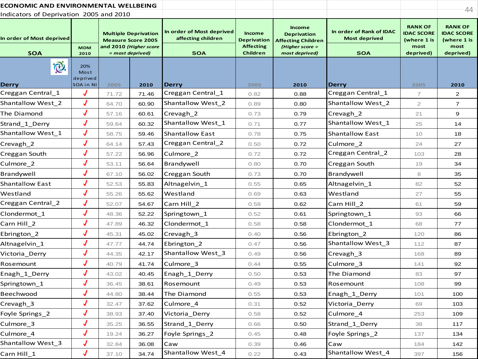| ECONOMIC AND ENVIRONMENTAL WELLBEING    |                                      |       |                                                                                    |                                                 |                                                         |                                                                                     |                                                  |                                                            | 44-                                                        |
|-----------------------------------------|--------------------------------------|-------|------------------------------------------------------------------------------------|-------------------------------------------------|---------------------------------------------------------|-------------------------------------------------------------------------------------|--------------------------------------------------|------------------------------------------------------------|------------------------------------------------------------|
| Indicators of Deprivation 2005 and 2010 |                                      |       |                                                                                    |                                                 |                                                         |                                                                                     |                                                  |                                                            |                                                            |
| In order of Most deprived               | <b>MDM</b>                           |       | <b>Multiple Deprivation</b><br><b>Measure Score 2005</b><br>and 2010 (Higher score | In order of Most deprived<br>affecting children | <b>Income</b><br><b>Deprivation</b><br><b>Affecting</b> | <b>Income</b><br><b>Deprivation</b><br><b>Affecting Children</b><br>(Higher score = | In order of Rank of IDAC<br><b>Most deprived</b> | <b>RANK OF</b><br><b>IDAC SCORE</b><br>(where 1 is<br>most | <b>RANK OF</b><br><b>IDAC SCORE</b><br>(where 1 is<br>most |
| <b>SOA</b>                              | 2010                                 |       | = most deprived)                                                                   | <b>SOA</b>                                      | Children                                                | most deprived)                                                                      | <b>SOA</b>                                       | deprived)                                                  | deprived)                                                  |
| <b>D</b><br>Derry                       | 20%<br>Most<br>deprived<br>SOA in NI | 2005  | 2010                                                                               | <b>Derry</b>                                    | 2005                                                    | 2010                                                                                | <b>Derry</b>                                     | 2005                                                       | 2010                                                       |
| Creggan Central_1                       | J                                    | 71.72 | 71.46                                                                              | Creggan Central_1                               | 0.82                                                    | 0.88                                                                                | Creggan Central_1                                | $\overline{7}$                                             | $\overline{2}$                                             |
| Shantallow West_2                       | J                                    | 64.70 | 60.90                                                                              | Shantallow West_2                               | 0.89                                                    | 0.80                                                                                | Shantallow West_2                                | $\mathbf{2}$                                               | $\overline{7}$                                             |
| The Diamond                             | $\bm{J}$                             | 57.16 | 60.61                                                                              | Crevagh_2                                       | 0.73                                                    | 0.79                                                                                | Crevagh_2                                        | 21                                                         | 9                                                          |
| Strand_1_Derry                          | J                                    | 59.64 | 60.32                                                                              | Shantallow West_1                               | 0.71                                                    | 0.77                                                                                | Shantallow West_1                                | 25                                                         | 14                                                         |
| Shantallow West_1                       | $\bm{J}$                             | 58.75 | 59.46                                                                              | <b>Shantallow East</b>                          | 0.78                                                    | 0.75                                                                                | <b>Shantallow East</b>                           | 10                                                         | 18                                                         |
| Crevagh_2                               | J                                    | 64.14 | 57.43                                                                              | Creggan Central_2                               | 0.50                                                    | 0.72                                                                                | Culmore_2                                        | 24                                                         | 27                                                         |
| Creggan South                           | $\bm{J}$                             | 57.22 | 56.96                                                                              | Culmore 2                                       | 0.72                                                    | 0.72                                                                                | Creggan Central_2                                | 103                                                        | 28                                                         |
| Culmore_2                               | J                                    | 53.11 | 56.64                                                                              | Brandywell                                      | 0.80                                                    | 0.70                                                                                | Creggan South                                    | 19                                                         | 34                                                         |
| Brandywell                              | $\bm{J}$                             | 67.10 | 56.02                                                                              | Creggan South                                   | 0.73                                                    | 0.70                                                                                | Brandywell                                       | 8                                                          | 35                                                         |
| <b>Shantallow East</b>                  | J                                    | 52.53 | 55.83                                                                              | Altnagelvin_1                                   | 0.55                                                    | 0.65                                                                                | Altnagelvin 1                                    | 82                                                         | 52                                                         |
| Westland                                | $\overline{\mathcal{L}}$             | 55.26 | 55.62                                                                              | Westland                                        | 0.69                                                    | 0.63                                                                                | Westland                                         | 27                                                         | 55                                                         |
| Creggan Central_2                       | J                                    | 52.07 | 54.67                                                                              | Carn Hill 2                                     | 0.59                                                    | 0.62                                                                                | Carn Hill 2                                      | 61                                                         | 59                                                         |
| Clondermot_1                            | $\overline{\mathcal{L}}$             | 48.36 | 52.22                                                                              | Springtown_1                                    | 0.52                                                    | 0.61                                                                                | Springtown_1                                     | 93                                                         | 66                                                         |
| Carn Hill 2                             | $\sqrt{2}$                           | 47.89 | 46.32                                                                              | Clondermot 1                                    | 0.58                                                    | 0.58                                                                                | Clondermot 1                                     | 68                                                         | 77                                                         |
| Ebrington_2                             | $\overline{\mathcal{L}}$             | 45.31 | 45.02                                                                              | Crevagh_3                                       | 0.40                                                    | 0.56                                                                                | Ebrington_2                                      | 120                                                        | 86                                                         |
| Altnagelvin_1                           | J                                    | 47.77 | 44.74                                                                              | Ebrington_2                                     | 0.47                                                    | 0.56                                                                                | Shantallow West_3                                | 112                                                        | 87                                                         |
| Victoria_Derry                          | $\overline{\mathcal{L}}$             | 44.35 | 42.17                                                                              | Shantallow West_3                               | 0.49                                                    | 0.56                                                                                | Crevagh_3                                        | 168                                                        | 89                                                         |
| Rosemount                               | J                                    | 40.79 | 41.74                                                                              | Culmore_3                                       | 0.44                                                    | 0.55                                                                                | Culmore_3                                        | 141                                                        | 92                                                         |
| Enagh_1_Derry                           | $\boldsymbol{J}$                     | 43.02 | 40.45                                                                              | Enagh_1_Derry                                   | 0.50                                                    | 0.53                                                                                | The Diamond                                      | 83                                                         | 97                                                         |
| Springtown_1                            | J                                    | 36.45 | 38.61                                                                              | Rosemount                                       | 0.49                                                    | 0.53                                                                                | Rosemount                                        | 108                                                        | 99                                                         |
| Beechwood                               |                                      | 44.80 | 38.44                                                                              | The Diamond                                     | 0.55                                                    | 0.53                                                                                | Enagh_1_Derry                                    | 101                                                        | 100                                                        |
| Crevagh_3                               | J                                    | 32.47 | 37.62                                                                              | Culmore_4                                       | 0.31                                                    | 0.52                                                                                | Victoria_Derry                                   | 69                                                         | 103                                                        |
| Foyle Springs_2                         | J                                    | 38.93 | 37.40                                                                              | Victoria_Derry                                  | 0.58                                                    | 0.52                                                                                | Culmore_4                                        | 253                                                        | 109                                                        |
| Culmore_3                               | J                                    | 35.25 | 36.55                                                                              | Strand_1_Derry                                  | 0.66                                                    | 0.50                                                                                | Strand_1_Derry                                   | 38                                                         | 117                                                        |
| Culmore_4                               | $\bm{J}$                             | 19.24 | 36.27                                                                              | Foyle Springs 2                                 | 0.45                                                    | 0.48                                                                                | Foyle Springs 2                                  | 137                                                        | 134                                                        |
| Shantallow West_3                       | J                                    | 32.84 | 36.08                                                                              | Caw                                             | 0.39                                                    | 0.46                                                                                | Caw                                              | 184                                                        | 142                                                        |
| Carn Hill 1                             | J                                    | 37.10 | 34.74                                                                              | Shantallow West_4                               | 0.22                                                    | 0.43                                                                                | Shantallow West_4                                | 397                                                        | 156                                                        |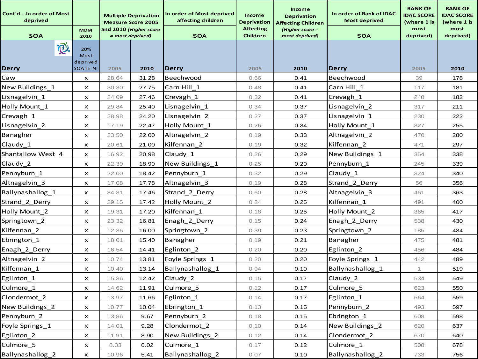| Cont'd  In order of Most<br>deprived | <b>MDM</b>                |       | <b>Multiple Deprivation</b><br><b>Measure Score 2005</b><br>and 2010 (Higher score | In order of Most deprived<br>affecting children | <b>Income</b><br><b>Deprivation</b><br><b>Affecting</b> | <b>Income</b><br><b>Deprivation</b><br><b>Affecting Children</b><br>(Higher score = | In order of Rank of IDAC<br><b>Most deprived</b> | <b>RANK OF</b><br><b>IDAC SCORE</b><br>(where 1 is<br>most | <b>RANK OF</b><br><b>IDAC SCORE</b><br>(where 1 is<br>most |
|--------------------------------------|---------------------------|-------|------------------------------------------------------------------------------------|-------------------------------------------------|---------------------------------------------------------|-------------------------------------------------------------------------------------|--------------------------------------------------|------------------------------------------------------------|------------------------------------------------------------|
| <b>SOA</b>                           | 2010                      |       | = most deprived)                                                                   | <b>SOA</b>                                      | Children                                                | most deprived)                                                                      | <b>SOA</b>                                       | deprived)                                                  | deprived)                                                  |
| I.                                   | 20%<br>Most<br>deprived   |       |                                                                                    |                                                 |                                                         |                                                                                     |                                                  |                                                            |                                                            |
| <b>Derry</b>                         | SOA in NI                 | 2005  | 2010                                                                               | <b>Derry</b>                                    | 2005                                                    | 2010                                                                                | Derry                                            | 2005                                                       | 2010                                                       |
| Caw                                  | $\boldsymbol{\mathsf{x}}$ | 28.64 | 31.28                                                                              | Beechwood                                       | 0.66                                                    | 0.41                                                                                | Beechwood                                        | 39                                                         | 178                                                        |
| New Buildings_1                      | $\boldsymbol{\mathsf{x}}$ | 30.30 | 27.75                                                                              | Carn Hill 1                                     | 0.48                                                    | 0.41                                                                                | Carn Hill_1                                      | 117                                                        | 181                                                        |
| Lisnagelvin_1                        | $\boldsymbol{\mathsf{x}}$ | 24.09 | 27.46                                                                              | Crevagh_1                                       | 0.32                                                    | 0.41                                                                                | Crevagh_1                                        | 248                                                        | 182                                                        |
| Holly Mount 1                        | $\boldsymbol{\mathsf{x}}$ | 29.84 | 25.40                                                                              | Lisnagelvin_1                                   | 0.34                                                    | 0.37                                                                                | Lisnagelvin_2                                    | 317                                                        | 211                                                        |
| Crevagh_1                            | X                         | 28.98 | 24.20                                                                              | Lisnagelvin_2                                   | 0.27                                                    | 0.37                                                                                | Lisnagelvin_1                                    | 230                                                        | 222                                                        |
| Lisnagelvin_2                        | X                         | 17.19 | 22.47                                                                              | Holly Mount_1                                   | 0.26                                                    | 0.34                                                                                | Holly Mount_1                                    | 327                                                        | 255                                                        |
| Banagher                             | X                         | 23.50 | 22.00                                                                              | Altnagelvin_2                                   | 0.19                                                    | 0.33                                                                                | Altnagelvin 2                                    | 470                                                        | 280                                                        |
| Claudy 1                             | $\boldsymbol{\mathsf{x}}$ | 20.61 | 21.00                                                                              | Kilfennan 2                                     | 0.19                                                    | 0.32                                                                                | Kilfennan 2                                      | 471                                                        | 297                                                        |
| Shantallow West 4                    | $\boldsymbol{\mathsf{x}}$ | 16.92 | 20.98                                                                              | Claudy_1                                        | 0.26                                                    | 0.29                                                                                | New Buildings_1                                  | 354                                                        | 338                                                        |
| Claudy 2                             | $\boldsymbol{\mathsf{x}}$ | 22.39 | 18.99                                                                              | New Buildings_1                                 | 0.25                                                    | 0.29                                                                                | Pennyburn_1                                      | 245                                                        | 339                                                        |
| Pennyburn_1                          | x                         | 22.00 | 18.42                                                                              | Pennyburn 1                                     | 0.32                                                    | 0.29                                                                                | Claudy_1                                         | 324                                                        | 340                                                        |
| Altnagelvin_3                        | X                         | 17.08 | 17.78                                                                              | Altnagelvin 3                                   | 0.19                                                    | 0.28                                                                                | Strand_2_Derry                                   | 56                                                         | 356                                                        |
| Ballynashallog 1                     | $\boldsymbol{\mathsf{x}}$ | 34.31 | 17.46                                                                              | Strand_2_Derry                                  | 0.60                                                    | 0.28                                                                                | Altnagelvin_3                                    | 461                                                        | 363                                                        |
| Strand 2 Derry                       | $\boldsymbol{\mathsf{x}}$ | 29.15 | 17.42                                                                              | Holly Mount_2                                   | 0.24                                                    | 0.25                                                                                | Kilfennan_1                                      | 491                                                        | 400                                                        |
| Holly Mount_2                        | $\boldsymbol{\mathsf{x}}$ | 19.31 | 17.20                                                                              | Kilfennan 1                                     | 0.18                                                    | 0.25                                                                                | Holly Mount_2                                    | 365                                                        | 417                                                        |
| Springtown_2                         | x                         | 23.32 | 16.81                                                                              | Enagh_2_Derry                                   | 0.15                                                    | 0.24                                                                                | Enagh_2_Derry                                    | 538                                                        | 430                                                        |
| Kilfennan 2                          | $\boldsymbol{\mathsf{x}}$ | 12.36 | 16.00                                                                              | Springtown_2                                    | 0.39                                                    | 0.23                                                                                | Springtown_2                                     | 185                                                        | 434                                                        |
| Ebrington 1                          | $\boldsymbol{\mathsf{x}}$ | 18.01 | 15.40                                                                              | Banagher                                        | 0.19                                                    | 0.21                                                                                | Banagher                                         | 475                                                        | 481                                                        |
| Enagh_2_Derry                        | $\boldsymbol{\mathsf{x}}$ | 16.54 | 14.41                                                                              | Eglinton <sub>2</sub>                           | 0.20                                                    | 0.20                                                                                | Eglinton_2                                       | 456                                                        | 484                                                        |
| Altnagelvin_2                        | $\boldsymbol{\mathsf{x}}$ | 10.74 | 13.81                                                                              | Foyle Springs 1                                 | 0.20                                                    | 0.20                                                                                | Foyle Springs_1                                  | 442                                                        | 489                                                        |
| Kilfennan 1                          | x                         | 10.40 | 13.14                                                                              | Ballynashallog 1                                | 0.94                                                    | 0.19                                                                                | Ballynashallog_1                                 | 1                                                          | 519                                                        |
| Eglinton_1                           | $\boldsymbol{\mathsf{x}}$ | 15.36 | 12.42                                                                              | Claudy_2                                        | 0.15                                                    | 0.17                                                                                | Claudy_2                                         | 534                                                        | 549                                                        |
| Culmore 1                            | $\pmb{\times}$            | 14.62 | 11.91                                                                              | Culmore 5                                       | 0.12                                                    | 0.17                                                                                | Culmore 5                                        | 623                                                        | 550                                                        |
| Clondermot_2                         | x                         | 13.97 | 11.66                                                                              | Eglinton_1                                      | 0.14                                                    | 0.17                                                                                | Eglinton_1                                       | 564                                                        | 559                                                        |
| New Buildings_2                      | x                         | 10.77 | 10.04                                                                              | Ebrington_1                                     | 0.13                                                    | 0.15                                                                                | Pennyburn 2                                      | 493                                                        | 597                                                        |
| Pennyburn 2                          | $\boldsymbol{\mathsf{x}}$ | 13.86 | 9.67                                                                               | Pennyburn_2                                     | 0.18                                                    | 0.15                                                                                | Ebrington_1                                      | 608                                                        | 598                                                        |
| Foyle Springs_1                      | $\boldsymbol{\mathsf{x}}$ | 14.01 | 9.28                                                                               | Clondermot 2                                    | 0.10                                                    | 0.14                                                                                | New Buildings_2                                  | 620                                                        | 637                                                        |
| Eglinton_2                           | X                         | 11.91 | 8.90                                                                               | New Buildings_2                                 | 0.12                                                    | 0.14                                                                                | Clondermot 2                                     | 670                                                        | 640                                                        |
| Culmore_5                            | x                         | 8.33  | 6.02                                                                               | Culmore_1                                       | 0.17                                                    | 0.12                                                                                | Culmore_1                                        | 508                                                        | 678                                                        |
| Ballynashallog_2                     | $\pmb{\times}$            | 10.96 | 5.41                                                                               | Ballynashallog_2                                | 0.07                                                    | 0.10                                                                                | Ballynashallog_2                                 | 733                                                        | 756                                                        |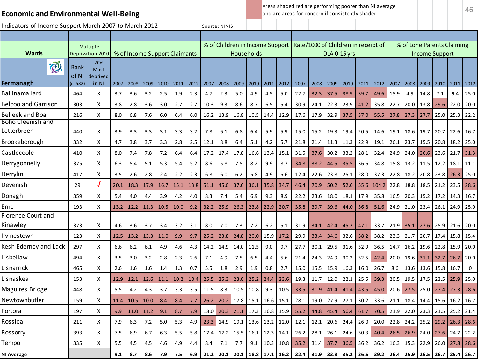| <b>Economic and Environmental Well-Being</b>          |               |                              |                  |                               |      |      |         |         |      |                                 |      |                   |      |      | Areas shaded red are performing poorer than NI average<br>and are areas for concern if consistently shaded |      |                       |                  |                                                                            |       |      |                                      |                       |      |      | 46          |
|-------------------------------------------------------|---------------|------------------------------|------------------|-------------------------------|------|------|---------|---------|------|---------------------------------|------|-------------------|------|------|------------------------------------------------------------------------------------------------------------|------|-----------------------|------------------|----------------------------------------------------------------------------|-------|------|--------------------------------------|-----------------------|------|------|-------------|
| Indicators of Income Support March 2007 to March 2012 |               |                              |                  |                               |      |      |         |         |      | Source: NINIS                   |      |                   |      |      |                                                                                                            |      |                       |                  |                                                                            |       |      |                                      |                       |      |      |             |
|                                                       |               |                              |                  |                               |      |      |         |         |      |                                 |      |                   |      |      |                                                                                                            |      |                       |                  |                                                                            |       |      |                                      |                       |      |      |             |
| Wards                                                 |               | Multiple<br>Deprivation 2010 |                  | % of Income Support Claimants |      |      |         |         |      | % of Children in Income Support |      | <b>Households</b> |      |      |                                                                                                            |      | <b>DLA 0-15 yrs</b>   |                  | Rate/1000 of Children in receipt of                                        |       |      | % of Lone Parents Claiming           | <b>Income Support</b> |      |      |             |
| i®.                                                   | Rank<br>of NI | 20%<br>Most<br>deprived      |                  |                               |      |      |         |         |      |                                 |      |                   |      |      |                                                                                                            |      |                       |                  |                                                                            |       |      |                                      |                       |      |      |             |
| Fermanagh                                             | $(n=582)$     | in NI                        | 2007             | 2008                          | 2009 | 2010 | 2011    | 2012    | 2007 | 2008                            | 2009 | 2010              | 2011 | 2012 | 2007                                                                                                       | 2008 | 2009                  | 2010             | 2011                                                                       | 2012  | 2007 | 2008                                 | 2009                  | 2010 | 2011 | 2012        |
| <b>Ballinamallard</b>                                 | 464           | x                            | 3.7              | 3.6                           | 3.2  | 2.5  | 1.9     | 2.3     | 4.7  | 2.3                             | 5.0  | 4.9               | 4.5  | 5.0  | 22.7                                                                                                       | 32.3 | 37.5                  | 38.9             | 39.7                                                                       | 49.6  | 15.9 | 4.9                                  | 14.8                  | 7.1  | 9.4  | 25.0        |
| <b>Belcoo and Garrison</b>                            | 303           | X                            | 3.8              | 2.8                           | 3.6  | 3.0  | 2.7     | 2.7     | 10.3 | 9.3                             | 8.6  | 8.7               | 6.5  | 5.4  | 30.9                                                                                                       | 24.1 | 22.3                  | 23.9             | 41.2                                                                       | 35.8  | 22.7 | 20.0                                 | 13.8                  | 29.6 | 22.0 | 20.0        |
| <b>Belleek and Boa</b>                                | 216           | x                            | 8.0              | 6.8                           | 7.6  | 6.0  | 6.4     | 6.0     | 16.2 | 13.9                            | 16.8 | 10.5              | 14.4 | 12.9 | 17.6                                                                                                       | 17.9 | 32.9                  | 37.5             | 37.0                                                                       | 55.5  | 27.8 | 27.3                                 | 27.7                  | 25.0 | 25.3 | 22.2        |
| Boho Cleenish and<br>Letterbreen                      | 440           | x                            | 3.9              | 3.3                           | 3.3  | 3.1  | 3.3     | 3.2     | 7.8  | 6.1                             | 6.8  | 6.4               | 5.9  | 5.9  | 15.0                                                                                                       | 15.2 | 19.3                  | 19.4             | 20.5                                                                       | 14.6  | 19.1 | 18.6                                 | 19.7                  | 20.7 | 22.6 | 16.7        |
| Brookeborough                                         | 332           | x                            | 4.7              | 3.8                           | 3.7  | 3.3  | 2.8     | 2.5     | 12.1 | 8.8                             | 6.4  | 5.1               | 4.2  | 5.7  | 21.8                                                                                                       | 21.4 | 11.3                  | 11.3             | 22.9                                                                       | 19.1  | 26.1 | 23.7                                 | 15.5                  | 20.8 | 18.2 | 25.0        |
| Castlecoole                                           | 410           | x                            | 8.0              | 7.4                           | 7.8  | 7.2  | 6.4     | 6.4     | 17.2 | 17.4                            | 17.8 | 16.6              | 13.4 | 15.1 | 31.5                                                                                                       | 37.6 | 30.2                  | 33.2             | 28.1                                                                       | 32.4  | 24.9 | 24.0                                 | 26.6                  | 23.6 | 21.7 | 31.3        |
| Derrygonnelly                                         | 375           | x                            | 6.3              | 5.4                           | 5.1  | 5.3  | 5.4     | 5.2     | 8.6  | 5.8                             | 7.5  | 8.2               | 9.9  | 8.7  | 34.8                                                                                                       | 38.2 | 44.5                  | 35.5             | 36.6                                                                       | 34.8  | 15.8 | 13.2                                 | 11.5                  | 12.2 | 18.1 | 11.1        |
| Derrylin                                              | 417           | x                            | 3.5              | 2.6                           | 2.8  | 2.4  | 2.2     | 2.3     | 6.8  | 6.0                             | 6.2  | 5.8               | 4.9  | 5.6  | 12.4                                                                                                       | 22.6 | 23.8                  | 25.1             | 28.0                                                                       | 37.3  | 22.8 | 18.2                                 | 20.8                  | 23.8 | 26.3 | 25.0        |
| Devenish                                              | 29            | J                            | 20.1             | 18.3                          | 17.9 | 16.7 | 15.1    | 13.8    | 51.1 | 45.0                            | 37.6 | 36.1              | 35.8 | 34.7 | 46.4                                                                                                       | 70.9 | 50.2                  | 52.6             | 55.6                                                                       | 104.2 | 22.8 | 18.8                                 | 18.5                  | 21.2 | 23.5 | 28.6        |
| Donagh                                                | 359           | X                            | 5.4              | 4.0                           | 4.4  | 3.9  | 4.2     | 4.0     | 8.3  | 7.4                             | 5.4  | 6.9               | 9.3  | 8.9  | 22.2                                                                                                       | 23.6 | 18.0                  | 18.1             | 17.9                                                                       | 35.8  | 16.5 | 20.3                                 | 15.2                  | 17.2 | 14.3 | 16.7        |
| Erne                                                  | 193           | x                            | 13.2             | 12.2                          | 11.3 | 10.5 | 10.0    | 9.2     | 32.2 | 25.9                            | 26.3 | 23.8              | 22.9 | 20.7 | 35.8                                                                                                       | 39.7 | 39.6                  | 44.0             | 56.8                                                                       | 51.6  | 24.9 | 21.0                                 | 23.4                  | 26.1 | 24.9 | 25.0        |
| Florence Court and<br>Kinawley                        | 373           | x                            | 4.6              | 3.6                           | 3.7  | 3.4  | 3.2     | 3.1     | 8.0  | 7.0                             | 7.3  | 7.2               | 6.2  | 5.1  | 31.9                                                                                                       | 34.1 | 42.4                  | 45.2             | 47.1                                                                       | 33.7  | 21.9 | 35.1                                 | 27.6                  | 25.9 | 21.6 | 20.0        |
| Irvinestown                                           | 123           | X                            | 12.5             | 13.2                          | 13.3 | 11.0 | 9.9     | 9.7     | 25.2 | 23.8                            | 24.8 | 20.0              | 15.9 | 17.2 | 29.9                                                                                                       | 33.4 | 34.6                  | 32.6             | 38.2                                                                       | 38.2  | 23.3 | 21.7                                 | 20.7                  | 17.4 | 15.8 | 15.4        |
| Kesh Ederney and Lack                                 | 297           | x                            | 6.6              | 6.2                           | 6.1  | 4.9  | 4.6     | 4.3     | 14.2 | 14.9                            | 14.0 | 11.5              | 9.0  | 9.7  | 27.7                                                                                                       | 30.1 | 29.5                  | 31.6             | 32.9                                                                       | 36.5  | 14.7 | 16.2                                 | 19.6                  | 22.8 | 15.9 | 20.0        |
| Lisbellaw                                             | 494           | x                            | 3.5              | 3.0                           | 3.2  | 2.8  | 2.3     | 2.6     | 7.1  | 4.9                             | 7.5  | 6.5               | 4.4  | 5.6  | 21.4                                                                                                       | 24.3 | 24.9                  | 30.2             | 32.5                                                                       | 42.4  | 20.0 | 19.6                                 | 31.1                  | 32.7 | 26.7 | 20.0        |
| Lisnarrick                                            | 465           | X                            | 2.6              | 1.6                           | 1.6  | 1.4  | 1.3     | 0.7     | 5.5  | 1.8                             | 2.9  | 1.9               | 0.8  | 2.7  | 15.0                                                                                                       | 15.5 | 15.9                  | 16.3             | 16.0                                                                       | 26.7  | 8.6  | 13.6                                 | 13.6                  | 15.8 | 16.7 | $\mathbf 0$ |
| Lisnaskea                                             | 153           | X                            | 12.9             | 12.1                          | 12.6 | 11.1 | 10.2    | 10.4    | 25.5 | 25.3                            | 23.0 | 25.2              | 24.4 | 23.6 | 19.3                                                                                                       | 11.7 | 12.0                  | 22.1             | 25.5                                                                       | 39.3  | 20.5 | 19.5                                 | 17.5                  | 23.5 | 25.9 | 25.0        |
| Maguires Bridge                                       | 448           | x                            | 5.5              | 4.2                           | 4.3  | 3.7  | 3.3     | 3.5     | 11.5 | 8.3                             | 10.5 | 10.8              | 9.3  | 10.5 | 33.5                                                                                                       | 31.9 | 41.4                  | 41.4             | 43.5                                                                       | 45.0  | 20.6 | 27.5                                 | 25.0                  | 27.4 | 27.3 | 28.6        |
| Newtownbutler                                         | 159           | X                            |                  | $11.4$   10.5   10.0          |      | 8.4  | $8.4\,$ | $7.7\,$ |      |                                 |      |                   |      |      | 26.2 20.2 17.8 15.1 16.6 15.1 28.1 19.0 27.9 27.1 30.2 33.6 21.1 18.4 14.4 15.6 16.2 16.7                  |      |                       |                  |                                                                            |       |      |                                      |                       |      |      |             |
| Portora                                               | 197           | x                            | 9.9 <sub>0</sub> | $11.0$ 11.2                   |      | 9.1  | 8.7     | 7.9     |      |                                 |      |                   |      |      | 18.0 20.3 21.1 17.3 16.8 15.9 55.2                                                                         |      | 44.8 45.4 56.4 61.7   |                  |                                                                            |       |      | 70.5 21.9 22.0 23.3 21.5 25.2 21.4   |                       |      |      |             |
| Rosslea                                               | 211           | X                            | 7.9              | 6.3                           | 7.2  | 5.0  | 5.3     | 4.9     |      |                                 |      |                   |      |      | 23.3   14.9   19.1   13.6   13.2   12.0   12.1                                                             | 12.1 |                       | $20.6$ 24.4 26.0 |                                                                            |       |      | 20.0 22.8 24.2 25.2 29.2 26.3 28.6   |                       |      |      |             |
| Rossorry                                              | 393           | X                            | 7.5              | 6.9                           | 6.7  | 6.3  | 5.5     | 5.8     |      |                                 |      |                   |      |      | 17.4   17.2   15.5   16.1   12.3   14.1   26.2                                                             |      | 28.1 26.1 24.6 30.3   |                  |                                                                            |       |      | $40.4$ 26.5 26.9 24.0 27.6 24.7 22.2 |                       |      |      |             |
| Tempo                                                 | 335           | X                            | 5.5              | 4.5                           | 4.5  | 4.6  | 4.9     | 4.4     | 8.4  | 7.1                             | 7.7  | 9.1               |      |      | $10.3$ 10.8 35.2                                                                                           |      | $31.4$ 37.7 36.5 36.2 |                  |                                                                            |       |      | 36.2 16.3 15.3 22.9 26.0 27.8 28.6   |                       |      |      |             |
| NI Average                                            |               |                              | 9.1              | 8.7                           | 8.6  | 7.9  | 7.5     |         |      |                                 |      |                   |      |      | 6.9 21.2 20.1 20.1 18.8 17.1 16.2 32.4                                                                     |      |                       |                  | 31.9   33.8   35.2   36.6   39.2   26.4   25.9   26.5   26.7   25.4   26.7 |       |      |                                      |                       |      |      |             |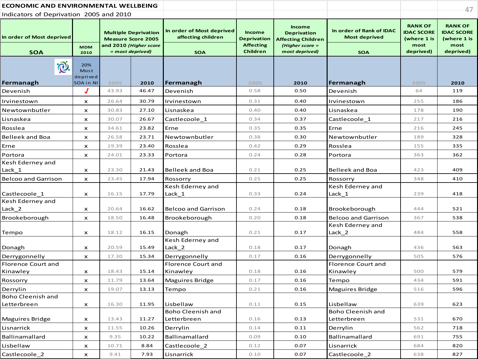| ECONOMIC AND ENVIRONMENTAL WELLBEING    |                                      |                        |                                                          |                                                 |                                     |                                                           |                                                  |                                                    | $47 -$                                             |
|-----------------------------------------|--------------------------------------|------------------------|----------------------------------------------------------|-------------------------------------------------|-------------------------------------|-----------------------------------------------------------|--------------------------------------------------|----------------------------------------------------|----------------------------------------------------|
| Indicators of Deprivation 2005 and 2010 |                                      |                        |                                                          |                                                 |                                     |                                                           |                                                  |                                                    |                                                    |
| In order of Most deprived               |                                      |                        | <b>Multiple Deprivation</b><br><b>Measure Score 2005</b> | In order of Most deprived<br>affecting children | Income<br><b>Deprivation</b>        | Income<br><b>Deprivation</b><br><b>Affecting Children</b> | In order of Rank of IDAC<br><b>Most deprived</b> | <b>RANK OF</b><br><b>IDAC SCORE</b><br>(where 1 is | <b>RANK OF</b><br><b>IDAC SCORE</b><br>(where 1 is |
| <b>SOA</b>                              | <b>MDM</b><br>2010                   |                        | and 2010 (Higher score<br>$= most$ deprived)             | <b>SOA</b>                                      | <b>Affecting</b><br><b>Children</b> | (Higher score =<br>most deprived)                         | <b>SOA</b>                                       | most<br>deprived)                                  | most<br>deprived)                                  |
| <b>Q</b><br>Fermanagh                   | 20%<br>Most<br>deprived<br>SOA in NI | 2005                   | 2010                                                     | Fermanagh                                       | 2005                                | 2010                                                      | Fermanagh                                        | 2005                                               | 2010                                               |
| Devenish                                |                                      | 43.93                  | 46.47                                                    | Devenish                                        | 0.58                                | 0.50                                                      | Devenish                                         | 64                                                 | 119                                                |
| Irvinestown                             | $\boldsymbol{\mathsf{x}}$            | 26.64                  | 30.79                                                    | Irvinestown                                     | 0.31                                | 0.40                                                      | Irvinestown                                      | 255                                                | 186                                                |
| Newtownbutler                           | $\boldsymbol{\mathsf{x}}$            | 30.83                  | 27.10                                                    | Lisnaskea                                       | 0.40                                | 0.40                                                      | Lisnaskea                                        | 178                                                | 190                                                |
| Lisnaskea                               | x                                    | 30.07                  | 26.67                                                    | Castlecoole 1                                   | 0.34                                | 0.37                                                      | Castlecoole 1                                    | 217                                                | 216                                                |
| Rosslea                                 | $\boldsymbol{\mathsf{x}}$            | 34.61                  | 23.82                                                    | Erne                                            | 0.35                                | 0.35                                                      | Erne                                             | 216                                                | 245                                                |
| Belleek and Boa                         | x                                    | 26.58                  | 23.71                                                    | Newtownbutler                                   | 0.38                                | 0.30                                                      | Newtownbutler                                    | 189                                                | 328                                                |
| Erne                                    | $\boldsymbol{\mathsf{x}}$            | 19.39                  | 23.40                                                    | Rosslea                                         | 0.42                                | 0.29                                                      | Rosslea                                          | 155                                                | 335                                                |
| Portora                                 | x                                    | 24.01                  | 23.33                                                    | Portora                                         | 0.24                                | 0.28                                                      | Portora                                          | 363                                                | 362                                                |
| Kesh Ederney and                        |                                      |                        |                                                          |                                                 |                                     |                                                           |                                                  |                                                    |                                                    |
| Lack_1                                  | x                                    | 23.30                  | 21.43                                                    | <b>Belleek and Boa</b>                          | 0.21                                | 0.25                                                      | <b>Belleek and Boa</b>                           | 423                                                | 409                                                |
| <b>Belcoo and Garrison</b>              | $\boldsymbol{\mathsf{x}}$            | 23.45                  | 17.94                                                    | Rossorry                                        | 0.25                                | 0.25                                                      | Rossorry                                         | 348                                                | 410                                                |
| Castlecoole_1                           | $\boldsymbol{\mathsf{x}}$            | 16.15                  | 17.79                                                    | Kesh Ederney and<br>Lack 1                      | 0.33                                | 0.24                                                      | Kesh Ederney and<br>Lack 1                       | 239                                                | 418                                                |
| Kesh Ederney and                        |                                      |                        |                                                          |                                                 |                                     |                                                           |                                                  |                                                    |                                                    |
| Lack_2                                  | x                                    | 20.64                  | 16.62                                                    | <b>Belcoo and Garrison</b>                      | 0.24                                | 0.18                                                      | Brookeborough                                    | 444                                                | 521                                                |
| Brookeborough                           | $\boldsymbol{\mathsf{x}}$            | 18.50                  | 16.48                                                    | Brookeborough                                   | 0.20                                | 0.18                                                      | <b>Belcoo and Garrison</b>                       | 367                                                | 538                                                |
|                                         |                                      |                        |                                                          |                                                 |                                     |                                                           | Kesh Ederney and                                 |                                                    |                                                    |
| Tempo                                   | x                                    | 18.12                  | 16.15                                                    | Donagh                                          | 0.21                                | 0.17                                                      | Lack 2                                           | 484                                                | 558                                                |
| Donagh                                  | $\boldsymbol{\mathsf{x}}$            | 20.59                  | 15.49                                                    | Kesh Ederney and<br>Lack 2                      | 0.18                                | 0.17                                                      | Donagh                                           | 436                                                | 563                                                |
| Derrygonnelly                           | $\boldsymbol{\mathsf{x}}$            | 17.30                  | 15.34                                                    | Derrygonnelly                                   | 0.17                                | 0.16                                                      | Derrygonnelly                                    | 505                                                | 576                                                |
| Florence Court and                      |                                      |                        |                                                          | Florence Court and                              |                                     |                                                           | Florence Court and                               |                                                    |                                                    |
| Kinawley                                | x                                    | 18.43                  | 15.14                                                    | Kinawley                                        | 0.18                                | 0.16                                                      | Kinawley                                         | 500                                                | 579                                                |
| Rossorry                                | $\boldsymbol{\mathsf{x}}$            | 11.79                  | 13.64                                                    | Maguires Bridge                                 | 0.17                                | 0.16                                                      | Tempo                                            | 434                                                | 591                                                |
| Derrylin                                | $\boldsymbol{\mathsf{x}}$            | 19.07                  | 13.13                                                    | Tempo                                           | 0.21                                | 0.16                                                      | Maguires Bridge                                  | 516                                                | 596                                                |
| <b>Boho Cleenish and</b>                |                                      |                        |                                                          |                                                 |                                     |                                                           |                                                  |                                                    |                                                    |
| Letterbreen                             | $\boldsymbol{\mathsf{x}}$            | 16.30                  | 11.95                                                    | Lisbellaw                                       | 0.11                                | 0.15                                                      | Lisbellaw<br><b>Boho Cleenish and</b>            | 639                                                | 623                                                |
| Maguires Bridge                         | x                                    | 13.43                  | 11.27                                                    | Boho Cleenish and<br>Letterbreen                | 0.16                                | 0.13                                                      | Letterbreen                                      | 531                                                | 670                                                |
| Lisnarrick                              | $\boldsymbol{\mathsf{x}}$            | 11.55                  | 10.26                                                    | Derrylin                                        | 0.14                                | 0.11                                                      | Derrylin                                         | 562                                                | 718                                                |
| Ballinamallard                          | x                                    | 9.35                   |                                                          | Ballinamallard                                  | 0.09                                | 0.10                                                      | Ballinamallard                                   | 691                                                | 755                                                |
| Lisbellaw                               | x                                    | 10.22<br>8.84<br>10.71 |                                                          | Castlecoole 2                                   | 0.12                                | 0.07                                                      | Lisnarrick                                       | 684                                                | 820                                                |
| Castlecoole_2                           | $\boldsymbol{\mathsf{x}}$            | 9.41                   | 7.93                                                     | Lisnarrick                                      | 0.10                                | 0.07                                                      | Castlecoole 2                                    | 638                                                | 827                                                |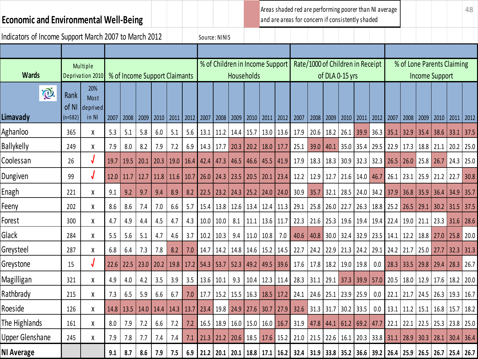| <b>Economic and Environmental Well-Being</b>          |               |                              |      |                                                                                   |      |      |      |      |                                         |                                         |               |      |               |                | Areas shaded red are performing poorer than NI average<br>and are areas for concern if consistently shaded |                                  |      |                 |             |                      |                      |                      |                |                       |                            | 48   |
|-------------------------------------------------------|---------------|------------------------------|------|-----------------------------------------------------------------------------------|------|------|------|------|-----------------------------------------|-----------------------------------------|---------------|------|---------------|----------------|------------------------------------------------------------------------------------------------------------|----------------------------------|------|-----------------|-------------|----------------------|----------------------|----------------------|----------------|-----------------------|----------------------------|------|
| Indicators of Income Support March 2007 to March 2012 |               |                              |      |                                                                                   |      |      |      |      | Source: NINIS                           |                                         |               |      |               |                |                                                                                                            |                                  |      |                 |             |                      |                      |                      |                |                       |                            |      |
|                                                       |               |                              |      |                                                                                   |      |      |      |      |                                         |                                         |               |      |               |                |                                                                                                            |                                  |      |                 |             |                      |                      |                      |                |                       |                            |      |
| <b>Wards</b>                                          |               | Multiple<br>Deprivation 2010 |      | % of Income Support Claimants                                                     |      |      |      |      |                                         | % of Children in Income Support         | Households    |      |               |                |                                                                                                            | Rate/1000 of Children in Receipt |      | of DLA 0-15 yrs |             |                      |                      |                      |                | <b>Income Support</b> | % of Lone Parents Claiming |      |
| Õ.                                                    | Rank<br>of NI | 20%<br>Most<br>deprived      |      |                                                                                   |      |      |      |      |                                         |                                         |               |      |               |                |                                                                                                            |                                  |      |                 |             |                      |                      |                      |                |                       |                            |      |
| Limavady                                              | $(n=582)$     | in NI                        | 2007 | 2008                                                                              | 2009 | 2010 | 2011 | 2012 | 2007                                    | 2008                                    | 2009 2010     |      | 2011          | 2012           | 2007                                                                                                       | 2008                             | 2009 | 2010            | 2011        | 2012 2007            |                      | 2008                 | $ 2009\rangle$ | 2010                  | 2011                       | 2012 |
| Aghanloo                                              | 365           | X                            | 5.3  | 5.1                                                                               | 5.8  | 6.0  | 5.1  | 5.6  |                                         | 13.1   11.2   14.4                      |               | 15.7 | 13.0          | 13.6           | 17.9                                                                                                       | 20.6                             | 18.2 | 26.1            | 39.9        | $36.3$ 35.1          |                      | 32.9                 | 35.4           | 38.6                  | 33.1                       | 37.5 |
| <b>Ballykelly</b>                                     | 249           | X                            | 7.9  | 8.0                                                                               | 8.2  | 7.9  | 7.2  | 6.9  | $14.3$   17.7                           |                                         | 20.3          | 20.2 | 18.0          | 17.7           | 25.1                                                                                                       | 39.0                             | 40.1 |                 |             |                      | 35.0 35.4 29.5 22.9  | 17.3                 | 18.8           | 21.1                  | 20.2                       | 25.0 |
| Coolessan                                             | 26            | J                            | 19.7 | 19.5                                                                              | 20.1 | 20.3 | 19.0 | 16.4 | 42.4                                    | 47.3                                    | 46.5          | 46.6 | 45.5          | $ 41.9\rangle$ | 17.9                                                                                                       | 18.3                             | 18.3 | 30.9            |             | $32.3$ 32.3 26.5     |                      | 26.0                 | 25.8           | 26.7                  | $24.3$ 25.0                |      |
| Dungiven                                              | 99            |                              | 12.0 | 11.7                                                                              | 12.7 | 11.8 | 11.6 | 10.7 | 26.0                                    | 24.3                                    | 23.5          | 20.5 | 20.1          | 23.4           | 12.2                                                                                                       | 12.9                             | 12.7 | 21.6            | $14.0$ 46.7 |                      | 26.1                 | 23.1                 | 25.9           | 21.2                  | 22.7                       | 30.8 |
| Enagh                                                 | 221           | χ                            | 9.1  | 9.2                                                                               | 9.7  | 9.4  | 8.9  | 8.2  | 22.5                                    | 23.2                                    | 24.3          | 25.2 | 24.0          | 24.0           | 30.9                                                                                                       | 35.7                             | 32.1 | 28.5            |             | 24.0 34.2 37.9       |                      | 36.8                 | 35.9           | 36.4                  | 34.9                       | 35.7 |
| Feeny                                                 | 202           | χ                            | 8.6  | 8.6                                                                               | 7.4  | 7.0  | 6.6  | 5.7  |                                         | 15.4   13.8   12.6                      |               | 13.4 |               | $12.4$ 11.3    | 29.1                                                                                                       | 25.8                             | 26.0 | 22.7            |             | $26.3$   18.8   25.2 |                      | 26.5                 | 29.1           | 30.2                  | 31.5                       | 37.5 |
| Forest                                                | 300           | χ                            | 4.7  | 4.9                                                                               | 4.4  | 4.5  | 4.7  | 4.3  | 10.0                                    | 10.0                                    | 8.1           | 11.1 | 13.6          | 11.7           | 22.3                                                                                                       | 21.6                             | 25.3 | 19.6            |             |                      | $19.4$   19.4   22.4 | $19.0$ 21.1          |                | $23.3$ 31.6           |                            | 28.6 |
| Glack                                                 | 284           | X                            | 5.5  | 5.6                                                                               | 5.1  | 4.7  | 4.6  | 3.7  | 10.2                                    | 10.3                                    | 9.4           | 11.0 | 10.8          | 7.0            | 40.6                                                                                                       | 40.8                             | 30.0 | 32.4            | 32.9        | $23.5$ 14.1          |                      | 12.2                 | 18.8           | 27.0                  | 25.8                       | 20.0 |
| Greysteel                                             | 287           | χ                            | 6.8  | 6.4                                                                               | 7.3  | 7.8  | 8.2  | 7.0  | 14.7                                    |                                         | $14.2$   14.8 |      | $14.6$   15.2 | 14.5           | 22.7                                                                                                       | 24.2                             | 22.9 | 21.3            |             | 24.2 29.1 24.2       |                      | 21.7                 | 25.0           | 27.7                  | 32.3                       | 31.3 |
| Greystone                                             | 15            |                              | 22.6 | 22.5                                                                              | 23.0 | 20.2 | 19.8 | 17.2 | 54.3                                    | 53.7                                    | 52.3          | 49.2 | 49.5          | 39.6           | 17.6                                                                                                       | 17.8                             | 18.2 | 19.0            | 19.8        | 0.0                  | 28.3                 | 33.5                 | 29.8           | 29.4                  | 28.3                       | 26.7 |
| Magilligan                                            | 321           | χ                            | 4.9  | 4.0                                                                               | 4.2  | 3.5  | 3.9  | 3.5  | 13.6                                    | 10.1                                    | 9.3           | 10.4 | 12.3          | 11.4           | 28.3                                                                                                       | 31.1                             | 29.1 | 37.3            | 39.9        | 57.0                 | $\vert$ 20.5         | 18.0                 | 12.9           | 17.6                  | 18.2                       | 20.0 |
| Rathbrady                                             | 215           | χ                            | 7.3  | 6.5                                                                               | 5.9  | 6.6  | 6.7  | 7.0  |                                         | 17.7   15.2   15.5   16.3   18.5   17.2 |               |      |               |                | 24.1   24.6   25.1   23.9   25.9   0.0   22.1   21.7   24.5                                                |                                  |      |                 |             |                      |                      |                      |                |                       | $26.3$   19.3   16.7       |      |
| Roeside                                               | 126           | χ                            |      | 14.8   13.5   14.0   14.4   14.3   13.7   23.4   19.8   24.9   27.6   30.7   27.9 |      |      |      |      |                                         |                                         |               |      |               |                | 32.6                                                                                                       | 31.3 31.7 30.2 33.5              |      |                 |             |                      |                      | $0.0$ 13.1 11.2 15.1 |                | 16.8                  | 15.7   18.2                |      |
| The Highlands                                         | 161           | χ                            | 8.0  | 7.9                                                                               | 7.2  | 6.6  | 7.2  | 7.2  | 16.5   18.9   16.0   15.0   16.0   16.7 |                                         |               |      |               |                | 31.9                                                                                                       | 47.8 44.1 61.2 69.2 47.7 22.1    |      |                 |             |                      |                      | 22.1                 | 22.5           | 25.3                  | 23.8 25.0                  |      |
| <b>Upper Glenshane</b>                                | 245           | $\pmb{\mathsf{X}}$           | 7.9  | 7.8                                                                               | 7.7  | 7.4  | 7.4  | 7.1  |                                         |                                         |               |      |               |                | 21.3   21.2   20.6   18.5   17.6   15.2   21.0   21.5   22.6   16.1   20.3   33.8   31.1   28.9   30.3     |                                  |      |                 |             |                      |                      |                      |                |                       | $28.1$ 30.4 36.4           |      |
| NI Average                                            |               |                              | 9.1  | 8.7                                                                               | 8.6  | 7.9  | 7.5  |      |                                         |                                         |               |      |               |                | 6.9 21.2 20.1 20.1 18.8 17.1 16.2 32.4 31.9 33.8 35.2 36.6 39.2 26.4 25.9 26.5                             |                                  |      |                 |             |                      |                      |                      |                |                       | $26.7$ 25.4 26.7           |      |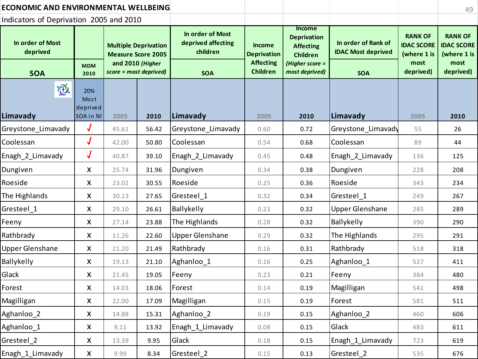| <b>ECONOMIC AND ENVIRONMENTAL WELLBEING</b> |                                      |                        |                                                          |                                                    |                                     |                                                                            |                                                  |                                                    | 49                                                 |
|---------------------------------------------|--------------------------------------|------------------------|----------------------------------------------------------|----------------------------------------------------|-------------------------------------|----------------------------------------------------------------------------|--------------------------------------------------|----------------------------------------------------|----------------------------------------------------|
| Indicators of Deprivation 2005 and 2010     |                                      |                        |                                                          |                                                    |                                     |                                                                            |                                                  |                                                    |                                                    |
| In order of Most<br>deprived                |                                      |                        | <b>Multiple Deprivation</b><br><b>Measure Score 2005</b> | In order of Most<br>deprived affecting<br>children | <b>Income</b><br><b>Deprivation</b> | <b>Income</b><br><b>Deprivation</b><br><b>Affecting</b><br><b>Children</b> | In order of Rank of<br><b>IDAC Most deprived</b> | <b>RANK OF</b><br><b>IDAC SCORE</b><br>(where 1 is | <b>RANK OF</b><br><b>IDAC SCORE</b><br>(where 1 is |
| <b>SOA</b>                                  | <b>MDM</b><br>2010                   | score = most deprived) | and 2010 (Higher                                         | <b>SOA</b>                                         | <b>Affecting</b><br><b>Children</b> | (Higher score =<br>most deprived)                                          | <b>SOA</b>                                       | most<br>deprived)                                  | most<br>deprived)                                  |
| Õ.<br>Limavady                              | 20%<br>Most<br>deprived<br>SOA in NI | 2005                   | 2010                                                     | Limavady                                           | 2005                                | 2010                                                                       | Limavady                                         | 2005                                               | 2010                                               |
| Greystone Limavady                          | $\bm{J}$                             | 45.61                  | 56.42                                                    | Greystone_Limavady                                 | 0.60                                | 0.72                                                                       | Greystone_Limavady                               | 55                                                 | 26                                                 |
| Coolessan                                   | J                                    | 42.00                  | 50.80                                                    | Coolessan                                          | 0.54                                | 0.68                                                                       | Coolessan                                        | 89                                                 | 44                                                 |
| Enagh_2_Limavady                            | $\bm{J}$                             | 40.87                  | 39.10                                                    | Enagh 2 Limavady                                   | 0.45                                | 0.48                                                                       | Enagh 2 Limavady                                 | 136                                                | 125                                                |
| Dungiven                                    | $\pmb{\times}$                       | 25.74                  | 31.96                                                    | Dungiven                                           | 0.34                                | 0.38                                                                       | Dungiven                                         | 228                                                | 208                                                |
| Roeside                                     | X                                    | 23.02                  | 30.55                                                    | Roeside                                            | 0.25                                | 0.36                                                                       | Roeside                                          | 343                                                | 234                                                |
| The Highlands                               | X                                    | 30.13                  | 27.65                                                    | Gresteel 1                                         | 0.32                                | 0.34                                                                       | Gresteel 1                                       | 249                                                | 267                                                |
| Gresteel 1                                  | $\boldsymbol{\mathsf{X}}$            | 29.10                  | 26.61                                                    | Ballykelly                                         | 0.23                                | 0.32                                                                       | <b>Upper Glenshane</b>                           | 285                                                | 289                                                |
| Feeny                                       | X                                    | 27.14                  | 23.88                                                    | The Highlands                                      | 0.28                                | 0.32                                                                       | Ballykelly                                       | 390                                                | 290                                                |
| Rathbrady                                   | X                                    | 11.26                  | 22.60                                                    | <b>Upper Glenshane</b>                             | 0.29                                | 0.32                                                                       | The Highlands                                    | 295                                                | 291                                                |
| <b>Upper Glenshane</b>                      | X                                    | 21.20                  | 21.49                                                    | Rathbrady                                          | 0.16                                | 0.31                                                                       | Rathbrady                                        | 518                                                | 318                                                |
| Ballykelly                                  | X                                    | 19.13                  | 21.10                                                    | Aghanloo_1                                         | 0.16                                | 0.25                                                                       | Aghanloo <sub>1</sub>                            | 527                                                | 411                                                |
| Glack                                       | X                                    | 21.45                  | 19.05                                                    | Feeny                                              | 0.23                                | 0.21                                                                       | Feeny                                            | 384                                                | 480                                                |
| Forest                                      | X                                    | 14.03                  | 18.06                                                    | Forest                                             | 0.14                                | 0.19                                                                       | Magilligan                                       | 541                                                | 498                                                |
| Magilligan                                  | X                                    | 22.00                  | 17.09                                                    | Magilligan                                         | 0.15                                | 0.19                                                                       | Forest                                           | 581                                                | 511                                                |
| Aghanloo_2                                  | X                                    | 14.88                  | 15.31                                                    | Aghanloo_2                                         | 0.19                                | 0.15                                                                       | Aghanloo_2                                       | 460                                                | 606                                                |
| Aghanloo_1                                  | X                                    | 9.11                   | 13.92                                                    | Enagh 1 Limavady                                   | 0.08                                | 0.15                                                                       | Glack                                            | 483                                                | 611                                                |
| Gresteel 2                                  | X                                    | 13.39                  | 9.95                                                     | Glack                                              | 0.18                                | 0.15                                                                       | Enagh 1 Limavady                                 | 723                                                | 619                                                |
| Enagh_1_Limavady                            | X                                    | 9.99                   | 8.34                                                     | Gresteel 2                                         | 0.15                                | 0.13                                                                       | Gresteel_2                                       | 535                                                | 676                                                |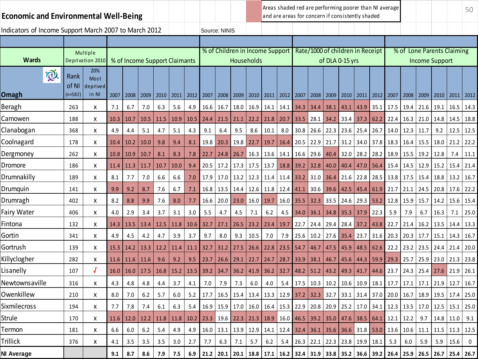## **Economic and Environmental Well-Being**

Areas shaded red are performing poorer than NI average and are areas for concern if consistently shaded

Indicators of Income Support March 2007 to March 2012 | Source: NINIS

| פוו |  |  |  |  |  |  |  |
|-----|--|--|--|--|--|--|--|

| <b>Wards</b>               |                            | Multiple<br>Deprivation 2010     |      |      | % of Income Support Claimants |      |      |      |      | % of Children in Income Support | Households |         |             |             |               |      | Rate/1000 of children in Receipt<br>of DLA 0-15 yrs |      |      |               | % of                      |      | <b>Income Support</b> |      | <b>Lone Parents Claiming</b> |             |
|----------------------------|----------------------------|----------------------------------|------|------|-------------------------------|------|------|------|------|---------------------------------|------------|---------|-------------|-------------|---------------|------|-----------------------------------------------------|------|------|---------------|---------------------------|------|-----------------------|------|------------------------------|-------------|
| $\bigcirc$<br><b>Omagh</b> | Rank<br>of NI<br>$(n=582)$ | 20%<br>Most<br>deprived<br>in NI | 2007 | 2008 | 2009                          | 2010 | 2011 | 2012 | 2007 | 2008 2009                       |            | 2010    | 2011        | 2012 2007   |               | 2008 | 2009 2010                                           |      |      | $2011$   2012 | 2007                      | 2008 | 2009                  | 2010 | 2011                         | 2012        |
| Beragh                     | 263                        | X                                | 7.1  | 6.7  | 7.0                           | 6.3  | 5.6  | 4.9  | 16.6 | 16.7                            | 18.0       | 16.9    | 14.1        | 14.1        | 34.3          | 34.4 | 38.1                                                | 43.1 | 43.9 | 35.1          | 17.5                      | 19.4 | 21.6                  | 19.1 | 16.5                         | 14.3        |
| Camowen                    | 188                        | x                                | 10.3 | 10.7 | 10.5                          | 11.5 | 10.9 | 10.5 | 24.4 | 21.5                            | 21.1       | 22.2    | 21.8        | 20.7        | 33.5          | 28.1 | 34.2                                                | 33.4 | 37.3 | 62.2          | 22.4                      | 16.3 | 21.0                  | 14.8 | 14.5                         | 18.8        |
| Clanabogan                 | 368                        | X                                | 4.9  | 4.4  | 5.1                           | 4.7  | 5.1  | 4.3  | 9.1  | 6.4                             | 9.5        | 8.6     | 10.1        | 8.0         | 30.8          | 26.6 | 22.3                                                | 23.6 | 25.4 | $26.7$ 14.0   |                           | 12.3 | 11.7                  | 9.2  | 12.5                         | 12.5        |
| Coolnagard                 | 178                        | x                                | 10.4 | 10.2 | 10.0                          | 9.8  | 9.4  | 8.1  | 19.8 | 20.3                            | 19.8       | 22.7    | 19.7        | 16.4        | 20.5          | 22.9 | 21.7                                                | 31.2 | 34.0 | 37.8          | 18.3                      | 16.4 | 15.5                  | 18.0 | 21.2                         | 22.2        |
| Dergmoney                  | 262                        | X                                | 10.8 | 10.9 | 10.7                          | 8.1  | 8.3  | 7.8  | 22.7 | 24.8                            | 26.7       | 16.3    | 13.6        | 14.1        | 16.6          | 29.6 | 40.4                                                | 32.0 | 28.2 | 28.2          | 18.9                      | 15.5 | 19.2                  | 12.8 | 7.4                          | 11.1        |
| Dromore                    | 186                        | X                                | 11.4 | 11.3 | 11.7                          | 10.7 | 10.0 | 9.4  | 20.5 | 17.2                            | 17.3       | 17.5    | 13.7        | 18.8        | 39.2          | 32.8 | 40.0                                                | 40.4 | 47.0 | 56.4          | 15.4                      | 14.5 | 12.9                  | 15.2 | 15.4                         | 21.4        |
| Drumnakilly                | 189                        | X                                | 8.1  | 7.7  | 7.0                           | 6.6  | 6.6  | 7.0  | 17.9 | 17.0                            | 13.2       | 12.3    | 11.4        | 11.4        | 33.2          | 31.0 | 36.4                                                | 21.6 | 22.8 | 28.5 13.8     |                           | 17.5 | 15.4                  | 18.8 | 13.2                         | 16.7        |
| Drumquin                   | 141                        | x                                | 9.9  | 9.2  | 8.7                           | 7.6  | 6.7  | 7.1  | 16.8 | 13.5                            | 14.4       | 12.6    | 11.8        | 12.4        | 41.1          | 30.6 | 39.6                                                | 42.5 | 45.4 | 61.9          | 21.7                      | 21.1 | 24.5                  | 20.8 | 17.6                         | 22.2        |
| Drumragh                   | 402                        | X                                | 8.2  | 8.8  | 9.9                           | 7.6  | 8.0  | 7.7  | 16.6 | 20.0                            | 23.0       | 16.0    | 19.7        | 16.0        | 35.5          | 32.3 | 33.5                                                | 24.6 | 29.3 | 53.2          | 12.8                      | 15.9 | 15.7                  | 14.2 | 15.6                         | 15.4        |
| <b>Fairy Water</b>         | 406                        | x                                | 4.0  | 2.9  | 3.4                           | 3.7  | 3.1  | 3.0  | 5.5  | 4.7                             | 4.5        | $7.1\,$ | 6.2         | 4.5         | 34.0          | 36.1 | 34.8                                                | 35.3 | 37.9 | 22.3          | 5.9                       | 7.9  | 6.7                   | 16.3 | 7.1                          | 25.0        |
| Fintona                    | 132                        | x                                | 14.3 | 13.5 | 13.4                          | 12.5 | 11.8 | 10.6 | 32.7 | 27.1                            | 26.5       | 23.2    | 23.4        | 19.7        | 22.7          | 24.4 | 29.4                                                | 28.4 | 37.2 | 43.8          | 22.7                      | 21.4 | 16.2                  | 13.5 | 14.4                         | 13.3        |
| Gortin                     | 341                        | Χ                                | 4.9  | 4.5  | 4.2                           | 4.7  | 3.9  | 3.7  | 9.7  | 8.0                             | 9.3        | 10.5    | 7.0         | 7.9         | 25.6          | 10.2 | 27.6                                                | 35.4 | 23.7 | 31.6          | 20.3                      | 20.3 | 17.7                  | 15.1 | 14.3                         | 16.7        |
| Gortrush                   | 139                        | X                                | 15.3 | 14.2 | 13.3                          | 12.2 | 11.4 | 11.1 | 32.7 | 31.2                            | 27.5       | 26.6    | 22.8        | 23.5        | 54.7          | 46.7 | 47.5                                                | 45.9 | 48.5 | 62.6          | 22.2                      | 23.2 | 23.5                  | 24.4 | 21.4                         | 20.0        |
| Killyclogher               | 282                        | X                                | 11.6 | 11.6 | 11.6                          | 9.6  | 9.2  | 9.5  | 23.7 | 26.6                            | 29.1       | 22.7    | 24.7        | 28.7        | 33.9          | 38.1 | 46.7                                                | 45.6 | 44.3 | 59.9          | 29.3                      | 25.7 | 25.9                  | 23.0 | 21.3                         | 23.8        |
| Lisanelly                  | 107                        | J                                | 16.0 | 16.0 | 17.5                          | 16.8 | 15.2 | 13.5 | 39.2 | 34.7                            | 36.2       | 41.9    | 36.2        | 32.7        | 48.2          | 51.2 | 43.2                                                | 49.3 | 41.7 | 44.6          | 23.7                      | 24.3 | 25.4                  | 27.6 | 21.9                         | 26.1        |
| Newtownsaville             | 316                        | x                                | 4.3  | 4.8  | 4.8                           | 4.4  | 3.7  | 4.1  | 7.0  | 7.9                             | 7.3        | 6.0     | 4.0         | 5.4         | 17.5          | 10.3 | 10.2                                                | 10.6 | 10.9 | 18.1          | 17.7                      | 17.1 | 17.1                  | 21.9 | 12.7                         | 16.7        |
| Owenkillew                 | 210                        | X                                | 8.0  | 7.0  | 6.2                           | 5.7  | 6.0  | 5.2  | 17.7 | 16.5                            | 15.4       | 13.4    | 13.3        | 12.9        | 37.2          | 32.3 | 32.7                                                | 33.1 | 31.4 | 37.0          | 20.0                      | 16.7 | 18.9                  | 19.5 | 17.4                         | 25.0        |
| <b>Sixmilecross</b>        | 194                        | X                                | 7.7  | 7.8  | 7.4                           | 6.1  | 6.3  | 5.4  | 16.9 | 15.9                            | 17.0       | 16.0    | 16.4        | $15.3$ 22.9 |               | 20.8 | 20.9                                                | 25.2 | 17.0 | 34.1          | 12.3                      | 13.5 | 17.0                  | 12.5 | 15.1                         | 25.0        |
| <b>Strule</b>              | 170                        | X                                | 11.6 | 12.0 | 12.2                          | 11.8 | 11.8 | 10.2 | 23.3 | 19.6                            | 22.3       | 21.3    | 18.9        | $16.0$ 46.5 |               | 39.2 | 35.0                                                | 47.6 | 38.5 | 64.1          | 12.1                      | 12.2 | 9.7                   | 14.8 | 11.0                         | 9.1         |
| Termon                     | 181                        | x                                | 6.6  | 6.0  | 6.2                           | 5.4  | 4.9  | 4.9  | 16.0 | 13.1                            | 13.9       | 12.9    | 14.1        | 12.4        | 32.4          | 36.1 | 35.6                                                | 36.6 | 31.8 | 53.0          | 13.6                      | 10.6 | 11.1                  | 11.5 | 11.3                         | 12.5        |
| Trillick                   | 376                        | x                                | 4.1  | 3.5  | 3.5                           | 3.5  | 3.0  | 2.7  | 7.7  | 6.3                             | 7.1        | 5.7     | 6.2         | 5.4         | $26.3$   22.1 |      | 22.3                                                | 23.8 | 19.9 | 18.1          | 5.3                       | 6.0  | 5.9                   | 5.9  | 15.6                         | $\mathbf 0$ |
| <b>NI Average</b>          |                            |                                  | 9.1  | 8.7  | 8.6                           | 7.9  | 7.5  | 6.9  | 21.2 | 20.1                            | 20.1       |         | $18.8$ 17.1 |             |               |      | 16.2 32.4 31.9 33.8 35.2                            |      |      |               | 36.6   39.2   26.4   25.9 |      | 26.5                  | 26.7 | 25.4                         | 26.7        |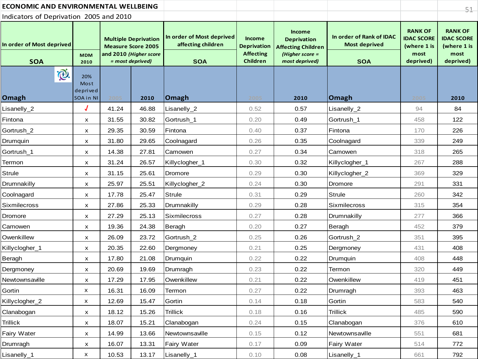| <b>ECONOMIC AND ENVIRONMENTAL WELLBEING</b> |                                      |                                                                                                        |       |                                                               |                                                                            |                                                                                                       |                                                                |                                                                         | $51 -$                                                                  |
|---------------------------------------------|--------------------------------------|--------------------------------------------------------------------------------------------------------|-------|---------------------------------------------------------------|----------------------------------------------------------------------------|-------------------------------------------------------------------------------------------------------|----------------------------------------------------------------|-------------------------------------------------------------------------|-------------------------------------------------------------------------|
| Indicators of Deprivation 2005 and 2010     |                                      |                                                                                                        |       |                                                               |                                                                            |                                                                                                       |                                                                |                                                                         |                                                                         |
| In order of Most deprived<br><b>SOA</b>     | <b>MDM</b><br>2010                   | <b>Multiple Deprivation</b><br><b>Measure Score 2005</b><br>and 2010 (Higher score<br>= most deprived) |       | In order of Most deprived<br>affecting children<br><b>SOA</b> | <b>Income</b><br><b>Deprivation</b><br><b>Affecting</b><br><b>Children</b> | <b>Income</b><br><b>Deprivation</b><br><b>Affecting Children</b><br>(Higher score =<br>most deprived) | In order of Rank of IDAC<br><b>Most deprived</b><br><b>SOA</b> | <b>RANK OF</b><br><b>IDAC SCORE</b><br>(where 1 is<br>most<br>deprived) | <b>RANK OF</b><br><b>IDAC SCORE</b><br>(where 1 is<br>most<br>deprived) |
| i®.<br><b>Omagh</b>                         | 20%<br>Most<br>deprived<br>SOA in NI | 2005                                                                                                   | 2010  | Omagh                                                         | 2005                                                                       | 2010                                                                                                  | Omagh                                                          | 2005                                                                    | 2010                                                                    |
| Lisanelly_2                                 | J                                    | 41.24                                                                                                  | 46.88 | Lisanelly_2                                                   | 0.52                                                                       | 0.57                                                                                                  | Lisanelly_2                                                    | 94                                                                      | 84                                                                      |
| Fintona                                     | x                                    | 31.55                                                                                                  | 30.82 | Gortrush_1                                                    | 0.20                                                                       | 0.49                                                                                                  | Gortrush_1                                                     | 458                                                                     | 122                                                                     |
| Gortrush_2                                  | x                                    | 29.35                                                                                                  | 30.59 | Fintona                                                       | 0.40                                                                       | 0.37                                                                                                  | Fintona                                                        | 170                                                                     | 226                                                                     |
| Drumquin                                    | x                                    | 31.80                                                                                                  | 29.65 | Coolnagard                                                    | 0.26                                                                       | 0.35                                                                                                  | Coolnagard                                                     | 339                                                                     | 249                                                                     |
| Gortrush_1                                  | x                                    | 14.38                                                                                                  | 27.81 | Camowen                                                       | 0.27                                                                       | 0.34                                                                                                  | Camowen                                                        | 318                                                                     | 265                                                                     |
| Termon                                      | x                                    | 31.24                                                                                                  | 26.57 | Killyclogher_1                                                | 0.30                                                                       | 0.32                                                                                                  | Killyclogher_1                                                 | 267                                                                     | 288                                                                     |
| <b>Strule</b>                               | x                                    | 31.15                                                                                                  | 25.61 | Dromore                                                       | 0.29                                                                       | 0.30                                                                                                  | Killyclogher_2                                                 | 369                                                                     | 329                                                                     |
| Drumnakilly                                 | X                                    | 25.97                                                                                                  | 25.51 | Killyclogher_2                                                | 0.24                                                                       | 0.30                                                                                                  | Dromore                                                        | 291                                                                     | 331                                                                     |
| Coolnagard                                  | x                                    | 17.78                                                                                                  | 25.47 | <b>Strule</b>                                                 | 0.31                                                                       | 0.29                                                                                                  | <b>Strule</b>                                                  | 260                                                                     | 342                                                                     |
| Sixmilecross                                | x                                    | 27.86                                                                                                  | 25.33 | Drumnakilly                                                   | 0.29                                                                       | 0.28                                                                                                  | Sixmilecross                                                   | 315                                                                     | 354                                                                     |
| Dromore                                     | x                                    | 27.29                                                                                                  | 25.13 | <b>Sixmilecross</b>                                           | 0.27                                                                       | 0.28                                                                                                  | Drumnakilly                                                    | 277                                                                     | 366                                                                     |
| Camowen                                     | x                                    | 19.36                                                                                                  | 24.38 | Beragh                                                        | 0.20                                                                       | 0.27                                                                                                  | Beragh                                                         | 452                                                                     | 379                                                                     |
| Owenkillew                                  | x                                    | 26.09                                                                                                  | 23.72 | Gortrush_2                                                    | 0.25                                                                       | 0.26                                                                                                  | Gortrush_2                                                     | 351                                                                     | 395                                                                     |
| Killyclogher_1                              | x                                    | 20.35                                                                                                  | 22.60 | Dergmoney                                                     | 0.21                                                                       | 0.25                                                                                                  | Dergmoney                                                      | 431                                                                     | 408                                                                     |
| Beragh                                      | x                                    | 17.80                                                                                                  | 21.08 | Drumquin                                                      | 0.22                                                                       | 0.22                                                                                                  | Drumquin                                                       | 408                                                                     | 448                                                                     |
| Dergmoney                                   | x                                    | 20.69                                                                                                  | 19.69 | Drumragh                                                      | 0.23                                                                       | 0.22                                                                                                  | Termon                                                         | 320                                                                     | 449                                                                     |
| Newtownsaville                              | X                                    | 17.29                                                                                                  | 17.95 | Owenkillew                                                    | 0.21                                                                       | 0.22                                                                                                  | Owenkillew                                                     | 419                                                                     | 451                                                                     |
| Gortin                                      | x                                    | 16.31                                                                                                  | 16.09 | Termon                                                        | 0.27                                                                       | 0.22                                                                                                  | Drumragh                                                       | 393                                                                     | 463                                                                     |
| Killyclogher_2                              | x                                    | 12.69                                                                                                  | 15.47 | Gortin                                                        | 0.14                                                                       | 0.18                                                                                                  | Gortin                                                         | 583                                                                     | 540                                                                     |
| Clanabogan                                  | x                                    | 18.12                                                                                                  | 15.26 | <b>Trillick</b>                                               | 0.18                                                                       | 0.16                                                                                                  | <b>Trillick</b>                                                | 485                                                                     | 590                                                                     |
| Trillick                                    | x                                    | 18.07                                                                                                  | 15.21 | Clanabogan                                                    | 0.24                                                                       | 0.15                                                                                                  | Clanabogan                                                     | 376                                                                     | 610                                                                     |
| Fairy Water                                 | x                                    | 14.99                                                                                                  | 13.66 | Newtownsaville                                                | 0.15                                                                       | 0.12                                                                                                  | Newtownsaville                                                 | 551                                                                     | 681                                                                     |
| Drumragh                                    | X                                    | 16.07                                                                                                  | 13.31 | <b>Fairy Water</b>                                            | 0.17                                                                       | 0.09                                                                                                  | Fairy Water                                                    | 514                                                                     | 772                                                                     |
| Lisanelly_1                                 | x                                    | 10.53                                                                                                  | 13.17 | Lisanelly_1                                                   | 0.10                                                                       | 0.08                                                                                                  | Lisanelly_1                                                    | 661                                                                     | 792                                                                     |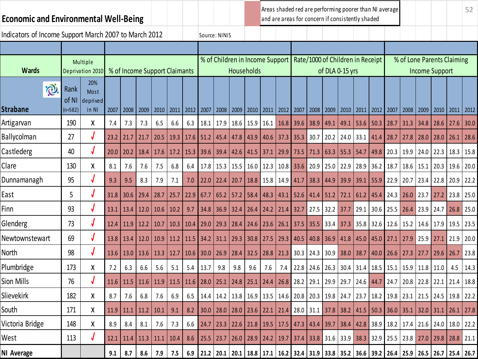## **Economic and Environmental Well-Being**

Areas shaded red are performing poorer than NI average and are areas for concern if consistently shaded

Indicators of Income Support March 2007 to March 2012 Source: NINIS % of Children in Income Support Rate/1000 of Children in Receipt % of Lone Parents Claiming Multiple **Wards** Deprivation 2010 % of Income Support Claimants Income Support **Households** of DLA 0-15 yrs20% i® Rank Most of NI deprived **Strabane** (n=582) in NI 2007 2008 2009 2010 2011 2012 2007 2008 2009 2010 2011 2012 2007 2008 2009 2010 2011 2012 2007 2008 2009 2010 2011 2012 Artigarvan | 190 | X | 7.4 | 7.3 | 7.3 | 6.5 | 6.6 | 6.3 | 18.1 | 17.9 | 18.6 | 15.9 | 16.1 | 16.8 | 39.6 | 38.9 | 49.1 | 49.1 | 53.6 | 50.3 | 28.7 | 31.3 | 34.8 | 28.6 | 27.6 | 30.0 Ballycolman | 27 | √ | 23.2 | 21.7 | 21.7 | 20.5 | 19.3 | 17.6 | 51.2 | 45.4 | 47.8 | 43.9 | 40.6 | 37.3 | 35.3 | 30.7 | 20.2 | 24.0 | 33.1 | 41.4 | 28.7 | 27.8 | 28.0 | 28.0 | 28.0 | 26.1 | 28.6 Castlederg 40 √ 20.0 20.2 18.4 17.6 17.2 15.3 39.6 39.4 42.6 41.5 37.1 29.9 73.5 71.3 63.3 55.3 54.7 49.8 20.3 19.9 24.0 22.3 18.3 15.8 Clare 130 | X | 8.1 | 7.6 | 7.5 | 6.8 | 6.4 | 17.8 | 15.3 | 15.5 | 16.0 | 12.3 | 10.8 | 33.6 | 20.9 | 25.0 | 22.9 | 28.9 | 36.2 | 18.7 | 18.6 | 15.1 | 20.3 | 19.6 | 20.0 Dunnamanagh │ 95 │ √ │ 9.3 │ 9.5 │ 8.3 │ 7.9 │ 7.1 │ 7.0 │22.0 │22.4 │20.7 │18.8 │15.8 │41.7 │38.3 │44.9 │39.9 │39.1 │55.9 │25.9 │20.7 │23.4 │22.8 │20.9 │22.2 East | 5 | √ 31.8 | 30.6 | 29.4 | 28.7 | 25.7 | 22.9 | 67.7 | 65.2 | 57.2 | 58.4 | 48.3 | 43.1 | 52.6 | 41.4 | 51.2 | 72.1 | 61.2 | 45.4 | 24.3 | 26.0 | 23.7 | 27.2 | 23.8 | 25.0 Finn 93 √ 13.1 13.4 12.0 10.6 10.2 9.7 34.8 36.9 32.4 26.4 24.2 21.4 32.7 27.5 32.2 37.7 29.1 30.6 25.5 26.4 23.9 24.7 26.8 25.0 Glenderg 73 √ 12.4 11.9 12.2 10.7 10.3 10.4 29.0 29.3 28.4 24.6 23.6 26.1 37.5 35.5 33.4 37.3 35.8 32.6 12.6 15.2 14.6 17.9 19.5 23.5 Newtownstewart │ 69 │ √ │13.8│13.4│12.0│10.9│11.2│11.5│34.2│31.1│29.3│30.8│27.5│20.3│40.5│40.8│36.9│41.8│45.0│45.0│27.1│27.9│27.1│21.9│20.0 North 98 √ 13.6 13.0 13.6 13.3 12.7 10.6 30.0 26.9 28.4 32.5 28.8 21.3 30.3 24.3 30.9 38.0 38.7 40.0 26.6 27.3 27.7 29.6 26.7 23.8 Plumbridge 173 x 7.2 6.3 6.6 5.6 5.1 5.4 13.7 9.8 9.8 9.6 7.6 7.4 22.8 24.6 26.3 30.4 31.4 18.5 15.1 15.9 11.8 11.0 4.5 14.3 Sion Mills | 76 | √ | 11.6 | 11.5 | 11.6 | 11.9 | 11.5 | 11.6 | 28.0 | 25.1 | 24.8 | 25.1 | 24.4 | 26.8 | 28.2 | 29.1 | 29.9 | 29.7 | 24.6 | 44.7 | 24.7 | 20.8 | 22.8 | 22.1 | 21.4 | 18.8 Slievekirk | 182 | X | 8.7 | 7.6 | 6.8 | 7.6 | 6.9 | 6.5 | 14.4 | 14.2 | 13.8 | 16.9 | 13.5 | 20.8 | 20.8 | 20.3 | 19.8 | 24.7 | 23.7 | 18.2 | 19.8 | 23.1 | 21.5 | 24.5 | 19.8 | 22.2 South | 171 | X | 11.9 | 11.1 | 11.2 | 10.1 | 9.1 | 8.2 | 30.0 | 28.0 | 28.0 | 23.6 | 22.1 | 21.4 | 28.0 | 31.1 | 37.8 | 38.2 | 41.5 | 50.3 | 36.0 | 35.1 | 32.0 | 31.1 | 26.1 | 27.8 Victoria Bridge | 148 | X | 8.9 | 8.4 | 8.1 | 7.6 | 7.3 | 6.6 |24.7 |23.3 |22.6 |21.8 |19.5 |17.5 |47.3 |43.4 |39.7 |38.4 |42.8 |38.9 |18.2 |17.4 |21.6 |24.0 |18.0 |22.2 West | 113 | √ | 12.1 | 11.4 | 11.3 | 11.1 | 10.4 | 8.6 | 25.5 | 23.7 | 26.0 | 28.9 | 24.2 | 19.7 | 37.4 | 33.8 | 31.6 | 33.9 | 38.3 | 32.9 | 25.5 | 23.8 | 27.0 | 29.8 | 28.8 | 21.1 NI Average 1 1 3.9 26.5 26.7 25.4 26.7 26.4 26.7 26.4 26.7 26.4 26.7 26.4 26.7 26.4 26.7 26.4 26.7 26.4 26.7 26.4 26.7 26.4 26.7 26.4 26.7 26.4 26.7 26.4 26.7 26.4 26.7 26.4 26.7 26.4 26.7 26.4 26.7 26.4 26.7 26.4 26.7 26.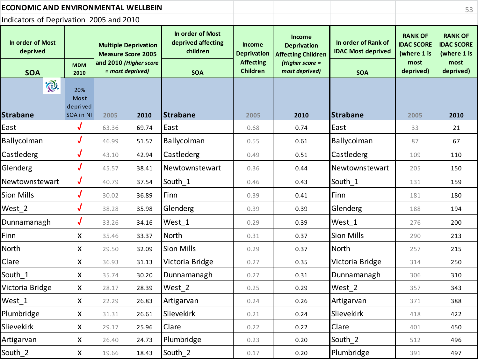| <b>ECONOMIC AND ENVIRONMENTAL WELLBEIN</b> |                           |                                            |                                                          |                                                    |                                     |                                                                  |                                                  |                                                    | 53                                                 |
|--------------------------------------------|---------------------------|--------------------------------------------|----------------------------------------------------------|----------------------------------------------------|-------------------------------------|------------------------------------------------------------------|--------------------------------------------------|----------------------------------------------------|----------------------------------------------------|
| Indicators of Deprivation 2005 and 2010    |                           |                                            |                                                          |                                                    |                                     |                                                                  |                                                  |                                                    |                                                    |
| In order of Most<br>deprived               |                           |                                            | <b>Multiple Deprivation</b><br><b>Measure Score 2005</b> | In order of Most<br>deprived affecting<br>children | <b>Income</b><br><b>Deprivation</b> | <b>Income</b><br><b>Deprivation</b><br><b>Affecting Children</b> | In order of Rank of<br><b>IDAC Most deprived</b> | <b>RANK OF</b><br><b>IDAC SCORE</b><br>(where 1 is | <b>RANK OF</b><br><b>IDAC SCORE</b><br>(where 1 is |
| <b>SOA</b>                                 | <b>MDM</b><br>2010        | and 2010 (Higher score<br>= most deprived) |                                                          | <b>SOA</b>                                         | <b>Affecting</b><br><b>Children</b> | (Higher score $=$<br>most deprived)                              | <b>SOA</b>                                       | most<br>deprived)                                  | most<br>deprived)                                  |
| $\bigcirc$                                 | 20%<br>Most<br>deprived   |                                            |                                                          |                                                    |                                     |                                                                  |                                                  |                                                    |                                                    |
| Strabane                                   | SOA in NI                 | 2005                                       | 2010                                                     | Strabane                                           | 2005                                | 2010                                                             | <b>Strabane</b>                                  | 2005                                               | 2010                                               |
| East                                       | $\bm{J}$                  | 63.36                                      | 69.74                                                    | East                                               | 0.68                                | 0.74                                                             | East                                             | 33                                                 | 21                                                 |
| Ballycolman                                | J                         | 46.99                                      | 51.57                                                    | Ballycolman                                        | 0.55                                | 0.61                                                             | Ballycolman                                      | 87                                                 | 67                                                 |
| Castlederg                                 | $\overline{\mathcal{J}}$  | 43.10                                      | 42.94                                                    | Castlederg                                         | 0.49                                | 0.51                                                             | Castlederg                                       | 109                                                | 110                                                |
| Glenderg                                   | $\bm{J}$                  | 45.57                                      | 38.41                                                    | Newtownstewart                                     | 0.36                                | 0.44                                                             | Newtownstewart                                   | 205                                                | 150                                                |
| Newtownstewart                             | J                         | 40.79                                      | 37.54                                                    | South 1                                            | 0.46                                | 0.43                                                             | South 1                                          | 131                                                | 159                                                |
| Sion Mills                                 | $\bm{J}$                  | 30.02                                      | 36.89                                                    | Finn                                               | 0.39                                | 0.41                                                             | Finn                                             | 181                                                | 180                                                |
| West 2                                     | $\bm{J}$                  | 38.28                                      | 35.98                                                    | Glenderg                                           | 0.39                                | 0.39                                                             | Glenderg                                         | 188                                                | 194                                                |
| Dunnamanagh                                | $\bm{J}$                  | 33.26                                      | 34.16                                                    | West 1                                             | 0.29                                | 0.39                                                             | West 1                                           | 276                                                | 200                                                |
| Finn                                       | X                         | 35.46                                      | 33.37                                                    | North                                              | 0.31                                | 0.37                                                             | <b>Sion Mills</b>                                | 290                                                | 213                                                |
| North                                      | X                         | 29.50                                      | 32.09                                                    | <b>Sion Mills</b>                                  | 0.29                                | 0.37                                                             | North                                            | 257                                                | 215                                                |
| Clare                                      | X                         | 36.93                                      | 31.13                                                    | Victoria Bridge                                    | 0.27                                | 0.35                                                             | Victoria Bridge                                  | 314                                                | 250                                                |
| South 1                                    | $\boldsymbol{\mathsf{X}}$ | 35.74                                      | 30.20                                                    | Dunnamanagh                                        | 0.27                                | 0.31                                                             | Dunnamanagh                                      | 306                                                | 310                                                |
| Victoria Bridge                            | X                         | 28.17                                      | 28.39                                                    | West 2                                             | 0.25                                | 0.29                                                             | West 2                                           | 357                                                | 343                                                |
| West_1                                     | Χ                         | 22.29                                      | 26.83                                                    | Artigarvan                                         | 0.24                                | 0.26                                                             | Artigarvan                                       | 371                                                | 388                                                |
| Plumbridge                                 | X                         | 31.31                                      | 26.61                                                    | Slievekirk                                         | 0.21                                | 0.24                                                             | Slievekirk                                       | 418                                                | 422                                                |
| Slievekirk                                 | X                         | 29.17                                      | 25.96                                                    | Clare                                              | 0.22                                | 0.22                                                             | Clare                                            | 401                                                | 450                                                |
| Artigarvan                                 | X                         | 26.40                                      | 24.73                                                    | Plumbridge                                         | 0.23                                | 0.20                                                             | South 2                                          | 512                                                | 496                                                |
| South 2                                    | X                         | 19.66                                      | 18.43                                                    | South 2                                            | 0.17                                | 0.20                                                             | Plumbridge                                       | 391                                                | 497                                                |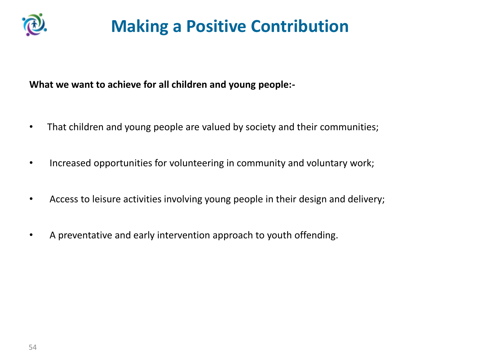

# **Making a Positive Contribution**

**What we want to achieve for all children and young people:-**

- That children and young people are valued by society and their communities;
- Increased opportunities for volunteering in community and voluntary work;
- Access to leisure activities involving young people in their design and delivery;
- A preventative and early intervention approach to youth offending.